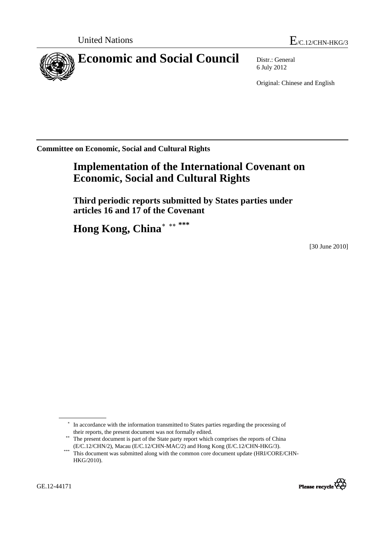

6 July 2012

Original: Chinese and English

**Committee on Economic, Social and Cultural Rights** 

# **Implementation of the International Covenant on Economic, Social and Cultural Rights**

 **Third periodic reports submitted by States parties under articles 16 and 17 of the Covenant** 

 **Hong Kong, China**[∗](#page-0-0) [∗∗](#page-0-1) **[\\*\\*\\*](#page-0-2)**

[30 June 2010]

<span id="page-0-2"></span><span id="page-0-1"></span> $(12/C.12/CH1V2)$ , Macau (E/C.12/CHN-MAC/2) and Hong Kong Kong (E/C.12/CHN-HKG). This document was submitted along with the common core document update (HRI/CORE/CHN-HKG/2010).



<sup>∗</sup> In accordance with the information transmitted to States parties regarding the processing of their reports, the present document was not formally edited.

<span id="page-0-0"></span><sup>&</sup>lt;sup>\*\*</sup> The present document is part of the State party report which comprises the reports of China (E/C.12/CHN/2), Macau (E/C.12/CHN-MAC/2) and Hong Kong (E/C.12/CHN-HKG/3).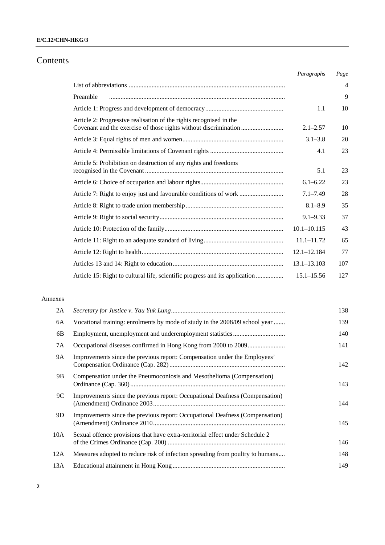## **E/C.12/CHN-HKG/3**

## Contents

|                                                                             | Paragraphs      | Page           |
|-----------------------------------------------------------------------------|-----------------|----------------|
|                                                                             |                 | $\overline{4}$ |
| Preamble                                                                    |                 | 9              |
|                                                                             | 1.1             | 10             |
| Article 2: Progressive realisation of the rights recognised in the          | $2.1 - 2.57$    | 10             |
|                                                                             | $3.1 - 3.8$     | 20             |
|                                                                             | 4.1             | 23             |
| Article 5: Prohibition on destruction of any rights and freedoms            | 5.1             | 23             |
|                                                                             | $6.1 - 6.22$    | 23             |
| Article 7: Right to enjoy just and favourable conditions of work            | $7.1 - 7.49$    | 28             |
|                                                                             | $8.1 - 8.9$     | 35             |
|                                                                             | $9.1 - 9.33$    | 37             |
|                                                                             | $10.1 - 10.115$ | 43             |
|                                                                             | $11.1 - 11.72$  | 65             |
|                                                                             | $12.1 - 12.184$ | 77             |
|                                                                             | $13.1 - 13.103$ | 107            |
| Article 15: Right to cultural life, scientific progress and its application | $15.1 - 15.56$  | 127            |

### Annexes

| 2A  |                                                                               | 138 |
|-----|-------------------------------------------------------------------------------|-----|
| 6A  | Vocational training: enrolments by mode of study in the 2008/09 school year   | 139 |
| 6B  |                                                                               | 140 |
| 7A  |                                                                               | 141 |
| 9A  | Improvements since the previous report: Compensation under the Employees'     | 142 |
| 9B  | Compensation under the Pneumoconiosis and Mesothelioma (Compensation)         | 143 |
| 9C  | Improvements since the previous report: Occupational Deafness (Compensation)  | 144 |
| 9D  | Improvements since the previous report: Occupational Deafness (Compensation)  | 145 |
| 10A | Sexual offence provisions that have extra-territorial effect under Schedule 2 | 146 |
| 12A | Measures adopted to reduce risk of infection spreading from poultry to humans | 148 |
| 13A |                                                                               | 149 |
|     |                                                                               |     |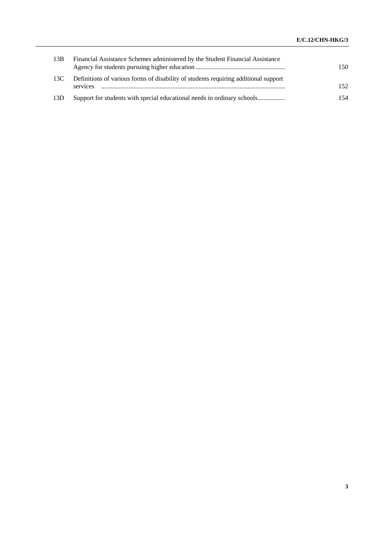| 13B | Financial Assistance Schemes administered by the Student Financial Assistance                   | 150 |
|-----|-------------------------------------------------------------------------------------------------|-----|
| 13C | Definitions of various forms of disability of students requiring additional support<br>services | 152 |
| 13D |                                                                                                 | 154 |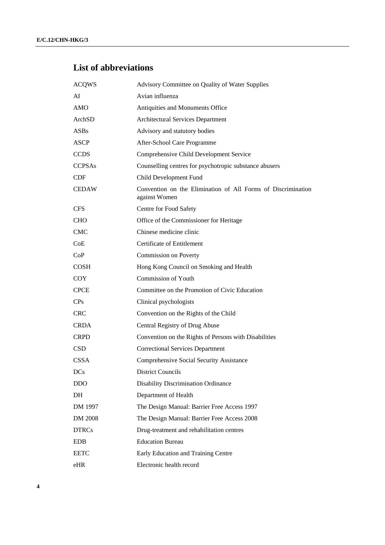# **List of abbreviations**

| <b>ACQWS</b>    | Advisory Committee on Quality of Water Supplies                               |
|-----------------|-------------------------------------------------------------------------------|
| AI              | Avian influenza                                                               |
| <b>AMO</b>      | Antiquities and Monuments Office                                              |
| ArchSD          | <b>Architectural Services Department</b>                                      |
| ASBs            | Advisory and statutory bodies                                                 |
| <b>ASCP</b>     | After-School Care Programme                                                   |
| <b>CCDS</b>     | Comprehensive Child Development Service                                       |
| <b>CCPSAs</b>   | Counselling centres for psychotropic substance abusers                        |
| CDF             | Child Development Fund                                                        |
| <b>CEDAW</b>    | Convention on the Elimination of All Forms of Discrimination<br>against Women |
| <b>CFS</b>      | Centre for Food Safety                                                        |
| <b>CHO</b>      | Office of the Commissioner for Heritage                                       |
| <b>CMC</b>      | Chinese medicine clinic                                                       |
| CoE             | <b>Certificate of Entitlement</b>                                             |
| CoP             | Commission on Poverty                                                         |
| <b>COSH</b>     | Hong Kong Council on Smoking and Health                                       |
| <b>COY</b>      | <b>Commission of Youth</b>                                                    |
| <b>CPCE</b>     | Committee on the Promotion of Civic Education                                 |
| CP <sub>S</sub> | Clinical psychologists                                                        |
| <b>CRC</b>      | Convention on the Rights of the Child                                         |
| <b>CRDA</b>     | Central Registry of Drug Abuse                                                |
| <b>CRPD</b>     | Convention on the Rights of Persons with Disabilities                         |
| <b>CSD</b>      | <b>Correctional Services Department</b>                                       |
| <b>CSSA</b>     | Comprehensive Social Security Assistance                                      |
| <b>DCs</b>      | <b>District Councils</b>                                                      |
| <b>DDO</b>      | <b>Disability Discrimination Ordinance</b>                                    |
| DH              | Department of Health                                                          |
| DM 1997         | The Design Manual: Barrier Free Access 1997                                   |
| DM 2008         | The Design Manual: Barrier Free Access 2008                                   |
| <b>DTRCs</b>    | Drug-treatment and rehabilitation centres                                     |
| <b>EDB</b>      | <b>Education Bureau</b>                                                       |
| <b>EETC</b>     | Early Education and Training Centre                                           |
| eHR             | Electronic health record                                                      |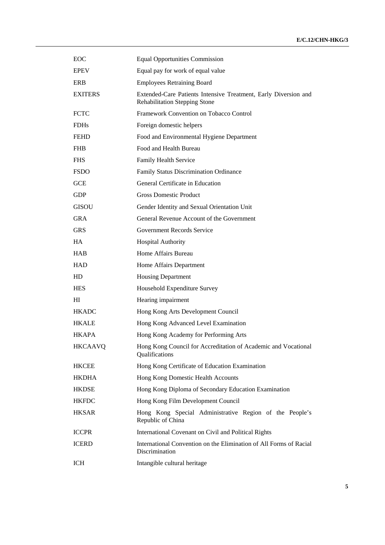| <b>EOC</b>     | <b>Equal Opportunities Commission</b>                                                                   |
|----------------|---------------------------------------------------------------------------------------------------------|
| <b>EPEV</b>    | Equal pay for work of equal value                                                                       |
| ERB            | <b>Employees Retraining Board</b>                                                                       |
| <b>EXITERS</b> | Extended-Care Patients Intensive Treatment, Early Diversion and<br><b>Rehabilitation Stepping Stone</b> |
| <b>FCTC</b>    | Framework Convention on Tobacco Control                                                                 |
| <b>FDHs</b>    | Foreign domestic helpers                                                                                |
| <b>FEHD</b>    | Food and Environmental Hygiene Department                                                               |
| <b>FHB</b>     | Food and Health Bureau                                                                                  |
| <b>FHS</b>     | Family Health Service                                                                                   |
| <b>FSDO</b>    | Family Status Discrimination Ordinance                                                                  |
| <b>GCE</b>     | General Certificate in Education                                                                        |
| <b>GDP</b>     | <b>Gross Domestic Product</b>                                                                           |
| <b>GISOU</b>   | Gender Identity and Sexual Orientation Unit                                                             |
| <b>GRA</b>     | General Revenue Account of the Government                                                               |
| <b>GRS</b>     | Government Records Service                                                                              |
| <b>HA</b>      | <b>Hospital Authority</b>                                                                               |
| <b>HAB</b>     | Home Affairs Bureau                                                                                     |
| <b>HAD</b>     | Home Affairs Department                                                                                 |
| HD             | <b>Housing Department</b>                                                                               |
| <b>HES</b>     | Household Expenditure Survey                                                                            |
| HІ             | Hearing impairment                                                                                      |
| <b>HKADC</b>   | Hong Kong Arts Development Council                                                                      |
| <b>HKALE</b>   | Hong Kong Advanced Level Examination                                                                    |
| <b>HKAPA</b>   | Hong Kong Academy for Performing Arts                                                                   |
| <b>HKCAAVQ</b> | Hong Kong Council for Accreditation of Academic and Vocational<br>Qualifications                        |
| <b>HKCEE</b>   | Hong Kong Certificate of Education Examination                                                          |
| <b>HKDHA</b>   | Hong Kong Domestic Health Accounts                                                                      |
| <b>HKDSE</b>   | Hong Kong Diploma of Secondary Education Examination                                                    |
| <b>HKFDC</b>   | Hong Kong Film Development Council                                                                      |
| <b>HKSAR</b>   | Hong Kong Special Administrative Region of the People's<br>Republic of China                            |
| <b>ICCPR</b>   | International Covenant on Civil and Political Rights                                                    |
| <b>ICERD</b>   | International Convention on the Elimination of All Forms of Racial<br>Discrimination                    |
| <b>ICH</b>     | Intangible cultural heritage                                                                            |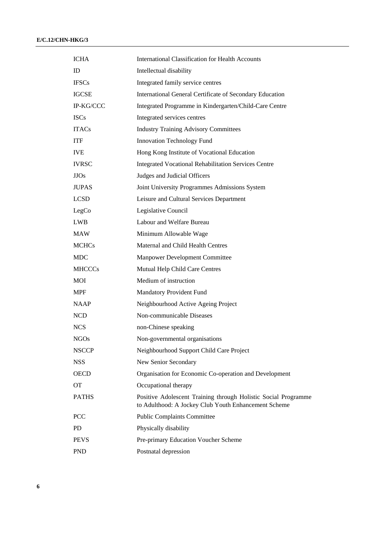| <b>ICHA</b>   | <b>International Classification for Health Accounts</b>                                                                |
|---------------|------------------------------------------------------------------------------------------------------------------------|
| ID            | Intellectual disability                                                                                                |
| <b>IFSCs</b>  | Integrated family service centres                                                                                      |
| <b>IGCSE</b>  | International General Certificate of Secondary Education                                                               |
| IP-KG/CCC     | Integrated Programme in Kindergarten/Child-Care Centre                                                                 |
| <b>ISCs</b>   | Integrated services centres                                                                                            |
| <b>ITACs</b>  | <b>Industry Training Advisory Committees</b>                                                                           |
| <b>ITF</b>    | Innovation Technology Fund                                                                                             |
| <b>IVE</b>    | Hong Kong Institute of Vocational Education                                                                            |
| <b>IVRSC</b>  | <b>Integrated Vocational Rehabilitation Services Centre</b>                                                            |
| JJOs          | Judges and Judicial Officers                                                                                           |
| <b>JUPAS</b>  | Joint University Programmes Admissions System                                                                          |
| <b>LCSD</b>   | Leisure and Cultural Services Department                                                                               |
| LegCo         | Legislative Council                                                                                                    |
| <b>LWB</b>    | Labour and Welfare Bureau                                                                                              |
| <b>MAW</b>    | Minimum Allowable Wage                                                                                                 |
| <b>MCHCs</b>  | Maternal and Child Health Centres                                                                                      |
| <b>MDC</b>    | Manpower Development Committee                                                                                         |
| <b>MHCCCs</b> | Mutual Help Child Care Centres                                                                                         |
| MOI           | Medium of instruction                                                                                                  |
| <b>MPF</b>    | Mandatory Provident Fund                                                                                               |
| <b>NAAP</b>   | Neighbourhood Active Ageing Project                                                                                    |
| <b>NCD</b>    | Non-communicable Diseases                                                                                              |
| <b>NCS</b>    | non-Chinese speaking                                                                                                   |
| <b>NGOs</b>   | Non-governmental organisations                                                                                         |
| <b>NSCCP</b>  | Neighbourhood Support Child Care Project                                                                               |
| <b>NSS</b>    | New Senior Secondary                                                                                                   |
| <b>OECD</b>   | Organisation for Economic Co-operation and Development                                                                 |
| <b>OT</b>     | Occupational therapy                                                                                                   |
| <b>PATHS</b>  | Positive Adolescent Training through Holistic Social Programme<br>to Adulthood: A Jockey Club Youth Enhancement Scheme |
| <b>PCC</b>    | <b>Public Complaints Committee</b>                                                                                     |
| <b>PD</b>     | Physically disability                                                                                                  |
| <b>PEVS</b>   | Pre-primary Education Voucher Scheme                                                                                   |
| <b>PND</b>    | Postnatal depression                                                                                                   |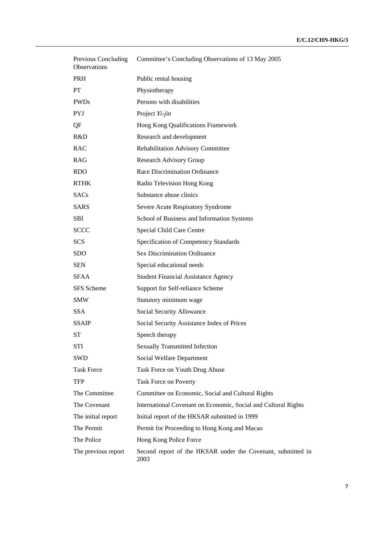| Previous Concluding<br>Observations | Committee's Concluding Observations of 13 May 2005                  |
|-------------------------------------|---------------------------------------------------------------------|
| <b>PRH</b>                          | Public rental housing                                               |
| <b>PT</b>                           | Physiotherapy                                                       |
| <b>PWDs</b>                         | Persons with disabilities                                           |
| <b>PYJ</b>                          | Project Yi-jin                                                      |
| QF                                  | Hong Kong Qualifications Framework                                  |
| R&D                                 | Research and development                                            |
| <b>RAC</b>                          | Rehabilitation Advisory Committee                                   |
| <b>RAG</b>                          | <b>Research Advisory Group</b>                                      |
| <b>RDO</b>                          | Race Discrimination Ordinance                                       |
| <b>RTHK</b>                         | Radio Television Hong Kong                                          |
| <b>SACs</b>                         | Substance abuse clinics                                             |
| <b>SARS</b>                         | Severe Acute Respiratory Syndrome                                   |
| <b>SBI</b>                          | School of Business and Information Systems                          |
| <b>SCCC</b>                         | Special Child Care Centre                                           |
| <b>SCS</b>                          | Specification of Competency Standards                               |
| <b>SDO</b>                          | <b>Sex Discrimination Ordinance</b>                                 |
| <b>SEN</b>                          | Special educational needs                                           |
| <b>SFAA</b>                         | <b>Student Financial Assistance Agency</b>                          |
| SFS Scheme                          | Support for Self-reliance Scheme                                    |
| <b>SMW</b>                          | Statutory minimum wage                                              |
| <b>SSA</b>                          | Social Security Allowance                                           |
| <b>SSAIP</b>                        | Social Security Assistance Index of Prices                          |
| ST                                  | Speech therapy                                                      |
| STI                                 | <b>Sexually Transmitted Infection</b>                               |
| <b>SWD</b>                          | Social Welfare Department                                           |
| <b>Task Force</b>                   | Task Force on Youth Drug Abuse                                      |
| <b>TFP</b>                          | Task Force on Poverty                                               |
| The Committee                       | Committee on Economic, Social and Cultural Rights                   |
| The Covenant                        | International Covenant on Economic, Social and Cultural Rights      |
| The initial report                  | Initial report of the HKSAR submitted in 1999                       |
| The Permit                          | Permit for Proceeding to Hong Kong and Macao                        |
| The Police                          | Hong Kong Police Force                                              |
| The previous report                 | Second report of the HKSAR under the Covenant, submitted in<br>2003 |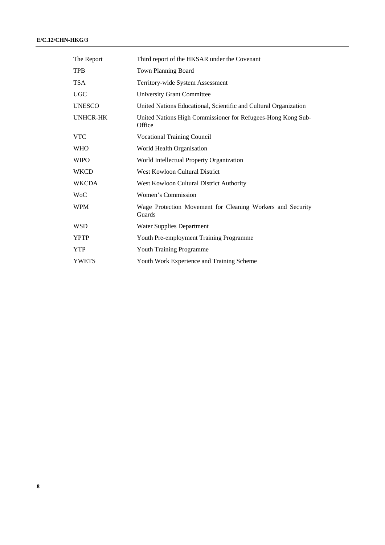| The Report    | Third report of the HKSAR under the Covenant                           |
|---------------|------------------------------------------------------------------------|
| <b>TPB</b>    | <b>Town Planning Board</b>                                             |
| <b>TSA</b>    | Territory-wide System Assessment                                       |
| <b>UGC</b>    | <b>University Grant Committee</b>                                      |
| <b>UNESCO</b> | United Nations Educational, Scientific and Cultural Organization       |
| UNHCR-HK      | United Nations High Commissioner for Refugees-Hong Kong Sub-<br>Office |
| <b>VTC</b>    | <b>Vocational Training Council</b>                                     |
| <b>WHO</b>    | World Health Organisation                                              |
| <b>WIPO</b>   | World Intellectual Property Organization                               |
| <b>WKCD</b>   | <b>West Kowloon Cultural District</b>                                  |
| <b>WKCDA</b>  | West Kowloon Cultural District Authority                               |
| WoC           | Women's Commission                                                     |
| <b>WPM</b>    | Wage Protection Movement for Cleaning Workers and Security<br>Guards   |
| <b>WSD</b>    | <b>Water Supplies Department</b>                                       |
| <b>YPTP</b>   | Youth Pre-employment Training Programme                                |
| <b>YTP</b>    | Youth Training Programme                                               |
| <b>YWETS</b>  | Youth Work Experience and Training Scheme                              |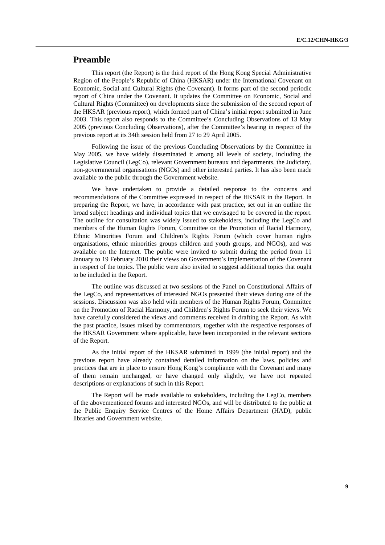## **Preamble**

 This report (the Report) is the third report of the Hong Kong Special Administrative Region of the People's Republic of China (HKSAR) under the International Covenant on Economic, Social and Cultural Rights (the Covenant). It forms part of the second periodic report of China under the Covenant. It updates the Committee on Economic, Social and Cultural Rights (Committee) on developments since the submission of the second report of the HKSAR (previous report), which formed part of China's initial report submitted in June 2003. This report also responds to the Committee's Concluding Observations of 13 May 2005 (previous Concluding Observations), after the Committee's hearing in respect of the previous report at its 34th session held from 27 to 29 April 2005.

 Following the issue of the previous Concluding Observations by the Committee in May 2005, we have widely disseminated it among all levels of society, including the Legislative Council (LegCo), relevant Government bureaux and departments, the Judiciary, non-governmental organisations (NGOs) and other interested parties. It has also been made available to the public through the Government website.

 We have undertaken to provide a detailed response to the concerns and recommendations of the Committee expressed in respect of the HKSAR in the Report. In preparing the Report, we have, in accordance with past practice, set out in an outline the broad subject headings and individual topics that we envisaged to be covered in the report. The outline for consultation was widely issued to stakeholders, including the LegCo and members of the Human Rights Forum, Committee on the Promotion of Racial Harmony, Ethnic Minorities Forum and Children's Rights Forum (which cover human rights organisations, ethnic minorities groups children and youth groups, and NGOs), and was available on the Internet. The public were invited to submit during the period from 11 January to 19 February 2010 their views on Government's implementation of the Covenant in respect of the topics. The public were also invited to suggest additional topics that ought to be included in the Report.

 The outline was discussed at two sessions of the Panel on Constitutional Affairs of the LegCo, and representatives of interested NGOs presented their views during one of the sessions. Discussion was also held with members of the Human Rights Forum, Committee on the Promotion of Racial Harmony, and Children's Rights Forum to seek their views. We have carefully considered the views and comments received in drafting the Report. As with the past practice, issues raised by commentators, together with the respective responses of the HKSAR Government where applicable, have been incorporated in the relevant sections of the Report.

 As the initial report of the HKSAR submitted in 1999 (the initial report) and the previous report have already contained detailed information on the laws, policies and practices that are in place to ensure Hong Kong's compliance with the Covenant and many of them remain unchanged, or have changed only slightly, we have not repeated descriptions or explanations of such in this Report.

 The Report will be made available to stakeholders, including the LegCo, members of the abovementioned forums and interested NGOs, and will be distributed to the public at the Public Enquiry Service Centres of the Home Affairs Department (HAD), public libraries and Government website.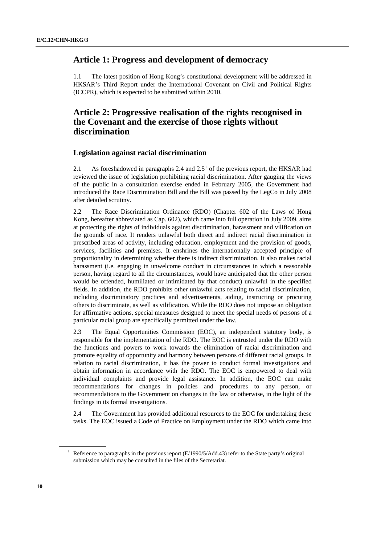## **Article 1: Progress and development of democracy**

1.1 The latest position of Hong Kong's constitutional development will be addressed in HKSAR's Third Report under the International Covenant on Civil and Political Rights (ICCPR), which is expected to be submitted within 2010.

## **Article 2: Progressive realisation of the rights recognised in the Covenant and the exercise of those rights without discrimination**

## **Legislation against racial discrimination**

2.[1](#page-9-0) As foreshadowed in paragraphs 2.4 and  $2.5<sup>1</sup>$  of the previous report, the HKSAR had reviewed the issue of legislation prohibiting racial discrimination. After gauging the views of the public in a consultation exercise ended in February 2005, the Government had introduced the Race Discrimination Bill and the Bill was passed by the LegCo in July 2008 after detailed scrutiny.

2.2 The Race Discrimination Ordinance (RDO) (Chapter 602 of the Laws of Hong Kong, hereafter abbreviated as Cap. 602), which came into full operation in July 2009, aims at protecting the rights of individuals against discrimination, harassment and vilification on the grounds of race. It renders unlawful both direct and indirect racial discrimination in prescribed areas of activity, including education, employment and the provision of goods, services, facilities and premises. It enshrines the internationally accepted principle of proportionality in determining whether there is indirect discrimination. It also makes racial harassment (i.e. engaging in unwelcome conduct in circumstances in which a reasonable person, having regard to all the circumstances, would have anticipated that the other person would be offended, humiliated or intimidated by that conduct) unlawful in the specified fields. In addition, the RDO prohibits other unlawful acts relating to racial discrimination, including discriminatory practices and advertisements, aiding, instructing or procuring others to discriminate, as well as vilification. While the RDO does not impose an obligation for affirmative actions, special measures designed to meet the special needs of persons of a particular racial group are specifically permitted under the law.

2.3 The Equal Opportunities Commission (EOC), an independent statutory body, is responsible for the implementation of the RDO. The EOC is entrusted under the RDO with the functions and powers to work towards the elimination of racial discrimination and promote equality of opportunity and harmony between persons of different racial groups. In relation to racial discrimination, it has the power to conduct formal investigations and obtain information in accordance with the RDO. The EOC is empowered to deal with individual complaints and provide legal assistance. In addition, the EOC can make recommendations for changes in policies and procedures to any person, or recommendations to the Government on changes in the law or otherwise, in the light of the findings in its formal investigations.

2.4 The Government has provided additional resources to the EOC for undertaking these tasks. The EOC issued a Code of Practice on Employment under the RDO which came into

<span id="page-9-0"></span><sup>&</sup>lt;sup>1</sup> Reference to paragraphs in the previous report (E/1990/5/Add.43) refer to the State party's original submission which may be consulted in the files of the Secretariat.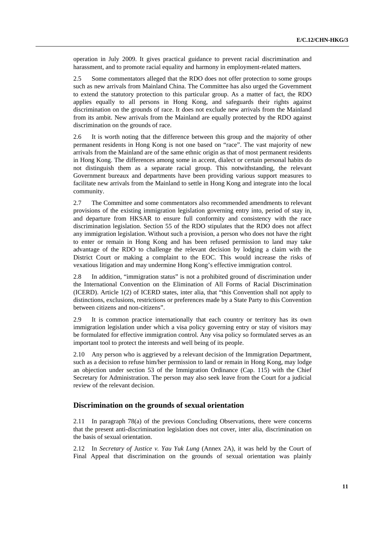operation in July 2009. It gives practical guidance to prevent racial discrimination and harassment, and to promote racial equality and harmony in employment-related matters.

2.5 Some commentators alleged that the RDO does not offer protection to some groups such as new arrivals from Mainland China. The Committee has also urged the Government to extend the statutory protection to this particular group. As a matter of fact, the RDO applies equally to all persons in Hong Kong, and safeguards their rights against discrimination on the grounds of race. It does not exclude new arrivals from the Mainland from its ambit. New arrivals from the Mainland are equally protected by the RDO against discrimination on the grounds of race.

2.6 It is worth noting that the difference between this group and the majority of other permanent residents in Hong Kong is not one based on "race". The vast majority of new arrivals from the Mainland are of the same ethnic origin as that of most permanent residents in Hong Kong. The differences among some in accent, dialect or certain personal habits do not distinguish them as a separate racial group. This notwithstanding, the relevant Government bureaux and departments have been providing various support measures to facilitate new arrivals from the Mainland to settle in Hong Kong and integrate into the local community.

2.7 The Committee and some commentators also recommended amendments to relevant provisions of the existing immigration legislation governing entry into, period of stay in, and departure from HKSAR to ensure full conformity and consistency with the race discrimination legislation. Section 55 of the RDO stipulates that the RDO does not affect any immigration legislation. Without such a provision, a person who does not have the right to enter or remain in Hong Kong and has been refused permission to land may take advantage of the RDO to challenge the relevant decision by lodging a claim with the District Court or making a complaint to the EOC. This would increase the risks of vexatious litigation and may undermine Hong Kong's effective immigration control.

2.8 In addition, "immigration status" is not a prohibited ground of discrimination under the International Convention on the Elimination of All Forms of Racial Discrimination (ICERD). Article 1(2) of ICERD states, inter alia, that "this Convention shall not apply to distinctions, exclusions, restrictions or preferences made by a State Party to this Convention between citizens and non-citizens".

2.9 It is common practice internationally that each country or territory has its own immigration legislation under which a visa policy governing entry or stay of visitors may be formulated for effective immigration control. Any visa policy so formulated serves as an important tool to protect the interests and well being of its people.

2.10 Any person who is aggrieved by a relevant decision of the Immigration Department, such as a decision to refuse him/her permission to land or remain in Hong Kong, may lodge an objection under section 53 of the Immigration Ordinance (Cap. 115) with the Chief Secretary for Administration. The person may also seek leave from the Court for a judicial review of the relevant decision.

### **Discrimination on the grounds of sexual orientation**

2.11 In paragraph 78(a) of the previous Concluding Observations, there were concerns that the present anti-discrimination legislation does not cover, inter alia, discrimination on the basis of sexual orientation.

2.12 In *Secretary of Justice v. Yau Yuk Lung* (Annex 2A), it was held by the Court of Final Appeal that discrimination on the grounds of sexual orientation was plainly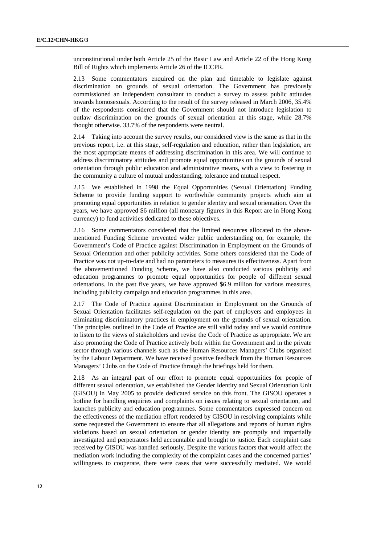unconstitutional under both Article 25 of the Basic Law and Article 22 of the Hong Kong Bill of Rights which implements Article 26 of the ICCPR.

2.13 Some commentators enquired on the plan and timetable to legislate against discrimination on grounds of sexual orientation. The Government has previously commissioned an independent consultant to conduct a survey to assess public attitudes towards homosexuals. According to the result of the survey released in March 2006, 35.4% of the respondents considered that the Government should not introduce legislation to outlaw discrimination on the grounds of sexual orientation at this stage, while 28.7% thought otherwise. 33.7% of the respondents were neutral.

2.14 Taking into account the survey results, our considered view is the same as that in the previous report, i.e. at this stage, self-regulation and education, rather than legislation, are the most appropriate means of addressing discrimination in this area. We will continue to address discriminatory attitudes and promote equal opportunities on the grounds of sexual orientation through public education and administrative means, with a view to fostering in the community a culture of mutual understanding, tolerance and mutual respect.

2.15 We established in 1998 the Equal Opportunities (Sexual Orientation) Funding Scheme to provide funding support to worthwhile community projects which aim at promoting equal opportunities in relation to gender identity and sexual orientation. Over the years, we have approved \$6 million (all monetary figures in this Report are in Hong Kong currency) to fund activities dedicated to these objectives.

2.16 Some commentators considered that the limited resources allocated to the abovementioned Funding Scheme prevented wider public understanding on, for example, the Government's Code of Practice against Discrimination in Employment on the Grounds of Sexual Orientation and other publicity activities. Some others considered that the Code of Practice was not up-to-date and had no parameters to measures its effectiveness. Apart from the abovementioned Funding Scheme, we have also conducted various publicity and education programmes to promote equal opportunities for people of different sexual orientations. In the past five years, we have approved \$6.9 million for various measures, including publicity campaign and education programmes in this area.

2.17 The Code of Practice against Discrimination in Employment on the Grounds of Sexual Orientation facilitates self-regulation on the part of employers and employees in eliminating discriminatory practices in employment on the grounds of sexual orientation. The principles outlined in the Code of Practice are still valid today and we would continue to listen to the views of stakeholders and revise the Code of Practice as appropriate. We are also promoting the Code of Practice actively both within the Government and in the private sector through various channels such as the Human Resources Managers' Clubs organised by the Labour Department. We have received positive feedback from the Human Resources Managers' Clubs on the Code of Practice through the briefings held for them.

2.18 As an integral part of our effort to promote equal opportunities for people of different sexual orientation, we established the Gender Identity and Sexual Orientation Unit (GISOU) in May 2005 to provide dedicated service on this front. The GISOU operates a hotline for handling enquiries and complaints on issues relating to sexual orientation, and launches publicity and education programmes. Some commentators expressed concern on the effectiveness of the mediation effort rendered by GISOU in resolving complaints while some requested the Government to ensure that all allegations and reports of human rights violations based on sexual orientation or gender identity are promptly and impartially investigated and perpetrators held accountable and brought to justice. Each complaint case received by GISOU was handled seriously. Despite the various factors that would affect the mediation work including the complexity of the complaint cases and the concerned parties' willingness to cooperate, there were cases that were successfully mediated. We would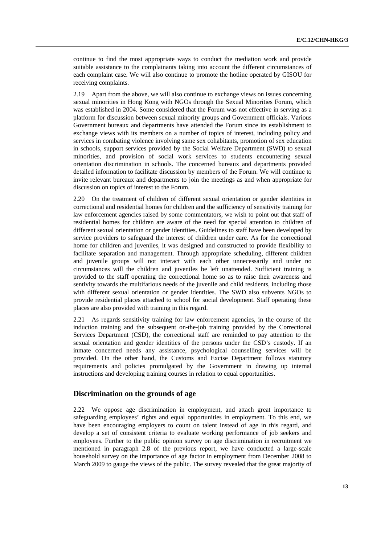continue to find the most appropriate ways to conduct the mediation work and provide suitable assistance to the complainants taking into account the different circumstances of each complaint case. We will also continue to promote the hotline operated by GISOU for receiving complaints.

2.19 Apart from the above, we will also continue to exchange views on issues concerning sexual minorities in Hong Kong with NGOs through the Sexual Minorities Forum, which was established in 2004. Some considered that the Forum was not effective in serving as a platform for discussion between sexual minority groups and Government officials. Various Government bureaux and departments have attended the Forum since its establishment to exchange views with its members on a number of topics of interest, including policy and services in combating violence involving same sex cohabitants, promotion of sex education in schools, support services provided by the Social Welfare Department (SWD) to sexual minorities, and provision of social work services to students encountering sexual orientation discrimination in schools. The concerned bureaux and departments provided detailed information to facilitate discussion by members of the Forum. We will continue to invite relevant bureaux and departments to join the meetings as and when appropriate for discussion on topics of interest to the Forum.

2.20 On the treatment of children of different sexual orientation or gender identities in correctional and residential homes for children and the sufficiency of sensitivity training for law enforcement agencies raised by some commentators, we wish to point out that staff of residential homes for children are aware of the need for special attention to children of different sexual orientation or gender identities. Guidelines to staff have been developed by service providers to safeguard the interest of children under care. As for the correctional home for children and juveniles, it was designed and constructed to provide flexibility to facilitate separation and management. Through appropriate scheduling, different children and juvenile groups will not interact with each other unnecessarily and under no circumstances will the children and juveniles be left unattended. Sufficient training is provided to the staff operating the correctional home so as to raise their awareness and sentivity towards the multifarious needs of the juvenile and child residents, including those with different sexual orientation or gender identities. The SWD also subvents NGOs to provide residential places attached to school for social development. Staff operating these places are also provided with training in this regard.

2.21 As regards sensitivity training for law enforcement agencies, in the course of the induction training and the subsequent on-the-job training provided by the Correctional Services Department (CSD), the correctional staff are reminded to pay attention to the sexual orientation and gender identities of the persons under the CSD's custody. If an inmate concerned needs any assistance, psychological counselling services will be provided. On the other hand, the Customs and Excise Department follows statutory requirements and policies promulgated by the Government in drawing up internal instructions and developing training courses in relation to equal opportunities.

### **Discrimination on the grounds of age**

2.22 We oppose age discrimination in employment, and attach great importance to safeguarding employees' rights and equal opportunities in employment. To this end, we have been encouraging employers to count on talent instead of age in this regard, and develop a set of consistent criteria to evaluate working performance of job seekers and employees. Further to the public opinion survey on age discrimination in recruitment we mentioned in paragraph 2.8 of the previous report, we have conducted a large-scale household survey on the importance of age factor in employment from December 2008 to March 2009 to gauge the views of the public. The survey revealed that the great majority of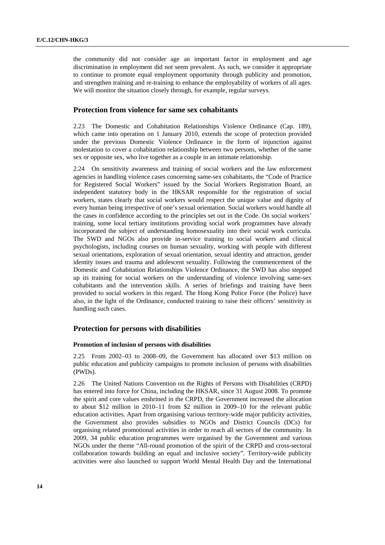the community did not consider age an important factor in employment and age discrimination in employment did not seem prevalent. As such, we consider it appropriate to continue to promote equal employment opportunity through publicity and promotion, and strengthen training and re-training to enhance the employability of workers of all ages. We will monitor the situation closely through, for example, regular surveys.

## **Protection from violence for same sex cohabitants**

2.23 The Domestic and Cohabitation Relationships Violence Ordinance (Cap. 189), which came into operation on 1 January 2010, extends the scope of protection provided under the previous Domestic Violence Ordinance in the form of injunction against molestation to cover a cohabitation relationship between two persons, whether of the same sex or opposite sex, who live together as a couple in an intimate relationship.

2.24 On sensitivity awareness and training of social workers and the law enforcement agencies in handling violence cases concerning same-sex cohabitants, the "Code of Practice for Registered Social Workers" issued by the Social Workers Registration Board, an independent statutory body in the HKSAR responsible for the registration of social workers, states clearly that social workers would respect the unique value and dignity of every human being irrespective of one's sexual orientation. Social workers would handle all the cases in confidence according to the principles set out in the Code. On social workers' training, some local tertiary institutions providing social work programmes have already incorporated the subject of understanding homosexuality into their social work curricula. The SWD and NGOs also provide in-service training to social workers and clinical psychologists, including courses on human sexuality, working with people with different sexual orientations, exploration of sexual orientation, sexual identity and attraction, gender identity issues and trauma and adolescent sexuality. Following the commencement of the Domestic and Cohabitation Relationships Violence Ordinance, the SWD has also stepped up its training for social workers on the understanding of violence involving same-sex cohabitants and the intervention skills. A series of briefings and training have been provided to social workers in this regard. The Hong Kong Police Force (the Police) have also, in the light of the Ordinance, conducted training to raise their officers' sensitivity in handling such cases.

## **Protection for persons with disabilities**

#### **Promotion of inclusion of persons with disabilities**

2.25 From 2002–03 to 2008–09, the Government has allocated over \$13 million on public education and publicity campaigns to promote inclusion of persons with disabilities (PWDs).

2.26 The United Nations Convention on the Rights of Persons with Disabilities (CRPD) has entered into force for China, including the HKSAR, since 31 August 2008. To promote the spirit and core values enshrined in the CRPD, the Government increased the allocation to about \$12 million in 2010–11 from \$2 million in 2009–10 for the relevant public education activities. Apart from organising various territory-wide major publicity activities, the Government also provides subsidies to NGOs and District Councils (DCs) for organising related promotional activities in order to reach all sectors of the community. In 2009, 34 public education programmes were organised by the Government and various NGOs under the theme "All-round promotion of the spirit of the CRPD and cross-sectoral collaboration towards building an equal and inclusive society". Territory-wide publicity activities were also launched to support World Mental Health Day and the International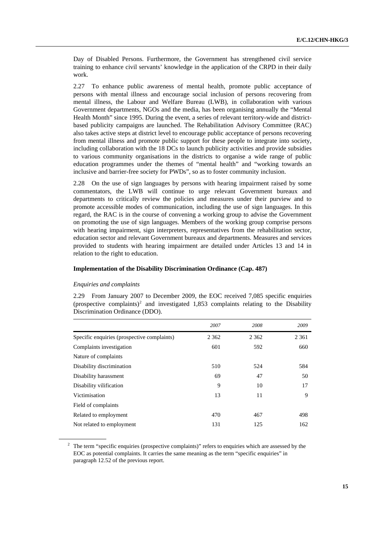Day of Disabled Persons. Furthermore, the Government has strengthened civil service training to enhance civil servants' knowledge in the application of the CRPD in their daily work.

2.27 To enhance public awareness of mental health, promote public acceptance of persons with mental illness and encourage social inclusion of persons recovering from mental illness, the Labour and Welfare Bureau (LWB), in collaboration with various Government departments, NGOs and the media, has been organising annually the "Mental Health Month" since 1995. During the event, a series of relevant territory-wide and districtbased publicity campaigns are launched. The Rehabilitation Advisory Committee (RAC) also takes active steps at district level to encourage public acceptance of persons recovering from mental illness and promote public support for these people to integrate into society, including collaboration with the 18 DCs to launch publicity activities and provide subsidies to various community organisations in the districts to organise a wide range of public education programmes under the themes of "mental health" and "working towards an inclusive and barrier-free society for PWDs", so as to foster community inclusion.

2.28 On the use of sign languages by persons with hearing impairment raised by some commentators, the LWB will continue to urge relevant Government bureaux and departments to critically review the policies and measures under their purview and to promote accessible modes of communication, including the use of sign languages. In this regard, the RAC is in the course of convening a working group to advise the Government on promoting the use of sign languages. Members of the working group comprise persons with hearing impairment, sign interpreters, representatives from the rehabilitation sector, education sector and relevant Government bureaux and departments. Measures and services provided to students with hearing impairment are detailed under Articles 13 and 14 in relation to the right to education.

#### **Implementation of the Disability Discrimination Ordinance (Cap. 487)**

#### *Enquiries and complaints*

2.29 From January 2007 to December 2009, the EOC received 7,085 specific enquiries (prospective complaints)<sup>[2](#page-14-0)</sup> and investigated 1,853 complaints relating to the Disability Discrimination Ordinance (DDO).

|                                             | 2007    | 2008    | 2009    |
|---------------------------------------------|---------|---------|---------|
| Specific enquiries (prospective complaints) | 2 3 6 2 | 2 3 6 2 | 2 3 6 1 |
| Complaints investigation                    | 601     | 592     | 660     |
| Nature of complaints                        |         |         |         |
| Disability discrimination                   | 510     | 524     | 584     |
| Disability harassment                       | 69      | 47      | 50      |
| Disability vilification                     | 9       | 10      | 17      |
| Victimisation                               | 13      | 11      | 9       |
| Field of complaints                         |         |         |         |
| Related to employment                       | 470     | 467     | 498     |
| Not related to employment                   | 131     | 125     | 162     |

<span id="page-14-0"></span><sup>&</sup>lt;sup>2</sup> The term "specific enquiries (prospective complaints)" refers to enquiries which are assessed by the EOC as potential complaints. It carries the same meaning as the term "specific enquiries" in paragraph 12.52 of the previous report.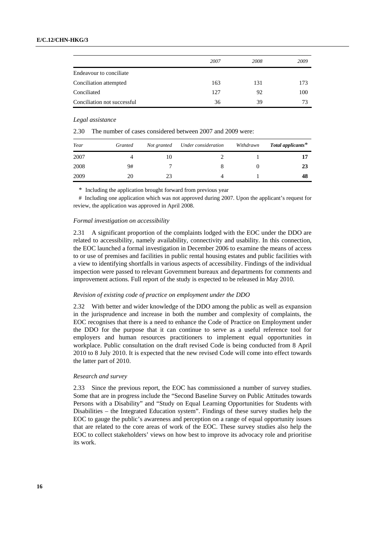|                             | 2007 | 2008 | 2009 |
|-----------------------------|------|------|------|
| Endeavour to conciliate     |      |      |      |
| Conciliation attempted      | 163  | 131  | 173  |
| Conciliated                 | 127  | 92   | 100  |
| Conciliation not successful | 36   | 39   | 73   |

#### *Legal assistance*

2.30 The number of cases considered between 2007 and 2009 were:

| Year | Granted | Not granted | Under consideration | Withdrawn | Total applicants $*$ |
|------|---------|-------------|---------------------|-----------|----------------------|
| 2007 |         | 10          |                     |           |                      |
| 2008 | 9#      |             |                     |           | 23                   |
| 2009 | 20      | 23          |                     |           | 48                   |

\* Including the application brought forward from previous year

# Including one application which was not approved during 2007. Upon the applicant's request for review, the application was approved in April 2008.

#### *Formal investigation on accessibility*

2.31 A significant proportion of the complaints lodged with the EOC under the DDO are related to accessibility, namely availability, connectivity and usability. In this connection, the EOC launched a formal investigation in December 2006 to examine the means of access to or use of premises and facilities in public rental housing estates and public facilities with a view to identifying shortfalls in various aspects of accessibility. Findings of the individual inspection were passed to relevant Government bureaux and departments for comments and improvement actions. Full report of the study is expected to be released in May 2010.

### *Revision of existing code of practice on employment under the DDO*

2.32 With better and wider knowledge of the DDO among the public as well as expansion in the jurisprudence and increase in both the number and complexity of complaints, the EOC recognises that there is a need to enhance the Code of Practice on Employment under the DDO for the purpose that it can continue to serve as a useful reference tool for employers and human resources practitioners to implement equal opportunities in workplace. Public consultation on the draft revised Code is being conducted from 8 April 2010 to 8 July 2010. It is expected that the new revised Code will come into effect towards the latter part of 2010.

#### *Research and survey*

2.33 Since the previous report, the EOC has commissioned a number of survey studies. Some that are in progress include the "Second Baseline Survey on Public Attitudes towards Persons with a Disability" and "Study on Equal Learning Opportunities for Students with Disabilities – the Integrated Education system". Findings of these survey studies help the EOC to gauge the public's awareness and perception on a range of equal opportunity issues that are related to the core areas of work of the EOC. These survey studies also help the EOC to collect stakeholders' views on how best to improve its advocacy role and prioritise its work.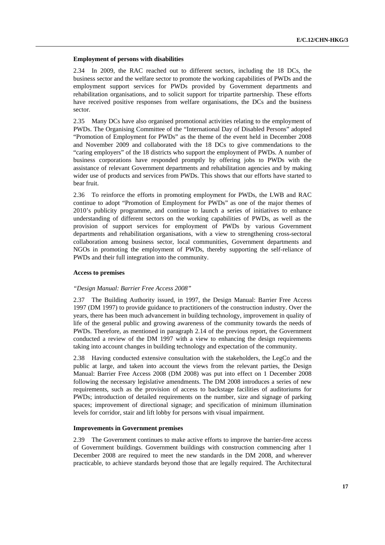#### **Employment of persons with disabilities**

2.34 In 2009, the RAC reached out to different sectors, including the 18 DCs, the business sector and the welfare sector to promote the working capabilities of PWDs and the employment support services for PWDs provided by Government departments and rehabilitation organisations, and to solicit support for tripartite partnership. These efforts have received positive responses from welfare organisations, the DCs and the business sector.

2.35 Many DCs have also organised promotional activities relating to the employment of PWDs. The Organising Committee of the "International Day of Disabled Persons" adopted "Promotion of Employment for PWDs" as the theme of the event held in December 2008 and November 2009 and collaborated with the 18 DCs to give commendations to the "caring employers" of the 18 districts who support the employment of PWDs. A number of business corporations have responded promptly by offering jobs to PWDs with the assistance of relevant Government departments and rehabilitation agencies and by making wider use of products and services from PWDs. This shows that our efforts have started to bear fruit.

2.36 To reinforce the efforts in promoting employment for PWDs, the LWB and RAC continue to adopt "Promotion of Employment for PWDs" as one of the major themes of 2010's publicity programme, and continue to launch a series of initiatives to enhance understanding of different sectors on the working capabilities of PWDs, as well as the provision of support services for employment of PWDs by various Government departments and rehabilitation organisations, with a view to strengthening cross-sectoral collaboration among business sector, local communities, Government departments and NGOs in promoting the employment of PWDs, thereby supporting the self-reliance of PWDs and their full integration into the community.

#### **Access to premises**

#### *"Design Manual: Barrier Free Access 2008"*

2.37 The Building Authority issued, in 1997, the Design Manual: Barrier Free Access 1997 (DM 1997) to provide guidance to practitioners of the construction industry. Over the years, there has been much advancement in building technology, improvement in quality of life of the general public and growing awareness of the community towards the needs of PWDs. Therefore, as mentioned in paragraph 2.14 of the previous report, the Government conducted a review of the DM 1997 with a view to enhancing the design requirements taking into account changes in building technology and expectation of the community.

2.38 Having conducted extensive consultation with the stakeholders, the LegCo and the public at large, and taken into account the views from the relevant parties, the Design Manual: Barrier Free Access 2008 (DM 2008) was put into effect on 1 December 2008 following the necessary legislative amendments. The DM 2008 introduces a series of new requirements, such as the provision of access to backstage facilities of auditoriums for PWDs; introduction of detailed requirements on the number, size and signage of parking spaces; improvement of directional signage; and specification of minimum illumination levels for corridor, stair and lift lobby for persons with visual impairment.

#### **Improvements in Government premises**

2.39 The Government continues to make active efforts to improve the barrier-free access of Government buildings. Government buildings with construction commencing after 1 December 2008 are required to meet the new standards in the DM 2008, and wherever practicable, to achieve standards beyond those that are legally required. The Architectural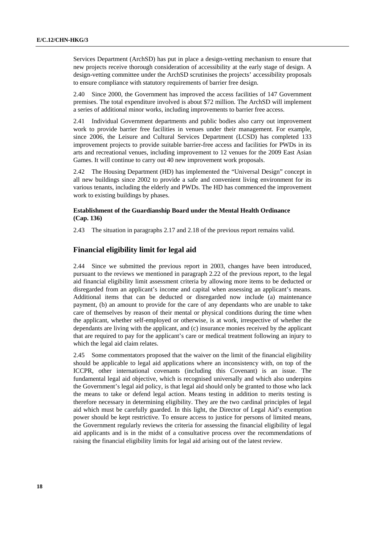Services Department (ArchSD) has put in place a design-vetting mechanism to ensure that new projects receive thorough consideration of accessibility at the early stage of design. A design-vetting committee under the ArchSD scrutinises the projects' accessibility proposals to ensure compliance with statutory requirements of barrier free design.

2.40 Since 2000, the Government has improved the access facilities of 147 Government premises. The total expenditure involved is about \$72 million. The ArchSD will implement a series of additional minor works, including improvements to barrier free access.

2.41 Individual Government departments and public bodies also carry out improvement work to provide barrier free facilities in venues under their management. For example, since 2006, the Leisure and Cultural Services Department (LCSD) has completed 133 improvement projects to provide suitable barrier-free access and facilities for PWDs in its arts and recreational venues, including improvement to 12 venues for the 2009 East Asian Games. It will continue to carry out 40 new improvement work proposals.

2.42 The Housing Department (HD) has implemented the "Universal Design" concept in all new buildings since 2002 to provide a safe and convenient living environment for its various tenants, including the elderly and PWDs. The HD has commenced the improvement work to existing buildings by phases.

### **Establishment of the Guardianship Board under the Mental Health Ordinance (Cap. 136)**

2.43 The situation in paragraphs 2.17 and 2.18 of the previous report remains valid.

## **Financial eligibility limit for legal aid**

2.44 Since we submitted the previous report in 2003, changes have been introduced, pursuant to the reviews we mentioned in paragraph 2.22 of the previous report, to the legal aid financial eligibility limit assessment criteria by allowing more items to be deducted or disregarded from an applicant's income and capital when assessing an applicant's means. Additional items that can be deducted or disregarded now include (a) maintenance payment, (b) an amount to provide for the care of any dependants who are unable to take care of themselves by reason of their mental or physical conditions during the time when the applicant, whether self-employed or otherwise, is at work, irrespective of whether the dependants are living with the applicant, and (c) insurance monies received by the applicant that are required to pay for the applicant's care or medical treatment following an injury to which the legal aid claim relates.

2.45 Some commentators proposed that the waiver on the limit of the financial eligibility should be applicable to legal aid applications where an inconsistency with, on top of the ICCPR, other international covenants (including this Covenant) is an issue. The fundamental legal aid objective, which is recognised universally and which also underpins the Government's legal aid policy, is that legal aid should only be granted to those who lack the means to take or defend legal action. Means testing in addition to merits testing is therefore necessary in determining eligibility. They are the two cardinal principles of legal aid which must be carefully guarded. In this light, the Director of Legal Aid's exemption power should be kept restrictive. To ensure access to justice for persons of limited means, the Government regularly reviews the criteria for assessing the financial eligibility of legal aid applicants and is in the midst of a consultative process over the recommendations of raising the financial eligibility limits for legal aid arising out of the latest review.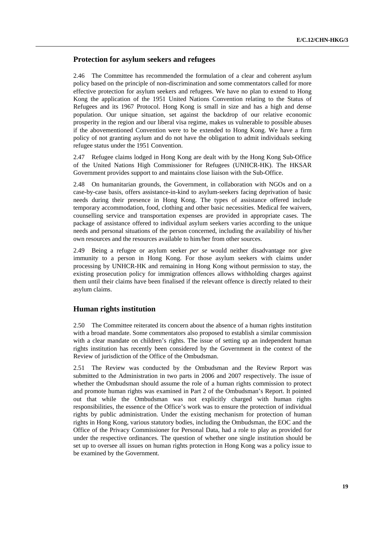## **Protection for asylum seekers and refugees**

2.46 The Committee has recommended the formulation of a clear and coherent asylum policy based on the principle of non-discrimination and some commentators called for more effective protection for asylum seekers and refugees. We have no plan to extend to Hong Kong the application of the 1951 United Nations Convention relating to the Status of Refugees and its 1967 Protocol. Hong Kong is small in size and has a high and dense population. Our unique situation, set against the backdrop of our relative economic prosperity in the region and our liberal visa regime, makes us vulnerable to possible abuses if the abovementioned Convention were to be extended to Hong Kong. We have a firm policy of not granting asylum and do not have the obligation to admit individuals seeking refugee status under the 1951 Convention.

2.47 Refugee claims lodged in Hong Kong are dealt with by the Hong Kong Sub-Office of the United Nations High Commissioner for Refugees (UNHCR-HK). The HKSAR Government provides support to and maintains close liaison with the Sub-Office.

2.48 On humanitarian grounds, the Government, in collaboration with NGOs and on a case-by-case basis, offers assistance-in-kind to asylum-seekers facing deprivation of basic needs during their presence in Hong Kong. The types of assistance offered include temporary accommodation, food, clothing and other basic necessities. Medical fee waivers, counselling service and transportation expenses are provided in appropriate cases. The package of assistance offered to individual asylum seekers varies according to the unique needs and personal situations of the person concerned, including the availability of his/her own resources and the resources available to him/her from other sources.

2.49 Being a refugee or asylum seeker *per se* would neither disadvantage nor give immunity to a person in Hong Kong. For those asylum seekers with claims under processing by UNHCR-HK and remaining in Hong Kong without permission to stay, the existing prosecution policy for immigration offences allows withholding charges against them until their claims have been finalised if the relevant offence is directly related to their asylum claims.

## **Human rights institution**

2.50 The Committee reiterated its concern about the absence of a human rights institution with a broad mandate. Some commentators also proposed to establish a similar commission with a clear mandate on children's rights. The issue of setting up an independent human rights institution has recently been considered by the Government in the context of the Review of jurisdiction of the Office of the Ombudsman.

2.51 The Review was conducted by the Ombudsman and the Review Report was submitted to the Administration in two parts in 2006 and 2007 respectively. The issue of whether the Ombudsman should assume the role of a human rights commission to protect and promote human rights was examined in Part 2 of the Ombudsman's Report. It pointed out that while the Ombudsman was not explicitly charged with human rights responsibilities, the essence of the Office's work was to ensure the protection of individual rights by public administration. Under the existing mechanism for protection of human rights in Hong Kong, various statutory bodies, including the Ombudsman, the EOC and the Office of the Privacy Commissioner for Personal Data, had a role to play as provided for under the respective ordinances. The question of whether one single institution should be set up to oversee all issues on human rights protection in Hong Kong was a policy issue to be examined by the Government.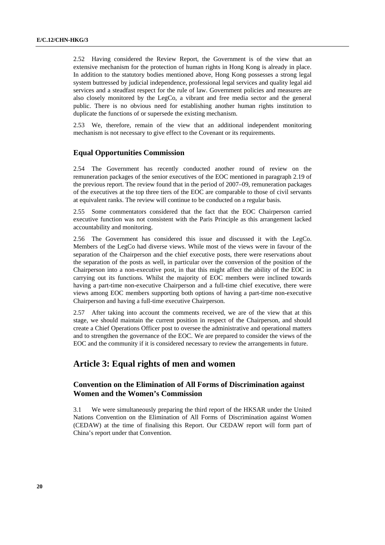2.52 Having considered the Review Report, the Government is of the view that an extensive mechanism for the protection of human rights in Hong Kong is already in place. In addition to the statutory bodies mentioned above, Hong Kong possesses a strong legal system buttressed by judicial independence, professional legal services and quality legal aid services and a steadfast respect for the rule of law. Government policies and measures are also closely monitored by the LegCo, a vibrant and free media sector and the general public. There is no obvious need for establishing another human rights institution to duplicate the functions of or supersede the existing mechanism.

2.53 We, therefore, remain of the view that an additional independent monitoring mechanism is not necessary to give effect to the Covenant or its requirements.

## **Equal Opportunities Commission**

2.54 The Government has recently conducted another round of review on the remuneration packages of the senior executives of the EOC mentioned in paragraph 2.19 of the previous report. The review found that in the period of 2007–09, remuneration packages of the executives at the top three tiers of the EOC are comparable to those of civil servants at equivalent ranks. The review will continue to be conducted on a regular basis.

2.55 Some commentators considered that the fact that the EOC Chairperson carried executive function was not consistent with the Paris Principle as this arrangement lacked accountability and monitoring.

2.56 The Government has considered this issue and discussed it with the LegCo. Members of the LegCo had diverse views. While most of the views were in favour of the separation of the Chairperson and the chief executive posts, there were reservations about the separation of the posts as well, in particular over the conversion of the position of the Chairperson into a non-executive post, in that this might affect the ability of the EOC in carrying out its functions. Whilst the majority of EOC members were inclined towards having a part-time non-executive Chairperson and a full-time chief executive, there were views among EOC members supporting both options of having a part-time non-executive Chairperson and having a full-time executive Chairperson.

2.57 After taking into account the comments received, we are of the view that at this stage, we should maintain the current position in respect of the Chairperson, and should create a Chief Operations Officer post to oversee the administrative and operational matters and to strengthen the governance of the EOC. We are prepared to consider the views of the EOC and the community if it is considered necessary to review the arrangements in future.

## **Article 3: Equal rights of men and women**

## **Convention on the Elimination of All Forms of Discrimination against Women and the Women's Commission**

3.1 We were simultaneously preparing the third report of the HKSAR under the United Nations Convention on the Elimination of All Forms of Discrimination against Women (CEDAW) at the time of finalising this Report. Our CEDAW report will form part of China's report under that Convention.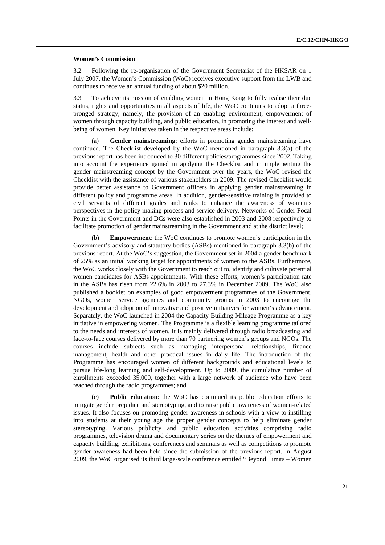#### **Women's Commission**

3.2 Following the re-organisation of the Government Secretariat of the HKSAR on 1 July 2007, the Women's Commission (WoC) receives executive support from the LWB and continues to receive an annual funding of about \$20 million.

3.3 To achieve its mission of enabling women in Hong Kong to fully realise their due status, rights and opportunities in all aspects of life, the WoC continues to adopt a threepronged strategy, namely, the provision of an enabling environment, empowerment of women through capacity building, and public education, in promoting the interest and wellbeing of women. Key initiatives taken in the respective areas include:

 (a) **Gender mainstreaming**: efforts in promoting gender mainstreaming have continued. The Checklist developed by the WoC mentioned in paragraph 3.3(a) of the previous report has been introduced to 30 different policies/programmes since 2002. Taking into account the experience gained in applying the Checklist and in implementing the gender mainstreaming concept by the Government over the years, the WoC revised the Checklist with the assistance of various stakeholders in 2009. The revised Checklist would provide better assistance to Government officers in applying gender mainstreaming in different policy and programme areas. In addition, gender-sensitive training is provided to civil servants of different grades and ranks to enhance the awareness of women's perspectives in the policy making process and service delivery. Networks of Gender Focal Points in the Government and DCs were also established in 2003 and 2008 respectively to facilitate promotion of gender mainstreaming in the Government and at the district level;

 (b) **Empowerment**: the WoC continues to promote women's participation in the Government's advisory and statutory bodies (ASBs) mentioned in paragraph 3.3(b) of the previous report. At the WoC's suggestion, the Government set in 2004 a gender benchmark of 25% as an initial working target for appointments of women to the ASBs. Furthermore, the WoC works closely with the Government to reach out to, identify and cultivate potential women candidates for ASBs appointments. With these efforts, women's participation rate in the ASBs has risen from 22.6% in 2003 to 27.3% in December 2009. The WoC also published a booklet on examples of good empowerment programmes of the Government, NGOs, women service agencies and community groups in 2003 to encourage the development and adoption of innovative and positive initiatives for women's advancement. Separately, the WoC launched in 2004 the Capacity Building Mileage Programme as a key initiative in empowering women. The Programme is a flexible learning programme tailored to the needs and interests of women. It is mainly delivered through radio broadcasting and face-to-face courses delivered by more than 70 partnering women's groups and NGOs. The courses include subjects such as managing interpersonal relationships, finance management, health and other practical issues in daily life. The introduction of the Programme has encouraged women of different backgrounds and educational levels to pursue life-long learning and self-development. Up to 2009, the cumulative number of enrollments exceeded 35,000, together with a large network of audience who have been reached through the radio programmes; and

 (c) **Public education**: the WoC has continued its public education efforts to mitigate gender prejudice and stereotyping, and to raise public awareness of women-related issues. It also focuses on promoting gender awareness in schools with a view to instilling into students at their young age the proper gender concepts to help eliminate gender stereotyping. Various publicity and public education activities comprising radio programmes, television drama and documentary series on the themes of empowerment and capacity building, exhibitions, conferences and seminars as well as competitions to promote gender awareness had been held since the submission of the previous report. In August 2009, the WoC organised its third large-scale conference entitled "Beyond Limits – Women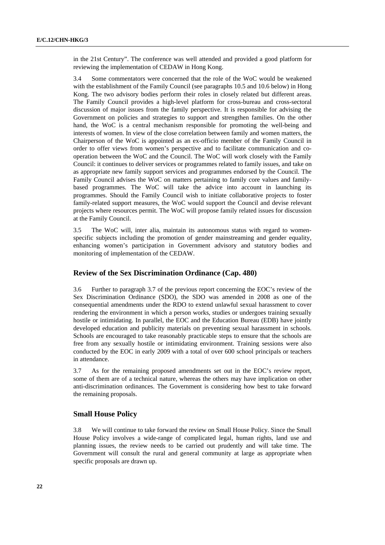in the 21st Century". The conference was well attended and provided a good platform for reviewing the implementation of CEDAW in Hong Kong.

3.4 Some commentators were concerned that the role of the WoC would be weakened with the establishment of the Family Council (see paragraphs 10.5 and 10.6 below) in Hong Kong. The two advisory bodies perform their roles in closely related but different areas. The Family Council provides a high-level platform for cross-bureau and cross-sectoral discussion of major issues from the family perspective. It is responsible for advising the Government on policies and strategies to support and strengthen families. On the other hand, the WoC is a central mechanism responsible for promoting the well-being and interests of women. In view of the close correlation between family and women matters, the Chairperson of the WoC is appointed as an ex-officio member of the Family Council in order to offer views from women's perspective and to facilitate communication and cooperation between the WoC and the Council. The WoC will work closely with the Family Council: it continues to deliver services or programmes related to family issues, and take on as appropriate new family support services and programmes endorsed by the Council. The Family Council advises the WoC on matters pertaining to family core values and familybased programmes. The WoC will take the advice into account in launching its programmes. Should the Family Council wish to initiate collaborative projects to foster family-related support measures, the WoC would support the Council and devise relevant projects where resources permit. The WoC will propose family related issues for discussion at the Family Council.

3.5 The WoC will, inter alia, maintain its autonomous status with regard to womenspecific subjects including the promotion of gender mainstreaming and gender equality, enhancing women's participation in Government advisory and statutory bodies and monitoring of implementation of the CEDAW.

## **Review of the Sex Discrimination Ordinance (Cap. 480)**

3.6 Further to paragraph 3.7 of the previous report concerning the EOC's review of the Sex Discrimination Ordinance (SDO), the SDO was amended in 2008 as one of the consequential amendments under the RDO to extend unlawful sexual harassment to cover rendering the environment in which a person works, studies or undergoes training sexually hostile or intimidating. In parallel, the EOC and the Education Bureau (EDB) have jointly developed education and publicity materials on preventing sexual harassment in schools. Schools are encouraged to take reasonably practicable steps to ensure that the schools are free from any sexually hostile or intimidating environment. Training sessions were also conducted by the EOC in early 2009 with a total of over 600 school principals or teachers in attendance.

3.7 As for the remaining proposed amendments set out in the EOC's review report, some of them are of a technical nature, whereas the others may have implication on other anti-discrimination ordinances. The Government is considering how best to take forward the remaining proposals.

### **Small House Policy**

3.8 We will continue to take forward the review on Small House Policy. Since the Small House Policy involves a wide-range of complicated legal, human rights, land use and planning issues, the review needs to be carried out prudently and will take time. The Government will consult the rural and general community at large as appropriate when specific proposals are drawn up.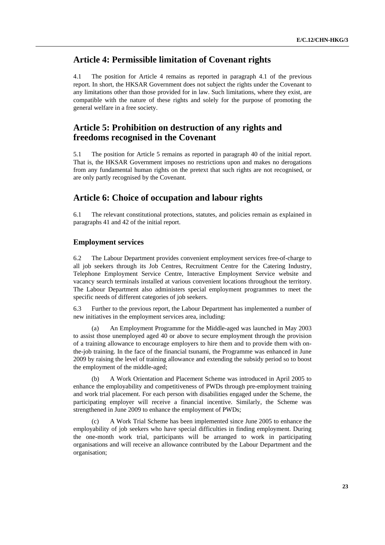## **Article 4: Permissible limitation of Covenant rights**

4.1 The position for Article 4 remains as reported in paragraph 4.1 of the previous report. In short, the HKSAR Government does not subject the rights under the Covenant to any limitations other than those provided for in law. Such limitations, where they exist, are compatible with the nature of these rights and solely for the purpose of promoting the general welfare in a free society.

## **Article 5: Prohibition on destruction of any rights and freedoms recognised in the Covenant**

5.1 The position for Article 5 remains as reported in paragraph 40 of the initial report. That is, the HKSAR Government imposes no restrictions upon and makes no derogations from any fundamental human rights on the pretext that such rights are not recognised, or are only partly recognised by the Covenant.

## **Article 6: Choice of occupation and labour rights**

6.1 The relevant constitutional protections, statutes, and policies remain as explained in paragraphs 41 and 42 of the initial report.

### **Employment services**

6.2 The Labour Department provides convenient employment services free-of-charge to all job seekers through its Job Centres, Recruitment Centre for the Catering Industry, Telephone Employment Service Centre, Interactive Employment Service website and vacancy search terminals installed at various convenient locations throughout the territory. The Labour Department also administers special employment programmes to meet the specific needs of different categories of job seekers.

6.3 Further to the previous report, the Labour Department has implemented a number of new initiatives in the employment services area, including:

An Employment Programme for the Middle-aged was launched in May 2003 to assist those unemployed aged 40 or above to secure employment through the provision of a training allowance to encourage employers to hire them and to provide them with onthe-job training. In the face of the financial tsunami, the Programme was enhanced in June 2009 by raising the level of training allowance and extending the subsidy period so to boost the employment of the middle-aged;

 (b) A Work Orientation and Placement Scheme was introduced in April 2005 to enhance the employability and competitiveness of PWDs through pre-employment training and work trial placement. For each person with disabilities engaged under the Scheme, the participating employer will receive a financial incentive. Similarly, the Scheme was strengthened in June 2009 to enhance the employment of PWDs;

 (c) A Work Trial Scheme has been implemented since June 2005 to enhance the employability of job seekers who have special difficulties in finding employment. During the one-month work trial, participants will be arranged to work in participating organisations and will receive an allowance contributed by the Labour Department and the organisation;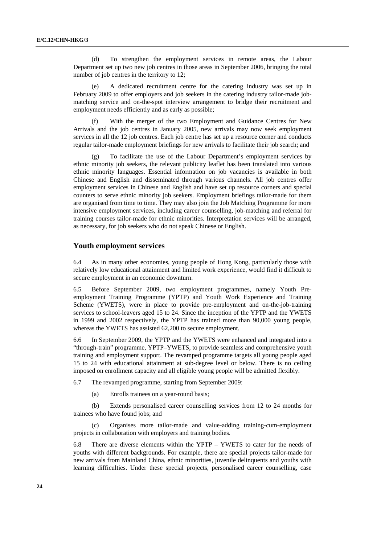(d) To strengthen the employment services in remote areas, the Labour Department set up two new job centres in those areas in September 2006, bringing the total number of job centres in the territory to 12;

 (e) A dedicated recruitment centre for the catering industry was set up in February 2009 to offer employers and job seekers in the catering industry tailor-made jobmatching service and on-the-spot interview arrangement to bridge their recruitment and employment needs efficiently and as early as possible;

 (f) With the merger of the two Employment and Guidance Centres for New Arrivals and the job centres in January 2005, new arrivals may now seek employment services in all the 12 job centres. Each job centre has set up a resource corner and conducts regular tailor-made employment briefings for new arrivals to facilitate their job search; and

To facilitate the use of the Labour Department's employment services by ethnic minority job seekers, the relevant publicity leaflet has been translated into various ethnic minority languages. Essential information on job vacancies is available in both Chinese and English and disseminated through various channels. All job centres offer employment services in Chinese and English and have set up resource corners and special counters to serve ethnic minority job seekers. Employment briefings tailor-made for them are organised from time to time. They may also join the Job Matching Programme for more intensive employment services, including career counselling, job-matching and referral for training courses tailor-made for ethnic minorities. Interpretation services will be arranged, as necessary, for job seekers who do not speak Chinese or English.

### **Youth employment services**

6.4 As in many other economies, young people of Hong Kong, particularly those with relatively low educational attainment and limited work experience, would find it difficult to secure employment in an economic downturn.

6.5 Before September 2009, two employment programmes, namely Youth Preemployment Training Programme (YPTP) and Youth Work Experience and Training Scheme (YWETS), were in place to provide pre-employment and on-the-job-training services to school-leavers aged 15 to 24. Since the inception of the YPTP and the YWETS in 1999 and 2002 respectively, the YPTP has trained more than 90,000 young people, whereas the YWETS has assisted 62,200 to secure employment.

6.6 In September 2009, the YPTP and the YWETS were enhanced and integrated into a "through-train" programme, YPTP–YWETS, to provide seamless and comprehensive youth training and employment support. The revamped programme targets all young people aged 15 to 24 with educational attainment at sub-degree level or below. There is no ceiling imposed on enrollment capacity and all eligible young people will be admitted flexibly.

6.7 The revamped programme, starting from September 2009:

(a) Enrolls trainees on a year-round basis;

 (b) Extends personalised career counselling services from 12 to 24 months for trainees who have found jobs; and

 (c) Organises more tailor-made and value-adding training-cum-employment projects in collaboration with employers and training bodies.

6.8 There are diverse elements within the YPTP – YWETS to cater for the needs of youths with different backgrounds. For example, there are special projects tailor-made for new arrivals from Mainland China, ethnic minorities, juvenile delinquents and youths with learning difficulties. Under these special projects, personalised career counselling, case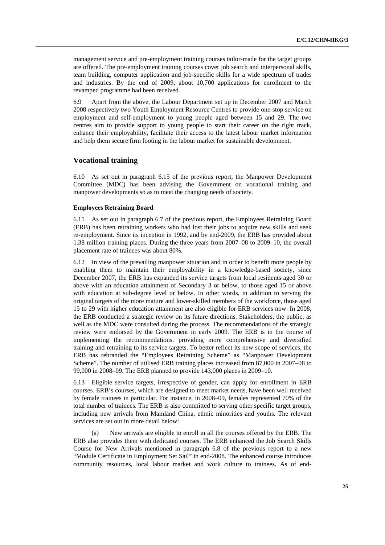management service and pre-employment training courses tailor-made for the target groups are offered. The pre-employment training courses cover job search and interpersonal skills, team building, computer application and job-specific skills for a wide spectrum of trades and industries. By the end of 2009, about 10,700 applications for enrollment to the revamped programme had been received.

6.9 Apart from the above, the Labour Department set up in December 2007 and March 2008 respectively two Youth Employment Resource Centres to provide one-stop service on employment and self-employment to young people aged between 15 and 29. The two centres aim to provide support to young people to start their career on the right track, enhance their employability, facilitate their access to the latest labour market information and help them secure firm footing in the labour market for sustainable development.

## **Vocational training**

6.10 As set out in paragraph 6.15 of the previous report, the Manpower Development Committee (MDC) has been advising the Government on vocational training and manpower developments so as to meet the changing needs of society.

#### **Employees Retraining Board**

6.11 As set out in paragraph 6.7 of the previous report, the Employees Retraining Board (ERB) has been retraining workers who had lost their jobs to acquire new skills and seek re-employment. Since its inception in 1992, and by end-2009, the ERB has provided about 1.38 million training places. During the three years from 2007–08 to 2009–10, the overall placement rate of trainees was about 80%.

6.12 In view of the prevailing manpower situation and in order to benefit more people by enabling them to maintain their employability in a knowledge-based society, since December 2007, the ERB has expanded its service targets from local residents aged 30 or above with an education attainment of Secondary 3 or below, to those aged 15 or above with education at sub-degree level or below. In other words, in addition to serving the original targets of the more mature and lower-skilled members of the workforce, those aged 15 to 29 with higher education attainment are also eligible for ERB services now. In 2008, the ERB conducted a strategic review on its future directions. Stakeholders, the public, as well as the MDC were consulted during the process. The recommendations of the strategic review were endorsed by the Government in early 2009. The ERB is in the course of implementing the recommendations, providing more comprehensive and diversified training and retraining to its service targets. To better reflect its new scope of services, the ERB has rebranded the "Employees Retraining Scheme" as "Manpower Development Scheme". The number of utilised ERB training places increased from 87,000 in 2007–08 to 99,000 in 2008–09. The ERB planned to provide 143,000 places in 2009–10.

6.13 Eligible service targets, irrespective of gender, can apply for enrollment in ERB courses. ERB's courses, which are designed to meet market needs, have been well received by female trainees in particular. For instance, in 2008–09, females represented 70% of the total number of trainees. The ERB is also committed to serving other specific target groups, including new arrivals from Mainland China, ethnic minorities and youths. The relevant services are set out in more detail below:

 (a) New arrivals are eligible to enroll in all the courses offered by the ERB. The ERB also provides them with dedicated courses. The ERB enhanced the Job Search Skills Course for New Arrivals mentioned in paragraph 6.8 of the previous report to a new "Module Certificate in Employment Set Sail" in end-2008. The enhanced course introduces community resources, local labour market and work culture to trainees. As of end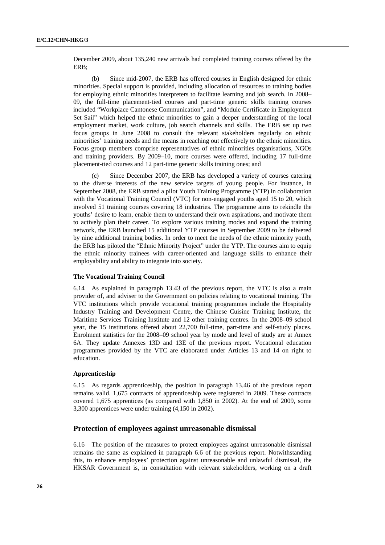December 2009, about 135,240 new arrivals had completed training courses offered by the ERB;

 (b) Since mid-2007, the ERB has offered courses in English designed for ethnic minorities. Special support is provided, including allocation of resources to training bodies for employing ethnic minorities interpreters to facilitate learning and job search. In 2008– 09, the full-time placement-tied courses and part-time generic skills training courses included "Workplace Cantonese Communication", and "Module Certificate in Employment Set Sail" which helped the ethnic minorities to gain a deeper understanding of the local employment market, work culture, job search channels and skills. The ERB set up two focus groups in June 2008 to consult the relevant stakeholders regularly on ethnic minorities' training needs and the means in reaching out effectively to the ethnic minorities. Focus group members comprise representatives of ethnic minorities organisations, NGOs and training providers. By 2009–10, more courses were offered, including 17 full-time placement-tied courses and 12 part-time generic skills training ones; and

 (c) Since December 2007, the ERB has developed a variety of courses catering to the diverse interests of the new service targets of young people. For instance, in September 2008, the ERB started a pilot Youth Training Programme (YTP) in collaboration with the Vocational Training Council (VTC) for non-engaged youths aged 15 to 20, which involved 51 training courses covering 18 industries. The programme aims to rekindle the youths' desire to learn, enable them to understand their own aspirations, and motivate them to actively plan their career. To explore various training modes and expand the training network, the ERB launched 15 additional YTP courses in September 2009 to be delivered by nine additional training bodies. In order to meet the needs of the ethnic minority youth, the ERB has piloted the "Ethnic Minority Project" under the YTP. The courses aim to equip the ethnic minority trainees with career-oriented and language skills to enhance their employability and ability to integrate into society.

#### **The Vocational Training Council**

6.14 As explained in paragraph 13.43 of the previous report, the VTC is also a main provider of, and adviser to the Government on policies relating to vocational training. The VTC institutions which provide vocational training programmes include the Hospitality Industry Training and Development Centre, the Chinese Cuisine Training Institute, the Maritime Services Training Institute and 12 other training centres. In the 2008–09 school year, the 15 institutions offered about 22,700 full-time, part-time and self-study places. Enrolment statistics for the 2008–09 school year by mode and level of study are at Annex 6A. They update Annexes 13D and 13E of the previous report. Vocational education programmes provided by the VTC are elaborated under Articles 13 and 14 on right to education.

#### **Apprenticeship**

6.15 As regards apprenticeship, the position in paragraph 13.46 of the previous report remains valid. 1,675 contracts of apprenticeship were registered in 2009. These contracts covered 1,675 apprentices (as compared with 1,850 in 2002). At the end of 2009, some 3,300 apprentices were under training (4,150 in 2002).

#### **Protection of employees against unreasonable dismissal**

6.16 The position of the measures to protect employees against unreasonable dismissal remains the same as explained in paragraph 6.6 of the previous report. Notwithstanding this, to enhance employees' protection against unreasonable and unlawful dismissal, the HKSAR Government is, in consultation with relevant stakeholders, working on a draft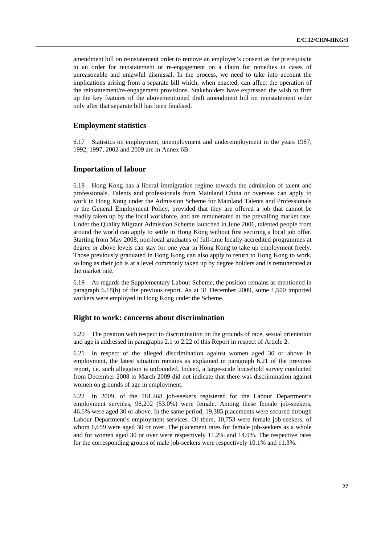amendment bill on reinstatement order to remove an employer's consent as the prerequisite to an order for reinstatement or re-engagement on a claim for remedies in cases of unreasonable and unlawful dismissal. In the process, we need to take into account the implications arising from a separate bill which, when enacted, can affect the operation of the reinstatement/re-engagement provisions. Stakeholders have expressed the wish to firm up the key features of the abovementioned draft amendment bill on reinstatement order only after that separate bill has been finalised.

## **Employment statistics**

6.17 Statistics on employment, unemployment and underemployment in the years 1987, 1992, 1997, 2002 and 2009 are in Annex 6B.

### **Importation of labour**

6.18 Hong Kong has a liberal immigration regime towards the admission of talent and professionals. Talents and professionals from Mainland China or overseas can apply to work in Hong Kong under the Admission Scheme for Mainland Talents and Professionals or the General Employment Policy, provided that they are offered a job that cannot be readily taken up by the local workforce, and are remunerated at the prevailing market rate. Under the Quality Migrant Admission Scheme launched in June 2006, talented people from around the world can apply to settle in Hong Kong without first securing a local job offer. Starting from May 2008, non-local graduates of full-time locally-accredited programmes at degree or above levels can stay for one year in Hong Kong to take up employment freely. Those previously graduated in Hong Kong can also apply to return to Hong Kong to work, so long as their job is at a level commonly taken up by degree holders and is remunerated at the market rate.

6.19 As regards the Supplementary Labour Scheme, the position remains as mentioned in paragraph 6.18(b) of the previous report. As at 31 December 2009, some 1,500 imported workers were employed in Hong Kong under the Scheme.

#### **Right to work: concerns about discrimination**

6.20 The position with respect to discrimination on the grounds of race, sexual orientation and age is addressed in paragraphs 2.1 to 2.22 of this Report in respect of Article 2.

6.21 In respect of the alleged discrimination against women aged 30 or above in employment, the latest situation remains as explained in paragraph 6.21 of the previous report, i.e. such allegation is unfounded. Indeed, a large-scale household survey conducted from December 2008 to March 2009 did not indicate that there was discrimination against women on grounds of age in employment.

6.22 In 2009, of the 181,468 job-seekers registered for the Labour Department's employment services, 96,202 (53.0%) were female. Among these female job-seekers, 46.6% were aged 30 or above. In the same period, 19,385 placements were secured through Labour Department's employment services. Of them, 10,753 were female job-seekers, of whom 6,659 were aged 30 or over. The placement rates for female job-seekers as a whole and for women aged 30 or over were respectively 11.2% and 14.9%. The respective rates for the corresponding groups of male job-seekers were respectively 10.1% and 11.3%.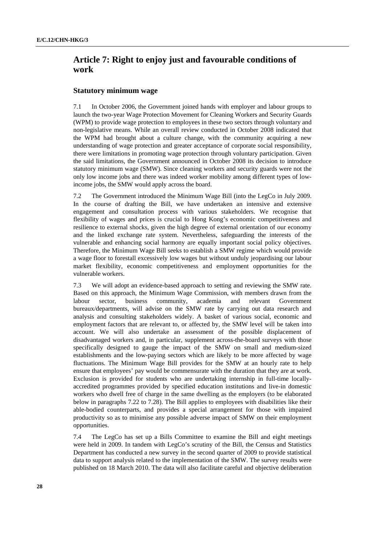## **Article 7: Right to enjoy just and favourable conditions of work**

## **Statutory minimum wage**

7.1 In October 2006, the Government joined hands with employer and labour groups to launch the two-year Wage Protection Movement for Cleaning Workers and Security Guards (WPM) to provide wage protection to employees in these two sectors through voluntary and non-legislative means. While an overall review conducted in October 2008 indicated that the WPM had brought about a culture change, with the community acquiring a new understanding of wage protection and greater acceptance of corporate social responsibility, there were limitations in promoting wage protection through voluntary participation. Given the said limitations, the Government announced in October 2008 its decision to introduce statutory minimum wage (SMW). Since cleaning workers and security guards were not the only low income jobs and there was indeed worker mobility among different types of lowincome jobs, the SMW would apply across the board.

7.2 The Government introduced the Minimum Wage Bill (into the LegCo in July 2009. In the course of drafting the Bill, we have undertaken an intensive and extensive engagement and consultation process with various stakeholders. We recognise that flexibility of wages and prices is crucial to Hong Kong's economic competitiveness and resilience to external shocks, given the high degree of external orientation of our economy and the linked exchange rate system. Nevertheless, safeguarding the interests of the vulnerable and enhancing social harmony are equally important social policy objectives. Therefore, the Minimum Wage Bill seeks to establish a SMW regime which would provide a wage floor to forestall excessively low wages but without unduly jeopardising our labour market flexibility, economic competitiveness and employment opportunities for the vulnerable workers.

7.3 We will adopt an evidence-based approach to setting and reviewing the SMW rate. Based on this approach, the Minimum Wage Commission, with members drawn from the labour sector, business community, academia and relevant Government bureaux/departments, will advise on the SMW rate by carrying out data research and analysis and consulting stakeholders widely. A basket of various social, economic and employment factors that are relevant to, or affected by, the SMW level will be taken into account. We will also undertake an assessment of the possible displacement of disadvantaged workers and, in particular, supplement across-the-board surveys with those specifically designed to gauge the impact of the SMW on small and medium-sized establishments and the low-paying sectors which are likely to be more affected by wage fluctuations. The Minimum Wage Bill provides for the SMW at an hourly rate to help ensure that employees' pay would be commensurate with the duration that they are at work. Exclusion is provided for students who are undertaking internship in full-time locallyaccredited programmes provided by specified education institutions and live-in domestic workers who dwell free of charge in the same dwelling as the employers (to be elaborated below in paragraphs 7.22 to 7.28). The Bill applies to employees with disabilities like their able-bodied counterparts, and provides a special arrangement for those with impaired productivity so as to minimise any possible adverse impact of SMW on their employment opportunities.

7.4 The LegCo has set up a Bills Committee to examine the Bill and eight meetings were held in 2009. In tandem with LegCo's scrutiny of the Bill, the Census and Statistics Department has conducted a new survey in the second quarter of 2009 to provide statistical data to support analysis related to the implementation of the SMW. The survey results were published on 18 March 2010. The data will also facilitate careful and objective deliberation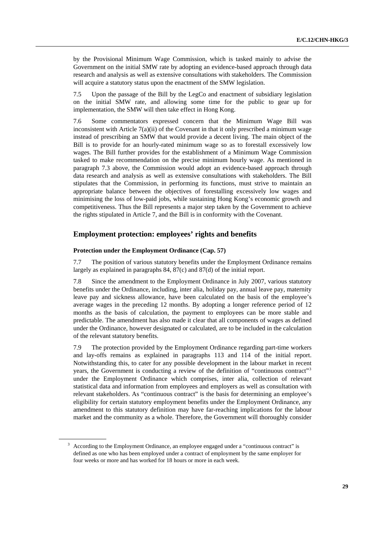by the Provisional Minimum Wage Commission, which is tasked mainly to advise the Government on the initial SMW rate by adopting an evidence-based approach through data research and analysis as well as extensive consultations with stakeholders. The Commission will acquire a statutory status upon the enactment of the SMW legislation.

7.5 Upon the passage of the Bill by the LegCo and enactment of subsidiary legislation on the initial SMW rate, and allowing some time for the public to gear up for implementation, the SMW will then take effect in Hong Kong.

7.6 Some commentators expressed concern that the Minimum Wage Bill was inconsistent with Article  $7(a)(ii)$  of the Covenant in that it only prescribed a minimum wage instead of prescribing an SMW that would provide a decent living. The main object of the Bill is to provide for an hourly-rated minimum wage so as to forestall excessively low wages. The Bill further provides for the establishment of a Minimum Wage Commission tasked to make recommendation on the precise minimum hourly wage. As mentioned in paragraph 7.3 above, the Commission would adopt an evidence-based approach through data research and analysis as well as extensive consultations with stakeholders. The Bill stipulates that the Commission, in performing its functions, must strive to maintain an appropriate balance between the objectives of forestalling excessively low wages and minimising the loss of low-paid jobs, while sustaining Hong Kong's economic growth and competitiveness. Thus the Bill represents a major step taken by the Government to achieve the rights stipulated in Article 7, and the Bill is in conformity with the Covenant.

### **Employment protection: employees' rights and benefits**

#### **Protection under the Employment Ordinance (Cap. 57)**

7.7 The position of various statutory benefits under the Employment Ordinance remains largely as explained in paragraphs 84, 87(c) and 87(d) of the initial report.

7.8 Since the amendment to the Employment Ordinance in July 2007, various statutory benefits under the Ordinance, including, inter alia, holiday pay, annual leave pay, maternity leave pay and sickness allowance, have been calculated on the basis of the employee's average wages in the preceding 12 months. By adopting a longer reference period of 12 months as the basis of calculation, the payment to employees can be more stable and predictable. The amendment has also made it clear that all components of wages as defined under the Ordinance, however designated or calculated, are to be included in the calculation of the relevant statutory benefits.

7.9 The protection provided by the Employment Ordinance regarding part-time workers and lay-offs remains as explained in paragraphs 113 and 114 of the initial report. Notwithstanding this, to cater for any possible development in the labour market in recent years, the Government is conducting a review of the definition of "continuous contract"<sup>[3](#page-28-0)</sup> under the Employment Ordinance which comprises, inter alia, collection of relevant statistical data and information from employees and employers as well as consultation with relevant stakeholders. As "continuous contract" is the basis for determining an employee's eligibility for certain statutory employment benefits under the Employment Ordinance, any amendment to this statutory definition may have far-reaching implications for the labour market and the community as a whole. Therefore, the Government will thoroughly consider

<span id="page-28-0"></span> $3$  According to the Employment Ordinance, an employee engaged under a "continuous contract" is defined as one who has been employed under a contract of employment by the same employer for four weeks or more and has worked for 18 hours or more in each week.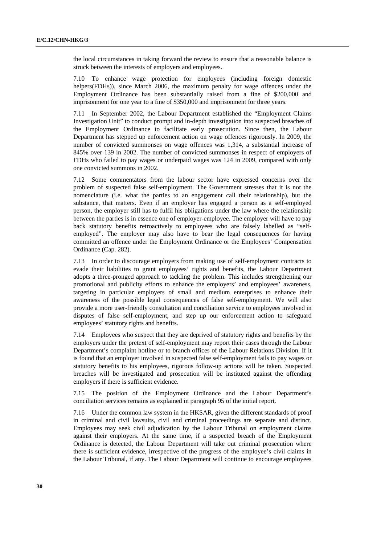the local circumstances in taking forward the review to ensure that a reasonable balance is struck between the interests of employers and employees.

7.10 To enhance wage protection for employees (including foreign domestic helpers(FDHs)), since March 2006, the maximum penalty for wage offences under the Employment Ordinance has been substantially raised from a fine of \$200,000 and imprisonment for one year to a fine of \$350,000 and imprisonment for three years.

7.11 In September 2002, the Labour Department established the "Employment Claims Investigation Unit" to conduct prompt and in-depth investigation into suspected breaches of the Employment Ordinance to facilitate early prosecution. Since then, the Labour Department has stepped up enforcement action on wage offences rigorously. In 2009, the number of convicted summonses on wage offences was 1,314, a substantial increase of 845% over 139 in 2002. The number of convicted summonses in respect of employers of FDHs who failed to pay wages or underpaid wages was 124 in 2009, compared with only one convicted summons in 2002.

7.12 Some commentators from the labour sector have expressed concerns over the problem of suspected false self-employment. The Government stresses that it is not the nomenclature (i.e. what the parties to an engagement call their relationship), but the substance, that matters. Even if an employer has engaged a person as a self-employed person, the employer still has to fulfil his obligations under the law where the relationship between the parties is in essence one of employer-employee. The employer will have to pay back statutory benefits retroactively to employees who are falsely labelled as "selfemployed". The employer may also have to bear the legal consequences for having committed an offence under the Employment Ordinance or the Employees' Compensation Ordinance (Cap. 282).

7.13 In order to discourage employers from making use of self-employment contracts to evade their liabilities to grant employees' rights and benefits, the Labour Department adopts a three-pronged approach to tackling the problem. This includes strengthening our promotional and publicity efforts to enhance the employers' and employees' awareness, targeting in particular employers of small and medium enterprises to enhance their awareness of the possible legal consequences of false self-employment. We will also provide a more user-friendly consultation and conciliation service to employees involved in disputes of false self-employment, and step up our enforcement action to safeguard employees' statutory rights and benefits.

7.14 Employees who suspect that they are deprived of statutory rights and benefits by the employers under the pretext of self-employment may report their cases through the Labour Department's complaint hotline or to branch offices of the Labour Relations Division. If it is found that an employer involved in suspected false self-employment fails to pay wages or statutory benefits to his employees, rigorous follow-up actions will be taken. Suspected breaches will be investigated and prosecution will be instituted against the offending employers if there is sufficient evidence.

7.15 The position of the Employment Ordinance and the Labour Department's conciliation services remains as explained in paragraph 95 of the initial report.

7.16 Under the common law system in the HKSAR, given the different standards of proof in criminal and civil lawsuits, civil and criminal proceedings are separate and distinct. Employees may seek civil adjudication by the Labour Tribunal on employment claims against their employers. At the same time, if a suspected breach of the Employment Ordinance is detected, the Labour Department will take out criminal prosecution where there is sufficient evidence, irrespective of the progress of the employee's civil claims in the Labour Tribunal, if any. The Labour Department will continue to encourage employees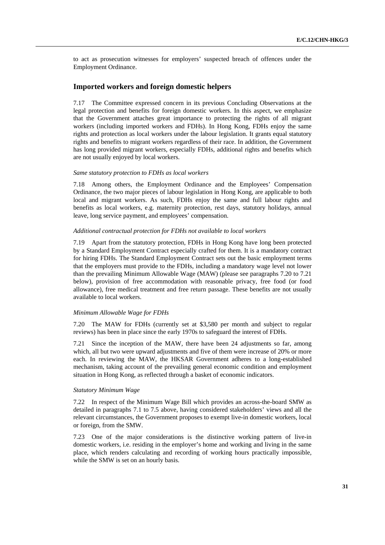to act as prosecution witnesses for employers' suspected breach of offences under the Employment Ordinance.

### **Imported workers and foreign domestic helpers**

7.17 The Committee expressed concern in its previous Concluding Observations at the legal protection and benefits for foreign domestic workers. In this aspect, we emphasize that the Government attaches great importance to protecting the rights of all migrant workers (including imported workers and FDHs). In Hong Kong, FDHs enjoy the same rights and protection as local workers under the labour legislation. It grants equal statutory rights and benefits to migrant workers regardless of their race. In addition, the Government has long provided migrant workers, especially FDHs, additional rights and benefits which are not usually enjoyed by local workers.

#### *Same statutory protection to FDHs as local workers*

7.18 Among others, the Employment Ordinance and the Employees' Compensation Ordinance, the two major pieces of labour legislation in Hong Kong, are applicable to both local and migrant workers. As such, FDHs enjoy the same and full labour rights and benefits as local workers, e.g. maternity protection, rest days, statutory holidays, annual leave, long service payment, and employees' compensation.

#### *Additional contractual protection for FDHs not available to local workers*

7.19 Apart from the statutory protection, FDHs in Hong Kong have long been protected by a Standard Employment Contract especially crafted for them. It is a mandatory contract for hiring FDHs. The Standard Employment Contract sets out the basic employment terms that the employers must provide to the FDHs, including a mandatory wage level not lower than the prevailing Minimum Allowable Wage (MAW) (please see paragraphs 7.20 to 7.21 below), provision of free accommodation with reasonable privacy, free food (or food allowance), free medical treatment and free return passage. These benefits are not usually available to local workers.

#### *Minimum Allowable Wage for FDHs*

7.20 The MAW for FDHs (currently set at \$3,580 per month and subject to regular reviews) has been in place since the early 1970s to safeguard the interest of FDHs.

7.21 Since the inception of the MAW, there have been 24 adjustments so far, among which, all but two were upward adjustments and five of them were increase of 20% or more each. In reviewing the MAW, the HKSAR Government adheres to a long-established mechanism, taking account of the prevailing general economic condition and employment situation in Hong Kong, as reflected through a basket of economic indicators.

#### *Statutory Minimum Wage*

7.22 In respect of the Minimum Wage Bill which provides an across-the-board SMW as detailed in paragraphs 7.1 to 7.5 above, having considered stakeholders' views and all the relevant circumstances, the Government proposes to exempt live-in domestic workers, local or foreign, from the SMW.

7.23 One of the major considerations is the distinctive working pattern of live-in domestic workers, i.e. residing in the employer's home and working and living in the same place, which renders calculating and recording of working hours practically impossible, while the SMW is set on an hourly basis.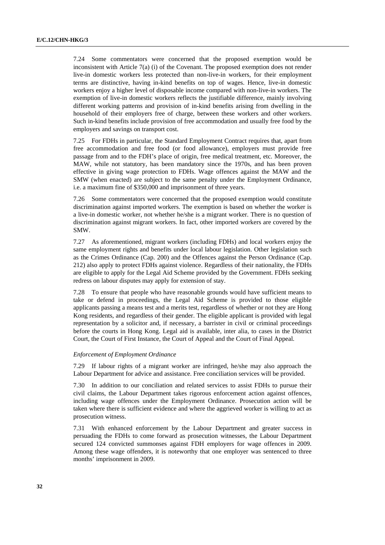7.24 Some commentators were concerned that the proposed exemption would be inconsistent with Article  $7(a)$  (i) of the Covenant. The proposed exemption does not render live-in domestic workers less protected than non-live-in workers, for their employment terms are distinctive, having in-kind benefits on top of wages. Hence, live-in domestic workers enjoy a higher level of disposable income compared with non-live-in workers. The exemption of live-in domestic workers reflects the justifiable difference, mainly involving different working patterns and provision of in-kind benefits arising from dwelling in the household of their employers free of charge, between these workers and other workers. Such in-kind benefits include provision of free accommodation and usually free food by the employers and savings on transport cost.

7.25 For FDHs in particular, the Standard Employment Contract requires that, apart from free accommodation and free food (or food allowance), employers must provide free passage from and to the FDH's place of origin, free medical treatment, etc. Moreover, the MAW, while not statutory, has been mandatory since the 1970s, and has been proven effective in giving wage protection to FDHs. Wage offences against the MAW and the SMW (when enacted) are subject to the same penalty under the Employment Ordinance, i.e. a maximum fine of \$350,000 and imprisonment of three years.

7.26 Some commentators were concerned that the proposed exemption would constitute discrimination against imported workers. The exemption is based on whether the worker is a live-in domestic worker, not whether he/she is a migrant worker. There is no question of discrimination against migrant workers. In fact, other imported workers are covered by the SMW.

7.27 As aforementioned, migrant workers (including FDHs) and local workers enjoy the same employment rights and benefits under local labour legislation. Other legislation such as the Crimes Ordinance (Cap. 200) and the Offences against the Person Ordinance (Cap. 212) also apply to protect FDHs against violence. Regardless of their nationality, the FDHs are eligible to apply for the Legal Aid Scheme provided by the Government. FDHs seeking redress on labour disputes may apply for extension of stay.

7.28 To ensure that people who have reasonable grounds would have sufficient means to take or defend in proceedings, the Legal Aid Scheme is provided to those eligible applicants passing a means test and a merits test, regardless of whether or not they are Hong Kong residents, and regardless of their gender. The eligible applicant is provided with legal representation by a solicitor and, if necessary, a barrister in civil or criminal proceedings before the courts in Hong Kong. Legal aid is available, inter alia, to cases in the District Court, the Court of First Instance, the Court of Appeal and the Court of Final Appeal.

#### *Enforcement of Employment Ordinance*

7.29 If labour rights of a migrant worker are infringed, he/she may also approach the Labour Department for advice and assistance. Free conciliation services will be provided.

7.30 In addition to our conciliation and related services to assist FDHs to pursue their civil claims, the Labour Department takes rigorous enforcement action against offences, including wage offences under the Employment Ordinance. Prosecution action will be taken where there is sufficient evidence and where the aggrieved worker is willing to act as prosecution witness.

7.31 With enhanced enforcement by the Labour Department and greater success in persuading the FDHs to come forward as prosecution witnesses, the Labour Department secured 124 convicted summonses against FDH employers for wage offences in 2009. Among these wage offenders, it is noteworthy that one employer was sentenced to three months' imprisonment in 2009.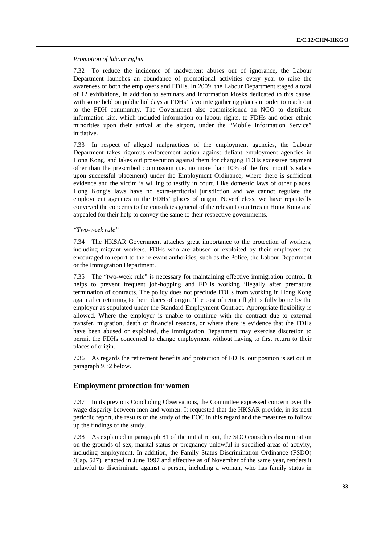#### *Promotion of labour rights*

7.32 To reduce the incidence of inadvertent abuses out of ignorance, the Labour Department launches an abundance of promotional activities every year to raise the awareness of both the employers and FDHs. In 2009, the Labour Department staged a total of 12 exhibitions, in addition to seminars and information kiosks dedicated to this cause, with some held on public holidays at FDHs' favourite gathering places in order to reach out to the FDH community. The Government also commissioned an NGO to distribute information kits, which included information on labour rights, to FDHs and other ethnic minorities upon their arrival at the airport, under the "Mobile Information Service" initiative.

7.33 In respect of alleged malpractices of the employment agencies, the Labour Department takes rigorous enforcement action against defiant employment agencies in Hong Kong, and takes out prosecution against them for charging FDHs excessive payment other than the prescribed commission (i.e. no more than 10% of the first month's salary upon successful placement) under the Employment Ordinance, where there is sufficient evidence and the victim is willing to testify in court. Like domestic laws of other places, Hong Kong's laws have no extra-territorial jurisdiction and we cannot regulate the employment agencies in the FDHs' places of origin. Nevertheless, we have repeatedly conveyed the concerns to the consulates general of the relevant countries in Hong Kong and appealed for their help to convey the same to their respective governments.

#### *"Two-week rule"*

7.34 The HKSAR Government attaches great importance to the protection of workers, including migrant workers. FDHs who are abused or exploited by their employers are encouraged to report to the relevant authorities, such as the Police, the Labour Department or the Immigration Department.

7.35 The "two-week rule" is necessary for maintaining effective immigration control. It helps to prevent frequent job-hopping and FDHs working illegally after premature termination of contracts. The policy does not preclude FDHs from working in Hong Kong again after returning to their places of origin. The cost of return flight is fully borne by the employer as stipulated under the Standard Employment Contract. Appropriate flexibility is allowed. Where the employer is unable to continue with the contract due to external transfer, migration, death or financial reasons, or where there is evidence that the FDHs have been abused or exploited, the Immigration Department may exercise discretion to permit the FDHs concerned to change employment without having to first return to their places of origin.

7.36 As regards the retirement benefits and protection of FDHs, our position is set out in paragraph 9.32 below.

## **Employment protection for women**

7.37 In its previous Concluding Observations, the Committee expressed concern over the wage disparity between men and women. It requested that the HKSAR provide, in its next periodic report, the results of the study of the EOC in this regard and the measures to follow up the findings of the study.

7.38 As explained in paragraph 81 of the initial report, the SDO considers discrimination on the grounds of sex, marital status or pregnancy unlawful in specified areas of activity, including employment. In addition, the Family Status Discrimination Ordinance (FSDO) (Cap. 527), enacted in June 1997 and effective as of November of the same year, renders it unlawful to discriminate against a person, including a woman, who has family status in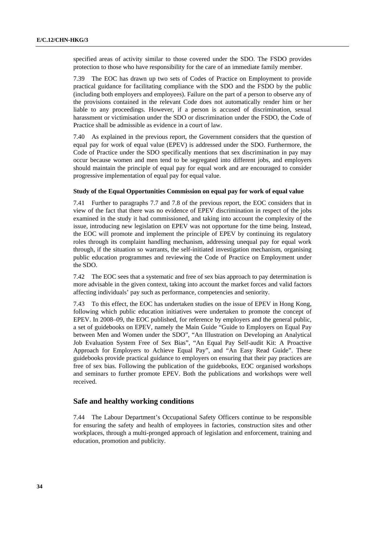specified areas of activity similar to those covered under the SDO. The FSDO provides protection to those who have responsibility for the care of an immediate family member.

7.39 The EOC has drawn up two sets of Codes of Practice on Employment to provide practical guidance for facilitating compliance with the SDO and the FSDO by the public (including both employers and employees). Failure on the part of a person to observe any of the provisions contained in the relevant Code does not automatically render him or her liable to any proceedings. However, if a person is accused of discrimination, sexual harassment or victimisation under the SDO or discrimination under the FSDO, the Code of Practice shall be admissible as evidence in a court of law.

7.40 As explained in the previous report, the Government considers that the question of equal pay for work of equal value (EPEV) is addressed under the SDO. Furthermore, the Code of Practice under the SDO specifically mentions that sex discrimination in pay may occur because women and men tend to be segregated into different jobs, and employers should maintain the principle of equal pay for equal work and are encouraged to consider progressive implementation of equal pay for equal value.

#### **Study of the Equal Opportunities Commission on equal pay for work of equal value**

7.41 Further to paragraphs 7.7 and 7.8 of the previous report, the EOC considers that in view of the fact that there was no evidence of EPEV discrimination in respect of the jobs examined in the study it had commissioned, and taking into account the complexity of the issue, introducing new legislation on EPEV was not opportune for the time being. Instead, the EOC will promote and implement the principle of EPEV by continuing its regulatory roles through its complaint handling mechanism, addressing unequal pay for equal work through, if the situation so warrants, the self-initiated investigation mechanism, organising public education programmes and reviewing the Code of Practice on Employment under the SDO.

7.42 The EOC sees that a systematic and free of sex bias approach to pay determination is more advisable in the given context, taking into account the market forces and valid factors affecting individuals' pay such as performance, competencies and seniority.

7.43 To this effect, the EOC has undertaken studies on the issue of EPEV in Hong Kong, following which public education initiatives were undertaken to promote the concept of EPEV. In 2008–09, the EOC published, for reference by employers and the general public, a set of guidebooks on EPEV, namely the Main Guide "Guide to Employers on Equal Pay between Men and Women under the SDO", "An Illustration on Developing an Analytical Job Evaluation System Free of Sex Bias", "An Equal Pay Self-audit Kit: A Proactive Approach for Employers to Achieve Equal Pay", and "An Easy Read Guide". These guidebooks provide practical guidance to employers on ensuring that their pay practices are free of sex bias. Following the publication of the guidebooks, EOC organised workshops and seminars to further promote EPEV. Both the publications and workshops were well received.

## **Safe and healthy working conditions**

7.44 The Labour Department's Occupational Safety Officers continue to be responsible for ensuring the safety and health of employees in factories, construction sites and other workplaces, through a multi-pronged approach of legislation and enforcement, training and education, promotion and publicity.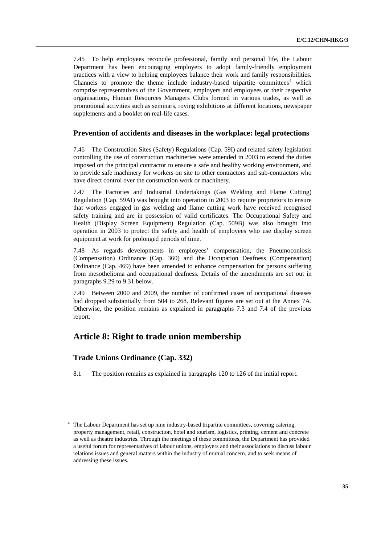7.45 To help employees reconcile professional, family and personal life, the Labour Department has been encouraging employers to adopt family-friendly employment practices with a view to helping employees balance their work and family responsibilities. Channels to promote the theme include industry-based tripartite committees<sup>[4](#page-34-0)</sup> which comprise representatives of the Government, employers and employees or their respective organisations, Human Resources Managers Clubs formed in various trades, as well as promotional activities such as seminars, roving exhibitions at different locations, newspaper supplements and a booklet on real-life cases.

## **Prevention of accidents and diseases in the workplace: legal protections**

7.46 The Construction Sites (Safety) Regulations (Cap. 59I) and related safety legislation controlling the use of construction machineries were amended in 2003 to extend the duties imposed on the principal contractor to ensure a safe and healthy working environment, and to provide safe machinery for workers on site to other contractors and sub-contractors who have direct control over the construction work or machinery.

7.47 The Factories and Industrial Undertakings (Gas Welding and Flame Cutting) Regulation (Cap. 59AI) was brought into operation in 2003 to require proprietors to ensure that workers engaged in gas welding and flame cutting work have received recognised safety training and are in possession of valid certificates. The Occupational Safety and Health (Display Screen Equipment) Regulation (Cap. 509B) was also brought into operation in 2003 to protect the safety and health of employees who use display screen equipment at work for prolonged periods of time.

7.48 As regards developments in employees' compensation, the Pneumoconiosis (Compensation) Ordinance (Cap. 360) and the Occupation Deafness (Compensation) Ordinance (Cap. 469) have been amended to enhance compensation for persons suffering from mesothelioma and occupational deafness. Details of the amendments are set out in paragraphs 9.29 to 9.31 below.

7.49 Between 2000 and 2009, the number of confirmed cases of occupational diseases had dropped substantially from 504 to 268. Relevant figures are set out at the Annex 7A. Otherwise, the position remains as explained in paragraphs 7.3 and 7.4 of the previous report.

## **Article 8: Right to trade union membership**

## **Trade Unions Ordinance (Cap. 332)**

8.1 The position remains as explained in paragraphs 120 to 126 of the initial report.

<span id="page-34-0"></span><sup>&</sup>lt;sup>4</sup> The Labour Department has set up nine industry-based tripartite committees, covering catering, property management, retail, construction, hotel and tourism, logistics, printing, cement and concrete as well as theatre industries. Through the meetings of these committees, the Department has provided a useful forum for representatives of labour unions, employers and their associations to discuss labour relations issues and general matters within the industry of mutual concern, and to seek means of addressing these issues.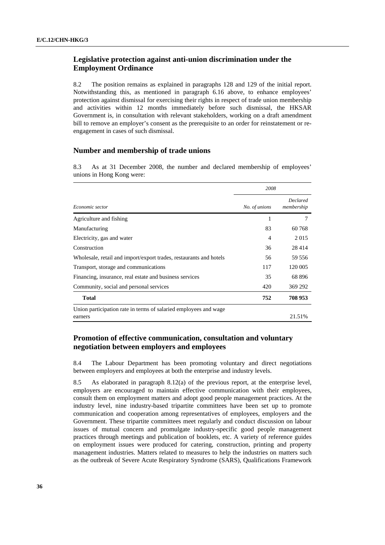## **Legislative protection against anti-union discrimination under the Employment Ordinance**

8.2 The position remains as explained in paragraphs 128 and 129 of the initial report. Notwithstanding this, as mentioned in paragraph 6.16 above, to enhance employees' protection against dismissal for exercising their rights in respect of trade union membership and activities within 12 months immediately before such dismissal, the HKSAR Government is, in consultation with relevant stakeholders, working on a draft amendment bill to remove an employer's consent as the prerequisite to an order for reinstatement or reengagement in cases of such dismissal.

## **Number and membership of trade unions**

8.3 As at 31 December 2008, the number and declared membership of employees' unions in Hong Kong were:

|                                                                             | 2008          |                               |  |
|-----------------------------------------------------------------------------|---------------|-------------------------------|--|
| Economic sector                                                             | No. of unions | <b>Declared</b><br>membership |  |
| Agriculture and fishing                                                     | 1             |                               |  |
| Manufacturing                                                               | 83            | 60 768                        |  |
| Electricity, gas and water                                                  | 4             | 2 0 1 5                       |  |
| Construction                                                                | 36            | 28 4 14                       |  |
| Wholesale, retail and import/export trades, restaurants and hotels          | 56            | 59 556                        |  |
| Transport, storage and communications                                       | 117           | 120 005                       |  |
| Financing, insurance, real estate and business services                     | 35            | 68 896                        |  |
| Community, social and personal services                                     | 420           | 369 292                       |  |
| <b>Total</b>                                                                | 752           | 708 953                       |  |
| Union participation rate in terms of salaried employees and wage<br>earners |               | 21.51%                        |  |

## **Promotion of effective communication, consultation and voluntary negotiation between employers and employees**

8.4 The Labour Department has been promoting voluntary and direct negotiations between employers and employees at both the enterprise and industry levels.

8.5 As elaborated in paragraph 8.12(a) of the previous report, at the enterprise level, employers are encouraged to maintain effective communication with their employees, consult them on employment matters and adopt good people management practices. At the industry level, nine industry-based tripartite committees have been set up to promote communication and cooperation among representatives of employees, employers and the Government. These tripartite committees meet regularly and conduct discussion on labour issues of mutual concern and promulgate industry-specific good people management practices through meetings and publication of booklets, etc. A variety of reference guides on employment issues were produced for catering, construction, printing and property management industries. Matters related to measures to help the industries on matters such as the outbreak of Severe Acute Respiratory Syndrome (SARS), Qualifications Framework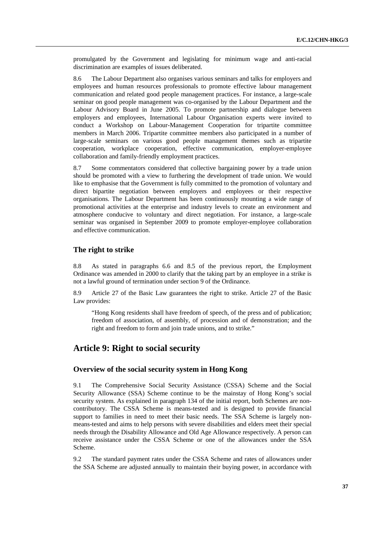promulgated by the Government and legislating for minimum wage and anti-racial discrimination are examples of issues deliberated.

8.6 The Labour Department also organises various seminars and talks for employers and employees and human resources professionals to promote effective labour management communication and related good people management practices. For instance, a large-scale seminar on good people management was co-organised by the Labour Department and the Labour Advisory Board in June 2005. To promote partnership and dialogue between employers and employees, International Labour Organisation experts were invited to conduct a Workshop on Labour-Management Cooperation for tripartite committee members in March 2006. Tripartite committee members also participated in a number of large-scale seminars on various good people management themes such as tripartite cooperation, workplace cooperation, effective communication, employer-employee collaboration and family-friendly employment practices.

8.7 Some commentators considered that collective bargaining power by a trade union should be promoted with a view to furthering the development of trade union. We would like to emphasise that the Government is fully committed to the promotion of voluntary and direct bipartite negotiation between employers and employees or their respective organisations. The Labour Department has been continuously mounting a wide range of promotional activities at the enterprise and industry levels to create an environment and atmosphere conducive to voluntary and direct negotiation. For instance, a large-scale seminar was organised in September 2009 to promote employer-employee collaboration and effective communication.

## **The right to strike**

8.8 As stated in paragraphs 6.6 and 8.5 of the previous report, the Employment Ordinance was amended in 2000 to clarify that the taking part by an employee in a strike is not a lawful ground of termination under section 9 of the Ordinance.

8.9 Article 27 of the Basic Law guarantees the right to strike. Article 27 of the Basic Law provides:

"Hong Kong residents shall have freedom of speech, of the press and of publication; freedom of association, of assembly, of procession and of demonstration; and the right and freedom to form and join trade unions, and to strike."

# **Article 9: Right to social security**

## **Overview of the social security system in Hong Kong**

9.1 The Comprehensive Social Security Assistance (CSSA) Scheme and the Social Security Allowance (SSA) Scheme continue to be the mainstay of Hong Kong's social security system. As explained in paragraph 134 of the initial report, both Schemes are noncontributory. The CSSA Scheme is means-tested and is designed to provide financial support to families in need to meet their basic needs. The SSA Scheme is largely nonmeans-tested and aims to help persons with severe disabilities and elders meet their special needs through the Disability Allowance and Old Age Allowance respectively. A person can receive assistance under the CSSA Scheme or one of the allowances under the SSA Scheme.

9.2 The standard payment rates under the CSSA Scheme and rates of allowances under the SSA Scheme are adjusted annually to maintain their buying power, in accordance with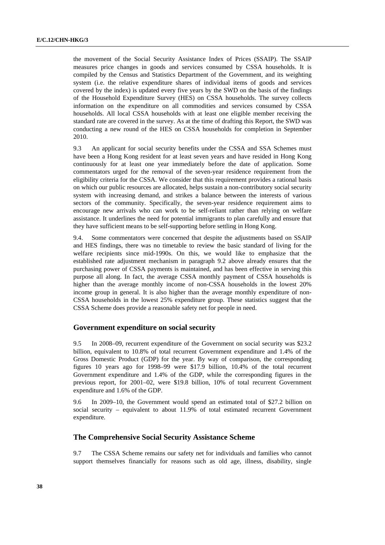the movement of the Social Security Assistance Index of Prices (SSAIP). The SSAIP measures price changes in goods and services consumed by CSSA households. It is compiled by the Census and Statistics Department of the Government, and its weighting system (i.e. the relative expenditure shares of individual items of goods and services covered by the index) is updated every five years by the SWD on the basis of the findings of the Household Expenditure Survey (HES) on CSSA households. The survey collects information on the expenditure on all commodities and services consumed by CSSA households. All local CSSA households with at least one eligible member receiving the standard rate are covered in the survey. As at the time of drafting this Report, the SWD was conducting a new round of the HES on CSSA households for completion in September 2010.

9.3 An applicant for social security benefits under the CSSA and SSA Schemes must have been a Hong Kong resident for at least seven years and have resided in Hong Kong continuously for at least one year immediately before the date of application. Some commentators urged for the removal of the seven-year residence requirement from the eligibility criteria for the CSSA. We consider that this requirement provides a rational basis on which our public resources are allocated, helps sustain a non-contributory social security system with increasing demand, and strikes a balance between the interests of various sectors of the community. Specifically, the seven-year residence requirement aims to encourage new arrivals who can work to be self-reliant rather than relying on welfare assistance. It underlines the need for potential immigrants to plan carefully and ensure that they have sufficient means to be self-supporting before settling in Hong Kong.

9.4. Some commentators were concerned that despite the adjustments based on SSAIP and HES findings, there was no timetable to review the basic standard of living for the welfare recipients since mid-1990s. On this, we would like to emphasize that the established rate adjustment mechanism in paragraph 9.2 above already ensures that the purchasing power of CSSA payments is maintained, and has been effective in serving this purpose all along. In fact, the average CSSA monthly payment of CSSA households is higher than the average monthly income of non-CSSA households in the lowest 20% income group in general. It is also higher than the average monthly expenditure of non-CSSA households in the lowest 25% expenditure group. These statistics suggest that the CSSA Scheme does provide a reasonable safety net for people in need.

## **Government expenditure on social security**

9.5 In 2008–09, recurrent expenditure of the Government on social security was \$23.2 billion, equivalent to 10.8% of total recurrent Government expenditure and 1.4% of the Gross Domestic Product (GDP) for the year. By way of comparison, the corresponding figures 10 years ago for 1998–99 were \$17.9 billion, 10.4% of the total recurrent Government expenditure and 1.4% of the GDP, while the corresponding figures in the previous report, for 2001–02, were \$19.8 billion, 10% of total recurrent Government expenditure and 1.6% of the GDP.

9.6 In 2009–10, the Government would spend an estimated total of \$27.2 billion on social security – equivalent to about 11.9% of total estimated recurrent Government expenditure.

## **The Comprehensive Social Security Assistance Scheme**

9.7 The CSSA Scheme remains our safety net for individuals and families who cannot support themselves financially for reasons such as old age, illness, disability, single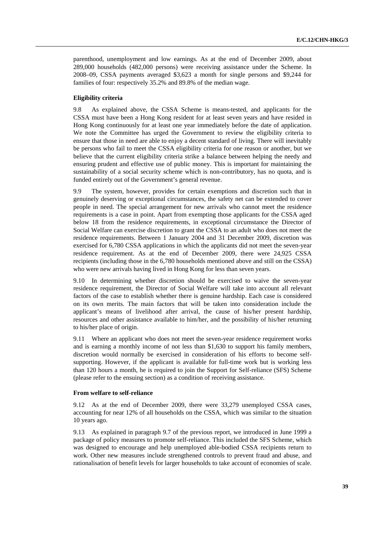parenthood, unemployment and low earnings. As at the end of December 2009, about 289,000 households (482,000 persons) were receiving assistance under the Scheme. In 2008–09, CSSA payments averaged \$3,623 a month for single persons and \$9,244 for families of four: respectively 35.2% and 89.8% of the median wage.

#### **Eligibility criteria**

9.8 As explained above, the CSSA Scheme is means-tested, and applicants for the CSSA must have been a Hong Kong resident for at least seven years and have resided in Hong Kong continuously for at least one year immediately before the date of application. We note the Committee has urged the Government to review the eligibility criteria to ensure that those in need are able to enjoy a decent standard of living. There will inevitably be persons who fail to meet the CSSA eligibility criteria for one reason or another, but we believe that the current eligibility criteria strike a balance between helping the needy and ensuring prudent and effective use of public money. This is important for maintaining the sustainability of a social security scheme which is non-contributory, has no quota, and is funded entirely out of the Government's general revenue.

9.9 The system, however, provides for certain exemptions and discretion such that in genuinely deserving or exceptional circumstances, the safety net can be extended to cover people in need. The special arrangement for new arrivals who cannot meet the residence requirements is a case in point. Apart from exempting those applicants for the CSSA aged below 18 from the residence requirements, in exceptional circumstance the Director of Social Welfare can exercise discretion to grant the CSSA to an adult who does not meet the residence requirements. Between 1 January 2004 and 31 December 2009, discretion was exercised for 6,780 CSSA applications in which the applicants did not meet the seven-year residence requirement. As at the end of December 2009, there were 24,925 CSSA recipients (including those in the 6,780 households mentioned above and still on the CSSA) who were new arrivals having lived in Hong Kong for less than seven years.

9.10 In determining whether discretion should be exercised to waive the seven-year residence requirement, the Director of Social Welfare will take into account all relevant factors of the case to establish whether there is genuine hardship. Each case is considered on its own merits. The main factors that will be taken into consideration include the applicant's means of livelihood after arrival, the cause of his/her present hardship, resources and other assistance available to him/her, and the possibility of his/her returning to his/her place of origin.

9.11 Where an applicant who does not meet the seven-year residence requirement works and is earning a monthly income of not less than \$1,630 to support his family members, discretion would normally be exercised in consideration of his efforts to become selfsupporting. However, if the applicant is available for full-time work but is working less than 120 hours a month, he is required to join the Support for Self-reliance (SFS) Scheme (please refer to the ensuing section) as a condition of receiving assistance.

### **From welfare to self-reliance**

9.12 As at the end of December 2009, there were 33,279 unemployed CSSA cases, accounting for near 12% of all households on the CSSA, which was similar to the situation 10 years ago.

9.13 As explained in paragraph 9.7 of the previous report, we introduced in June 1999 a package of policy measures to promote self-reliance. This included the SFS Scheme, which was designed to encourage and help unemployed able-bodied CSSA recipients return to work. Other new measures include strengthened controls to prevent fraud and abuse, and rationalisation of benefit levels for larger households to take account of economies of scale.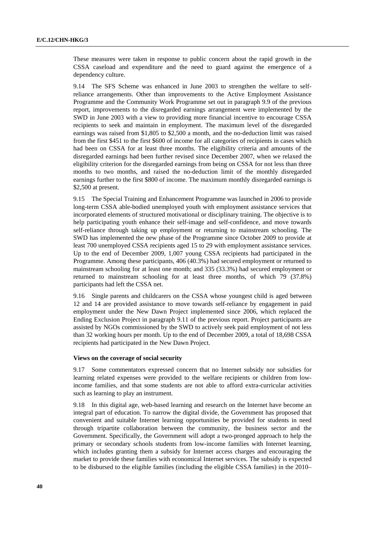These measures were taken in response to public concern about the rapid growth in the CSSA caseload and expenditure and the need to guard against the emergence of a dependency culture.

9.14 The SFS Scheme was enhanced in June 2003 to strengthen the welfare to selfreliance arrangements. Other than improvements to the Active Employment Assistance Programme and the Community Work Programme set out in paragraph 9.9 of the previous report, improvements to the disregarded earnings arrangement were implemented by the SWD in June 2003 with a view to providing more financial incentive to encourage CSSA recipients to seek and maintain in employment. The maximum level of the disregarded earnings was raised from \$1,805 to \$2,500 a month, and the no-deduction limit was raised from the first \$451 to the first \$600 of income for all categories of recipients in cases which had been on CSSA for at least three months. The eligibility criteria and amounts of the disregarded earnings had been further revised since December 2007, when we relaxed the eligibility criterion for the disregarded earnings from being on CSSA for not less than three months to two months, and raised the no-deduction limit of the monthly disregarded earnings further to the first \$800 of income. The maximum monthly disregarded earnings is \$2,500 at present.

9.15 The Special Training and Enhancement Programme was launched in 2006 to provide long-term CSSA able-bodied unemployed youth with employment assistance services that incorporated elements of structured motivational or disciplinary training. The objective is to help participating youth enhance their self-image and self-confidence, and move towards self-reliance through taking up employment or returning to mainstream schooling. The SWD has implemented the new phase of the Programme since October 2009 to provide at least 700 unemployed CSSA recipients aged 15 to 29 with employment assistance services. Up to the end of December 2009, 1,007 young CSSA recipients had participated in the Programme. Among these participants, 406 (40.3%) had secured employment or returned to mainstream schooling for at least one month; and 335 (33.3%) had secured employment or returned to mainstream schooling for at least three months, of which 79 (37.8%) participants had left the CSSA net.

9.16 Single parents and childcarers on the CSSA whose youngest child is aged between 12 and 14 are provided assistance to move towards self-reliance by engagement in paid employment under the New Dawn Project implemented since 2006, which replaced the Ending Exclusion Project in paragraph 9.11 of the previous report. Project participants are assisted by NGOs commissioned by the SWD to actively seek paid employment of not less than 32 working hours per month. Up to the end of December 2009, a total of 18,698 CSSA recipients had participated in the New Dawn Project.

## **Views on the coverage of social security**

9.17 Some commentators expressed concern that no Internet subsidy nor subsidies for learning related expenses were provided to the welfare recipients or children from lowincome families, and that some students are not able to afford extra-curricular activities such as learning to play an instrument.

9.18 In this digital age, web-based learning and research on the Internet have become an integral part of education. To narrow the digital divide, the Government has proposed that convenient and suitable Internet learning opportunities be provided for students in need through tripartite collaboration between the community, the business sector and the Government. Specifically, the Government will adopt a two-pronged approach to help the primary or secondary schools students from low-income families with Internet learning, which includes granting them a subsidy for Internet access charges and encouraging the market to provide these families with economical Internet services. The subsidy is expected to be disbursed to the eligible families (including the eligible CSSA families) in the 2010–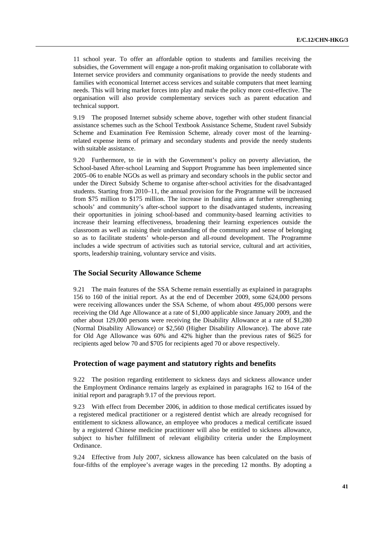11 school year. To offer an affordable option to students and families receiving the subsidies, the Government will engage a non-profit making organisation to collaborate with Internet service providers and community organisations to provide the needy students and families with economical Internet access services and suitable computers that meet learning needs. This will bring market forces into play and make the policy more cost-effective. The organisation will also provide complementary services such as parent education and technical support.

9.19 The proposed Internet subsidy scheme above, together with other student financial assistance schemes such as the School Textbook Assistance Scheme, Student ravel Subsidy Scheme and Examination Fee Remission Scheme, already cover most of the learningrelated expense items of primary and secondary students and provide the needy students with suitable assistance.

9.20 Furthermore, to tie in with the Government's policy on poverty alleviation, the School-based After-school Learning and Support Programme has been implemented since 2005–06 to enable NGOs as well as primary and secondary schools in the public sector and under the Direct Subsidy Scheme to organise after-school activities for the disadvantaged students. Starting from 2010–11, the annual provision for the Programme will be increased from \$75 million to \$175 million. The increase in funding aims at further strengthening schools' and community's after-school support to the disadvantaged students, increasing their opportunities in joining school-based and community-based learning activities to increase their learning effectiveness, broadening their learning experiences outside the classroom as well as raising their understanding of the community and sense of belonging so as to facilitate students' whole-person and all-round development. The Programme includes a wide spectrum of activities such as tutorial service, cultural and art activities, sports, leadership training, voluntary service and visits.

## **The Social Security Allowance Scheme**

9.21 The main features of the SSA Scheme remain essentially as explained in paragraphs 156 to 160 of the initial report. As at the end of December 2009, some 624,000 persons were receiving allowances under the SSA Scheme, of whom about 495,000 persons were receiving the Old Age Allowance at a rate of \$1,000 applicable since January 2009, and the other about 129,000 persons were receiving the Disability Allowance at a rate of \$1,280 (Normal Disability Allowance) or \$2,560 (Higher Disability Allowance). The above rate for Old Age Allowance was 60% and 42% higher than the previous rates of \$625 for recipients aged below 70 and \$705 for recipients aged 70 or above respectively.

## **Protection of wage payment and statutory rights and benefits**

9.22 The position regarding entitlement to sickness days and sickness allowance under the Employment Ordinance remains largely as explained in paragraphs 162 to 164 of the initial report and paragraph 9.17 of the previous report.

9.23 With effect from December 2006, in addition to those medical certificates issued by a registered medical practitioner or a registered dentist which are already recognised for entitlement to sickness allowance, an employee who produces a medical certificate issued by a registered Chinese medicine practitioner will also be entitled to sickness allowance, subject to his/her fulfillment of relevant eligibility criteria under the Employment Ordinance.

9.24 Effective from July 2007, sickness allowance has been calculated on the basis of four-fifths of the employee's average wages in the preceding 12 months. By adopting a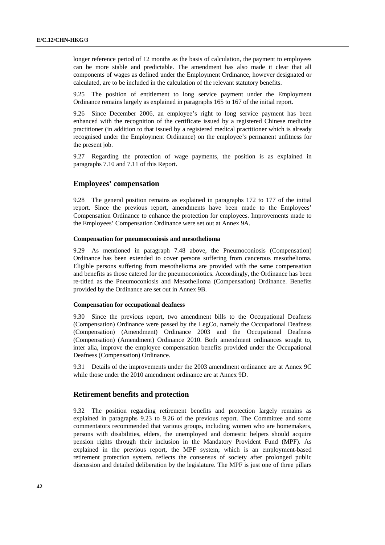longer reference period of 12 months as the basis of calculation, the payment to employees can be more stable and predictable. The amendment has also made it clear that all components of wages as defined under the Employment Ordinance, however designated or calculated, are to be included in the calculation of the relevant statutory benefits.

9.25 The position of entitlement to long service payment under the Employment Ordinance remains largely as explained in paragraphs 165 to 167 of the initial report.

9.26 Since December 2006, an employee's right to long service payment has been enhanced with the recognition of the certificate issued by a registered Chinese medicine practitioner (in addition to that issued by a registered medical practitioner which is already recognised under the Employment Ordinance) on the employee's permanent unfitness for the present job.

9.27 Regarding the protection of wage payments, the position is as explained in paragraphs 7.10 and 7.11 of this Report.

## **Employees' compensation**

9.28 The general position remains as explained in paragraphs 172 to 177 of the initial report. Since the previous report, amendments have been made to the Employees' Compensation Ordinance to enhance the protection for employees. Improvements made to the Employees' Compensation Ordinance were set out at Annex 9A.

### **Compensation for pneumoconiosis and mesothelioma**

9.29 As mentioned in paragraph 7.48 above, the Pneumoconiosis (Compensation) Ordinance has been extended to cover persons suffering from cancerous mesothelioma. Eligible persons suffering from mesothelioma are provided with the same compensation and benefits as those catered for the pneumoconiotics. Accordingly, the Ordinance has been re-titled as the Pneumoconiosis and Mesothelioma (Compensation) Ordinance. Benefits provided by the Ordinance are set out in Annex 9B.

#### **Compensation for occupational deafness**

9.30 Since the previous report, two amendment bills to the Occupational Deafness (Compensation) Ordinance were passed by the LegCo, namely the Occupational Deafness (Compensation) (Amendment) Ordinance 2003 and the Occupational Deafness (Compensation) (Amendment) Ordinance 2010. Both amendment ordinances sought to, inter alia, improve the employee compensation benefits provided under the Occupational Deafness (Compensation) Ordinance.

9.31 Details of the improvements under the 2003 amendment ordinance are at Annex 9C while those under the 2010 amendment ordinance are at Annex 9D.

## **Retirement benefits and protection**

9.32 The position regarding retirement benefits and protection largely remains as explained in paragraphs 9.23 to 9.26 of the previous report. The Committee and some commentators recommended that various groups, including women who are homemakers, persons with disabilities, elders, the unemployed and domestic helpers should acquire pension rights through their inclusion in the Mandatory Provident Fund (MPF). As explained in the previous report, the MPF system, which is an employment-based retirement protection system, reflects the consensus of society after prolonged public discussion and detailed deliberation by the legislature. The MPF is just one of three pillars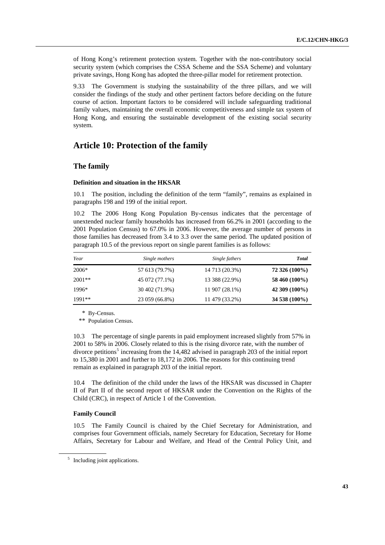of Hong Kong's retirement protection system. Together with the non-contributory social security system (which comprises the CSSA Scheme and the SSA Scheme) and voluntary private savings, Hong Kong has adopted the three-pillar model for retirement protection.

9.33 The Government is studying the sustainability of the three pillars, and we will consider the findings of the study and other pertinent factors before deciding on the future course of action. Important factors to be considered will include safeguarding traditional family values, maintaining the overall economic competitiveness and simple tax system of Hong Kong, and ensuring the sustainable development of the existing social security system.

# **Article 10: Protection of the family**

## **The family**

### **Definition and situation in the HKSAR**

10.1 The position, including the definition of the term "family", remains as explained in paragraphs 198 and 199 of the initial report.

10.2 The 2006 Hong Kong Population By-census indicates that the percentage of unextended nuclear family households has increased from 66.2% in 2001 (according to the 2001 Population Census) to 67.0% in 2006. However, the average number of persons in those families has decreased from 3.4 to 3.3 over the same period. The updated position of paragraph 10.5 of the previous report on single parent families is as follows:

| Year     | Single mothers | Single fathers | <b>Total</b>  |
|----------|----------------|----------------|---------------|
| 2006*    | 57 613 (79.7%) | 14 713 (20.3%) | 72 326 (100%) |
| $2001**$ | 45 072 (77.1%) | 13 388 (22.9%) | 58 460 (100%) |
| 1996*    | 30 402 (71.9%) | 11 907 (28.1%) | 42 309 (100%) |
| $1991**$ | 23 059 (66.8%) | 11 479 (33.2%) | 34 538 (100%) |

\* By-Census.

\*\* Population Census.

10.3 The percentage of single parents in paid employment increased slightly from 57% in 2001 to 58% in 2006. Closely related to this is the rising divorce rate, with the number of divorce petitions<sup>[5](#page-42-0)</sup> increasing from the 14,482 advised in paragraph 203 of the initial report to 15,380 in 2001 and further to 18,172 in 2006. The reasons for this continuing trend remain as explained in paragraph 203 of the initial report.

10.4 The definition of the child under the laws of the HKSAR was discussed in Chapter II of Part II of the second report of HKSAR under the Convention on the Rights of the Child (CRC), in respect of Article 1 of the Convention.

## **Family Council**

10.5 The Family Council is chaired by the Chief Secretary for Administration, and comprises four Government officials, namely Secretary for Education, Secretary for Home Affairs, Secretary for Labour and Welfare, and Head of the Central Policy Unit, and

<span id="page-42-0"></span><sup>&</sup>lt;sup>5</sup> Including joint applications.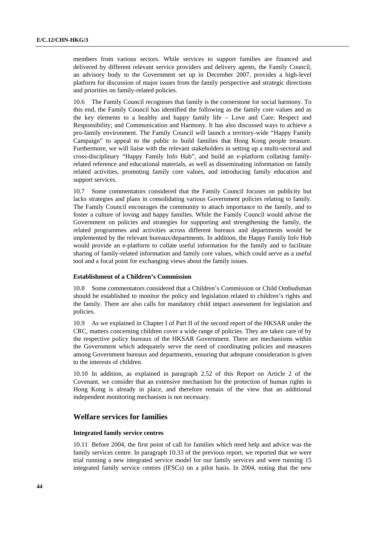members from various sectors. While services to support families are financed and delivered by different relevant service providers and delivery agents, the Family Council, an advisory body to the Government set up in December 2007, provides a high-level platform for discussion of major issues from the family perspective and strategic directions and priorities on family-related policies.

10.6 The Family Council recognises that family is the cornerstone for social harmony. To this end, the Family Council has identified the following as the family core values and as the key elements to a healthy and happy family life – Love and Care; Respect and Responsibility; and Communication and Harmony. It has also discussed ways to achieve a pro-family environment. The Family Council will launch a territory-wide "Happy Family Campaign" to appeal to the public to build families that Hong Kong people treasure. Furthermore, we will liaise with the relevant stakeholders in setting up a multi-sectoral and cross-disciplinary "Happy Family Info Hub", and build an e-platform collating familyrelated reference and educational materials, as well as disseminating information on family related activities, promoting family core values, and introducing family education and support services.

10.7 Some commentators considered that the Family Council focuses on publicity but lacks strategies and plans in consolidating various Government policies relating to family. The Family Council encourages the community to attach importance to the family, and to foster a culture of loving and happy families. While the Family Council would advise the Government on policies and strategies for supporting and strengthening the family, the related programmes and activities across different bureaux and departments would be implemented by the relevant bureaux/departments. In addition, the Happy Family Info Hub would provide an e-platform to collate useful information for the family and to facilitate sharing of family-related information and family core values, which could serve as a useful tool and a focal point for exchanging views about the family issues.

## **Establishment of a Children's Commission**

10.8 Some commentators considered that a Children's Commission or Child Ombudsman should be established to monitor the policy and legislation related to children's rights and the family. There are also calls for mandatory child impact assessment for legislation and policies.

10.9 As we explained in Chapter I of Part II of the second report of the HKSAR under the CRC, matters concerning children cover a wide range of policies. They are taken care of by the respective policy bureaux of the HKSAR Government. There are mechanisms within the Government which adequately serve the need of coordinating policies and measures among Government bureaux and departments, ensuring that adequate consideration is given to the interests of children.

10.10 In addition, as explained in paragraph 2.52 of this Report on Article 2 of the Covenant, we consider that an extensive mechanism for the protection of human rights in Hong Kong is already in place, and therefore remain of the view that an additional independent monitoring mechanism is not necessary.

## **Welfare services for families**

## **Integrated family service centres**

10.11 Before 2004, the first point of call for families which need help and advice was the family services centre. In paragraph 10.33 of the previous report, we reported that we were trial running a new integrated service model for our family services and were running 15 integrated family service centres (IFSCs) on a pilot basis. In 2004, noting that the new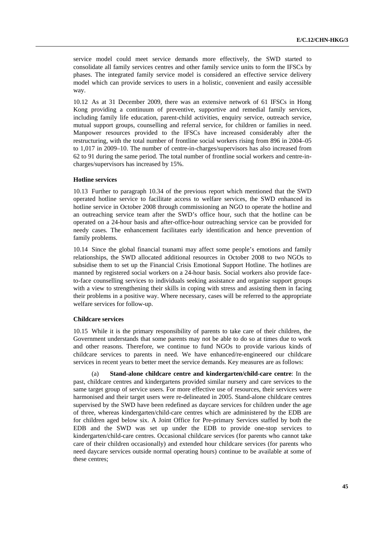service model could meet service demands more effectively, the SWD started to consolidate all family services centres and other family service units to form the IFSCs by phases. The integrated family service model is considered an effective service delivery model which can provide services to users in a holistic, convenient and easily accessible way.

10.12 As at 31 December 2009, there was an extensive network of 61 IFSCs in Hong Kong providing a continuum of preventive, supportive and remedial family services, including family life education, parent-child activities, enquiry service, outreach service, mutual support groups, counselling and referral service, for children or families in need. Manpower resources provided to the IFSCs have increased considerably after the restructuring, with the total number of frontline social workers rising from 896 in 2004–05 to 1,017 in 2009–10. The number of centre-in-charges/supervisors has also increased from 62 to 91 during the same period. The total number of frontline social workers and centre-incharges/supervisors has increased by 15%.

#### **Hotline services**

10.13 Further to paragraph 10.34 of the previous report which mentioned that the SWD operated hotline service to facilitate access to welfare services, the SWD enhanced its hotline service in October 2008 through commissioning an NGO to operate the hotline and an outreaching service team after the SWD's office hour, such that the hotline can be operated on a 24-hour basis and after-office-hour outreaching service can be provided for needy cases. The enhancement facilitates early identification and hence prevention of family problems.

10.14 Since the global financial tsunami may affect some people's emotions and family relationships, the SWD allocated additional resources in October 2008 to two NGOs to subsidise them to set up the Financial Crisis Emotional Support Hotline. The hotlines are manned by registered social workers on a 24-hour basis. Social workers also provide faceto-face counselling services to individuals seeking assistance and organise support groups with a view to strengthening their skills in coping with stress and assisting them in facing their problems in a positive way. Where necessary, cases will be referred to the appropriate welfare services for follow-up.

#### **Childcare services**

10.15 While it is the primary responsibility of parents to take care of their children, the Government understands that some parents may not be able to do so at times due to work and other reasons. Therefore, we continue to fund NGOs to provide various kinds of childcare services to parents in need. We have enhanced/re-engineered our childcare services in recent years to better meet the service demands. Key measures are as follows:

**Stand-alone childcare centre and kindergarten/child-care centre:** In the past, childcare centres and kindergartens provided similar nursery and care services to the same target group of service users. For more effective use of resources, their services were harmonised and their target users were re-delineated in 2005. Stand-alone childcare centres supervised by the SWD have been redefined as daycare services for children under the age of three, whereas kindergarten/child-care centres which are administered by the EDB are for children aged below six. A Joint Office for Pre-primary Services staffed by both the EDB and the SWD was set up under the EDB to provide one-stop services to kindergarten/child-care centres. Occasional childcare services (for parents who cannot take care of their children occasionally) and extended hour childcare services (for parents who need daycare services outside normal operating hours) continue to be available at some of these centres;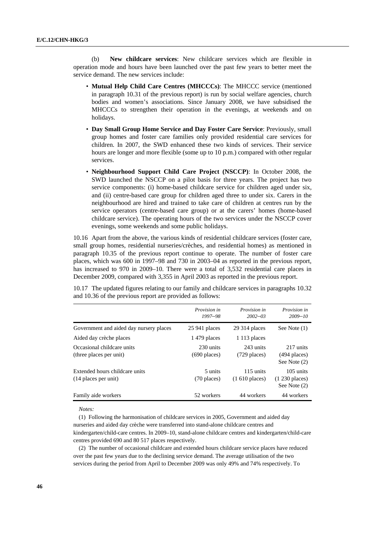(b) **New childcare services**: New childcare services which are flexible in operation mode and hours have been launched over the past few years to better meet the service demand. The new services include:

- **Mutual Help Child Care Centres (MHCCCs)**: The MHCCC service (mentioned in paragraph 10.31 of the previous report) is run by social welfare agencies, church bodies and women's associations. Since January 2008, we have subsidised the MHCCCs to strengthen their operation in the evenings, at weekends and on holidays.
- **Day Small Group Home Service and Day Foster Care Service**: Previously, small group homes and foster care families only provided residential care services for children. In 2007, the SWD enhanced these two kinds of services. Their service hours are longer and more flexible (some up to 10 p.m.) compared with other regular services.
- **Neighbourhood Support Child Care Project (NSCCP)**: In October 2008, the SWD launched the NSCCP on a pilot basis for three years. The project has two service components: (i) home-based childcare service for children aged under six, and (ii) centre-based care group for children aged three to under six. Carers in the neighbourhood are hired and trained to take care of children at centres run by the service operators (centre-based care group) or at the carers' homes (home-based childcare service). The operating hours of the two services under the NSCCP cover evenings, some weekends and some public holidays.

10.16 Apart from the above, the various kinds of residential childcare services (foster care, small group homes, residential nurseries/crèches, and residential homes) as mentioned in paragraph 10.35 of the previous report continue to operate. The number of foster care places, which was 600 in 1997–98 and 730 in 2003–04 as reported in the previous report, has increased to 970 in 2009–10. There were a total of 3,532 residential care places in December 2009, compared with 3,355 in April 2003 as reported in the previous report.

10.17 The updated figures relating to our family and childcare services in paragraphs 10.32 and 10.36 of the previous report are provided as follows:

|                                                        | Provision in<br>$1997 - 98$ | Provision in<br>$2002 - 03$   | Provision in<br>$2009 - 10$                         |
|--------------------------------------------------------|-----------------------------|-------------------------------|-----------------------------------------------------|
| Government and aided day nursery places                | $25941$ places              | $29314$ places                | See Note $(1)$                                      |
| Aided day crèche places                                | 1479 places                 | $1113$ places                 |                                                     |
| Occasional childcare units<br>(three places per unit)  | 230 units<br>$(690$ places) | 243 units<br>$(729$ places)   | 217 units<br>$(494$ places)<br>See Note (2)         |
| Extended hours childcare units<br>(14 places per unit) | 5 units<br>$(70$ places)    | 115 units<br>$(1 610$ places) | 105 units<br>$(1\ 230\  \, places)$<br>See Note (2) |
| Family aide workers                                    | 52 workers                  | 44 workers                    | 44 workers                                          |

*Notes:* 

(1) Following the harmonisation of childcare services in 2005, Government and aided day nurseries and aided day crèche were transferred into stand-alone childcare centres and kindergarten/child-care centres. In 2009–10, stand-alone childcare centres and kindergarten/child-care centres provided 690 and 80 517 places respectively.

(2) The number of occasional childcare and extended hours childcare service places have reduced over the past few years due to the declining service demand. The average utilisation of the two services during the period from April to December 2009 was only 49% and 74% respectively. To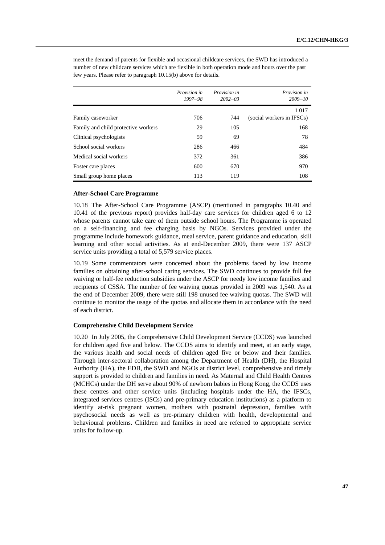|                                     | Provision in<br>$1997 - 98$ | Provision in<br>$2002 - 03$ | Provision in<br>$2009 - 10$ |
|-------------------------------------|-----------------------------|-----------------------------|-----------------------------|
|                                     |                             |                             | 1 0 1 7                     |
| Family caseworker                   | 706                         | 744                         | (social workers in IFSCs)   |
| Family and child protective workers | 29                          | 105                         | 168                         |
| Clinical psychologists              | 59                          | 69                          | 78                          |
| School social workers               | 286                         | 466                         | 484                         |
| Medical social workers              | 372                         | 361                         | 386                         |
| Foster care places                  | 600                         | 670                         | 970                         |
| Small group home places             | 113                         | 119                         | 108                         |

meet the demand of parents for flexible and occasional childcare services, the SWD has introduced a number of new childcare services which are flexible in both operation mode and hours over the past few years. Please refer to paragraph 10.15(b) above for details.

## **After-School Care Programme**

10.18 The After-School Care Programme (ASCP) (mentioned in paragraphs 10.40 and 10.41 of the previous report) provides half-day care services for children aged 6 to 12 whose parents cannot take care of them outside school hours. The Programme is operated on a self-financing and fee charging basis by NGOs. Services provided under the programme include homework guidance, meal service, parent guidance and education, skill learning and other social activities. As at end-December 2009, there were 137 ASCP service units providing a total of 5,579 service places.

10.19 Some commentators were concerned about the problems faced by low income families on obtaining after-school caring services. The SWD continues to provide full fee waiving or half-fee reduction subsidies under the ASCP for needy low income families and recipients of CSSA. The number of fee waiving quotas provided in 2009 was 1,540. As at the end of December 2009, there were still 198 unused fee waiving quotas. The SWD will continue to monitor the usage of the quotas and allocate them in accordance with the need of each district.

### **Comprehensive Child Development Service**

10.20 In July 2005, the Comprehensive Child Development Service (CCDS) was launched for children aged five and below. The CCDS aims to identify and meet, at an early stage, the various health and social needs of children aged five or below and their families. Through inter-sectoral collaboration among the Department of Health (DH), the Hospital Authority (HA), the EDB, the SWD and NGOs at district level, comprehensive and timely support is provided to children and families in need. As Maternal and Child Health Centres (MCHCs) under the DH serve about 90% of newborn babies in Hong Kong, the CCDS uses these centres and other service units (including hospitals under the HA, the IFSCs, integrated services centres (ISCs) and pre-primary education institutions) as a platform to identify at-risk pregnant women, mothers with postnatal depression, families with psychosocial needs as well as pre-primary children with health, developmental and behavioural problems. Children and families in need are referred to appropriate service units for follow-up.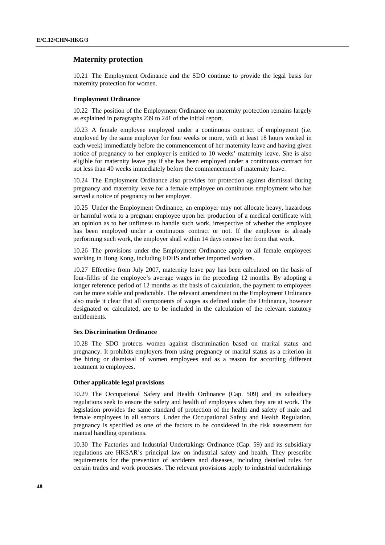## **Maternity protection**

10.21 The Employment Ordinance and the SDO continue to provide the legal basis for maternity protection for women.

### **Employment Ordinance**

10.22 The position of the Employment Ordinance on maternity protection remains largely as explained in paragraphs 239 to 241 of the initial report.

10.23 A female employee employed under a continuous contract of employment (i.e. employed by the same employer for four weeks or more, with at least 18 hours worked in each week) immediately before the commencement of her maternity leave and having given notice of pregnancy to her employer is entitled to 10 weeks' maternity leave. She is also eligible for maternity leave pay if she has been employed under a continuous contract for not less than 40 weeks immediately before the commencement of maternity leave.

10.24 The Employment Ordinance also provides for protection against dismissal during pregnancy and maternity leave for a female employee on continuous employment who has served a notice of pregnancy to her employer.

10.25 Under the Employment Ordinance, an employer may not allocate heavy, hazardous or harmful work to a pregnant employee upon her production of a medical certificate with an opinion as to her unfitness to handle such work, irrespective of whether the employee has been employed under a continuous contract or not. If the employee is already performing such work, the employer shall within 14 days remove her from that work.

10.26 The provisions under the Employment Ordinance apply to all female employees working in Hong Kong, including FDHS and other imported workers.

10.27 Effective from July 2007, maternity leave pay has been calculated on the basis of four-fifths of the employee's average wages in the preceding 12 months. By adopting a longer reference period of 12 months as the basis of calculation, the payment to employees can be more stable and predictable. The relevant amendment to the Employment Ordinance also made it clear that all components of wages as defined under the Ordinance, however designated or calculated, are to be included in the calculation of the relevant statutory entitlements.

## **Sex Discrimination Ordinance**

10.28 The SDO protects women against discrimination based on marital status and pregnancy. It prohibits employers from using pregnancy or marital status as a criterion in the hiring or dismissal of women employees and as a reason for according different treatment to employees.

### **Other applicable legal provisions**

10.29 The Occupational Safety and Health Ordinance (Cap. 509) and its subsidiary regulations seek to ensure the safety and health of employees when they are at work. The legislation provides the same standard of protection of the health and safety of male and female employees in all sectors. Under the Occupational Safety and Health Regulation, pregnancy is specified as one of the factors to be considered in the risk assessment for manual handling operations.

10.30 The Factories and Industrial Undertakings Ordinance (Cap. 59) and its subsidiary regulations are HKSAR's principal law on industrial safety and health. They prescribe requirements for the prevention of accidents and diseases, including detailed rules for certain trades and work processes. The relevant provisions apply to industrial undertakings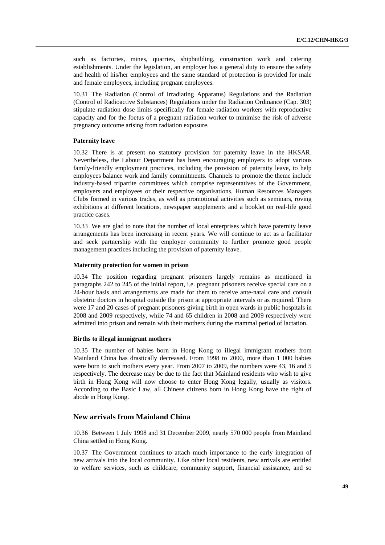such as factories, mines, quarries, shipbuilding, construction work and catering establishments. Under the legislation, an employer has a general duty to ensure the safety and health of his/her employees and the same standard of protection is provided for male and female employees, including pregnant employees.

10.31 The Radiation (Control of Irradiating Apparatus) Regulations and the Radiation (Control of Radioactive Substances) Regulations under the Radiation Ordinance (Cap. 303) stipulate radiation dose limits specifically for female radiation workers with reproductive capacity and for the foetus of a pregnant radiation worker to minimise the risk of adverse pregnancy outcome arising from radiation exposure.

## **Paternity leave**

10.32 There is at present no statutory provision for paternity leave in the HKSAR. Nevertheless, the Labour Department has been encouraging employers to adopt various family-friendly employment practices, including the provision of paternity leave, to help employees balance work and family commitments. Channels to promote the theme include industry-based tripartite committees which comprise representatives of the Government, employers and employees or their respective organisations, Human Resources Managers Clubs formed in various trades, as well as promotional activities such as seminars, roving exhibitions at different locations, newspaper supplements and a booklet on real-life good practice cases.

10.33 We are glad to note that the number of local enterprises which have paternity leave arrangements has been increasing in recent years. We will continue to act as a facilitator and seek partnership with the employer community to further promote good people management practices including the provision of paternity leave.

#### **Maternity protection for women in prison**

10.34 The position regarding pregnant prisoners largely remains as mentioned in paragraphs 242 to 245 of the initial report, i.e. pregnant prisoners receive special care on a 24-hour basis and arrangements are made for them to receive ante-natal care and consult obstetric doctors in hospital outside the prison at appropriate intervals or as required. There were 17 and 20 cases of pregnant prisoners giving birth in open wards in public hospitals in 2008 and 2009 respectively, while 74 and 65 children in 2008 and 2009 respectively were admitted into prison and remain with their mothers during the mammal period of lactation.

## **Births to illegal immigrant mothers**

10.35 The number of babies born in Hong Kong to illegal immigrant mothers from Mainland China has drastically decreased. From 1998 to 2000, more than 1 000 babies were born to such mothers every year. From 2007 to 2009, the numbers were 43, 16 and 5 respectively. The decrease may be due to the fact that Mainland residents who wish to give birth in Hong Kong will now choose to enter Hong Kong legally, usually as visitors. According to the Basic Law, all Chinese citizens born in Hong Kong have the right of abode in Hong Kong.

## **New arrivals from Mainland China**

10.36 Between 1 July 1998 and 31 December 2009, nearly 570 000 people from Mainland China settled in Hong Kong.

10.37 The Government continues to attach much importance to the early integration of new arrivals into the local community. Like other local residents, new arrivals are entitled to welfare services, such as childcare, community support, financial assistance, and so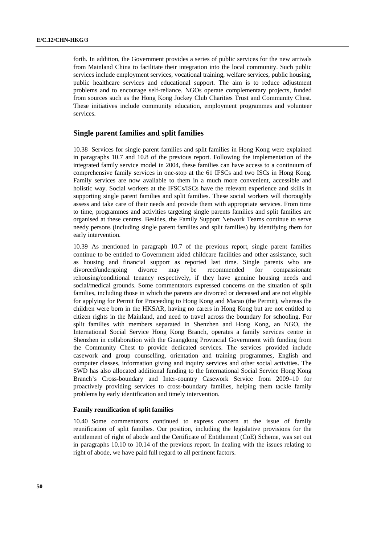forth. In addition, the Government provides a series of public services for the new arrivals from Mainland China to facilitate their integration into the local community. Such public services include employment services, vocational training, welfare services, public housing, public healthcare services and educational support. The aim is to reduce adjustment problems and to encourage self-reliance. NGOs operate complementary projects, funded from sources such as the Hong Kong Jockey Club Charities Trust and Community Chest. These initiatives include community education, employment programmes and volunteer services.

## **Single parent families and split families**

10.38 Services for single parent families and split families in Hong Kong were explained in paragraphs 10.7 and 10.8 of the previous report. Following the implementation of the integrated family service model in 2004, these families can have access to a continuum of comprehensive family services in one-stop at the 61 IFSCs and two ISCs in Hong Kong. Family services are now available to them in a much more convenient, accessible and holistic way. Social workers at the IFSCs/ISCs have the relevant experience and skills in supporting single parent families and split families. These social workers will thoroughly assess and take care of their needs and provide them with appropriate services. From time to time, programmes and activities targeting single parents families and split families are organised at these centres. Besides, the Family Support Network Teams continue to serve needy persons (including single parent families and split families) by identifying them for early intervention.

10.39 As mentioned in paragraph 10.7 of the previous report, single parent families continue to be entitled to Government aided childcare facilities and other assistance, such as housing and financial support as reported last time. Single parents who are divorced/undergoing divorce may be recommended for compassionate rehousing/conditional tenancy respectively, if they have genuine housing needs and social/medical grounds. Some commentators expressed concerns on the situation of split families, including those in which the parents are divorced or deceased and are not eligible for applying for Permit for Proceeding to Hong Kong and Macao (the Permit), whereas the children were born in the HKSAR, having no carers in Hong Kong but are not entitled to citizen rights in the Mainland, and need to travel across the boundary for schooling. For split families with members separated in Shenzhen and Hong Kong, an NGO, the International Social Service Hong Kong Branch, operates a family services centre in Shenzhen in collaboration with the Guangdong Provincial Government with funding from the Community Chest to provide dedicated services. The services provided include casework and group counselling, orientation and training programmes, English and computer classes, information giving and inquiry services and other social activities. The SWD has also allocated additional funding to the International Social Service Hong Kong Branch's Cross-boundary and Inter-country Casework Service from 2009–10 for proactively providing services to cross-boundary families, helping them tackle family problems by early identification and timely intervention.

### **Family reunification of split families**

10.40 Some commentators continued to express concern at the issue of family reunification of split families. Our position, including the legislative provisions for the entitlement of right of abode and the Certificate of Entitlement (CoE) Scheme, was set out in paragraphs 10.10 to 10.14 of the previous report. In dealing with the issues relating to right of abode, we have paid full regard to all pertinent factors.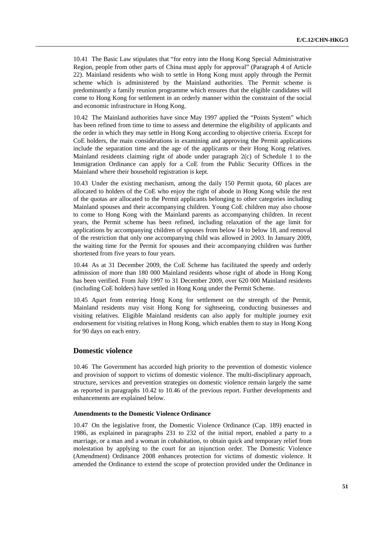10.41 The Basic Law stipulates that "for entry into the Hong Kong Special Administrative Region, people from other parts of China must apply for approval" (Paragraph 4 of Article 22). Mainland residents who wish to settle in Hong Kong must apply through the Permit scheme which is administered by the Mainland authorities. The Permit scheme is predominantly a family reunion programme which ensures that the eligible candidates will come to Hong Kong for settlement in an orderly manner within the constraint of the social and economic infrastructure in Hong Kong.

10.42 The Mainland authorities have since May 1997 applied the "Points System" which has been refined from time to time to assess and determine the eligibility of applicants and the order in which they may settle in Hong Kong according to objective criteria. Except for CoE holders, the main considerations in examining and approving the Permit applications include the separation time and the age of the applicants or their Hong Kong relatives. Mainland residents claiming right of abode under paragraph 2(c) of Schedule 1 to the Immigration Ordinance can apply for a CoE from the Public Security Offices in the Mainland where their household registration is kept.

10.43 Under the existing mechanism, among the daily 150 Permit quota, 60 places are allocated to holders of the CoE who enjoy the right of abode in Hong Kong while the rest of the quotas are allocated to the Permit applicants belonging to other categories including Mainland spouses and their accompanying children. Young CoE children may also choose to come to Hong Kong with the Mainland parents as accompanying children. In recent years, the Permit scheme has been refined, including relaxation of the age limit for applications by accompanying children of spouses from below 14 to below 18, and removal of the restriction that only one accompanying child was allowed in 2003. In January 2009, the waiting time for the Permit for spouses and their accompanying children was further shortened from five years to four years.

10.44 As at 31 December 2009, the CoE Scheme has facilitated the speedy and orderly admission of more than 180 000 Mainland residents whose right of abode in Hong Kong has been verified. From July 1997 to 31 December 2009, over 620 000 Mainland residents (including CoE holders) have settled in Hong Kong under the Permit Scheme.

10.45 Apart from entering Hong Kong for settlement on the strength of the Permit, Mainland residents may visit Hong Kong for sightseeing, conducting businesses and visiting relatives. Eligible Mainland residents can also apply for multiple journey exit endorsement for visiting relatives in Hong Kong, which enables them to stay in Hong Kong for 90 days on each entry.

## **Domestic violence**

10.46 The Government has accorded high priority to the prevention of domestic violence and provision of support to victims of domestic violence. The multi-disciplinary approach, structure, services and prevention strategies on domestic violence remain largely the same as reported in paragraphs 10.42 to 10.46 of the previous report. Further developments and enhancements are explained below.

### **Amendments to the Domestic Violence Ordinance**

10.47 On the legislative front, the Domestic Violence Ordinance (Cap. 189) enacted in 1986, as explained in paragraphs 231 to 232 of the initial report, enabled a party to a marriage, or a man and a woman in cohabitation, to obtain quick and temporary relief from molestation by applying to the court for an injunction order. The Domestic Violence (Amendment) Ordinance 2008 enhances protection for victims of domestic violence. It amended the Ordinance to extend the scope of protection provided under the Ordinance in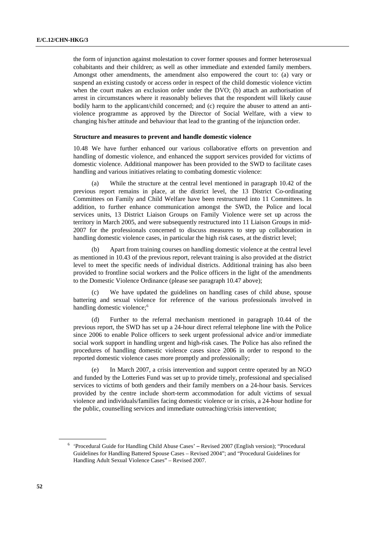the form of injunction against molestation to cover former spouses and former heterosexual cohabitants and their children; as well as other immediate and extended family members. Amongst other amendments, the amendment also empowered the court to: (a) vary or suspend an existing custody or access order in respect of the child domestic violence victim when the court makes an exclusion order under the DVO; (b) attach an authorisation of arrest in circumstances where it reasonably believes that the respondent will likely cause bodily harm to the applicant/child concerned; and (c) require the abuser to attend an antiviolence programme as approved by the Director of Social Welfare, with a view to changing his/her attitude and behaviour that lead to the granting of the injunction order.

#### **Structure and measures to prevent and handle domestic violence**

10.48 We have further enhanced our various collaborative efforts on prevention and handling of domestic violence, and enhanced the support services provided for victims of domestic violence. Additional manpower has been provided to the SWD to facilitate cases handling and various initiatives relating to combating domestic violence:

While the structure at the central level mentioned in paragraph 10.42 of the previous report remains in place, at the district level, the 13 District Co-ordinating Committees on Family and Child Welfare have been restructured into 11 Committees. In addition, to further enhance communication amongst the SWD, the Police and local services units, 13 District Liaison Groups on Family Violence were set up across the territory in March 2005, and were subsequently restructured into 11 Liaison Groups in mid-2007 for the professionals concerned to discuss measures to step up collaboration in handling domestic violence cases, in particular the high risk cases, at the district level;

(b) Apart from training courses on handling domestic violence at the central level as mentioned in 10.43 of the previous report, relevant training is also provided at the district level to meet the specific needs of individual districts. Additional training has also been provided to frontline social workers and the Police officers in the light of the amendments to the Domestic Violence Ordinance (please see paragraph 10.47 above);

(c) We have updated the guidelines on handling cases of child abuse, spouse battering and sexual violence for reference of the various professionals involved in handling domestic violence;<sup>[6](#page-51-0)</sup>

(d) Further to the referral mechanism mentioned in paragraph 10.44 of the previous report, the SWD has set up a 24-hour direct referral telephone line with the Police since 2006 to enable Police officers to seek urgent professional advice and/or immediate social work support in handling urgent and high-risk cases. The Police has also refined the procedures of handling domestic violence cases since 2006 in order to respond to the reported domestic violence cases more promptly and professionally;

In March 2007, a crisis intervention and support centre operated by an NGO and funded by the Lotteries Fund was set up to provide timely, professional and specialised services to victims of both genders and their family members on a 24-hour basis. Services provided by the centre include short-term accommodation for adult victims of sexual violence and individuals/families facing domestic violence or in crisis, a 24-hour hotline for the public, counselling services and immediate outreaching/crisis intervention;

<span id="page-51-0"></span><sup>&</sup>lt;sup>6</sup> 'Procedural Guide for Handling Child Abuse Cases' – Revised 2007 (English version); "Procedural Guidelines for Handling Battered Spouse Cases – Revised 2004"; and "Procedural Guidelines for Handling Adult Sexual Violence Cases" – Revised 2007.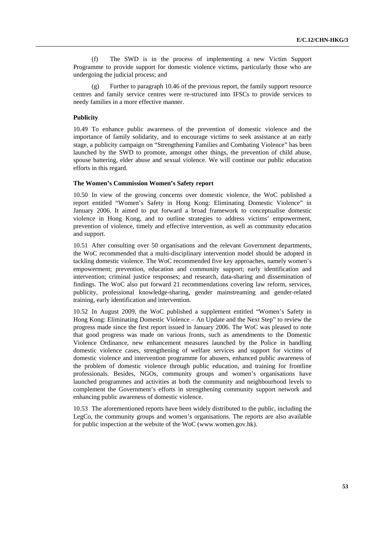(f) The SWD is in the process of implementing a new Victim Support Programme to provide support for domestic violence victims, particularly those who are undergoing the judicial process; and

(g) Further to paragraph 10.46 of the previous report, the family support resource centres and family service centres were re-structured into IFSCs to provide services to needy families in a more effective manner.

### **Publicity**

10.49 To enhance public awareness of the prevention of domestic violence and the importance of family solidarity, and to encourage victims to seek assistance at an early stage, a publicity campaign on "Strengthening Families and Combating Violence" has been launched by the SWD to promote, amongst other things, the prevention of child abuse, spouse battering, elder abuse and sexual violence. We will continue our public education efforts in this regard.

#### **The Women's Commission Women's Safety report**

10.50 In view of the growing concerns over domestic violence, the WoC published a report entitled "Women's Safety in Hong Kong: Eliminating Domestic Violence" in January 2006. It aimed to put forward a broad framework to conceptualise domestic violence in Hong Kong, and to outline strategies to address victims' empowerment, prevention of violence, timely and effective intervention, as well as community education and support.

10.51 After consulting over 50 organisations and the relevant Government departments, the WoC recommended that a multi-disciplinary intervention model should be adopted in tackling domestic violence. The WoC recommended five key approaches, namely women's empowerment; prevention, education and community support; early identification and intervention; criminal justice responses; and research, data-sharing and dissemination of findings. The WoC also put forward 21 recommendations covering law reform, services, publicity, professional knowledge-sharing, gender mainstreaming and gender-related training, early identification and intervention.

10.52 In August 2009, the WoC published a supplement entitled "Women's Safety in Hong Kong: Eliminating Domestic Violence – An Update and the Next Step" to review the progress made since the first report issued in January 2006. The WoC was pleased to note that good progress was made on various fronts, such as amendments to the Domestic Violence Ordinance, new enhancement measures launched by the Police in handling domestic violence cases, strengthening of welfare services and support for victims of domestic violence and intervention programme for abusers, enhanced public awareness of the problem of domestic violence through public education, and training for frontline professionals. Besides, NGOs, community groups and women's organisations have launched programmes and activities at both the community and neighbourhood levels to complement the Government's efforts in strengthening community support network and enhancing public awareness of domestic violence.

10.53 The aforementioned reports have been widely distributed to the public, including the LegCo, the community groups and women's organisations. The reports are also available for public inspection at the website of the WoC (www.women.gov.hk).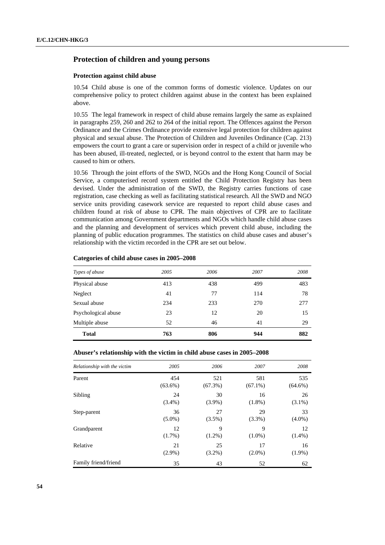## **Protection of children and young persons**

#### **Protection against child abuse**

10.54 Child abuse is one of the common forms of domestic violence. Updates on our comprehensive policy to protect children against abuse in the context has been explained above.

10.55 The legal framework in respect of child abuse remains largely the same as explained in paragraphs 259, 260 and 262 to 264 of the initial report. The Offences against the Person Ordinance and the Crimes Ordinance provide extensive legal protection for children against physical and sexual abuse. The Protection of Children and Juveniles Ordinance (Cap. 213) empowers the court to grant a care or supervision order in respect of a child or juvenile who has been abused, ill-treated, neglected, or is beyond control to the extent that harm may be caused to him or others.

10.56 Through the joint efforts of the SWD, NGOs and the Hong Kong Council of Social Service, a computerised record system entitled the Child Protection Registry has been devised. Under the administration of the SWD, the Registry carries functions of case registration, case checking as well as facilitating statistical research. All the SWD and NGO service units providing casework service are requested to report child abuse cases and children found at risk of abuse to CPR. The main objectives of CPR are to facilitate communication among Government departments and NGOs which handle child abuse cases and the planning and development of services which prevent child abuse, including the planning of public education programmes. The statistics on child abuse cases and abuser's relationship with the victim recorded in the CPR are set out below.

### **Categories of child abuse cases in 2005–2008**

| Types of abuse      | 2005 | 2006 | 2007 | 2008 |
|---------------------|------|------|------|------|
| Physical abuse      | 413  | 438  | 499  | 483  |
| Neglect             | 41   | 77   | 114  | 78   |
| Sexual abuse        | 234  | 233  | 270  | 277  |
| Psychological abuse | 23   | 12   | 20   | 15   |
| Multiple abuse      | 52   | 46   | 41   | 29   |
| <b>Total</b>        | 763  | 806  | 944  | 882  |

| Relationship with the victim | 2005       | 2006       | 2007       | 2008       |
|------------------------------|------------|------------|------------|------------|
| Parent                       | 454        | 521        | 581        | 535        |
|                              | $(63.6\%)$ | $(67.3\%)$ | $(67.1\%)$ | $(64.6\%)$ |
| Sibling                      | 24         | 30         | 16         | 26         |
|                              | $(3.4\%)$  | $(3.9\%)$  | $(1.8\%)$  | $(3.1\%)$  |
| Step-parent                  | 36         | 27         | 29         | 33         |
|                              | $(5.0\%)$  | $(3.5\%)$  | $(3.3\%)$  | $(4.0\%)$  |
| Grandparent                  | 12         | 9          | 9          | 12         |
|                              | $(1.7\%)$  | $(1.2\%)$  | $(1.0\%)$  | $(1.4\%)$  |
| Relative                     | 21         | 25         | 17         | 16         |
|                              | $(2.9\%)$  | $(3.2\%)$  | $(2.0\%)$  | $(1.9\%)$  |
| Family friend/friend         | 35         | 43         | 52         | 62         |

## **Abuser's relationship with the victim in child abuse cases in 2005–2008**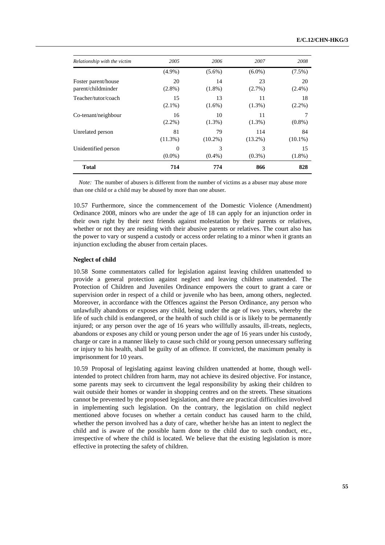| Relationship with the victim | 2005       | 2006       | 2007       | 2008       |
|------------------------------|------------|------------|------------|------------|
|                              | $(4.9\%)$  | $(5.6\%)$  | $(6.0\%)$  | $(7.5\%)$  |
| Foster parent/house          | 20         | 14         | 23         | 20         |
| parent/childminder           | $(2.8\%)$  | $(1.8\%)$  | $(2.7\%)$  | $(2.4\%)$  |
| Teacher/tutor/coach          | 15         | 13         | 11         | 18         |
|                              | $(2.1\%)$  | $(1.6\%)$  | $(1.3\%)$  | $(2.2\%)$  |
| Co-tenant/neighbour          | 16         | 10         | 11         | 7          |
|                              | $(2.2\%)$  | $(1.3\%)$  | $(1.3\%)$  | $(0.8\%)$  |
| Unrelated person             | 81         | 79         | 114        | 84         |
|                              | $(11.3\%)$ | $(10.2\%)$ | $(13.2\%)$ | $(10.1\%)$ |
| Unidentified person          | $\Omega$   | 3          | 3          | 15         |
|                              | $(0.0\%)$  | $(0.4\%)$  | $(0.3\%)$  | $(1.8\%)$  |
| <b>Total</b>                 | 714        | 774        | 866        | 828        |

*Note:* The number of abusers is different from the number of victims as a abuser may abuse more than one child or a child may be abused by more than one abuser.

10.57 Furthermore, since the commencement of the Domestic Violence (Amendment) Ordinance 2008, minors who are under the age of 18 can apply for an injunction order in their own right by their next friends against molestation by their parents or relatives, whether or not they are residing with their abusive parents or relatives. The court also has the power to vary or suspend a custody or access order relating to a minor when it grants an injunction excluding the abuser from certain places.

## **Neglect of child**

10.58 Some commentators called for legislation against leaving children unattended to provide a general protection against neglect and leaving children unattended. The Protection of Children and Juveniles Ordinance empowers the court to grant a care or supervision order in respect of a child or juvenile who has been, among others, neglected. Moreover, in accordance with the Offences against the Person Ordinance, any person who unlawfully abandons or exposes any child, being under the age of two years, whereby the life of such child is endangered, or the health of such child is or is likely to be permanently injured; or any person over the age of 16 years who willfully assaults, ill-treats, neglects, abandons or exposes any child or young person under the age of 16 years under his custody, charge or care in a manner likely to cause such child or young person unnecessary suffering or injury to his health, shall be guilty of an offence. If convicted, the maximum penalty is imprisonment for 10 years.

10.59 Proposal of legislating against leaving children unattended at home, though wellintended to protect children from harm, may not achieve its desired objective. For instance, some parents may seek to circumvent the legal responsibility by asking their children to wait outside their homes or wander in shopping centres and on the streets. These situations cannot be prevented by the proposed legislation, and there are practical difficulties involved in implementing such legislation. On the contrary, the legislation on child neglect mentioned above focuses on whether a certain conduct has caused harm to the child, whether the person involved has a duty of care, whether he/she has an intent to neglect the child and is aware of the possible harm done to the child due to such conduct, etc., irrespective of where the child is located. We believe that the existing legislation is more effective in protecting the safety of children.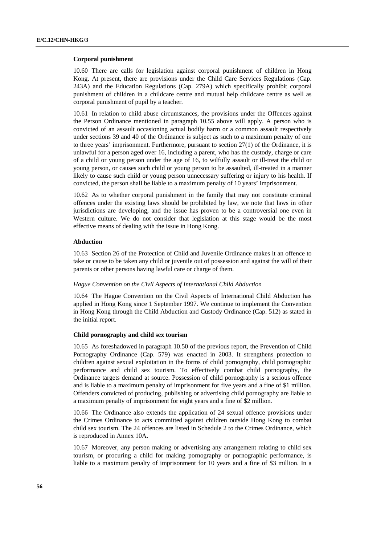#### **Corporal punishment**

10.60 There are calls for legislation against corporal punishment of children in Hong Kong. At present, there are provisions under the Child Care Services Regulations (Cap. 243A) and the Education Regulations (Cap. 279A) which specifically prohibit corporal punishment of children in a childcare centre and mutual help childcare centre as well as corporal punishment of pupil by a teacher.

10.61 In relation to child abuse circumstances, the provisions under the Offences against the Person Ordinance mentioned in paragraph 10.55 above will apply. A person who is convicted of an assault occasioning actual bodily harm or a common assault respectively under sections 39 and 40 of the Ordinance is subject as such to a maximum penalty of one to three years' imprisonment. Furthermore, pursuant to section  $27(1)$  of the Ordinance, it is unlawful for a person aged over 16, including a parent, who has the custody, charge or care of a child or young person under the age of 16, to wilfully assault or ill-treat the child or young person, or causes such child or young person to be assaulted, ill-treated in a manner likely to cause such child or young person unnecessary suffering or injury to his health. If convicted, the person shall be liable to a maximum penalty of 10 years' imprisonment.

10.62 As to whether corporal punishment in the family that may not constitute criminal offences under the existing laws should be prohibited by law, we note that laws in other jurisdictions are developing, and the issue has proven to be a controversial one even in Western culture. We do not consider that legislation at this stage would be the most effective means of dealing with the issue in Hong Kong.

#### **Abduction**

10.63 Section 26 of the Protection of Child and Juvenile Ordinance makes it an offence to take or cause to be taken any child or juvenile out of possession and against the will of their parents or other persons having lawful care or charge of them.

#### *Hague Convention on the Civil Aspects of International Child Abduction*

10.64 The Hague Convention on the Civil Aspects of International Child Abduction has applied in Hong Kong since 1 September 1997. We continue to implement the Convention in Hong Kong through the Child Abduction and Custody Ordinance (Cap. 512) as stated in the initial report.

### **Child pornography and child sex tourism**

10.65 As foreshadowed in paragraph 10.50 of the previous report, the Prevention of Child Pornography Ordinance (Cap. 579) was enacted in 2003. It strengthens protection to children against sexual exploitation in the forms of child pornography, child pornographic performance and child sex tourism. To effectively combat child pornography, the Ordinance targets demand at source. Possession of child pornography is a serious offence and is liable to a maximum penalty of imprisonment for five years and a fine of \$1 million. Offenders convicted of producing, publishing or advertising child pornography are liable to a maximum penalty of imprisonment for eight years and a fine of \$2 million.

10.66 The Ordinance also extends the application of 24 sexual offence provisions under the Crimes Ordinance to acts committed against children outside Hong Kong to combat child sex tourism. The 24 offences are listed in Schedule 2 to the Crimes Ordinance, which is reproduced in Annex 10A.

10.67 Moreover, any person making or advertising any arrangement relating to child sex tourism, or procuring a child for making pornography or pornographic performance, is liable to a maximum penalty of imprisonment for 10 years and a fine of \$3 million. In a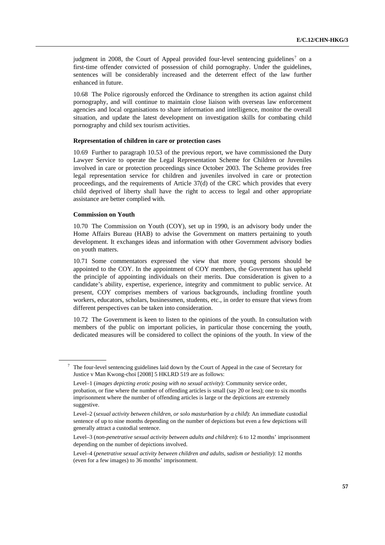judgment in 2008, the Court of Appeal provided four-level sentencing guidelines<sup>7</sup> on a first-time offender convicted of possession of child pornography. Under the guidelines, sentences will be considerably increased and the deterrent effect of the law further enhanced in future.

10.68 The Police rigorously enforced the Ordinance to strengthen its action against child pornography, and will continue to maintain close liaison with overseas law enforcement agencies and local organisations to share information and intelligence, monitor the overall situation, and update the latest development on investigation skills for combating child pornography and child sex tourism activities.

#### **Representation of children in care or protection cases**

10.69 Further to paragraph 10.53 of the previous report, we have commissioned the Duty Lawyer Service to operate the Legal Representation Scheme for Children or Juveniles involved in care or protection proceedings since October 2003. The Scheme provides free legal representation service for children and juveniles involved in care or protection proceedings, and the requirements of Article 37(d) of the CRC which provides that every child deprived of liberty shall have the right to access to legal and other appropriate assistance are better complied with.

#### **Commission on Youth**

<span id="page-56-0"></span>7

10.70 The Commission on Youth (COY), set up in 1990, is an advisory body under the Home Affairs Bureau (HAB) to advise the Government on matters pertaining to youth development. It exchanges ideas and information with other Government advisory bodies on youth matters.

10.71 Some commentators expressed the view that more young persons should be appointed to the COY. In the appointment of COY members, the Government has upheld the principle of appointing individuals on their merits. Due consideration is given to a candidate's ability, expertise, experience, integrity and commitment to public service. At present, COY comprises members of various backgrounds, including frontline youth workers, educators, scholars, businessmen, students, etc., in order to ensure that views from different perspectives can be taken into consideration.

10.72 The Government is keen to listen to the opinions of the youth. In consultation with members of the public on important policies, in particular those concerning the youth, dedicated measures will be considered to collect the opinions of the youth. In view of the

The four-level sentencing guidelines laid down by the Court of Appeal in the case of Secretary for Justice v Man Kwong-choi [2008] 5 HKLRD 519 are as follows:

Level–1 (*images depicting erotic posing with no sexual activity*): Community service order, probation, or fine where the number of offending articles is small (say 20 or less); one to six months imprisonment where the number of offending articles is large or the depictions are extremely suggestive.

Level–2 (*sexual activity between children, or solo masturbation by a child*): An immediate custodial sentence of up to nine months depending on the number of depictions but even a few depictions will generally attract a custodial sentence.

Level–3 (*non-penetrative sexual activity between adults and children*): 6 to 12 months' imprisonment depending on the number of depictions involved.

Level–4 (*penetrative sexual activity between children and adults, sadism or bestiality*): 12 months (even for a few images) to 36 months' imprisonment.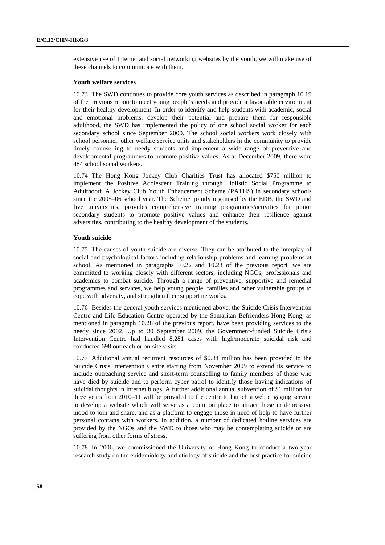extensive use of Internet and social networking websites by the youth, we will make use of these channels to communicate with them.

#### **Youth welfare services**

10.73 The SWD continues to provide core youth services as described in paragraph 10.19 of the previous report to meet young people's needs and provide a favourable environment for their healthy development. In order to identify and help students with academic, social and emotional problems, develop their potential and prepare them for responsible adulthood, the SWD has implemented the policy of one school social worker for each secondary school since September 2000. The school social workers work closely with school personnel, other welfare service units and stakeholders in the community to provide timely counselling to needy students and implement a wide range of preventive and developmental programmes to promote positive values. As at December 2009, there were 484 school social workers.

10.74 The Hong Kong Jockey Club Charities Trust has allocated \$750 million to implement the Positive Adolescent Training through Holistic Social Programme to Adulthood: A Jockey Club Youth Enhancement Scheme (PATHS) in secondary schools since the 2005–06 school year. The Scheme, jointly organised by the EDB, the SWD and five universities, provides comprehensive training programmes/activities for junior secondary students to promote positive values and enhance their resilience against adversities, contributing to the healthy development of the students.

## **Youth suicide**

10.75 The causes of youth suicide are diverse. They can be attributed to the interplay of social and psychological factors including relationship problems and learning problems at school. As mentioned in paragraphs 10.22 and 10.23 of the previous report, we are committed to working closely with different sectors, including NGOs, professionals and academics to combat suicide. Through a range of preventive, supportive and remedial programmes and services, we help young people, families and other vulnerable groups to cope with adversity, and strengthen their support networks.

10.76 Besides the general youth services mentioned above, the Suicide Crisis Intervention Centre and Life Education Centre operated by the Samaritan Befrienders Hong Kong, as mentioned in paragraph 10.28 of the previous report, have been providing services to the needy since 2002. Up to 30 September 2009, the Government-funded Suicide Crisis Intervention Centre had handled 8,281 cases with high/moderate suicidal risk and conducted 698 outreach or on-site visits.

10.77 Additional annual recurrent resources of \$0.84 million has been provided to the Suicide Crisis Intervention Centre starting from November 2009 to extend its service to include outreaching service and short-term counselling to family members of those who have died by suicide and to perform cyber patrol to identify those having indications of suicidal thoughts in Internet blogs. A further additional annual subvention of \$1 million for three years from 2010–11 will be provided to the centre to launch a web engaging service to develop a website which will serve as a common place to attract those in depressive mood to join and share, and as a platform to engage those in need of help to have further personal contacts with workers. In addition, a number of dedicated hotline services are provided by the NGOs and the SWD to those who may be contemplating suicide or are suffering from other forms of stress.

10.78 In 2006, we commissioned the University of Hong Kong to conduct a two-year research study on the epidemiology and etiology of suicide and the best practice for suicide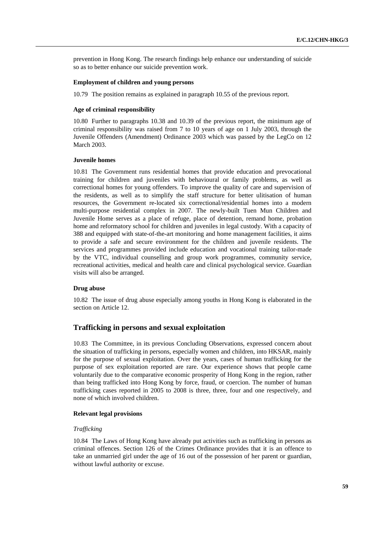prevention in Hong Kong. The research findings help enhance our understanding of suicide so as to better enhance our suicide prevention work.

#### **Employment of children and young persons**

10.79 The position remains as explained in paragraph 10.55 of the previous report.

### **Age of criminal responsibility**

10.80 Further to paragraphs 10.38 and 10.39 of the previous report, the minimum age of criminal responsibility was raised from 7 to 10 years of age on 1 July 2003, through the Juvenile Offenders (Amendment) Ordinance 2003 which was passed by the LegCo on 12 March 2003.

### **Juvenile homes**

10.81 The Government runs residential homes that provide education and prevocational training for children and juveniles with behavioural or family problems, as well as correctional homes for young offenders. To improve the quality of care and supervision of the residents, as well as to simplify the staff structure for better ulitisation of human resources, the Government re-located six correctional/residential homes into a modern multi-purpose residential complex in 2007. The newly-built Tuen Mun Children and Juvenile Home serves as a place of refuge, place of detention, remand home, probation home and reformatory school for children and juveniles in legal custody. With a capacity of 388 and equipped with state-of-the-art monitoring and home management facilities, it aims to provide a safe and secure environment for the children and juvenile residents. The services and programmes provided include education and vocational training tailor-made by the VTC, individual counselling and group work programmes, community service, recreational activities, medical and health care and clinical psychological service. Guardian visits will also be arranged.

#### **Drug abuse**

10.82 The issue of drug abuse especially among youths in Hong Kong is elaborated in the section on Article 12.

### **Trafficking in persons and sexual exploitation**

10.83 The Committee, in its previous Concluding Observations, expressed concern about the situation of trafficking in persons, especially women and children, into HKSAR, mainly for the purpose of sexual exploitation. Over the years, cases of human trafficking for the purpose of sex exploitation reported are rare. Our experience shows that people came voluntarily due to the comparative economic prosperity of Hong Kong in the region, rather than being trafficked into Hong Kong by force, fraud, or coercion. The number of human trafficking cases reported in 2005 to 2008 is three, three, four and one respectively, and none of which involved children.

#### **Relevant legal provisions**

## *Trafficking*

10.84 The Laws of Hong Kong have already put activities such as trafficking in persons as criminal offences. Section 126 of the Crimes Ordinance provides that it is an offence to take an unmarried girl under the age of 16 out of the possession of her parent or guardian, without lawful authority or excuse.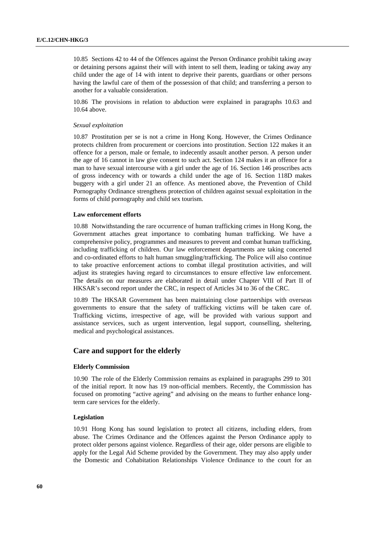10.85 Sections 42 to 44 of the Offences against the Person Ordinance prohibit taking away or detaining persons against their will with intent to sell them, leading or taking away any child under the age of 14 with intent to deprive their parents, guardians or other persons having the lawful care of them of the possession of that child; and transferring a person to another for a valuable consideration.

10.86 The provisions in relation to abduction were explained in paragraphs 10.63 and 10.64 above.

#### *Sexual exploitation*

10.87 Prostitution per se is not a crime in Hong Kong. However, the Crimes Ordinance protects children from procurement or coercions into prostitution. Section 122 makes it an offence for a person, male or female, to indecently assault another person. A person under the age of 16 cannot in law give consent to such act. Section 124 makes it an offence for a man to have sexual intercourse with a girl under the age of 16. Section 146 proscribes acts of gross indecency with or towards a child under the age of 16. Section 118D makes buggery with a girl under 21 an offence. As mentioned above, the Prevention of Child Pornography Ordinance strengthens protection of children against sexual exploitation in the forms of child pornography and child sex tourism.

#### **Law enforcement efforts**

10.88 Notwithstanding the rare occurrence of human trafficking crimes in Hong Kong, the Government attaches great importance to combating human trafficking. We have a comprehensive policy, programmes and measures to prevent and combat human trafficking, including trafficking of children. Our law enforcement departments are taking concerted and co-ordinated efforts to halt human smuggling/trafficking. The Police will also continue to take proactive enforcement actions to combat illegal prostitution activities, and will adjust its strategies having regard to circumstances to ensure effective law enforcement. The details on our measures are elaborated in detail under Chapter VIII of Part II of HKSAR's second report under the CRC, in respect of Articles 34 to 36 of the CRC.

10.89 The HKSAR Government has been maintaining close partnerships with overseas governments to ensure that the safety of trafficking victims will be taken care of. Trafficking victims, irrespective of age, will be provided with various support and assistance services, such as urgent intervention, legal support, counselling, sheltering, medical and psychological assistances.

## **Care and support for the elderly**

#### **Elderly Commission**

10.90 The role of the Elderly Commission remains as explained in paragraphs 299 to 301 of the initial report. It now has 19 non-official members. Recently, the Commission has focused on promoting "active ageing" and advising on the means to further enhance longterm care services for the elderly.

#### **Legislation**

10.91 Hong Kong has sound legislation to protect all citizens, including elders, from abuse. The Crimes Ordinance and the Offences against the Person Ordinance apply to protect older persons against violence. Regardless of their age, older persons are eligible to apply for the Legal Aid Scheme provided by the Government. They may also apply under the Domestic and Cohabitation Relationships Violence Ordinance to the court for an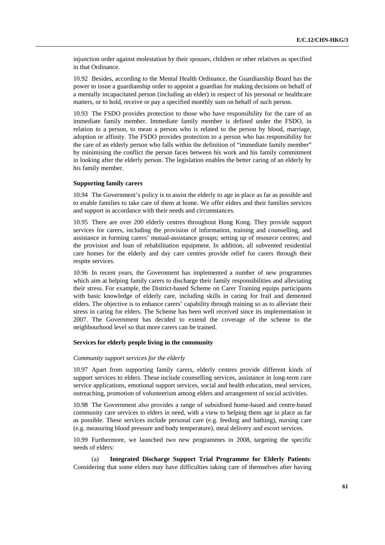injunction order against molestation by their spouses, children or other relatives as specified in that Ordinance.

10.92 Besides, according to the Mental Health Ordinance, the Guardianship Board has the power to issue a guardianship order to appoint a guardian for making decisions on behalf of a mentally incapacitated person (including an elder) in respect of his personal or healthcare matters, or to hold, receive or pay a specified monthly sum on behalf of such person.

10.93 The FSDO provides protection to those who have responsibility for the care of an immediate family member. Immediate family member is defined under the FSDO, in relation to a person, to mean a person who is related to the person by blood, marriage, adoption or affinity. The FSDO provides protection to a person who has responsibility for the care of an elderly person who falls within the definition of "immediate family member" by minimising the conflict the person faces between his work and his family commitment in looking after the elderly person. The legislation enables the better caring of an elderly by his family member.

#### **Supporting family carers**

10.94 The Government's policy is to assist the elderly to age in place as far as possible and to enable families to take care of them at home. We offer elders and their families services and support in accordance with their needs and circumstances.

10.95 There are over 200 elderly centres throughout Hong Kong. They provide support services for carers, including the provision of information, training and counselling, and assistance in forming carers' mutual-assistance groups; setting up of resource centres; and the provision and loan of rehabilitation equipment. In addition, all subvented residential care homes for the elderly and day care centres provide relief for carers through their respite services.

10.96 In recent years, the Government has implemented a number of new programmes which aim at helping family carers to discharge their family responsibilities and alleviating their stress. For example, the District-based Scheme on Carer Training equips participants with basic knowledge of elderly care, including skills in caring for frail and demented elders. The objective is to enhance carers' capability through training so as to alleviate their stress in caring for elders. The Scheme has been well received since its implementation in 2007. The Government has decided to extend the coverage of the scheme to the neighbourhood level so that more carers can be trained.

#### **Services for elderly people living in the community**

## *Community support services for the elderly*

10.97 Apart from supporting family carers, elderly centres provide different kinds of support services to elders. These include counselling services, assistance in long-term care service applications, emotional support services, social and health education, meal services, outreaching, promotion of volunteerism among elders and arrangement of social activities.

10.98 The Government also provides a range of subsidised home-based and centre-based community care services to elders in need, with a view to helping them age in place as far as possible. These services include personal care (e.g. feeding and bathing), nursing care (e.g. measuring blood pressure and body temperature), meal delivery and escort services.

10.99 Furthermore, we launched two new programmes in 2008, targeting the specific needs of elders:

 (a) **Integrated Discharge Support Trial Programme for Elderly Patients**: Considering that some elders may have difficulties taking care of themselves after having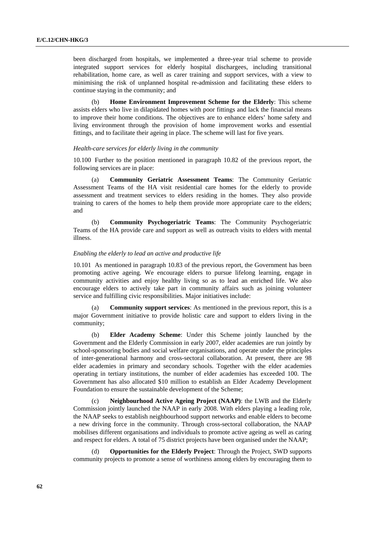been discharged from hospitals, we implemented a three-year trial scheme to provide integrated support services for elderly hospital dischargees, including transitional rehabilitation, home care, as well as carer training and support services, with a view to minimising the risk of unplanned hospital re-admission and facilitating these elders to continue staying in the community; and

 (b) **Home Environment Improvement Scheme for the Elderly**: This scheme assists elders who live in dilapidated homes with poor fittings and lack the financial means to improve their home conditions. The objectives are to enhance elders' home safety and living environment through the provision of home improvement works and essential fittings, and to facilitate their ageing in place. The scheme will last for five years.

#### *Health-care services for elderly living in the community*

10.100 Further to the position mentioned in paragraph 10.82 of the previous report, the following services are in place:

 (a) **Community Geriatric Assessment Teams**: The Community Geriatric Assessment Teams of the HA visit residential care homes for the elderly to provide assessment and treatment services to elders residing in the homes. They also provide training to carers of the homes to help them provide more appropriate care to the elders; and

 (b) **Community Psychogeriatric Teams**: The Community Psychogeriatric Teams of the HA provide care and support as well as outreach visits to elders with mental illness.

## *Enabling the elderly to lead an active and productive life*

10.101 As mentioned in paragraph 10.83 of the previous report, the Government has been promoting active ageing. We encourage elders to pursue lifelong learning, engage in community activities and enjoy healthy living so as to lead an enriched life. We also encourage elders to actively take part in community affairs such as joining volunteer service and fulfilling civic responsibilities. Major initiatives include:

 (a) **Community support services**: As mentioned in the previous report, this is a major Government initiative to provide holistic care and support to elders living in the community;

 (b) **Elder Academy Scheme**: Under this Scheme jointly launched by the Government and the Elderly Commission in early 2007, elder academies are run jointly by school-sponsoring bodies and social welfare organisations, and operate under the principles of inter-generational harmony and cross-sectoral collaboration. At present, there are 98 elder academies in primary and secondary schools. Together with the elder academies operating in tertiary institutions, the number of elder academies has exceeded 100. The Government has also allocated \$10 million to establish an Elder Academy Development Foundation to ensure the sustainable development of the Scheme;

 (c) **Neighbourhood Active Ageing Project (NAAP)**: the LWB and the Elderly Commission jointly launched the NAAP in early 2008. With elders playing a leading role, the NAAP seeks to establish neighbourhood support networks and enable elders to become a new driving force in the community. Through cross-sectoral collaboration, the NAAP mobilises different organisations and individuals to promote active ageing as well as caring and respect for elders. A total of 75 district projects have been organised under the NAAP;

 (d) **Opportunities for the Elderly Project**: Through the Project, SWD supports community projects to promote a sense of worthiness among elders by encouraging them to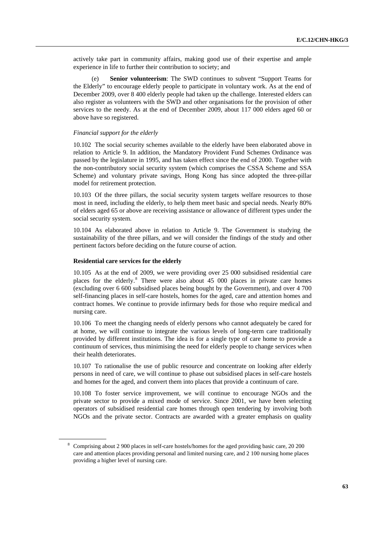actively take part in community affairs, making good use of their expertise and ample experience in life to further their contribution to society; and

 (e) **Senior volunteerism**: The SWD continues to subvent "Support Teams for the Elderly" to encourage elderly people to participate in voluntary work. As at the end of December 2009, over 8 400 elderly people had taken up the challenge. Interested elders can also register as volunteers with the SWD and other organisations for the provision of other services to the needy. As at the end of December 2009, about 117 000 elders aged 60 or above have so registered.

#### *Financial support for the elderly*

10.102 The social security schemes available to the elderly have been elaborated above in relation to Article 9. In addition, the Mandatory Provident Fund Schemes Ordinance was passed by the legislature in 1995, and has taken effect since the end of 2000. Together with the non-contributory social security system (which comprises the CSSA Scheme and SSA Scheme) and voluntary private savings, Hong Kong has since adopted the three-pillar model for retirement protection.

10.103 Of the three pillars, the social security system targets welfare resources to those most in need, including the elderly, to help them meet basic and special needs. Nearly 80% of elders aged 65 or above are receiving assistance or allowance of different types under the social security system.

10.104 As elaborated above in relation to Article 9. The Government is studying the sustainability of the three pillars, and we will consider the findings of the study and other pertinent factors before deciding on the future course of action.

#### **Residential care services for the elderly**

10.105 As at the end of 2009, we were providing over 25 000 subsidised residential care places for the elderly.<sup>[8](#page-62-0)</sup> There were also about 45 000 places in private care homes (excluding over 6 600 subsidised places being bought by the Government), and over 4 700 self-financing places in self-care hostels, homes for the aged, care and attention homes and contract homes. We continue to provide infirmary beds for those who require medical and nursing care.

10.106 To meet the changing needs of elderly persons who cannot adequately be cared for at home, we will continue to integrate the various levels of long-term care traditionally provided by different institutions. The idea is for a single type of care home to provide a continuum of services, thus minimising the need for elderly people to change services when their health deteriorates.

10.107 To rationalise the use of public resource and concentrate on looking after elderly persons in need of care, we will continue to phase out subsidised places in self-care hostels and homes for the aged, and convert them into places that provide a continuum of care.

10.108 To foster service improvement, we will continue to encourage NGOs and the private sector to provide a mixed mode of service. Since 2001, we have been selecting operators of subsidised residential care homes through open tendering by involving both NGOs and the private sector. Contracts are awarded with a greater emphasis on quality

<span id="page-62-0"></span><sup>&</sup>lt;sup>8</sup> Comprising about 2 900 places in self-care hostels/homes for the aged providing basic care, 20 200 care and attention places providing personal and limited nursing care, and 2 100 nursing home places providing a higher level of nursing care.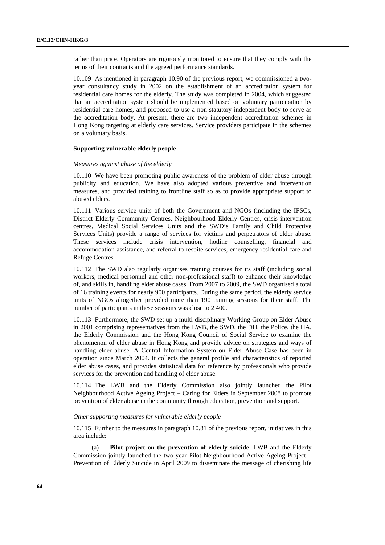rather than price. Operators are rigorously monitored to ensure that they comply with the terms of their contracts and the agreed performance standards.

10.109 As mentioned in paragraph 10.90 of the previous report, we commissioned a twoyear consultancy study in 2002 on the establishment of an accreditation system for residential care homes for the elderly. The study was completed in 2004, which suggested that an accreditation system should be implemented based on voluntary participation by residential care homes, and proposed to use a non-statutory independent body to serve as the accreditation body. At present, there are two independent accreditation schemes in Hong Kong targeting at elderly care services. Service providers participate in the schemes on a voluntary basis.

### **Supporting vulnerable elderly people**

#### *Measures against abuse of the elderly*

10.110 We have been promoting public awareness of the problem of elder abuse through publicity and education. We have also adopted various preventive and intervention measures, and provided training to frontline staff so as to provide appropriate support to abused elders.

10.111 Various service units of both the Government and NGOs (including the IFSCs, District Elderly Community Centres, Neighbourhood Elderly Centres, crisis intervention centres, Medical Social Services Units and the SWD's Family and Child Protective Services Units) provide a range of services for victims and perpetrators of elder abuse. These services include crisis intervention, hotline counselling, financial and accommodation assistance, and referral to respite services, emergency residential care and Refuge Centres.

10.112 The SWD also regularly organises training courses for its staff (including social workers, medical personnel and other non-professional staff) to enhance their knowledge of, and skills in, handling elder abuse cases. From 2007 to 2009, the SWD organised a total of 16 training events for nearly 900 participants. During the same period, the elderly service units of NGOs altogether provided more than 190 training sessions for their staff. The number of participants in these sessions was close to 2 400.

10.113 Furthermore, the SWD set up a multi-disciplinary Working Group on Elder Abuse in 2001 comprising representatives from the LWB, the SWD, the DH, the Police, the HA, the Elderly Commission and the Hong Kong Council of Social Service to examine the phenomenon of elder abuse in Hong Kong and provide advice on strategies and ways of handling elder abuse. A Central Information System on Elder Abuse Case has been in operation since March 2004. It collects the general profile and characteristics of reported elder abuse cases, and provides statistical data for reference by professionals who provide services for the prevention and handling of elder abuse.

10.114 The LWB and the Elderly Commission also jointly launched the Pilot Neighbourhood Active Ageing Project – Caring for Elders in September 2008 to promote prevention of elder abuse in the community through education, prevention and support.

## *Other supporting measures for vulnerable elderly people*

10.115 Further to the measures in paragraph 10.81 of the previous report, initiatives in this area include:

 (a) **Pilot project on the prevention of elderly suicide**: LWB and the Elderly Commission jointly launched the two-year Pilot Neighbourhood Active Ageing Project – Prevention of Elderly Suicide in April 2009 to disseminate the message of cherishing life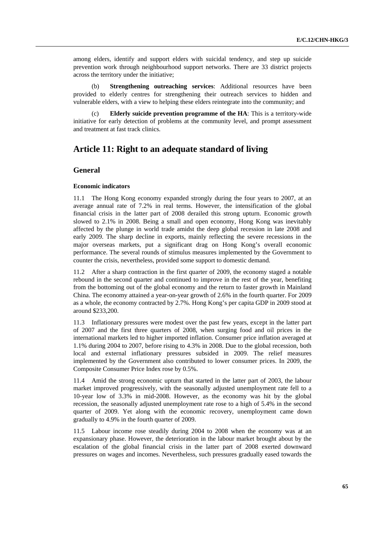among elders, identify and support elders with suicidal tendency, and step up suicide prevention work through neighbourhood support networks. There are 33 district projects across the territory under the initiative;

 (b) **Strengthening outreaching services**: Additional resources have been provided to elderly centres for strengthening their outreach services to hidden and vulnerable elders, with a view to helping these elders reintegrate into the community; and

**Elderly suicide prevention programme of the HA:** This is a territory-wide initiative for early detection of problems at the community level, and prompt assessment and treatment at fast track clinics.

# **Article 11: Right to an adequate standard of living**

## **General**

#### **Economic indicators**

11.1 The Hong Kong economy expanded strongly during the four years to 2007, at an average annual rate of 7.2% in real terms. However, the intensification of the global financial crisis in the latter part of 2008 derailed this strong upturn. Economic growth slowed to 2.1% in 2008. Being a small and open economy, Hong Kong was inevitably affected by the plunge in world trade amidst the deep global recession in late 2008 and early 2009. The sharp decline in exports, mainly reflecting the severe recessions in the major overseas markets, put a significant drag on Hong Kong's overall economic performance. The several rounds of stimulus measures implemented by the Government to counter the crisis, nevertheless, provided some support to domestic demand.

11.2 After a sharp contraction in the first quarter of 2009, the economy staged a notable rebound in the second quarter and continued to improve in the rest of the year, benefiting from the bottoming out of the global economy and the return to faster growth in Mainland China. The economy attained a year-on-year growth of 2.6% in the fourth quarter. For 2009 as a whole, the economy contracted by 2.7%. Hong Kong's per capita GDP in 2009 stood at around \$233,200.

11.3 Inflationary pressures were modest over the past few years, except in the latter part of 2007 and the first three quarters of 2008, when surging food and oil prices in the international markets led to higher imported inflation. Consumer price inflation averaged at 1.1% during 2004 to 2007, before rising to 4.3% in 2008. Due to the global recession, both local and external inflationary pressures subsided in 2009. The relief measures implemented by the Government also contributed to lower consumer prices. In 2009, the Composite Consumer Price Index rose by 0.5%.

11.4 Amid the strong economic upturn that started in the latter part of 2003, the labour market improved progressively, with the seasonally adjusted unemployment rate fell to a 10-year low of 3.3% in mid-2008. However, as the economy was hit by the global recession, the seasonally adjusted unemployment rate rose to a high of 5.4% in the second quarter of 2009. Yet along with the economic recovery, unemployment came down gradually to 4.9% in the fourth quarter of 2009.

11.5 Labour income rose steadily during 2004 to 2008 when the economy was at an expansionary phase. However, the deterioration in the labour market brought about by the escalation of the global financial crisis in the latter part of 2008 exerted downward pressures on wages and incomes. Nevertheless, such pressures gradually eased towards the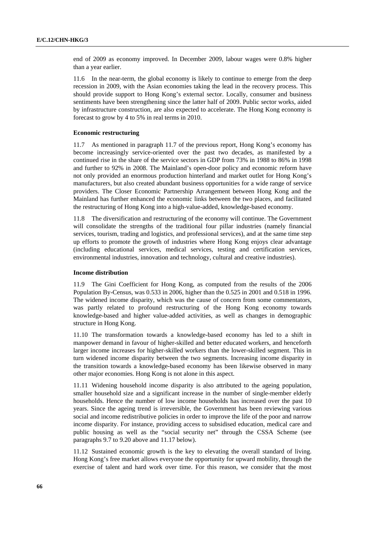end of 2009 as economy improved. In December 2009, labour wages were 0.8% higher than a year earlier.

11.6 In the near-term, the global economy is likely to continue to emerge from the deep recession in 2009, with the Asian economies taking the lead in the recovery process. This should provide support to Hong Kong's external sector. Locally, consumer and business sentiments have been strengthening since the latter half of 2009. Public sector works, aided by infrastructure construction, are also expected to accelerate. The Hong Kong economy is forecast to grow by 4 to 5% in real terms in 2010.

#### **Economic restructuring**

11.7 As mentioned in paragraph 11.7 of the previous report, Hong Kong's economy has become increasingly service-oriented over the past two decades, as manifested by a continued rise in the share of the service sectors in GDP from 73% in 1988 to 86% in 1998 and further to 92% in 2008. The Mainland's open-door policy and economic reform have not only provided an enormous production hinterland and market outlet for Hong Kong's manufacturers, but also created abundant business opportunities for a wide range of service providers. The Closer Economic Partnership Arrangement between Hong Kong and the Mainland has further enhanced the economic links between the two places, and facilitated the restructuring of Hong Kong into a high-value-added, knowledge-based economy.

11.8 The diversification and restructuring of the economy will continue. The Government will consolidate the strengths of the traditional four pillar industries (namely financial services, tourism, trading and logistics, and professional services), and at the same time step up efforts to promote the growth of industries where Hong Kong enjoys clear advantage (including educational services, medical services, testing and certification services, environmental industries, innovation and technology, cultural and creative industries).

### **Income distribution**

11.9 The Gini Coefficient for Hong Kong, as computed from the results of the 2006 Population By-Census, was 0.533 in 2006, higher than the 0.525 in 2001 and 0.518 in 1996. The widened income disparity, which was the cause of concern from some commentators, was partly related to profound restructuring of the Hong Kong economy towards knowledge-based and higher value-added activities, as well as changes in demographic structure in Hong Kong.

11.10 The transformation towards a knowledge-based economy has led to a shift in manpower demand in favour of higher-skilled and better educated workers, and henceforth larger income increases for higher-skilled workers than the lower-skilled segment. This in turn widened income disparity between the two segments. Increasing income disparity in the transition towards a knowledge-based economy has been likewise observed in many other major economies. Hong Kong is not alone in this aspect.

11.11 Widening household income disparity is also attributed to the ageing population, smaller household size and a significant increase in the number of single-member elderly households. Hence the number of low income households has increased over the past 10 years. Since the ageing trend is irreversible, the Government has been reviewing various social and income redistributive policies in order to improve the life of the poor and narrow income disparity. For instance, providing access to subsidised education, medical care and public housing as well as the "social security net" through the CSSA Scheme (see paragraphs 9.7 to 9.20 above and 11.17 below).

11.12 Sustained economic growth is the key to elevating the overall standard of living. Hong Kong's free market allows everyone the opportunity for upward mobility, through the exercise of talent and hard work over time. For this reason, we consider that the most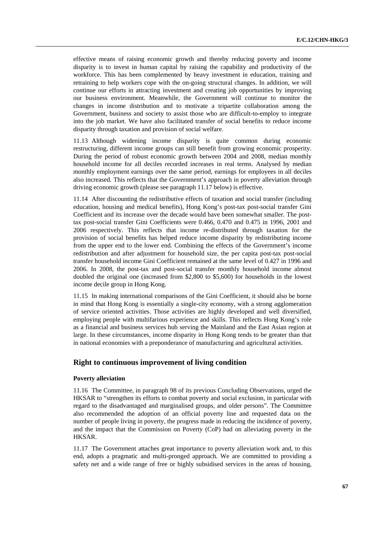effective means of raising economic growth and thereby reducing poverty and income disparity is to invest in human capital by raising the capability and productivity of the workforce. This has been complemented by heavy investment in education, training and retraining to help workers cope with the on-going structural changes. In addition, we will continue our efforts in attracting investment and creating job opportunities by improving our business environment. Meanwhile, the Government will continue to monitor the changes in income distribution and to motivate a tripartite collaboration among the Government, business and society to assist those who are difficult-to-employ to integrate into the job market. We have also facilitated transfer of social benefits to reduce income disparity through taxation and provision of social welfare.

11.13 Although widening income disparity is quite common during economic restructuring, different income groups can still benefit from growing economic prosperity. During the period of robust economic growth between 2004 and 2008, median monthly household income for all deciles recorded increases in real terms. Analysed by median monthly employment earnings over the same period, earnings for employees in all deciles also increased. This reflects that the Government's approach in poverty alleviation through driving economic growth (please see paragraph 11.17 below) is effective.

11.14 After discounting the redistributive effects of taxation and social transfer (including education, housing and medical benefits), Hong Kong's post-tax post-social transfer Gini Coefficient and its increase over the decade would have been somewhat smaller. The posttax post-social transfer Gini Coefficients were 0.466, 0.470 and 0.475 in 1996, 2001 and 2006 respectively. This reflects that income re-distributed through taxation for the provision of social benefits has helped reduce income disparity by redistributing income from the upper end to the lower end. Combining the effects of the Government's income redistribution and after adjustment for household size, the per capita post-tax post-social transfer household income Gini Coefficient remained at the same level of 0.427 in 1996 and 2006. In 2008, the post-tax and post-social transfer monthly household income almost doubled the original one (increased from \$2,800 to \$5,600) for households in the lowest income decile group in Hong Kong.

11.15 In making international comparisons of the Gini Coefficient, it should also be borne in mind that Hong Kong is essentially a single-city economy, with a strong agglomeration of service oriented activities. Those activities are highly developed and well diversified, employing people with multifarious experience and skills. This reflects Hong Kong's role as a financial and business services hub serving the Mainland and the East Asian region at large. In these circumstances, income disparity in Hong Kong tends to be greater than that in national economies with a preponderance of manufacturing and agricultural activities.

## **Right to continuous improvement of living condition**

### **Poverty alleviation**

11.16 The Committee, in paragraph 98 of its previous Concluding Observations, urged the HKSAR to "strengthen its efforts to combat poverty and social exclusion, in particular with regard to the disadvantaged and marginalised groups, and older persons". The Committee also recommended the adoption of an official poverty line and requested data on the number of people living in poverty, the progress made in reducing the incidence of poverty, and the impact that the Commission on Poverty (CoP) had on alleviating poverty in the HKSAR.

11.17 The Government attaches great importance to poverty alleviation work and, to this end, adopts a pragmatic and multi-pronged approach. We are committed to providing a safety net and a wide range of free or highly subsidised services in the areas of housing,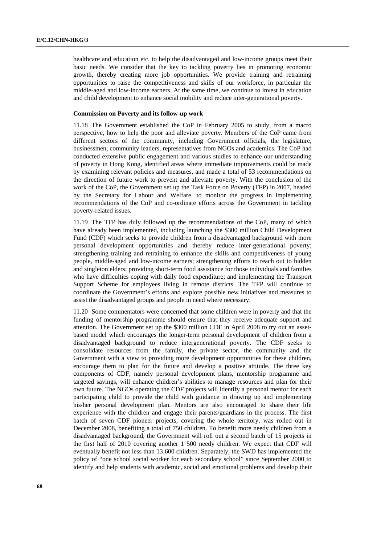healthcare and education etc. to help the disadvantaged and low-income groups meet their basic needs. We consider that the key to tackling poverty lies in promoting economic growth, thereby creating more job opportunities. We provide training and retraining opportunities to raise the competitiveness and skills of our workforce, in particular the middle-aged and low-income earners. At the same time, we continue to invest in education and child development to enhance social mobility and reduce inter-generational poverty.

## **Commission on Poverty and its follow-up work**

11.18 The Government established the CoP in February 2005 to study, from a macro perspective, how to help the poor and alleviate poverty. Members of the CoP came from different sectors of the community, including Government officials, the legislature, businessmen, community leaders, representatives from NGOs and academics. The CoP had conducted extensive public engagement and various studies to enhance our understanding of poverty in Hong Kong, identified areas where immediate improvements could be made by examining relevant policies and measures, and made a total of 53 recommendations on the direction of future work to prevent and alleviate poverty. With the conclusion of the work of the CoP, the Government set up the Task Force on Poverty (TFP) in 2007, headed by the Secretary for Labour and Welfare, to monitor the progress in implementing recommendations of the CoP and co-ordinate efforts across the Government in tackling poverty-related issues.

11.19 The TFP has duly followed up the recommendations of the CoP, many of which have already been implemented, including launching the \$300 million Child Development Fund (CDF) which seeks to provide children from a disadvantaged background with more personal development opportunities and thereby reduce inter-generational poverty; strengthening training and retraining to enhance the skills and competitiveness of young people, middle-aged and low-income earners; strengthening efforts to reach out to hidden and singleton elders; providing short-term food assistance for those individuals and families who have difficulties coping with daily food expenditure; and implementing the Transport Support Scheme for employees living in remote districts. The TFP will continue to coordinate the Government's efforts and explore possible new initiatives and measures to assist the disadvantaged groups and people in need where necessary.

11.20 Some commentators were concerned that some children were in poverty and that the funding of mentorship programme should ensure that they receive adequate support and attention. The Government set up the \$300 million CDF in April 2008 to try out an assetbased model which encourages the longer-term personal development of children from a disadvantaged background to reduce intergenerational poverty. The CDF seeks to consolidate resources from the family, the private sector, the community and the Government with a view to providing more development opportunities for these children, encourage them to plan for the future and develop a positive attitude. The three key components of CDF, namely personal development plans, mentorship programme and targeted savings, will enhance children's abilities to manage resources and plan for their own future. The NGOs operating the CDF projects will identify a personal mentor for each participating child to provide the child with guidance in drawing up and implementing his/her personal development plan. Mentors are also encouraged to share their life experience with the children and engage their parents/guardians in the process. The first batch of seven CDF pioneer projects, covering the whole territory, was rolled out in December 2008, benefiting a total of 750 children. To benefit more needy children from a disadvantaged background, the Government will roll out a second batch of 15 projects in the first half of 2010 covering another 1 500 needy children. We expect that CDF will eventually benefit not less than 13 600 children. Separately, the SWD has implemented the policy of "one school social worker for each secondary school" since September 2000 to identify and help students with academic, social and emotional problems and develop their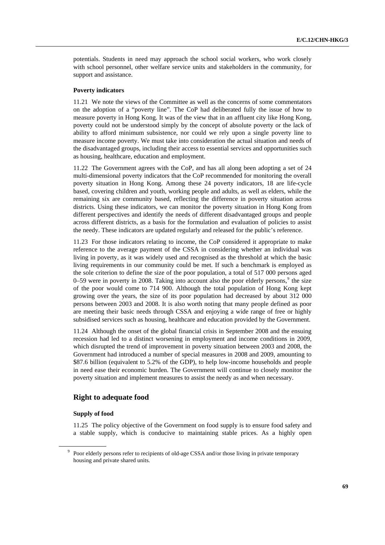potentials. Students in need may approach the school social workers, who work closely with school personnel, other welfare service units and stakeholders in the community, for support and assistance.

#### **Poverty indicators**

11.21 We note the views of the Committee as well as the concerns of some commentators on the adoption of a "poverty line". The CoP had deliberated fully the issue of how to measure poverty in Hong Kong. It was of the view that in an affluent city like Hong Kong, poverty could not be understood simply by the concept of absolute poverty or the lack of ability to afford minimum subsistence, nor could we rely upon a single poverty line to measure income poverty. We must take into consideration the actual situation and needs of the disadvantaged groups, including their access to essential services and opportunities such as housing, healthcare, education and employment.

11.22 The Government agrees with the CoP, and has all along been adopting a set of 24 multi-dimensional poverty indicators that the CoP recommended for monitoring the overall poverty situation in Hong Kong. Among these 24 poverty indicators, 18 are life-cycle based, covering children and youth, working people and adults, as well as elders, while the remaining six are community based, reflecting the difference in poverty situation across districts. Using these indicators, we can monitor the poverty situation in Hong Kong from different perspectives and identify the needs of different disadvantaged groups and people across different districts, as a basis for the formulation and evaluation of policies to assist the needy. These indicators are updated regularly and released for the public's reference.

11.23 For those indicators relating to income, the CoP considered it appropriate to make reference to the average payment of the CSSA in considering whether an individual was living in poverty, as it was widely used and recognised as the threshold at which the basic living requirements in our community could be met. If such a benchmark is employed as the sole criterion to define the size of the poor population, a total of 517 000 persons aged 0–59 were in poverty in 2008. Taking into account also the poor elderly persons, $9$  the size of the poor would come to 714 900. Although the total population of Hong Kong kept growing over the years, the size of its poor population had decreased by about 312 000 persons between 2003 and 2008. It is also worth noting that many people defined as poor are meeting their basic needs through CSSA and enjoying a wide range of free or highly subsidised services such as housing, healthcare and education provided by the Government.

11.24 Although the onset of the global financial crisis in September 2008 and the ensuing recession had led to a distinct worsening in employment and income conditions in 2009, which disrupted the trend of improvement in poverty situation between 2003 and 2008, the Government had introduced a number of special measures in 2008 and 2009, amounting to \$87.6 billion (equivalent to 5.2% of the GDP), to help low-income households and people in need ease their economic burden. The Government will continue to closely monitor the poverty situation and implement measures to assist the needy as and when necessary.

## **Right to adequate food**

## **Supply of food**

11.25 The policy objective of the Government on food supply is to ensure food safety and a stable supply, which is conducive to maintaining stable prices. As a highly open

<span id="page-68-0"></span><sup>&</sup>lt;sup>9</sup> Poor elderly persons refer to recipients of old-age CSSA and/or those living in private temporary housing and private shared units.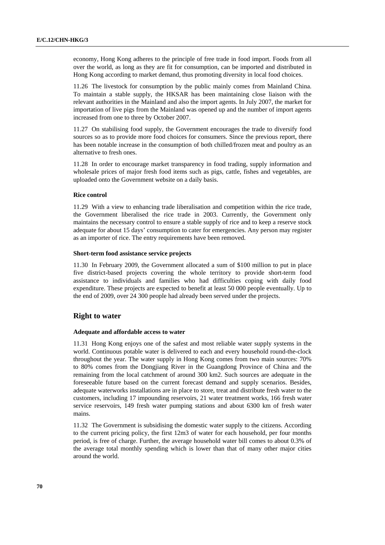economy, Hong Kong adheres to the principle of free trade in food import. Foods from all over the world, as long as they are fit for consumption, can be imported and distributed in Hong Kong according to market demand, thus promoting diversity in local food choices.

11.26 The livestock for consumption by the public mainly comes from Mainland China. To maintain a stable supply, the HKSAR has been maintaining close liaison with the relevant authorities in the Mainland and also the import agents. In July 2007, the market for importation of live pigs from the Mainland was opened up and the number of import agents increased from one to three by October 2007.

11.27 On stabilising food supply, the Government encourages the trade to diversify food sources so as to provide more food choices for consumers. Since the previous report, there has been notable increase in the consumption of both chilled/frozen meat and poultry as an alternative to fresh ones.

11.28 In order to encourage market transparency in food trading, supply information and wholesale prices of major fresh food items such as pigs, cattle, fishes and vegetables, are uploaded onto the Government website on a daily basis.

## **Rice control**

11.29 With a view to enhancing trade liberalisation and competition within the rice trade, the Government liberalised the rice trade in 2003. Currently, the Government only maintains the necessary control to ensure a stable supply of rice and to keep a reserve stock adequate for about 15 days' consumption to cater for emergencies. Any person may register as an importer of rice. The entry requirements have been removed.

## **Short-term food assistance service projects**

11.30 In February 2009, the Government allocated a sum of \$100 million to put in place five district-based projects covering the whole territory to provide short-term food assistance to individuals and families who had difficulties coping with daily food expenditure. These projects are expected to benefit at least 50 000 people eventually. Up to the end of 2009, over 24 300 people had already been served under the projects.

## **Right to water**

### **Adequate and affordable access to water**

11.31 Hong Kong enjoys one of the safest and most reliable water supply systems in the world. Continuous potable water is delivered to each and every household round-the-clock throughout the year. The water supply in Hong Kong comes from two main sources: 70% to 80% comes from the Dongjiang River in the Guangdong Province of China and the remaining from the local catchment of around 300 km2. Such sources are adequate in the foreseeable future based on the current forecast demand and supply scenarios. Besides, adequate waterworks installations are in place to store, treat and distribute fresh water to the customers, including 17 impounding reservoirs, 21 water treatment works, 166 fresh water service reservoirs, 149 fresh water pumping stations and about 6300 km of fresh water mains.

11.32 The Government is subsidising the domestic water supply to the citizens. According to the current pricing policy, the first 12m3 of water for each household, per four months period, is free of charge. Further, the average household water bill comes to about 0.3% of the average total monthly spending which is lower than that of many other major cities around the world.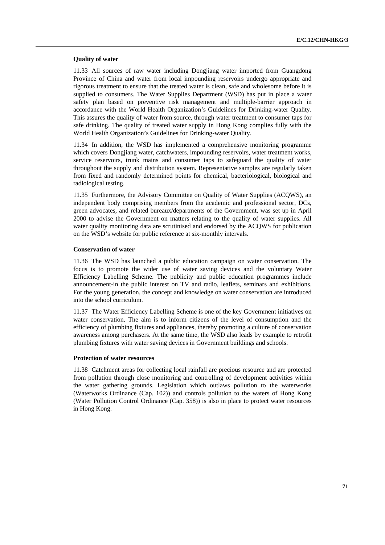#### **Quality of water**

11.33 All sources of raw water including Dongjiang water imported from Guangdong Province of China and water from local impounding reservoirs undergo appropriate and rigorous treatment to ensure that the treated water is clean, safe and wholesome before it is supplied to consumers. The Water Supplies Department (WSD) has put in place a water safety plan based on preventive risk management and multiple-barrier approach in accordance with the World Health Organization's Guidelines for Drinking-water Quality. This assures the quality of water from source, through water treatment to consumer taps for safe drinking. The quality of treated water supply in Hong Kong complies fully with the World Health Organization's Guidelines for Drinking-water Quality.

11.34 In addition, the WSD has implemented a comprehensive monitoring programme which covers Dongjiang water, catchwaters, impounding reservoirs, water treatment works, service reservoirs, trunk mains and consumer taps to safeguard the quality of water throughout the supply and distribution system. Representative samples are regularly taken from fixed and randomly determined points for chemical, bacteriological, biological and radiological testing.

11.35 Furthermore, the Advisory Committee on Quality of Water Supplies (ACQWS), an independent body comprising members from the academic and professional sector, DCs, green advocates, and related bureaux/departments of the Government, was set up in April 2000 to advise the Government on matters relating to the quality of water supplies. All water quality monitoring data are scrutinised and endorsed by the ACQWS for publication on the WSD's website for public reference at six-monthly intervals.

#### **Conservation of water**

11.36 The WSD has launched a public education campaign on water conservation. The focus is to promote the wider use of water saving devices and the voluntary Water Efficiency Labelling Scheme. The publicity and public education programmes include announcement-in the public interest on TV and radio, leaflets, seminars and exhibitions. For the young generation, the concept and knowledge on water conservation are introduced into the school curriculum.

11.37 The Water Efficiency Labelling Scheme is one of the key Government initiatives on water conservation. The aim is to inform citizens of the level of consumption and the efficiency of plumbing fixtures and appliances, thereby promoting a culture of conservation awareness among purchasers. At the same time, the WSD also leads by example to retrofit plumbing fixtures with water saving devices in Government buildings and schools.

### **Protection of water resources**

11.38 Catchment areas for collecting local rainfall are precious resource and are protected from pollution through close monitoring and controlling of development activities within the water gathering grounds. Legislation which outlaws pollution to the waterworks (Waterworks Ordinance (Cap. 102)) and controls pollution to the waters of Hong Kong (Water Pollution Control Ordinance (Cap. 358)) is also in place to protect water resources in Hong Kong.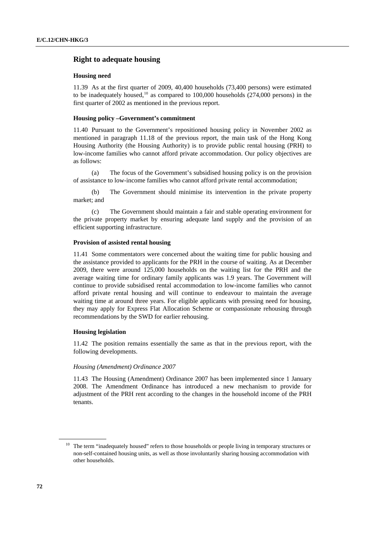## **Right to adequate housing**

#### **Housing need**

11.39 As at the first quarter of 2009, 40,400 households (73,400 persons) were estimated to be inadequately housed,<sup>[10](#page-71-0)</sup> as compared to  $100,000$  households  $(274,000$  persons) in the first quarter of 2002 as mentioned in the previous report.

## **Housing policy –Government's commitment**

11.40 Pursuant to the Government's repositioned housing policy in November 2002 as mentioned in paragraph 11.18 of the previous report, the main task of the Hong Kong Housing Authority (the Housing Authority) is to provide public rental housing (PRH) to low-income families who cannot afford private accommodation. Our policy objectives are as follows:

 (a) The focus of the Government's subsidised housing policy is on the provision of assistance to low-income families who cannot afford private rental accommodation;

 (b) The Government should minimise its intervention in the private property market; and

 (c) The Government should maintain a fair and stable operating environment for the private property market by ensuring adequate land supply and the provision of an efficient supporting infrastructure.

#### **Provision of assisted rental housing**

11.41 Some commentators were concerned about the waiting time for public housing and the assistance provided to applicants for the PRH in the course of waiting. As at December 2009, there were around 125,000 households on the waiting list for the PRH and the average waiting time for ordinary family applicants was 1.9 years. The Government will continue to provide subsidised rental accommodation to low-income families who cannot afford private rental housing and will continue to endeavour to maintain the average waiting time at around three years. For eligible applicants with pressing need for housing, they may apply for Express Flat Allocation Scheme or compassionate rehousing through recommendations by the SWD for earlier rehousing.

#### **Housing legislation**

11.42 The position remains essentially the same as that in the previous report, with the following developments.

#### *Housing (Amendment) Ordinance 2007*

11.43 The Housing (Amendment) Ordinance 2007 has been implemented since 1 January 2008. The Amendment Ordinance has introduced a new mechanism to provide for adjustment of the PRH rent according to the changes in the household income of the PRH tenants.

<span id="page-71-0"></span><sup>&</sup>lt;sup>10</sup> The term "inadequately housed" refers to those households or people living in temporary structures or non-self-contained housing units, as well as those involuntarily sharing housing accommodation with other households.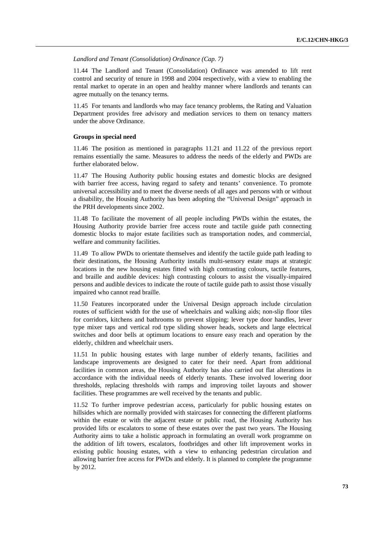*Landlord and Tenant (Consolidation) Ordinance (Cap. 7)* 

11.44 The Landlord and Tenant (Consolidation) Ordinance was amended to lift rent control and security of tenure in 1998 and 2004 respectively, with a view to enabling the rental market to operate in an open and healthy manner where landlords and tenants can agree mutually on the tenancy terms.

11.45 For tenants and landlords who may face tenancy problems, the Rating and Valuation Department provides free advisory and mediation services to them on tenancy matters under the above Ordinance.

### **Groups in special need**

11.46 The position as mentioned in paragraphs 11.21 and 11.22 of the previous report remains essentially the same. Measures to address the needs of the elderly and PWDs are further elaborated below.

11.47 The Housing Authority public housing estates and domestic blocks are designed with barrier free access, having regard to safety and tenants' convenience. To promote universal accessibility and to meet the diverse needs of all ages and persons with or without a disability, the Housing Authority has been adopting the "Universal Design" approach in the PRH developments since 2002.

11.48 To facilitate the movement of all people including PWDs within the estates, the Housing Authority provide barrier free access route and tactile guide path connecting domestic blocks to major estate facilities such as transportation nodes, and commercial, welfare and community facilities.

11.49 To allow PWDs to orientate themselves and identify the tactile guide path leading to their destinations, the Housing Authority installs multi-sensory estate maps at strategic locations in the new housing estates fitted with high contrasting colours, tactile features, and braille and audible devices: high contrasting colours to assist the visually-impaired persons and audible devices to indicate the route of tactile guide path to assist those visually impaired who cannot read braille.

11.50 Features incorporated under the Universal Design approach include circulation routes of sufficient width for the use of wheelchairs and walking aids; non-slip floor tiles for corridors, kitchens and bathrooms to prevent slipping; lever type door handles, lever type mixer taps and vertical rod type sliding shower heads, sockets and large electrical switches and door bells at optimum locations to ensure easy reach and operation by the elderly, children and wheelchair users.

11.51 In public housing estates with large number of elderly tenants, facilities and landscape improvements are designed to cater for their need. Apart from additional facilities in common areas, the Housing Authority has also carried out flat alterations in accordance with the individual needs of elderly tenants. These involved lowering door thresholds, replacing thresholds with ramps and improving toilet layouts and shower facilities. These programmes are well received by the tenants and public.

11.52 To further improve pedestrian access, particularly for public housing estates on hillsides which are normally provided with staircases for connecting the different platforms within the estate or with the adjacent estate or public road, the Housing Authority has provided lifts or escalators to some of these estates over the past two years. The Housing Authority aims to take a holistic approach in formulating an overall work programme on the addition of lift towers, escalators, footbridges and other lift improvement works in existing public housing estates, with a view to enhancing pedestrian circulation and allowing barrier free access for PWDs and elderly. It is planned to complete the programme by 2012.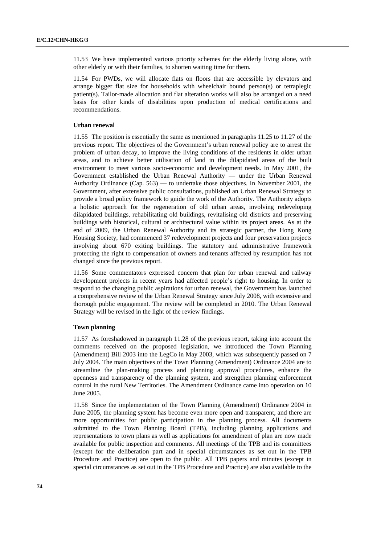11.53 We have implemented various priority schemes for the elderly living alone, with other elderly or with their families, to shorten waiting time for them.

11.54 For PWDs, we will allocate flats on floors that are accessible by elevators and arrange bigger flat size for households with wheelchair bound person(s) or tetraplegic patient(s). Tailor-made allocation and flat alteration works will also be arranged on a need basis for other kinds of disabilities upon production of medical certifications and recommendations.

## **Urban renewal**

11.55 The position is essentially the same as mentioned in paragraphs 11.25 to 11.27 of the previous report. The objectives of the Government's urban renewal policy are to arrest the problem of urban decay, to improve the living conditions of the residents in older urban areas, and to achieve better utilisation of land in the dilapidated areas of the built environment to meet various socio-economic and development needs. In May 2001, the Government established the Urban Renewal Authority — under the Urban Renewal Authority Ordinance (Cap. 563) — to undertake those objectives. In November 2001, the Government, after extensive public consultations, published an Urban Renewal Strategy to provide a broad policy framework to guide the work of the Authority. The Authority adopts a holistic approach for the regeneration of old urban areas, involving redeveloping dilapidated buildings, rehabilitating old buildings, revitalising old districts and preserving buildings with historical, cultural or architectural value within its project areas. As at the end of 2009, the Urban Renewal Authority and its strategic partner, the Hong Kong Housing Society, had commenced 37 redevelopment projects and four preservation projects involving about 670 exiting buildings. The statutory and administrative framework protecting the right to compensation of owners and tenants affected by resumption has not changed since the previous report.

11.56 Some commentators expressed concern that plan for urban renewal and railway development projects in recent years had affected people's right to housing. In order to respond to the changing public aspirations for urban renewal, the Government has launched a comprehensive review of the Urban Renewal Strategy since July 2008, with extensive and thorough public engagement. The review will be completed in 2010. The Urban Renewal Strategy will be revised in the light of the review findings.

## **Town planning**

11.57 As foreshadowed in paragraph 11.28 of the previous report, taking into account the comments received on the proposed legislation, we introduced the Town Planning (Amendment) Bill 2003 into the LegCo in May 2003, which was subsequently passed on 7 July 2004. The main objectives of the Town Planning (Amendment) Ordinance 2004 are to streamline the plan-making process and planning approval procedures, enhance the openness and transparency of the planning system, and strengthen planning enforcement control in the rural New Territories. The Amendment Ordinance came into operation on 10 June 2005.

11.58 Since the implementation of the Town Planning (Amendment) Ordinance 2004 in June 2005, the planning system has become even more open and transparent, and there are more opportunities for public participation in the planning process. All documents submitted to the Town Planning Board (TPB), including planning applications and representations to town plans as well as applications for amendment of plan are now made available for public inspection and comments. All meetings of the TPB and its committees (except for the deliberation part and in special circumstances as set out in the TPB Procedure and Practice) are open to the public. All TPB papers and minutes (except in special circumstances as set out in the TPB Procedure and Practice) are also available to the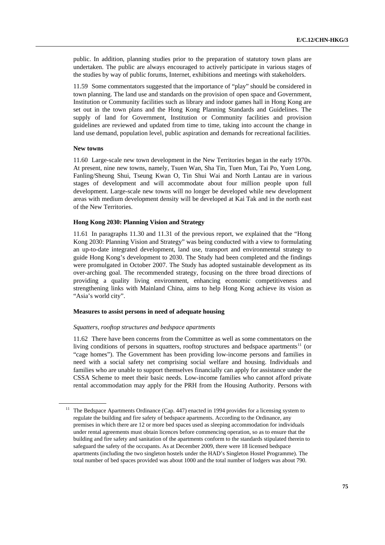public. In addition, planning studies prior to the preparation of statutory town plans are undertaken. The public are always encouraged to actively participate in various stages of the studies by way of public forums, Internet, exhibitions and meetings with stakeholders.

11.59 Some commentators suggested that the importance of "play" should be considered in town planning. The land use and standards on the provision of open space and Government, Institution or Community facilities such as library and indoor games hall in Hong Kong are set out in the town plans and the Hong Kong Planning Standards and Guidelines. The supply of land for Government, Institution or Community facilities and provision guidelines are reviewed and updated from time to time, taking into account the change in land use demand, population level, public aspiration and demands for recreational facilities.

### **New towns**

11.60 Large-scale new town development in the New Territories began in the early 1970s. At present, nine new towns, namely, Tsuen Wan, Sha Tin, Tuen Mun, Tai Po, Yuen Long, Fanling/Sheung Shui, Tseung Kwan O, Tin Shui Wai and North Lantau are in various stages of development and will accommodate about four million people upon full development. Large-scale new towns will no longer be developed while new development areas with medium development density will be developed at Kai Tak and in the north east of the New Territories.

### **Hong Kong 2030: Planning Vision and Strategy**

11.61 In paragraphs 11.30 and 11.31 of the previous report, we explained that the "Hong Kong 2030: Planning Vision and Strategy" was being conducted with a view to formulating an up-to-date integrated development, land use, transport and environmental strategy to guide Hong Kong's development to 2030. The Study had been completed and the findings were promulgated in October 2007. The Study has adopted sustainable development as its over-arching goal. The recommended strategy, focusing on the three broad directions of providing a quality living environment, enhancing economic competitiveness and strengthening links with Mainland China, aims to help Hong Kong achieve its vision as "Asia's world city".

### **Measures to assist persons in need of adequate housing**

### *Squatters, rooftop structures and bedspace apartments*

11.62 There have been concerns from the Committee as well as some commentators on the living conditions of persons in squatters, rooftop structures and bedspace apartments<sup>11</sup> (or "cage homes"). The Government has been providing low-income persons and families in need with a social safety net comprising social welfare and housing. Individuals and families who are unable to support themselves financially can apply for assistance under the CSSA Scheme to meet their basic needs. Low-income families who cannot afford private rental accommodation may apply for the PRH from the Housing Authority. Persons with

<span id="page-74-0"></span><sup>&</sup>lt;sup>11</sup> The Bedspace Apartments Ordinance (Cap. 447) enacted in 1994 provides for a licensing system to regulate the building and fire safety of bedspace apartments. According to the Ordinance, any premises in which there are 12 or more bed spaces used as sleeping accommodation for individuals under rental agreements must obtain licences before commencing operation, so as to ensure that the building and fire safety and sanitation of the apartments conform to the standards stipulated therein to safeguard the safety of the occupants. As at December 2009, there were 18 licensed bedspace apartments (including the two singleton hostels under the HAD's Singleton Hostel Programme). The total number of bed spaces provided was about 1000 and the total number of lodgers was about 790.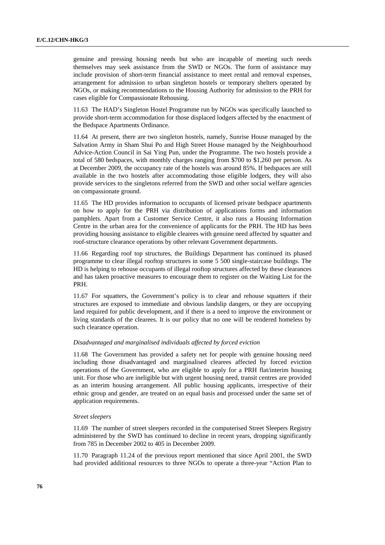genuine and pressing housing needs but who are incapable of meeting such needs themselves may seek assistance from the SWD or NGOs. The form of assistance may include provision of short-term financial assistance to meet rental and removal expenses, arrangement for admission to urban singleton hostels or temporary shelters operated by NGOs, or making recommendations to the Housing Authority for admission to the PRH for cases eligible for Compassionate Rehousing.

11.63 The HAD's Singleton Hostel Programme run by NGOs was specifically launched to provide short-term accommodation for those displaced lodgers affected by the enactment of the Bedspace Apartments Ordinance.

11.64 At present, there are two singleton hostels, namely, Sunrise House managed by the Salvation Army in Sham Shui Po and High Street House managed by the Neighbourhood Advice-Action Council in Sai Ying Pun, under the Programme. The two hostels provide a total of 580 bedspaces, with monthly charges ranging from \$700 to \$1,260 per person. As at December 2009, the occupancy rate of the hostels was around 85%. If bedspaces are still available in the two hostels after accommodating those eligible lodgers, they will also provide services to the singletons referred from the SWD and other social welfare agencies on compassionate ground.

11.65 The HD provides information to occupants of licensed private bedspace apartments on how to apply for the PRH via distribution of applications forms and information pamphlets. Apart from a Customer Service Centre, it also runs a Housing Information Centre in the urban area for the convenience of applicants for the PRH. The HD has been providing housing assistance to eligible clearees with genuine need affected by squatter and roof-structure clearance operations by other relevant Government departments.

11.66 Regarding roof top structures, the Buildings Department has continued its phased programme to clear illegal rooftop structures in some 5 500 single-staircase buildings. The HD is helping to rehouse occupants of illegal rooftop structures affected by these clearances and has taken proactive measures to encourage them to register on the Waiting List for the PRH.

11.67 For squatters, the Government's policy is to clear and rehouse squatters if their structures are exposed to immediate and obvious landslip dangers, or they are occupying land required for public development, and if there is a need to improve the environment or living standards of the clearees. It is our policy that no one will be rendered homeless by such clearance operation.

### *Disadvantaged and marginalised individuals affected by forced eviction*

11.68 The Government has provided a safety net for people with genuine housing need including those disadvantaged and marginalised clearees affected by forced eviction operations of the Government, who are eligible to apply for a PRH flat/interim housing unit. For those who are ineligible but with urgent housing need, transit centres are provided as an interim housing arrangement. All public housing applicants, irrespective of their ethnic group and gender, are treated on an equal basis and processed under the same set of application requirements.

### *Street sleepers*

11.69 The number of street sleepers recorded in the computerised Street Sleepers Registry administered by the SWD has continued to decline in recent years, dropping significantly from 785 in December 2002 to 405 in December 2009.

11.70 Paragraph 11.24 of the previous report mentioned that since April 2001, the SWD had provided additional resources to three NGOs to operate a three-year "Action Plan to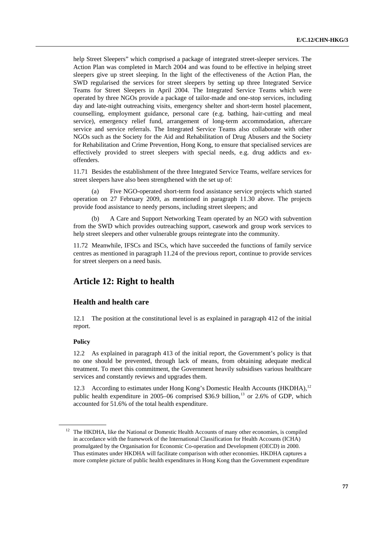help Street Sleepers" which comprised a package of integrated street-sleeper services. The Action Plan was completed in March 2004 and was found to be effective in helping street sleepers give up street sleeping. In the light of the effectiveness of the Action Plan, the SWD regularised the services for street sleepers by setting up three Integrated Service Teams for Street Sleepers in April 2004. The Integrated Service Teams which were operated by three NGOs provide a package of tailor-made and one-stop services, including day and late-night outreaching visits, emergency shelter and short-term hostel placement, counselling, employment guidance, personal care (e.g. bathing, hair-cutting and meal service), emergency relief fund, arrangement of long-term accommodation, aftercare service and service referrals. The Integrated Service Teams also collaborate with other NGOs such as the Society for the Aid and Rehabilitation of Drug Abusers and the Society for Rehabilitation and Crime Prevention, Hong Kong, to ensure that specialised services are effectively provided to street sleepers with special needs, e.g. drug addicts and exoffenders.

11.71 Besides the establishment of the three Integrated Service Teams, welfare services for street sleepers have also been strengthened with the set up of:

 (a) Five NGO-operated short-term food assistance service projects which started operation on 27 February 2009, as mentioned in paragraph 11.30 above. The projects provide food assistance to needy persons, including street sleepers; and

 (b) A Care and Support Networking Team operated by an NGO with subvention from the SWD which provides outreaching support, casework and group work services to help street sleepers and other vulnerable groups reintegrate into the community.

11.72 Meanwhile, IFSCs and ISCs, which have succeeded the functions of family service centres as mentioned in paragraph 11.24 of the previous report, continue to provide services for street sleepers on a need basis.

# **Article 12: Right to health**

# **Health and health care**

12.1 The position at the constitutional level is as explained in paragraph 412 of the initial report.

### **Policy**

12.2 As explained in paragraph 413 of the initial report, the Government's policy is that no one should be prevented, through lack of means, from obtaining adequate medical treatment. To meet this commitment, the Government heavily subsidises various healthcare services and constantly reviews and upgrades them.

12.3 According to estimates under Hong Kong's Domestic Health Accounts (HKDHA),<sup>12</sup> public health expenditure in 2005–06 comprised \$36.9 billion,<sup>[13](#page-76-1)</sup> or 2.6% of GDP, which accounted for 51.6% of the total health expenditure.

<span id="page-76-1"></span><span id="page-76-0"></span><sup>&</sup>lt;sup>12</sup> The HKDHA, like the National or Domestic Health Accounts of many other economies, is compiled in accordance with the framework of the International Classification for Health Accounts (ICHA) promulgated by the Organisation for Economic Co-operation and Development (OECD) in 2000. Thus estimates under HKDHA will facilitate comparison with other economies. HKDHA captures a more complete picture of public health expenditures in Hong Kong than the Government expenditure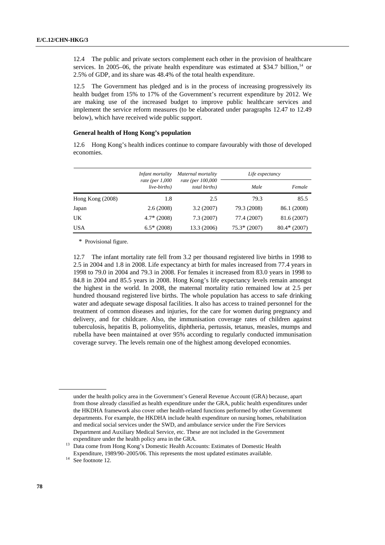12.4 The public and private sectors complement each other in the provision of healthcare services. In 2005–06, the private health expenditure was estimated at \$34.7 billion, $14$  or 2.5% of GDP, and its share was 48.4% of the total health expenditure.

12.5 The Government has pledged and is in the process of increasing progressively its health budget from 15% to 17% of the Government's recurrent expenditure by 2012. We are making use of the increased budget to improve public healthcare services and implement the service reform measures (to be elaborated under paragraphs 12.47 to 12.49 below), which have received wide public support.

### **General health of Hong Kong's population**

12.6 Hong Kong's health indices continue to compare favourably with those of developed economies.

|                    | Infant mortality<br>rate (per $1,000$<br>live-births) | Maternal mortality<br>rate (per 100,000<br>total births) | Life expectancy |                |
|--------------------|-------------------------------------------------------|----------------------------------------------------------|-----------------|----------------|
|                    |                                                       |                                                          | Male            | Female         |
| Hong Kong $(2008)$ | 1.8                                                   | 2.5                                                      | 79.3            | 85.5           |
| Japan              | 2.6(2008)                                             | 3.2(2007)                                                | 79.3 (2008)     | 86.1 (2008)    |
| UK                 | $4.7*$ (2008)                                         | 7.3(2007)                                                | 77.4 (2007)     | 81.6 (2007)    |
| <b>USA</b>         | $6.5*$ (2008)                                         | 13.3 (2006)                                              | $75.3* (2007)$  | $80.4*$ (2007) |

\* Provisional figure.

12.7 The infant mortality rate fell from 3.2 per thousand registered live births in 1998 to 2.5 in 2004 and 1.8 in 2008. Life expectancy at birth for males increased from 77.4 years in 1998 to 79.0 in 2004 and 79.3 in 2008. For females it increased from 83.0 years in 1998 to 84.8 in 2004 and 85.5 years in 2008. Hong Kong's life expectancy levels remain amongst the highest in the world. In 2008, the maternal mortality ratio remained low at 2.5 per hundred thousand registered live births. The whole population has access to safe drinking water and adequate sewage disposal facilities. It also has access to trained personnel for the treatment of common diseases and injuries, for the care for women during pregnancy and delivery, and for childcare. Also, the immunisation coverage rates of children against tuberculosis, hepatitis B, poliomyelitis, diphtheria, pertussis, tetanus, measles, mumps and rubella have been maintained at over 95% according to regularly conducted immunisation coverage survey. The levels remain one of the highest among developed economies.

under the health policy area in the Government's General Revenue Account (GRA) because, apart from those already classified as health expenditure under the GRA, public health expenditures under the HKDHA framework also cover other health-related functions performed by other Government departments. For example, the HKDHA include health expenditure on nursing homes, rehabilitation and medical social services under the SWD, and ambulance service under the Fire Services Department and Auxiliary Medical Service, etc. These are not included in the Government

expenditure under the health policy area in the GRA. 13 Data come from Hong Kong's Domestic Health Accounts: Estimates of Domestic Health Expenditure, 1989/90–2005/06. This represents the most updated estimates available. 14 See footnote 12.

<span id="page-77-0"></span>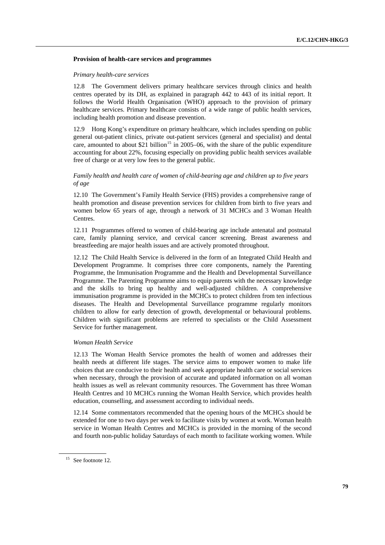## **Provision of health-care services and programmes**

## *Primary health-care services*

12.8 The Government delivers primary healthcare services through clinics and health centres operated by its DH, as explained in paragraph 442 to 443 of its initial report. It follows the World Health Organisation (WHO) approach to the provision of primary healthcare services. Primary healthcare consists of a wide range of public health services, including health promotion and disease prevention.

12.9 Hong Kong's expenditure on primary healthcare, which includes spending on public general out-patient clinics, private out-patient services (general and specialist) and dental care, amounted to about \$21 billion<sup>[15](#page-78-0)</sup> in 2005–06, with the share of the public expenditure accounting for about 22%, focusing especially on providing public health services available free of charge or at very low fees to the general public.

## *Family health and health care of women of child-bearing age and children up to five years of age*

12.10 The Government's Family Health Service (FHS) provides a comprehensive range of health promotion and disease prevention services for children from birth to five years and women below 65 years of age, through a network of 31 MCHCs and 3 Woman Health Centres.

12.11 Programmes offered to women of child-bearing age include antenatal and postnatal care, family planning service, and cervical cancer screening. Breast awareness and breastfeeding are major health issues and are actively promoted throughout.

12.12 The Child Health Service is delivered in the form of an Integrated Child Health and Development Programme. It comprises three core components, namely the Parenting Programme, the Immunisation Programme and the Health and Developmental Surveillance Programme. The Parenting Programme aims to equip parents with the necessary knowledge and the skills to bring up healthy and well-adjusted children. A comprehensive immunisation programme is provided in the MCHCs to protect children from ten infectious diseases. The Health and Developmental Surveillance programme regularly monitors children to allow for early detection of growth, developmental or behavioural problems. Children with significant problems are referred to specialists or the Child Assessment Service for further management.

### *Woman Health Service*

12.13 The Woman Health Service promotes the health of women and addresses their health needs at different life stages. The service aims to empower women to make life choices that are conducive to their health and seek appropriate health care or social services when necessary, through the provision of accurate and updated information on all woman health issues as well as relevant community resources. The Government has three Woman Health Centres and 10 MCHCs running the Woman Health Service, which provides health education, counselling, and assessment according to individual needs.

12.14 Some commentators recommended that the opening hours of the MCHCs should be extended for one to two days per week to facilitate visits by women at work. Woman health service in Woman Health Centres and MCHCs is provided in the morning of the second and fourth non-public holiday Saturdays of each month to facilitate working women. While

<span id="page-78-0"></span><sup>&</sup>lt;sup>15</sup> See footnote 12.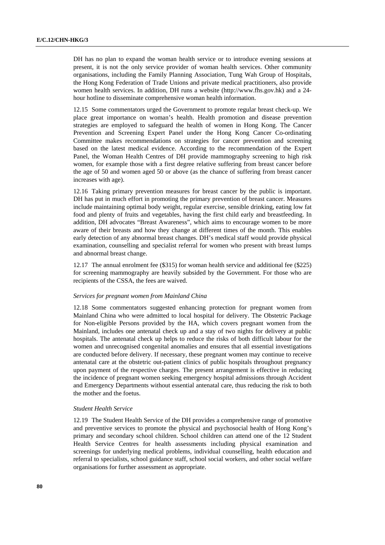DH has no plan to expand the woman health service or to introduce evening sessions at present, it is not the only service provider of woman health services. Other community organisations, including the Family Planning Association, Tung Wah Group of Hospitals, the Hong Kong Federation of Trade Unions and private medical practitioners, also provide women health services. In addition, DH runs a website (http://www.fhs.gov.hk) and a 24 hour hotline to disseminate comprehensive woman health information.

12.15 Some commentators urged the Government to promote regular breast check-up. We place great importance on woman's health. Health promotion and disease prevention strategies are employed to safeguard the health of women in Hong Kong. The Cancer Prevention and Screening Expert Panel under the Hong Kong Cancer Co-ordinating Committee makes recommendations on strategies for cancer prevention and screening based on the latest medical evidence. According to the recommendation of the Expert Panel, the Woman Health Centres of DH provide mammography screening to high risk women, for example those with a first degree relative suffering from breast cancer before the age of 50 and women aged 50 or above (as the chance of suffering from breast cancer increases with age).

12.16 Taking primary prevention measures for breast cancer by the public is important. DH has put in much effort in promoting the primary prevention of breast cancer. Measures include maintaining optimal body weight, regular exercise, sensible drinking, eating low fat food and plenty of fruits and vegetables, having the first child early and breastfeeding. In addition, DH advocates "Breast Awareness", which aims to encourage women to be more aware of their breasts and how they change at different times of the month. This enables early detection of any abnormal breast changes. DH's medical staff would provide physical examination, counselling and specialist referral for women who present with breast lumps and abnormal breast change.

12.17 The annual enrolment fee (\$315) for woman health service and additional fee (\$225) for screening mammography are heavily subsided by the Government. For those who are recipients of the CSSA, the fees are waived.

#### *Services for pregnant women from Mainland China*

12.18 Some commentators suggested enhancing protection for pregnant women from Mainland China who were admitted to local hospital for delivery. The Obstetric Package for Non-eligible Persons provided by the HA, which covers pregnant women from the Mainland, includes one antenatal check up and a stay of two nights for delivery at public hospitals. The antenatal check up helps to reduce the risks of both difficult labour for the women and unrecognised congenital anomalies and ensures that all essential investigations are conducted before delivery. If necessary, these pregnant women may continue to receive antenatal care at the obstetric out-patient clinics of public hospitals throughout pregnancy upon payment of the respective charges. The present arrangement is effective in reducing the incidence of pregnant women seeking emergency hospital admissions through Accident and Emergency Departments without essential antenatal care, thus reducing the risk to both the mother and the foetus.

#### *Student Health Service*

12.19 The Student Health Service of the DH provides a comprehensive range of promotive and preventive services to promote the physical and psychosocial health of Hong Kong's primary and secondary school children. School children can attend one of the 12 Student Health Service Centres for health assessments including physical examination and screenings for underlying medical problems, individual counselling, health education and referral to specialists, school guidance staff, school social workers, and other social welfare organisations for further assessment as appropriate.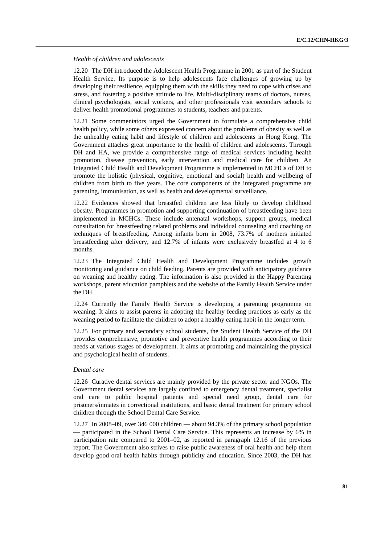### *Health of children and adolescents*

12.20 The DH introduced the Adolescent Health Programme in 2001 as part of the Student Health Service. Its purpose is to help adolescents face challenges of growing up by developing their resilience, equipping them with the skills they need to cope with crises and stress, and fostering a positive attitude to life. Multi-disciplinary teams of doctors, nurses, clinical psychologists, social workers, and other professionals visit secondary schools to deliver health promotional programmes to students, teachers and parents.

12.21 Some commentators urged the Government to formulate a comprehensive child health policy, while some others expressed concern about the problems of obesity as well as the unhealthy eating habit and lifestyle of children and adolescents in Hong Kong. The Government attaches great importance to the health of children and adolescents. Through DH and HA, we provide a comprehensive range of medical services including health promotion, disease prevention, early intervention and medical care for children. An Integrated Child Health and Development Programme is implemented in MCHCs of DH to promote the holistic (physical, cognitive, emotional and social) health and wellbeing of children from birth to five years. The core components of the integrated programme are parenting, immunisation, as well as health and developmental surveillance.

12.22 Evidences showed that breastfed children are less likely to develop childhood obesity. Programmes in promotion and supporting continuation of breastfeeding have been implemented in MCHCs. These include antenatal workshops, support groups, medical consultation for breastfeeding related problems and individual counseling and coaching on techniques of breastfeeding. Among infants born in 2008, 73.7% of mothers initiated breastfeeding after delivery, and 12.7% of infants were exclusively breastfed at 4 to 6 months.

12.23 The Integrated Child Health and Development Programme includes growth monitoring and guidance on child feeding. Parents are provided with anticipatory guidance on weaning and healthy eating. The information is also provided in the Happy Parenting workshops, parent education pamphlets and the website of the Family Health Service under the DH.

12.24 Currently the Family Health Service is developing a parenting programme on weaning. It aims to assist parents in adopting the healthy feeding practices as early as the weaning period to facilitate the children to adopt a healthy eating habit in the longer term.

12.25 For primary and secondary school students, the Student Health Service of the DH provides comprehensive, promotive and preventive health programmes according to their needs at various stages of development. It aims at promoting and maintaining the physical and psychological health of students.

### *Dental care*

12.26 Curative dental services are mainly provided by the private sector and NGOs. The Government dental services are largely confined to emergency dental treatment, specialist oral care to public hospital patients and special need group, dental care for prisoners/inmates in correctional institutions, and basic dental treatment for primary school children through the School Dental Care Service.

12.27 In 2008–09, over 346 000 children — about 94.3% of the primary school population — participated in the School Dental Care Service. This represents an increase by 6% in participation rate compared to 2001–02, as reported in paragraph 12.16 of the previous report. The Government also strives to raise public awareness of oral health and help them develop good oral health habits through publicity and education. Since 2003, the DH has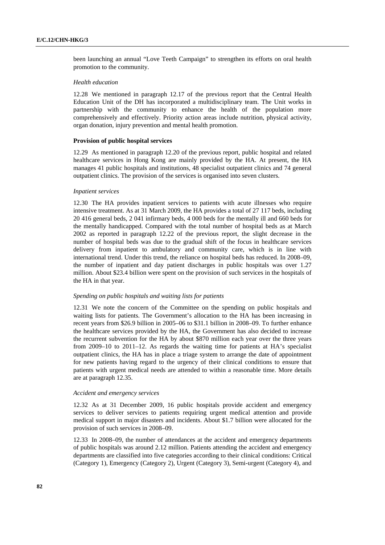been launching an annual "Love Teeth Campaign" to strengthen its efforts on oral health promotion to the community.

## *Health education*

12.28 We mentioned in paragraph 12.17 of the previous report that the Central Health Education Unit of the DH has incorporated a multidisciplinary team. The Unit works in partnership with the community to enhance the health of the population more comprehensively and effectively. Priority action areas include nutrition, physical activity, organ donation, injury prevention and mental health promotion.

### **Provision of public hospital services**

12.29 As mentioned in paragraph 12.20 of the previous report, public hospital and related healthcare services in Hong Kong are mainly provided by the HA. At present, the HA manages 41 public hospitals and institutions, 48 specialist outpatient clinics and 74 general outpatient clinics. The provision of the services is organised into seven clusters.

### *Inpatient services*

12.30 The HA provides inpatient services to patients with acute illnesses who require intensive treatment. As at 31 March 2009, the HA provides a total of 27 117 beds, including 20 416 general beds, 2 041 infirmary beds, 4 000 beds for the mentally ill and 660 beds for the mentally handicapped. Compared with the total number of hospital beds as at March 2002 as reported in paragraph 12.22 of the previous report, the slight decrease in the number of hospital beds was due to the gradual shift of the focus in healthcare services delivery from inpatient to ambulatory and community care, which is in line with international trend. Under this trend, the reliance on hospital beds has reduced. In 2008–09, the number of inpatient and day patient discharges in public hospitals was over 1.27 million. About \$23.4 billion were spent on the provision of such services in the hospitals of the HA in that year.

### *Spending on public hospitals and waiting lists for patients*

12.31 We note the concern of the Committee on the spending on public hospitals and waiting lists for patients. The Government's allocation to the HA has been increasing in recent years from \$26.9 billion in 2005–06 to \$31.1 billion in 2008–09. To further enhance the healthcare services provided by the HA, the Government has also decided to increase the recurrent subvention for the HA by about \$870 million each year over the three years from 2009–10 to 2011–12. As regards the waiting time for patients at HA's specialist outpatient clinics, the HA has in place a triage system to arrange the date of appointment for new patients having regard to the urgency of their clinical conditions to ensure that patients with urgent medical needs are attended to within a reasonable time. More details are at paragraph 12.35.

## *Accident and emergency services*

12.32 As at 31 December 2009, 16 public hospitals provide accident and emergency services to deliver services to patients requiring urgent medical attention and provide medical support in major disasters and incidents. About \$1.7 billion were allocated for the provision of such services in 2008–09.

12.33 In 2008–09, the number of attendances at the accident and emergency departments of public hospitals was around 2.12 million. Patients attending the accident and emergency departments are classified into five categories according to their clinical conditions: Critical (Category 1), Emergency (Category 2), Urgent (Category 3), Semi-urgent (Category 4), and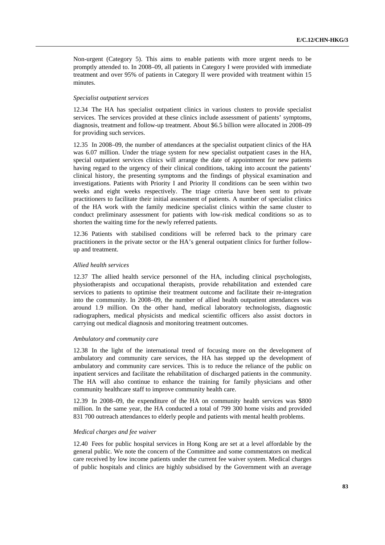Non-urgent (Category 5). This aims to enable patients with more urgent needs to be promptly attended to. In 2008–09, all patients in Category I were provided with immediate treatment and over 95% of patients in Category II were provided with treatment within 15 minutes.

### *Specialist outpatient services*

12.34 The HA has specialist outpatient clinics in various clusters to provide specialist services. The services provided at these clinics include assessment of patients' symptoms, diagnosis, treatment and follow-up treatment. About \$6.5 billion were allocated in 2008–09 for providing such services.

12.35 In 2008–09, the number of attendances at the specialist outpatient clinics of the HA was 6.07 million. Under the triage system for new specialist outpatient cases in the HA, special outpatient services clinics will arrange the date of appointment for new patients having regard to the urgency of their clinical conditions, taking into account the patients' clinical history, the presenting symptoms and the findings of physical examination and investigations. Patients with Priority I and Priority II conditions can be seen within two weeks and eight weeks respectively. The triage criteria have been sent to private practitioners to facilitate their initial assessment of patients. A number of specialist clinics of the HA work with the family medicine specialist clinics within the same cluster to conduct preliminary assessment for patients with low-risk medical conditions so as to shorten the waiting time for the newly referred patients.

12.36 Patients with stabilised conditions will be referred back to the primary care practitioners in the private sector or the HA's general outpatient clinics for further followup and treatment.

#### *Allied health services*

12.37 The allied health service personnel of the HA, including clinical psychologists, physiotherapists and occupational therapists, provide rehabilitation and extended care services to patients to optimise their treatment outcome and facilitate their re-integration into the community. In 2008–09, the number of allied health outpatient attendances was around 1.9 million. On the other hand, medical laboratory technologists, diagnostic radiographers, medical physicists and medical scientific officers also assist doctors in carrying out medical diagnosis and monitoring treatment outcomes.

# *Ambulatory and community care*

12.38 In the light of the international trend of focusing more on the development of ambulatory and community care services, the HA has stepped up the development of ambulatory and community care services. This is to reduce the reliance of the public on inpatient services and facilitate the rehabilitation of discharged patients in the community. The HA will also continue to enhance the training for family physicians and other community healthcare staff to improve community health care.

12.39 In 2008–09, the expenditure of the HA on community health services was \$800 million. In the same year, the HA conducted a total of 799 300 home visits and provided 831 700 outreach attendances to elderly people and patients with mental health problems.

### *Medical charges and fee waiver*

12.40 Fees for public hospital services in Hong Kong are set at a level affordable by the general public. We note the concern of the Committee and some commentators on medical care received by low income patients under the current fee waiver system. Medical charges of public hospitals and clinics are highly subsidised by the Government with an average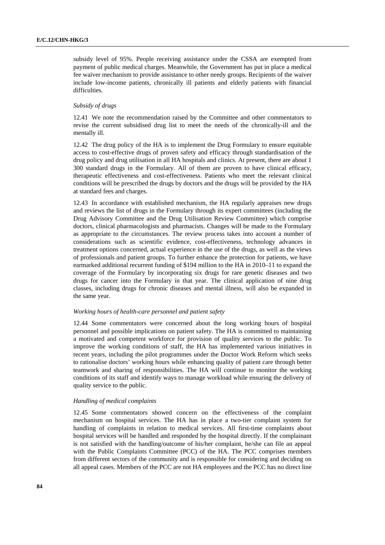subsidy level of 95%. People receiving assistance under the CSSA are exempted from payment of public medical charges. Meanwhile, the Government has put in place a medical fee waiver mechanism to provide assistance to other needy groups. Recipients of the waiver include low-income patients, chronically ill patients and elderly patients with financial difficulties.

## *Subsidy of drugs*

12.41 We note the recommendation raised by the Committee and other commentators to revise the current subsidised drug list to meet the needs of the chronically-ill and the mentally ill.

12.42 The drug policy of the HA is to implement the Drug Formulary to ensure equitable access to cost-effective drugs of proven safety and efficacy through standardisation of the drug policy and drug utilisation in all HA hospitals and clinics. At present, there are about 1 300 standard drugs in the Formulary. All of them are proven to have clinical efficacy, therapeutic effectiveness and cost-effectiveness. Patients who meet the relevant clinical conditions will be prescribed the drugs by doctors and the drugs will be provided by the HA at standard fees and charges.

12.43 In accordance with established mechanism, the HA regularly appraises new drugs and reviews the list of drugs in the Formulary through its expert committees (including the Drug Advisory Committee and the Drug Utilisation Review Committee) which comprise doctors, clinical pharmacologists and pharmacists. Changes will be made to the Formulary as appropriate to the circumstances. The review process takes into account a number of considerations such as scientific evidence, cost-effectiveness, technology advances in treatment options concerned, actual experience in the use of the drugs, as well as the views of professionals and patient groups. To further enhance the protection for patients, we have earmarked additional recurrent funding of \$194 million to the HA in 2010–11 to expand the coverage of the Formulary by incorporating six drugs for rare genetic diseases and two drugs for cancer into the Formulary in that year. The clinical application of nine drug classes, including drugs for chronic diseases and mental illness, will also be expanded in the same year.

#### *Working hours of health-care personnel and patient safety*

12.44 Some commentators were concerned about the long working hours of hospital personnel and possible implications on patient safety. The HA is committed to maintaining a motivated and competent workforce for provision of quality services to the public. To improve the working conditions of staff, the HA has implemented various initiatives in recent years, including the pilot programmes under the Doctor Work Reform which seeks to rationalise doctors' working hours while enhancing quality of patient care through better teamwork and sharing of responsibilities. The HA will continue to monitor the working conditions of its staff and identify ways to manage workload while ensuring the delivery of quality service to the public.

### *Handling of medical complaints*

12.45 Some commentators showed concern on the effectiveness of the complaint mechanism on hospital services. The HA has in place a two-tier complaint system for handling of complaints in relation to medical services. All first-time complaints about hospital services will be handled and responded by the hospital directly. If the complainant is not satisfied with the handling/outcome of his/her complaint, he/she can file an appeal with the Public Complaints Committee (PCC) of the HA. The PCC comprises members from different sectors of the community and is responsible for considering and deciding on all appeal cases. Members of the PCC are not HA employees and the PCC has no direct line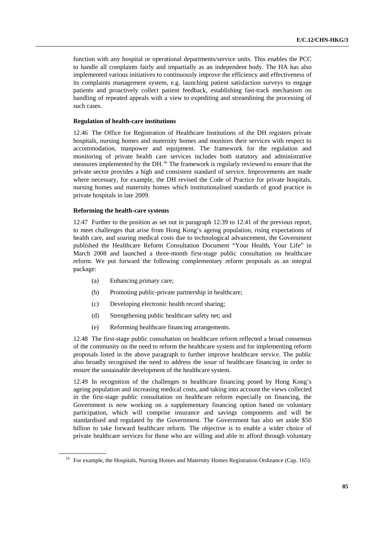function with any hospital or operational departments/service units. This enables the PCC to handle all complaints fairly and impartially as an independent body. The HA has also implemented various initiatives to continuously improve the efficiency and effectiveness of its complaints management system, e.g. launching patient satisfaction surveys to engage patients and proactively collect patient feedback, establishing fast-track mechanism on handling of repeated appeals with a view to expediting and streamlining the processing of such cases.

### **Regulation of health-care institutions**

12.46 The Office for Registration of Healthcare Institutions of the DH registers private hospitals, nursing homes and maternity homes and monitors their services with respect to accommodation, manpower and equipment. The framework for the regulation and monitoring of private health care services includes both statutory and administrative measures implemented by the DH.<sup>[16](#page-84-0)</sup> The framework is regularly reviewed to ensure that the private sector provides a high and consistent standard of service. Improvements are made where necessary, for example, the DH revised the Code of Practice for private hospitals, nursing homes and maternity homes which institutionalised standards of good practice in private hospitals in late 2009.

### **Reforming the health-care systems**

12.47 Further to the position as set out in paragraph 12.39 to 12.41 of the previous report, to meet challenges that arise from Hong Kong's ageing population, rising expectations of health care, and soaring medical costs due to technological advancement, the Government published the Healthcare Reform Consultation Document "Your Health, Your Life" in March 2008 and launched a three-month first-stage public consultation on healthcare reform. We put forward the following complementary reform proposals as an integral package:

- (a) Enhancing primary care;
- (b) Promoting public-private partnership in healthcare;
- (c) Developing electronic health record sharing;
- (d) Strengthening public healthcare safety net; and
- (e) Reforming healthcare financing arrangements.

12.48 The first-stage public consultation on healthcare reform reflected a broad consensus of the community on the need to reform the healthcare system and for implementing reform proposals listed in the above paragraph to further improve healthcare service. The public also broadly recognised the need to address the issue of healthcare financing in order to ensure the sustainable development of the healthcare system.

12.49 In recognition of the challenges to healthcare financing posed by Hong Kong's ageing population and increasing medical costs, and taking into account the views collected in the first-stage public consultation on healthcare reform especially on financing, the Government is now working on a supplementary financing option based on voluntary participation, which will comprise insurance and savings components and will be standardised and regulated by the Government. The Government has also set aside \$50 billion to take forward healthcare reform. The objective is to enable a wider choice of private healthcare services for those who are willing and able to afford through voluntary

<span id="page-84-0"></span><sup>&</sup>lt;sup>16</sup> For example, the Hospitals, Nursing Homes and Maternity Homes Registration Ordinance (Cap. 165).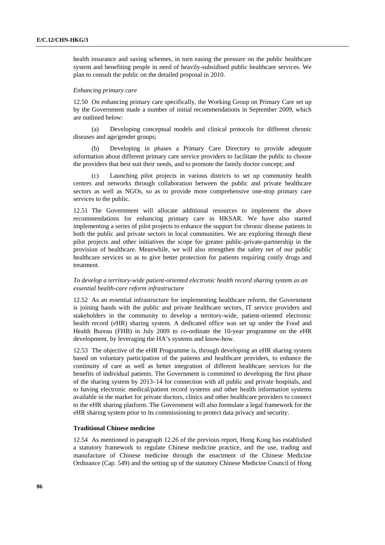health insurance and saving schemes, in turn easing the pressure on the public healthcare system and benefiting people in need of heavily-subsidised public healthcare services. We plan to consult the public on the detailed proposal in 2010.

### *Enhancing primary care*

12.50 On enhancing primary care specifically, the Working Group on Primary Care set up by the Government made a number of initial recommendations in September 2009, which are outlined below:

 (a) Developing conceptual models and clinical protocols for different chronic diseases and age/gender groups;

 (b) Developing in phases a Primary Care Directory to provide adequate information about different primary care service providers to facilitate the public to choose the providers that best suit their needs, and to promote the family doctor concept; and

 (c) Launching pilot projects in various districts to set up community health centres and networks through collaboration between the public and private healthcare sectors as well as NGOs, so as to provide more comprehensive one-stop primary care services to the public.

12.51 The Government will allocate additional resources to implement the above recommendations for enhancing primary care in HKSAR. We have also started implementing a series of pilot projects to enhance the support for chronic disease patients in both the public and private sectors in local communities. We are exploring through these pilot projects and other initiatives the scope for greater public-private-partnership in the provision of healthcare. Meanwhile, we will also strengthen the safety net of our public healthcare services so as to give better protection for patients requiring costly drugs and treatment.

## *To develop a territory-wide patient-oriented electronic health record sharing system as an essential health-care reform infrastructure*

12.52 As an essential infrastructure for implementing healthcare reform, the Government is joining hands with the public and private healthcare sectors, IT service providers and stakeholders in the community to develop a territory-wide, patient-oriented electronic health record (eHR) sharing system. A dedicated office was set up under the Food and Health Bureau (FHB) in July 2009 to co-ordinate the 10-year programme on the eHR development, by leveraging the HA's systems and know-how.

12.53 The objective of the eHR Programme is, through developing an eHR sharing system based on voluntary participation of the patients and healthcare providers, to enhance the continuity of care as well as better integration of different healthcare services for the benefits of individual patients. The Government is committed to developing the first phase of the sharing system by 2013–14 for connection with all public and private hospitals, and to having electronic medical/patient record systems and other health information systems available in the market for private doctors, clinics and other healthcare providers to connect to the eHR sharing platform. The Government will also formulate a legal framework for the eHR sharing system prior to its commissioning to protect data privacy and security.

### **Traditional Chinese medicine**

12.54 As mentioned in paragraph 12.26 of the previous report, Hong Kong has established a statutory framework to regulate Chinese medicine practice, and the use, trading and manufacture of Chinese medicine through the enactment of the Chinese Medicine Ordinance (Cap. 549) and the setting up of the statutory Chinese Medicine Council of Hong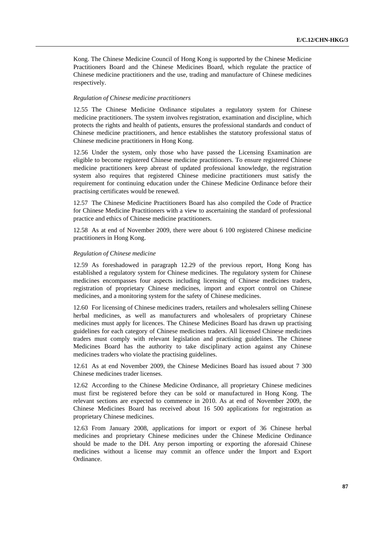Kong. The Chinese Medicine Council of Hong Kong is supported by the Chinese Medicine Practitioners Board and the Chinese Medicines Board, which regulate the practice of Chinese medicine practitioners and the use, trading and manufacture of Chinese medicines respectively.

### *Regulation of Chinese medicine practitioners*

12.55 The Chinese Medicine Ordinance stipulates a regulatory system for Chinese medicine practitioners. The system involves registration, examination and discipline, which protects the rights and health of patients, ensures the professional standards and conduct of Chinese medicine practitioners, and hence establishes the statutory professional status of Chinese medicine practitioners in Hong Kong.

12.56 Under the system, only those who have passed the Licensing Examination are eligible to become registered Chinese medicine practitioners. To ensure registered Chinese medicine practitioners keep abreast of updated professional knowledge, the registration system also requires that registered Chinese medicine practitioners must satisfy the requirement for continuing education under the Chinese Medicine Ordinance before their practising certificates would be renewed.

12.57 The Chinese Medicine Practitioners Board has also compiled the Code of Practice for Chinese Medicine Practitioners with a view to ascertaining the standard of professional practice and ethics of Chinese medicine practitioners.

12.58 As at end of November 2009, there were about 6 100 registered Chinese medicine practitioners in Hong Kong.

## *Regulation of Chinese medicine*

12.59 As foreshadowed in paragraph 12.29 of the previous report, Hong Kong has established a regulatory system for Chinese medicines. The regulatory system for Chinese medicines encompasses four aspects including licensing of Chinese medicines traders, registration of proprietary Chinese medicines, import and export control on Chinese medicines, and a monitoring system for the safety of Chinese medicines.

12.60 For licensing of Chinese medicines traders, retailers and wholesalers selling Chinese herbal medicines, as well as manufacturers and wholesalers of proprietary Chinese medicines must apply for licences. The Chinese Medicines Board has drawn up practising guidelines for each category of Chinese medicines traders. All licensed Chinese medicines traders must comply with relevant legislation and practising guidelines. The Chinese Medicines Board has the authority to take disciplinary action against any Chinese medicines traders who violate the practising guidelines.

12.61 As at end November 2009, the Chinese Medicines Board has issued about 7 300 Chinese medicines trader licenses.

12.62 According to the Chinese Medicine Ordinance, all proprietary Chinese medicines must first be registered before they can be sold or manufactured in Hong Kong. The relevant sections are expected to commence in 2010. As at end of November 2009, the Chinese Medicines Board has received about 16 500 applications for registration as proprietary Chinese medicines.

12.63 From January 2008, applications for import or export of 36 Chinese herbal medicines and proprietary Chinese medicines under the Chinese Medicine Ordinance should be made to the DH. Any person importing or exporting the aforesaid Chinese medicines without a license may commit an offence under the Import and Export Ordinance.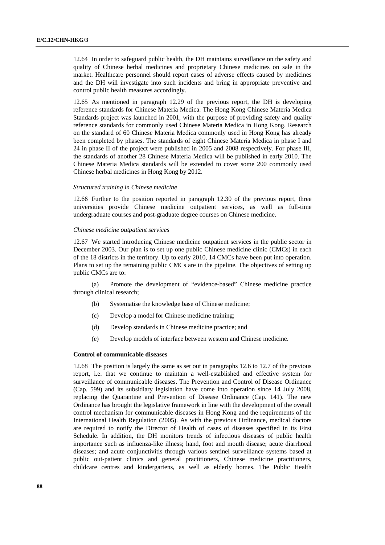12.64 In order to safeguard public health, the DH maintains surveillance on the safety and quality of Chinese herbal medicines and proprietary Chinese medicines on sale in the market. Healthcare personnel should report cases of adverse effects caused by medicines and the DH will investigate into such incidents and bring in appropriate preventive and control public health measures accordingly.

12.65 As mentioned in paragraph 12.29 of the previous report, the DH is developing reference standards for Chinese Materia Medica. The Hong Kong Chinese Materia Medica Standards project was launched in 2001, with the purpose of providing safety and quality reference standards for commonly used Chinese Materia Medica in Hong Kong. Research on the standard of 60 Chinese Materia Medica commonly used in Hong Kong has already been completed by phases. The standards of eight Chinese Materia Medica in phase I and 24 in phase II of the project were published in 2005 and 2008 respectively. For phase III, the standards of another 28 Chinese Materia Medica will be published in early 2010. The Chinese Materia Medica standards will be extended to cover some 200 commonly used Chinese herbal medicines in Hong Kong by 2012.

## *Structured training in Chinese medicine*

12.66 Further to the position reported in paragraph 12.30 of the previous report, three universities provide Chinese medicine outpatient services, as well as full-time undergraduate courses and post-graduate degree courses on Chinese medicine.

#### *Chinese medicine outpatient services*

12.67 We started introducing Chinese medicine outpatient services in the public sector in December 2003. Our plan is to set up one public Chinese medicine clinic (CMCs) in each of the 18 districts in the territory. Up to early 2010, 14 CMCs have been put into operation. Plans to set up the remaining public CMCs are in the pipeline. The objectives of setting up public CMCs are to:

 (a) Promote the development of "evidence-based" Chinese medicine practice through clinical research;

- (b) Systematise the knowledge base of Chinese medicine;
- (c) Develop a model for Chinese medicine training;
- (d) Develop standards in Chinese medicine practice; and
- (e) Develop models of interface between western and Chinese medicine.

### **Control of communicable diseases**

12.68 The position is largely the same as set out in paragraphs 12.6 to 12.7 of the previous report, i.e. that we continue to maintain a well-established and effective system for surveillance of communicable diseases. The Prevention and Control of Disease Ordinance (Cap. 599) and its subsidiary legislation have come into operation since 14 July 2008, replacing the Quarantine and Prevention of Disease Ordinance (Cap. 141). The new Ordinance has brought the legislative framework in line with the development of the overall control mechanism for communicable diseases in Hong Kong and the requirements of the International Health Regulation (2005). As with the previous Ordinance, medical doctors are required to notify the Director of Health of cases of diseases specified in its First Schedule. In addition, the DH monitors trends of infectious diseases of public health importance such as influenza-like illness; hand, foot and mouth disease; acute diarrhoeal diseases; and acute conjunctivitis through various sentinel surveillance systems based at public out-patient clinics and general practitioners, Chinese medicine practitioners, childcare centres and kindergartens, as well as elderly homes. The Public Health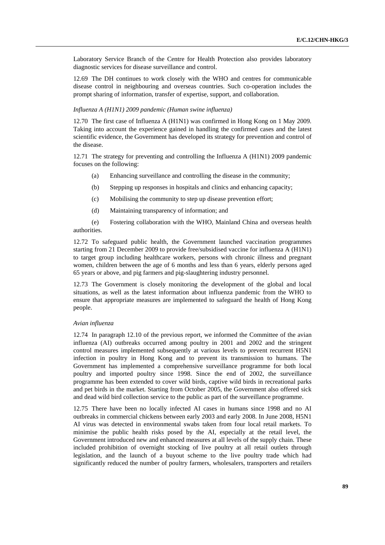Laboratory Service Branch of the Centre for Health Protection also provides laboratory diagnostic services for disease surveillance and control.

12.69 The DH continues to work closely with the WHO and centres for communicable disease control in neighbouring and overseas countries. Such co-operation includes the prompt sharing of information, transfer of expertise, support, and collaboration.

## *Influenza A (H1N1) 2009 pandemic (Human swine influenza)*

12.70 The first case of Influenza A (H1N1) was confirmed in Hong Kong on 1 May 2009. Taking into account the experience gained in handling the confirmed cases and the latest scientific evidence, the Government has developed its strategy for prevention and control of the disease.

12.71 The strategy for preventing and controlling the Influenza A (H1N1) 2009 pandemic focuses on the following:

- (a) Enhancing surveillance and controlling the disease in the community;
- (b) Stepping up responses in hospitals and clinics and enhancing capacity;
- (c) Mobilising the community to step up disease prevention effort;
- (d) Maintaining transparency of information; and

 (e) Fostering collaboration with the WHO, Mainland China and overseas health authorities.

12.72 To safeguard public health, the Government launched vaccination programmes starting from 21 December 2009 to provide free/subsidised vaccine for influenza A (H1N1) to target group including healthcare workers, persons with chronic illness and pregnant women, children between the age of 6 months and less than 6 years, elderly persons aged 65 years or above, and pig farmers and pig-slaughtering industry personnel.

12.73 The Government is closely monitoring the development of the global and local situations, as well as the latest information about influenza pandemic from the WHO to ensure that appropriate measures are implemented to safeguard the health of Hong Kong people.

#### *Avian influenza*

12.74 In paragraph 12.10 of the previous report, we informed the Committee of the avian influenza (AI) outbreaks occurred among poultry in 2001 and 2002 and the stringent control measures implemented subsequently at various levels to prevent recurrent H5N1 infection in poultry in Hong Kong and to prevent its transmission to humans. The Government has implemented a comprehensive surveillance programme for both local poultry and imported poultry since 1998. Since the end of 2002, the surveillance programme has been extended to cover wild birds, captive wild birds in recreational parks and pet birds in the market. Starting from October 2005, the Government also offered sick and dead wild bird collection service to the public as part of the surveillance programme.

12.75 There have been no locally infected AI cases in humans since 1998 and no AI outbreaks in commercial chickens between early 2003 and early 2008. In June 2008, H5N1 AI virus was detected in environmental swabs taken from four local retail markets. To minimise the public health risks posed by the AI, especially at the retail level, the Government introduced new and enhanced measures at all levels of the supply chain. These included prohibition of overnight stocking of live poultry at all retail outlets through legislation, and the launch of a buyout scheme to the live poultry trade which had significantly reduced the number of poultry farmers, wholesalers, transporters and retailers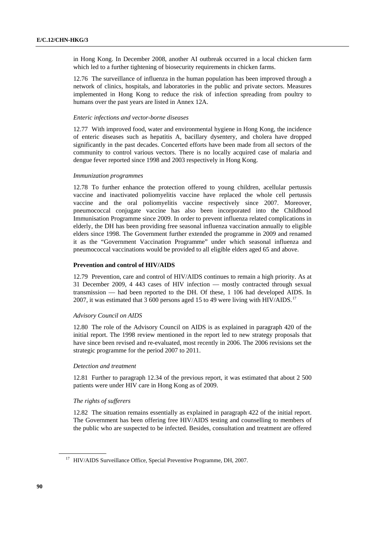in Hong Kong. In December 2008, another AI outbreak occurred in a local chicken farm which led to a further tightening of biosecurity requirements in chicken farms.

12.76 The surveillance of influenza in the human population has been improved through a network of clinics, hospitals, and laboratories in the public and private sectors. Measures implemented in Hong Kong to reduce the risk of infection spreading from poultry to humans over the past years are listed in Annex 12A.

### *Enteric infections and vector-borne diseases*

12.77 With improved food, water and environmental hygiene in Hong Kong, the incidence of enteric diseases such as hepatitis A, bacillary dysentery, and cholera have dropped significantly in the past decades. Concerted efforts have been made from all sectors of the community to control various vectors. There is no locally acquired case of malaria and dengue fever reported since 1998 and 2003 respectively in Hong Kong.

### *Immunization programmes*

12.78 To further enhance the protection offered to young children, acellular pertussis vaccine and inactivated poliomyelitis vaccine have replaced the whole cell pertussis vaccine and the oral poliomyelitis vaccine respectively since 2007. Moreover, pneumococcal conjugate vaccine has also been incorporated into the Childhood Immunisation Programme since 2009. In order to prevent influenza related complications in elderly, the DH has been providing free seasonal influenza vaccination annually to eligible elders since 1998. The Government further extended the programme in 2009 and renamed it as the "Government Vaccination Programme" under which seasonal influenza and pneumococcal vaccinations would be provided to all eligible elders aged 65 and above.

### **Prevention and control of HIV/AIDS**

12.79 Prevention, care and control of HIV/AIDS continues to remain a high priority. As at 31 December 2009, 4 443 cases of HIV infection — mostly contracted through sexual transmission — had been reported to the DH. Of these, 1 106 had developed AIDS. In 2007, it was estimated that 3 600 persons aged 15 to 49 were living with HIV/AIDS.<sup>[17](#page-89-0)</sup>

### *Advisory Council on AIDS*

12.80 The role of the Advisory Council on AIDS is as explained in paragraph 420 of the initial report. The 1998 review mentioned in the report led to new strategy proposals that have since been revised and re-evaluated, most recently in 2006. The 2006 revisions set the strategic programme for the period 2007 to 2011.

## *Detection and treatment*

12.81 Further to paragraph 12.34 of the previous report, it was estimated that about 2 500 patients were under HIV care in Hong Kong as of 2009.

### *The rights of sufferers*

12.82 The situation remains essentially as explained in paragraph 422 of the initial report. The Government has been offering free HIV/AIDS testing and counselling to members of the public who are suspected to be infected. Besides, consultation and treatment are offered

<span id="page-89-0"></span><sup>&</sup>lt;sup>17</sup> HIV/AIDS Surveillance Office, Special Preventive Programme, DH, 2007.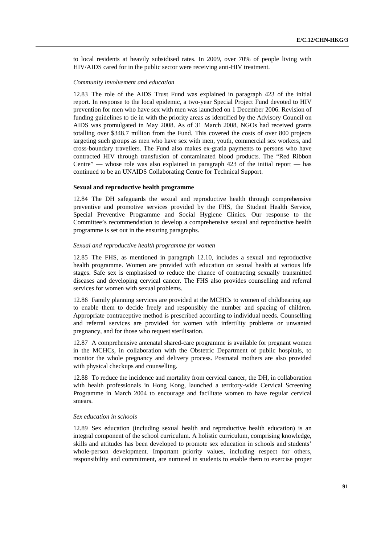to local residents at heavily subsidised rates. In 2009, over 70% of people living with HIV/AIDS cared for in the public sector were receiving anti-HIV treatment.

### *Community involvement and education*

12.83 The role of the AIDS Trust Fund was explained in paragraph 423 of the initial report. In response to the local epidemic, a two-year Special Project Fund devoted to HIV prevention for men who have sex with men was launched on 1 December 2006. Revision of funding guidelines to tie in with the priority areas as identified by the Advisory Council on AIDS was promulgated in May 2008. As of 31 March 2008, NGOs had received grants totalling over \$348.7 million from the Fund. This covered the costs of over 800 projects targeting such groups as men who have sex with men, youth, commercial sex workers, and cross-boundary travellers. The Fund also makes ex-gratia payments to persons who have contracted HIV through transfusion of contaminated blood products. The "Red Ribbon Centre" — whose role was also explained in paragraph 423 of the initial report — has continued to be an UNAIDS Collaborating Centre for Technical Support.

## **Sexual and reproductive health programme**

12.84 The DH safeguards the sexual and reproductive health through comprehensive preventive and promotive services provided by the FHS, the Student Health Service, Special Preventive Programme and Social Hygiene Clinics. Our response to the Committee's recommendation to develop a comprehensive sexual and reproductive health programme is set out in the ensuring paragraphs.

## *Sexual and reproductive health programme for women*

12.85 The FHS, as mentioned in paragraph 12.10, includes a sexual and reproductive health programme. Women are provided with education on sexual health at various life stages. Safe sex is emphasised to reduce the chance of contracting sexually transmitted diseases and developing cervical cancer. The FHS also provides counselling and referral services for women with sexual problems.

12.86 Family planning services are provided at the MCHCs to women of childbearing age to enable them to decide freely and responsibly the number and spacing of children. Appropriate contraceptive method is prescribed according to individual needs. Counselling and referral services are provided for women with infertility problems or unwanted pregnancy, and for those who request sterilisation.

12.87 A comprehensive antenatal shared-care programme is available for pregnant women in the MCHCs, in collaboration with the Obstetric Department of public hospitals, to monitor the whole pregnancy and delivery process. Postnatal mothers are also provided with physical checkups and counselling.

12.88 To reduce the incidence and mortality from cervical cancer, the DH, in collaboration with health professionals in Hong Kong, launched a territory-wide Cervical Screening Programme in March 2004 to encourage and facilitate women to have regular cervical smears.

#### *Sex education in schools*

12.89 Sex education (including sexual health and reproductive health education) is an integral component of the school curriculum. A holistic curriculum, comprising knowledge, skills and attitudes has been developed to promote sex education in schools and students' whole-person development. Important priority values, including respect for others, responsibility and commitment, are nurtured in students to enable them to exercise proper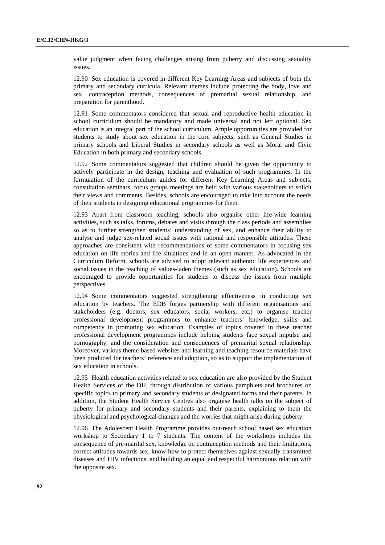value judgment when facing challenges arising from puberty and discussing sexuality issues.

12.90 Sex education is covered in different Key Learning Areas and subjects of both the primary and secondary curricula. Relevant themes include protecting the body, love and sex, contraception methods, consequences of premarital sexual relationship, and preparation for parenthood.

12.91 Some commentators considered that sexual and reproductive health education in school curriculum should be mandatory and made universal and not left optional. Sex education is an integral part of the school curriculum. Ample opportunities are provided for students to study about sex education in the core subjects, such as General Studies in primary schools and Liberal Studies in secondary schools as well as Moral and Civic Education in both primary and secondary schools.

12.92 Some commentators suggested that children should be given the opportunity to actively participate in the design, teaching and evaluation of such programmes. In the formulation of the curriculum guides for different Key Learning Areas and subjects, consultation seminars, focus groups meetings are held with various stakeholders to solicit their views and comments. Besides, schools are encouraged to take into account the needs of their students in designing educational programmes for them.

12.93 Apart from classroom teaching, schools also organise other life-wide learning activities, such as talks, forums, debates and visits through the class periods and assemblies so as to further strengthen students' understanding of sex, and enhance their ability to analyse and judge sex-related social issues with rational and responsible attitudes. These approaches are consistent with recommendations of some commentators in focusing sex education on life stories and life situations and in an open manner. As advocated in the Curriculum Reform, schools are advised to adopt relevant authentic life experiences and social issues in the teaching of values-laden themes (such as sex education). Schools are encouraged to provide opportunities for students to discuss the issues from multiple perspectives.

12.94 Some commentators suggested strengthening effectiveness in conducting sex education by teachers. The EDB forges partnership with different organisations and stakeholders (e.g. doctors, sex educators, social workers, etc.) to organise teacher professional development programmes to enhance teachers' knowledge, skills and competency in promoting sex education. Examples of topics covered in these teacher professional development programmes include helping students face sexual impulse and pornography, and the consideration and consequences of premarital sexual relationship. Moreover, various theme-based websites and learning and teaching resource materials have been produced for teachers' reference and adoption, so as to support the implementation of sex education in schools.

12.95 Health education activities related to sex education are also provided by the Student Health Services of the DH, through distribution of various pamphlets and brochures on specific topics to primary and secondary students of designated forms and their parents. In addition, the Student Health Service Centres also organise health talks on the subject of puberty for primary and secondary students and their parents, explaining to them the physiological and psychological changes and the worries that might arise during puberty.

12.96 The Adolescent Health Programme provides out-reach school based sex education workshop to Secondary 1 to 7 students. The content of the workshops includes the consequence of pre-marital sex, knowledge on contraception methods and their limitations, correct attitudes towards sex, know-how to protect themselves against sexually transmitted diseases and HIV infections, and building an equal and respectful harmonious relation with the opposite sex.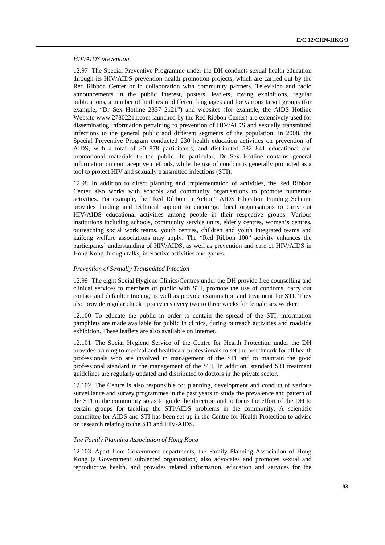### *HIV/AIDS prevention*

12.97 The Special Preventive Programme under the DH conducts sexual health education through its HIV/AIDS prevention health promotion projects, which are carried out by the Red Ribbon Center or in collaboration with community partners. Television and radio announcements in the public interest, posters, leaflets, roving exhibitions, regular publications, a number of hotlines in different languages and for various target groups (for example, "Dr Sex Hotline 2337 2121") and websites (for example, the AIDS Hotline Website www.27802211.com launched by the Red Ribbon Center) are extensively used for disseminating information pertaining to prevention of HIV/AIDS and sexually transmitted infections to the general public and different segments of the population. In 2008, the Special Preventive Program conducted 230 health education activities on prevention of AIDS, with a total of 80 878 participants, and distributed 582 841 educational and promotional materials to the public. In particular, Dr Sex Hotline contains general information on contraceptive methods, while the use of condom is generally promoted as a tool to protect HIV and sexually transmitted infections (STI).

12.98 In addition to direct planning and implementation of activities, the Red Ribbon Center also works with schools and community organisations to promote numerous activities. For example, the "Red Ribbon in Action" AIDS Education Funding Scheme provides funding and technical support to encourage local organisations to carry out HIV/AIDS educational activities among people in their respective groups. Various institutions including schools, community service units, elderly centres, women's centres, outreaching social work teams, youth centres, children and youth integrated teams and kaifong welfare associations may apply. The "Red Ribbon 100" activity enhances the participants' understanding of HIV/AIDS, as well as prevention and care of HIV/AIDS in Hong Kong through talks, interactive activities and games.

### *Prevention of Sexually Transmitted Infection*

12.99 The eight Social Hygiene Clinics/Centres under the DH provide free counselling and clinical services to members of public with STI, promote the use of condoms, carry out contact and defaulter tracing, as well as provide examination and treatment for STI. They also provide regular check up services every two to three weeks for female sex worker.

12.100 To educate the public in order to contain the spread of the STI, information pamphlets are made available for public in clinics, during outreach activities and roadside exhibition. These leaflets are also available on Internet.

12.101 The Social Hygiene Service of the Centre for Health Protection under the DH provides training to medical and healthcare professionals to set the benchmark for all health professionals who are involved in management of the STI and to maintain the good professional standard in the management of the STI. In addition, standard STI treatment guidelines are regularly updated and distributed to doctors in the private sector.

12.102 The Centre is also responsible for planning, development and conduct of various surveillance and survey programmes in the past years to study the prevalence and pattern of the STI in the community so as to guide the direction and to focus the effort of the DH to certain groups for tackling the STI/AIDS problems in the community. A scientific committee for AIDS and STI has been set up in the Centre for Health Protection to advise on research relating to the STI and HIV/AIDS.

## *The Family Planning Association of Hong Kong*

12.103 Apart from Government departments, the Family Planning Association of Hong Kong (a Government subvented organisation) also advocates and promotes sexual and reproductive health, and provides related information, education and services for the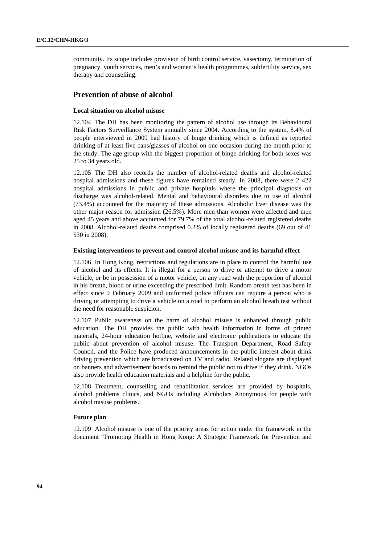community. Its scope includes provision of birth control service, vasectomy, termination of pregnancy, youth services, men's and women's health programmes, subfertility service, sex therapy and counselling.

## **Prevention of abuse of alcohol**

### **Local situation on alcohol misuse**

12.104 The DH has been monitoring the pattern of alcohol use through its Behavioural Risk Factors Surveillance System annually since 2004. According to the system, 8.4% of people interviewed in 2009 had history of binge drinking which is defined as reported drinking of at least five cans/glasses of alcohol on one occasion during the month prior to the study. The age group with the biggest proportion of binge drinking for both sexes was 25 to 34 years old.

12.105 The DH also records the number of alcohol-related deaths and alcohol-related hospital admissions and these figures have remained steady. In 2008, there were 2 422 hospital admissions in public and private hospitals where the principal diagnosis on discharge was alcohol-related. Mental and behavioural disorders due to use of alcohol (73.4%) accounted for the majority of these admissions. Alcoholic liver disease was the other major reason for admission (26.5%). More men than women were affected and men aged 45 years and above accounted for 79.7% of the total alcohol-related registered deaths in 2008. Alcohol-related deaths comprised 0.2% of locally registered deaths (69 out of 41 530 in 2008).

#### **Existing interventions to prevent and control alcohol misuse and its harmful effect**

12.106 In Hong Kong, restrictions and regulations are in place to control the harmful use of alcohol and its effects. It is illegal for a person to drive or attempt to drive a motor vehicle, or be in possession of a motor vehicle, on any road with the proportion of alcohol in his breath, blood or urine exceeding the prescribed limit. Random breath test has been in effect since 9 February 2009 and uniformed police officers can require a person who is driving or attempting to drive a vehicle on a road to perform an alcohol breath test without the need for reasonable suspicion.

12.107 Public awareness on the harm of alcohol misuse is enhanced through public education. The DH provides the public with health information in forms of printed materials, 24-hour education hotline, website and electronic publications to educate the public about prevention of alcohol misuse. The Transport Department, Road Safety Council, and the Police have produced announcements in the public interest about drink driving prevention which are broadcasted on TV and radio. Related slogans are displayed on banners and advertisement boards to remind the public not to drive if they drink. NGOs also provide health education materials and a helpline for the public.

12.108 Treatment, counselling and rehabilitation services are provided by hospitals, alcohol problems clinics, and NGOs including Alcoholics Anonymous for people with alcohol misuse problems.

### **Future plan**

12.109 Alcohol misuse is one of the priority areas for action under the framework in the document "Promoting Health in Hong Kong: A Strategic Framework for Prevention and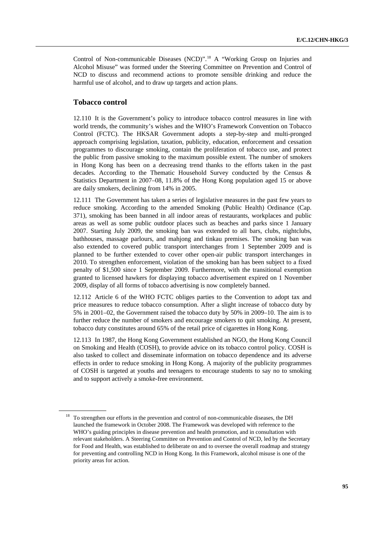Control of Non-communicable Diseases (NCD)".<sup>[18](#page-94-0)</sup> A "Working Group on Injuries and Alcohol Misuse" was formed under the Steering Committee on Prevention and Control of NCD to discuss and recommend actions to promote sensible drinking and reduce the harmful use of alcohol, and to draw up targets and action plans.

# **Tobacco control**

12.110 It is the Government's policy to introduce tobacco control measures in line with world trends, the community's wishes and the WHO's Framework Convention on Tobacco Control (FCTC). The HKSAR Government adopts a step-by-step and multi-pronged approach comprising legislation, taxation, publicity, education, enforcement and cessation programmes to discourage smoking, contain the proliferation of tobacco use, and protect the public from passive smoking to the maximum possible extent. The number of smokers in Hong Kong has been on a decreasing trend thanks to the efforts taken in the past decades. According to the Thematic Household Survey conducted by the Census & Statistics Department in 2007–08, 11.8% of the Hong Kong population aged 15 or above are daily smokers, declining from 14% in 2005.

12.111 The Government has taken a series of legislative measures in the past few years to reduce smoking. According to the amended Smoking (Public Health) Ordinance (Cap. 371), smoking has been banned in all indoor areas of restaurants, workplaces and public areas as well as some public outdoor places such as beaches and parks since 1 January 2007. Starting July 2009, the smoking ban was extended to all bars, clubs, nightclubs, bathhouses, massage parlours, and mahjong and tinkau premises. The smoking ban was also extended to covered public transport interchanges from 1 September 2009 and is planned to be further extended to cover other open-air public transport interchanges in 2010. To strengthen enforcement, violation of the smoking ban has been subject to a fixed penalty of \$1,500 since 1 September 2009. Furthermore, with the transitional exemption granted to licensed hawkers for displaying tobacco advertisement expired on 1 November 2009, display of all forms of tobacco advertising is now completely banned.

12.112 Article 6 of the WHO FCTC obliges parties to the Convention to adopt tax and price measures to reduce tobacco consumption. After a slight increase of tobacco duty by 5% in 2001–02, the Government raised the tobacco duty by 50% in 2009–10. The aim is to further reduce the number of smokers and encourage smokers to quit smoking. At present, tobacco duty constitutes around 65% of the retail price of cigarettes in Hong Kong.

12.113 In 1987, the Hong Kong Government established an NGO, the Hong Kong Council on Smoking and Health (COSH), to provide advice on its tobacco control policy. COSH is also tasked to collect and disseminate information on tobacco dependence and its adverse effects in order to reduce smoking in Hong Kong. A majority of the publicity programmes of COSH is targeted at youths and teenagers to encourage students to say no to smoking and to support actively a smoke-free environment.

<span id="page-94-0"></span><sup>&</sup>lt;sup>18</sup> To strengthen our efforts in the prevention and control of non-communicable diseases, the DH launched the framework in October 2008. The Framework was developed with reference to the WHO's guiding principles in disease prevention and health promotion, and in consultation with relevant stakeholders. A Steering Committee on Prevention and Control of NCD, led by the Secretary for Food and Health, was established to deliberate on and to oversee the overall roadmap and strategy for preventing and controlling NCD in Hong Kong. In this Framework, alcohol misuse is one of the priority areas for action.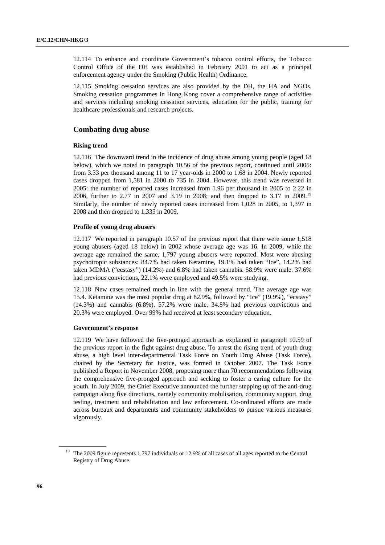12.114 To enhance and coordinate Government's tobacco control efforts, the Tobacco Control Office of the DH was established in February 2001 to act as a principal enforcement agency under the Smoking (Public Health) Ordinance.

12.115 Smoking cessation services are also provided by the DH, the HA and NGOs. Smoking cessation programmes in Hong Kong cover a comprehensive range of activities and services including smoking cessation services, education for the public, training for healthcare professionals and research projects.

## **Combating drug abuse**

## **Rising trend**

12.116 The downward trend in the incidence of drug abuse among young people (aged 18 below), which we noted in paragraph 10.56 of the previous report, continued until 2005: from 3.33 per thousand among 11 to 17 year-olds in 2000 to 1.68 in 2004. Newly reported cases dropped from 1,581 in 2000 to 735 in 2004. However, this trend was reversed in 2005: the number of reported cases increased from 1.96 per thousand in 2005 to 2.22 in 2006, further to 2.77 in 2007 and 3.19 in 2008; and then dropped to 3.17 in 2009.[19](#page-95-0) Similarly, the number of newly reported cases increased from 1,028 in 2005, to 1,397 in 2008 and then dropped to 1,335 in 2009.

## **Profile of young drug abusers**

12.117 We reported in paragraph 10.57 of the previous report that there were some 1,518 young abusers (aged 18 below) in 2002 whose average age was 16. In 2009, while the average age remained the same, 1,797 young abusers were reported. Most were abusing psychotropic substances: 84.7% had taken Ketamine, 19.1% had taken "Ice", 14.2% had taken MDMA ("ecstasy") (14.2%) and 6.8% had taken cannabis. 58.9% were male. 37.6% had previous convictions, 22.1% were employed and 49.5% were studying.

12.118 New cases remained much in line with the general trend. The average age was 15.4. Ketamine was the most popular drug at 82.9%, followed by "Ice" (19.9%), "ecstasy" (14.3%) and cannabis (6.8%). 57.2% were male. 34.8% had previous convictions and 20.3% were employed. Over 99% had received at least secondary education.

### **Government's response**

12.119 We have followed the five-pronged approach as explained in paragraph 10.59 of the previous report in the fight against drug abuse. To arrest the rising trend of youth drug abuse, a high level inter-departmental Task Force on Youth Drug Abuse (Task Force), chaired by the Secretary for Justice, was formed in October 2007. The Task Force published a Report in November 2008, proposing more than 70 recommendations following the comprehensive five-pronged approach and seeking to foster a caring culture for the youth. In July 2009, the Chief Executive announced the further stepping up of the anti-drug campaign along five directions, namely community mobilisation, community support, drug testing, treatment and rehabilitation and law enforcement. Co-ordinated efforts are made across bureaux and departments and community stakeholders to pursue various measures vigorously.

<span id="page-95-0"></span><sup>&</sup>lt;sup>19</sup> The 2009 figure represents 1,797 individuals or 12.9% of all cases of all ages reported to the Central Registry of Drug Abuse.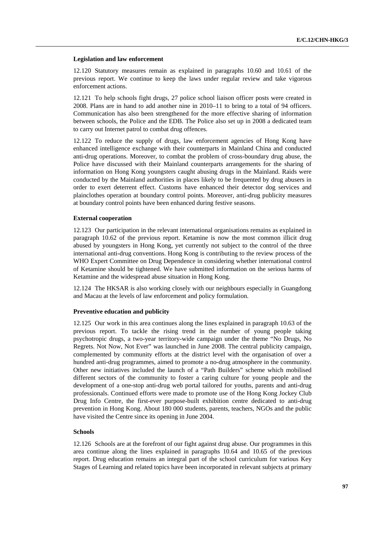### **Legislation and law enforcement**

12.120 Statutory measures remain as explained in paragraphs 10.60 and 10.61 of the previous report. We continue to keep the laws under regular review and take vigorous enforcement actions.

12.121 To help schools fight drugs, 27 police school liaison officer posts were created in 2008. Plans are in hand to add another nine in 2010–11 to bring to a total of 94 officers. Communication has also been strengthened for the more effective sharing of information between schools, the Police and the EDB. The Police also set up in 2008 a dedicated team to carry out Internet patrol to combat drug offences.

12.122 To reduce the supply of drugs, law enforcement agencies of Hong Kong have enhanced intelligence exchange with their counterparts in Mainland China and conducted anti-drug operations. Moreover, to combat the problem of cross-boundary drug abuse, the Police have discussed with their Mainland counterparts arrangements for the sharing of information on Hong Kong youngsters caught abusing drugs in the Mainland. Raids were conducted by the Mainland authorities in places likely to be frequented by drug abusers in order to exert deterrent effect. Customs have enhanced their detector dog services and plainclothes operation at boundary control points. Moreover, anti-drug publicity measures at boundary control points have been enhanced during festive seasons.

### **External cooperation**

12.123 Our participation in the relevant international organisations remains as explained in paragraph 10.62 of the previous report. Ketamine is now the most common illicit drug abused by youngsters in Hong Kong, yet currently not subject to the control of the three international anti-drug conventions. Hong Kong is contributing to the review process of the WHO Expert Committee on Drug Dependence in considering whether international control of Ketamine should be tightened. We have submitted information on the serious harms of Ketamine and the widespread abuse situation in Hong Kong.

12.124 The HKSAR is also working closely with our neighbours especially in Guangdong and Macau at the levels of law enforcement and policy formulation.

### **Preventive education and publicity**

12.125 Our work in this area continues along the lines explained in paragraph 10.63 of the previous report. To tackle the rising trend in the number of young people taking psychotropic drugs, a two-year territory-wide campaign under the theme "No Drugs, No Regrets. Not Now, Not Ever" was launched in June 2008. The central publicity campaign, complemented by community efforts at the district level with the organisation of over a hundred anti-drug programmes, aimed to promote a no-drug atmosphere in the community. Other new initiatives included the launch of a "Path Builders" scheme which mobilised different sectors of the community to foster a caring culture for young people and the development of a one-stop anti-drug web portal tailored for youths, parents and anti-drug professionals. Continued efforts were made to promote use of the Hong Kong Jockey Club Drug Info Centre, the first-ever purpose-built exhibition centre dedicated to anti-drug prevention in Hong Kong. About 180 000 students, parents, teachers, NGOs and the public have visited the Centre since its opening in June 2004.

### **Schools**

12.126 Schools are at the forefront of our fight against drug abuse. Our programmes in this area continue along the lines explained in paragraphs 10.64 and 10.65 of the previous report. Drug education remains an integral part of the school curriculum for various Key Stages of Learning and related topics have been incorporated in relevant subjects at primary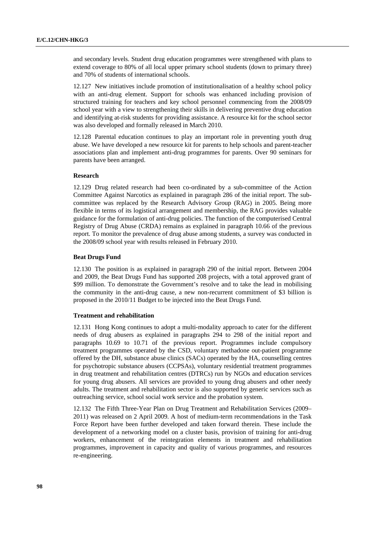and secondary levels. Student drug education programmes were strengthened with plans to extend coverage to 80% of all local upper primary school students (down to primary three) and 70% of students of international schools.

12.127 New initiatives include promotion of institutionalisation of a healthy school policy with an anti-drug element. Support for schools was enhanced including provision of structured training for teachers and key school personnel commencing from the 2008/09 school year with a view to strengthening their skills in delivering preventive drug education and identifying at-risk students for providing assistance. A resource kit for the school sector was also developed and formally released in March 2010.

12.128 Parental education continues to play an important role in preventing youth drug abuse. We have developed a new resource kit for parents to help schools and parent-teacher associations plan and implement anti-drug programmes for parents. Over 90 seminars for parents have been arranged.

### **Research**

12.129 Drug related research had been co-ordinated by a sub-committee of the Action Committee Against Narcotics as explained in paragraph 286 of the initial report. The subcommittee was replaced by the Research Advisory Group (RAG) in 2005. Being more flexible in terms of its logistical arrangement and membership, the RAG provides valuable guidance for the formulation of anti-drug policies. The function of the computerised Central Registry of Drug Abuse (CRDA) remains as explained in paragraph 10.66 of the previous report. To monitor the prevalence of drug abuse among students, a survey was conducted in the 2008/09 school year with results released in February 2010.

#### **Beat Drugs Fund**

12.130 The position is as explained in paragraph 290 of the initial report. Between 2004 and 2009, the Beat Drugs Fund has supported 208 projects, with a total approved grant of \$99 million. To demonstrate the Government's resolve and to take the lead in mobilising the community in the anti-drug cause, a new non-recurrent commitment of \$3 billion is proposed in the 2010/11 Budget to be injected into the Beat Drugs Fund.

#### **Treatment and rehabilitation**

12.131 Hong Kong continues to adopt a multi-modality approach to cater for the different needs of drug abusers as explained in paragraphs 294 to 298 of the initial report and paragraphs 10.69 to 10.71 of the previous report. Programmes include compulsory treatment programmes operated by the CSD, voluntary methadone out-patient programme offered by the DH, substance abuse clinics (SACs) operated by the HA, counselling centres for psychotropic substance abusers (CCPSAs), voluntary residential treatment programmes in drug treatment and rehabilitation centres (DTRCs) run by NGOs and education services for young drug abusers. All services are provided to young drug abusers and other needy adults. The treatment and rehabilitation sector is also supported by generic services such as outreaching service, school social work service and the probation system.

12.132 The Fifth Three-Year Plan on Drug Treatment and Rehabilitation Services (2009– 2011) was released on 2 April 2009. A host of medium-term recommendations in the Task Force Report have been further developed and taken forward therein. These include the development of a networking model on a cluster basis, provision of training for anti-drug workers, enhancement of the reintegration elements in treatment and rehabilitation programmes, improvement in capacity and quality of various programmes, and resources re-engineering.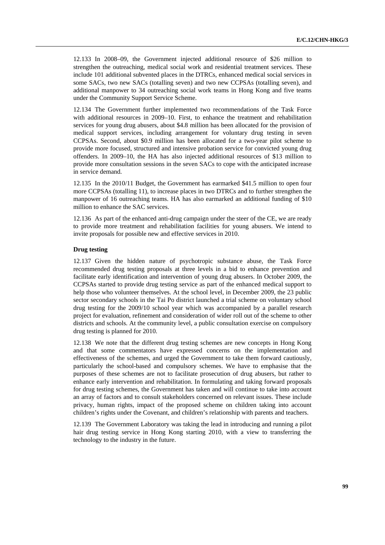12.133 In 2008–09, the Government injected additional resource of \$26 million to strengthen the outreaching, medical social work and residential treatment services. These include 101 additional subvented places in the DTRCs, enhanced medical social services in some SACs, two new SACs (totalling seven) and two new CCPSAs (totalling seven), and additional manpower to 34 outreaching social work teams in Hong Kong and five teams under the Community Support Service Scheme.

12.134 The Government further implemented two recommendations of the Task Force with additional resources in 2009–10. First, to enhance the treatment and rehabilitation services for young drug abusers, about \$4.8 million has been allocated for the provision of medical support services, including arrangement for voluntary drug testing in seven CCPSAs. Second, about \$0.9 million has been allocated for a two-year pilot scheme to provide more focused, structured and intensive probation service for convicted young drug offenders. In 2009–10, the HA has also injected additional resources of \$13 million to provide more consultation sessions in the seven SACs to cope with the anticipated increase in service demand.

12.135 In the 2010/11 Budget, the Government has earmarked \$41.5 million to open four more CCPSAs (totalling 11), to increase places in two DTRCs and to further strengthen the manpower of 16 outreaching teams. HA has also earmarked an additional funding of \$10 million to enhance the SAC services.

12.136 As part of the enhanced anti-drug campaign under the steer of the CE, we are ready to provide more treatment and rehabilitation facilities for young abusers. We intend to invite proposals for possible new and effective services in 2010.

### **Drug testing**

12.137 Given the hidden nature of psychotropic substance abuse, the Task Force recommended drug testing proposals at three levels in a bid to enhance prevention and facilitate early identification and intervention of young drug abusers. In October 2009, the CCPSAs started to provide drug testing service as part of the enhanced medical support to help those who volunteer themselves. At the school level, in December 2009, the 23 public sector secondary schools in the Tai Po district launched a trial scheme on voluntary school drug testing for the 2009/10 school year which was accompanied by a parallel research project for evaluation, refinement and consideration of wider roll out of the scheme to other districts and schools. At the community level, a public consultation exercise on compulsory drug testing is planned for 2010.

12.138 We note that the different drug testing schemes are new concepts in Hong Kong and that some commentators have expressed concerns on the implementation and effectiveness of the schemes, and urged the Government to take them forward cautiously, particularly the school-based and compulsory schemes. We have to emphasise that the purposes of these schemes are not to facilitate prosecution of drug abusers, but rather to enhance early intervention and rehabilitation. In formulating and taking forward proposals for drug testing schemes, the Government has taken and will continue to take into account an array of factors and to consult stakeholders concerned on relevant issues. These include privacy, human rights, impact of the proposed scheme on children taking into account children's rights under the Covenant, and children's relationship with parents and teachers.

12.139 The Government Laboratory was taking the lead in introducing and running a pilot hair drug testing service in Hong Kong starting 2010, with a view to transferring the technology to the industry in the future.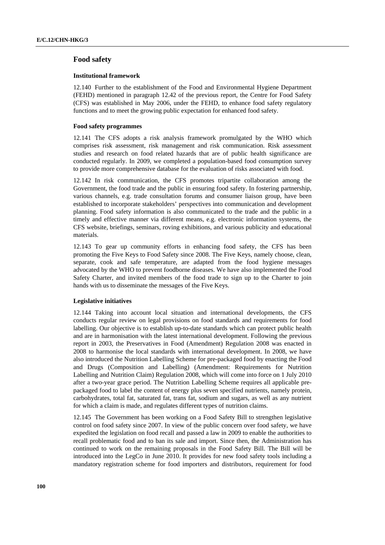## **Food safety**

### **Institutional framework**

12.140 Further to the establishment of the Food and Environmental Hygiene Department (FEHD) mentioned in paragraph 12.42 of the previous report, the Centre for Food Safety (CFS) was established in May 2006, under the FEHD, to enhance food safety regulatory functions and to meet the growing public expectation for enhanced food safety.

### **Food safety programmes**

12.141 The CFS adopts a risk analysis framework promulgated by the WHO which comprises risk assessment, risk management and risk communication. Risk assessment studies and research on food related hazards that are of public health significance are conducted regularly. In 2009, we completed a population-based food consumption survey to provide more comprehensive database for the evaluation of risks associated with food.

12.142 In risk communication, the CFS promotes tripartite collaboration among the Government, the food trade and the public in ensuring food safety. In fostering partnership, various channels, e.g. trade consultation forums and consumer liaison group, have been established to incorporate stakeholders' perspectives into communication and development planning. Food safety information is also communicated to the trade and the public in a timely and effective manner via different means, e.g. electronic information systems, the CFS website, briefings, seminars, roving exhibitions, and various publicity and educational materials.

12.143 To gear up community efforts in enhancing food safety, the CFS has been promoting the Five Keys to Food Safety since 2008. The Five Keys, namely choose, clean, separate, cook and safe temperature, are adapted from the food hygiene messages advocated by the WHO to prevent foodborne diseases. We have also implemented the Food Safety Charter, and invited members of the food trade to sign up to the Charter to join hands with us to disseminate the messages of the Five Keys.

### **Legislative initiatives**

12.144 Taking into account local situation and international developments, the CFS conducts regular review on legal provisions on food standards and requirements for food labelling. Our objective is to establish up-to-date standards which can protect public health and are in harmonisation with the latest international development. Following the previous report in 2003, the Preservatives in Food (Amendment) Regulation 2008 was enacted in 2008 to harmonise the local standards with international development. In 2008, we have also introduced the Nutrition Labelling Scheme for pre-packaged food by enacting the Food and Drugs (Composition and Labelling) (Amendment: Requirements for Nutrition Labelling and Nutrition Claim) Regulation 2008, which will come into force on 1 July 2010 after a two-year grace period. The Nutrition Labelling Scheme requires all applicable prepackaged food to label the content of energy plus seven specified nutrients, namely protein, carbohydrates, total fat, saturated fat, trans fat, sodium and sugars, as well as any nutrient for which a claim is made, and regulates different types of nutrition claims.

12.145 The Government has been working on a Food Safety Bill to strengthen legislative control on food safety since 2007. In view of the public concern over food safety, we have expedited the legislation on food recall and passed a law in 2009 to enable the authorities to recall problematic food and to ban its sale and import. Since then, the Administration has continued to work on the remaining proposals in the Food Safety Bill. The Bill will be introduced into the LegCo in June 2010. It provides for new food safety tools including a mandatory registration scheme for food importers and distributors, requirement for food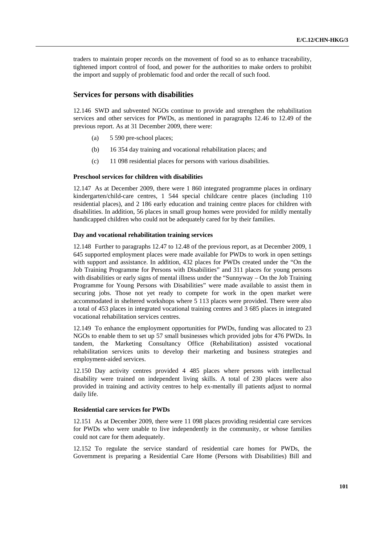traders to maintain proper records on the movement of food so as to enhance traceability, tightened import control of food, and power for the authorities to make orders to prohibit the import and supply of problematic food and order the recall of such food.

## **Services for persons with disabilities**

12.146 SWD and subvented NGOs continue to provide and strengthen the rehabilitation services and other services for PWDs, as mentioned in paragraphs 12.46 to 12.49 of the previous report. As at 31 December 2009, there were:

- (a) 5 590 pre-school places;
- (b) 16 354 day training and vocational rehabilitation places; and
- (c) 11 098 residential places for persons with various disabilities.

## **Preschool services for children with disabilities**

12.147 As at December 2009, there were 1 860 integrated programme places in ordinary kindergarten/child-care centres, 1 544 special childcare centre places (including 110 residential places), and 2 186 early education and training centre places for children with disabilities. In addition, 56 places in small group homes were provided for mildly mentally handicapped children who could not be adequately cared for by their families.

### **Day and vocational rehabilitation training services**

12.148 Further to paragraphs 12.47 to 12.48 of the previous report, as at December 2009, 1 645 supported employment places were made available for PWDs to work in open settings with support and assistance. In addition, 432 places for PWDs created under the "On the Job Training Programme for Persons with Disabilities" and 311 places for young persons with disabilities or early signs of mental illness under the "Sunnyway – On the Job Training Programme for Young Persons with Disabilities" were made available to assist them in securing jobs. Those not yet ready to compete for work in the open market were accommodated in sheltered workshops where 5 113 places were provided. There were also a total of 453 places in integrated vocational training centres and 3 685 places in integrated vocational rehabilitation services centres.

12.149 To enhance the employment opportunities for PWDs, funding was allocated to 23 NGOs to enable them to set up 57 small businesses which provided jobs for 476 PWDs. In tandem, the Marketing Consultancy Office (Rehabilitation) assisted vocational rehabilitation services units to develop their marketing and business strategies and employment-aided services.

12.150 Day activity centres provided 4 485 places where persons with intellectual disability were trained on independent living skills. A total of 230 places were also provided in training and activity centres to help ex-mentally ill patients adjust to normal daily life.

## **Residential care services for PWDs**

12.151 As at December 2009, there were 11 098 places providing residential care services for PWDs who were unable to live independently in the community, or whose families could not care for them adequately.

12.152 To regulate the service standard of residential care homes for PWDs, the Government is preparing a Residential Care Home (Persons with Disabilities) Bill and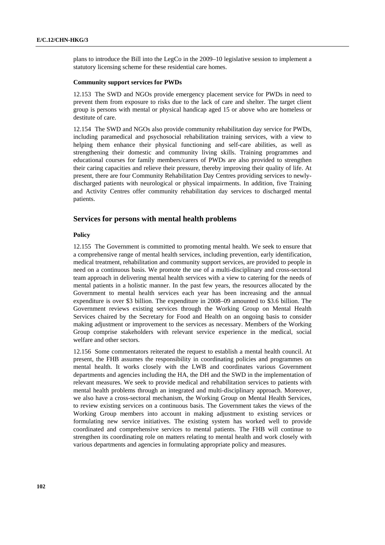plans to introduce the Bill into the LegCo in the 2009–10 legislative session to implement a statutory licensing scheme for these residential care homes.

### **Community support services for PWDs**

12.153 The SWD and NGOs provide emergency placement service for PWDs in need to prevent them from exposure to risks due to the lack of care and shelter. The target client group is persons with mental or physical handicap aged 15 or above who are homeless or destitute of care.

12.154 The SWD and NGOs also provide community rehabilitation day service for PWDs, including paramedical and psychosocial rehabilitation training services, with a view to helping them enhance their physical functioning and self-care abilities, as well as strengthening their domestic and community living skills. Training programmes and educational courses for family members/carers of PWDs are also provided to strengthen their caring capacities and relieve their pressure, thereby improving their quality of life. At present, there are four Community Rehabilitation Day Centres providing services to newlydischarged patients with neurological or physical impairments. In addition, five Training and Activity Centres offer community rehabilitation day services to discharged mental patients.

## **Services for persons with mental health problems**

### **Policy**

12.155 The Government is committed to promoting mental health. We seek to ensure that a comprehensive range of mental health services, including prevention, early identification, medical treatment, rehabilitation and community support services, are provided to people in need on a continuous basis. We promote the use of a multi-disciplinary and cross-sectoral team approach in delivering mental health services with a view to catering for the needs of mental patients in a holistic manner. In the past few years, the resources allocated by the Government to mental health services each year has been increasing and the annual expenditure is over \$3 billion. The expenditure in 2008–09 amounted to \$3.6 billion. The Government reviews existing services through the Working Group on Mental Health Services chaired by the Secretary for Food and Health on an ongoing basis to consider making adjustment or improvement to the services as necessary. Members of the Working Group comprise stakeholders with relevant service experience in the medical, social welfare and other sectors.

12.156 Some commentators reiterated the request to establish a mental health council. At present, the FHB assumes the responsibility in coordinating policies and programmes on mental health. It works closely with the LWB and coordinates various Government departments and agencies including the HA, the DH and the SWD in the implementation of relevant measures. We seek to provide medical and rehabilitation services to patients with mental health problems through an integrated and multi-disciplinary approach. Moreover, we also have a cross-sectoral mechanism, the Working Group on Mental Health Services, to review existing services on a continuous basis. The Government takes the views of the Working Group members into account in making adjustment to existing services or formulating new service initiatives. The existing system has worked well to provide coordinated and comprehensive services to mental patients. The FHB will continue to strengthen its coordinating role on matters relating to mental health and work closely with various departments and agencies in formulating appropriate policy and measures.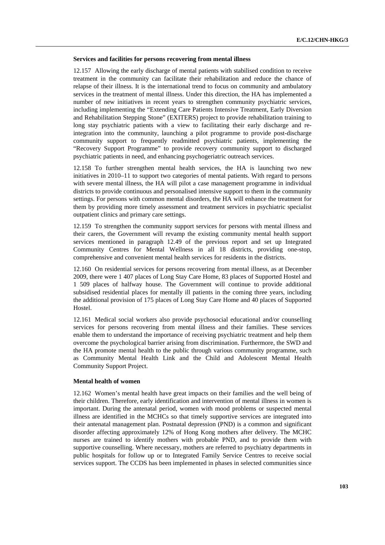### **Services and facilities for persons recovering from mental illness**

12.157 Allowing the early discharge of mental patients with stabilised condition to receive treatment in the community can facilitate their rehabilitation and reduce the chance of relapse of their illness. It is the international trend to focus on community and ambulatory services in the treatment of mental illness. Under this direction, the HA has implemented a number of new initiatives in recent years to strengthen community psychiatric services, including implementing the "Extending Care Patients Intensive Treatment, Early Diversion and Rehabilitation Stepping Stone" (EXITERS) project to provide rehabilitation training to long stay psychiatric patients with a view to facilitating their early discharge and reintegration into the community, launching a pilot programme to provide post-discharge community support to frequently readmitted psychiatric patients, implementing the "Recovery Support Programme" to provide recovery community support to discharged psychiatric patients in need, and enhancing psychogeriatric outreach services.

12.158 To further strengthen mental health services, the HA is launching two new initiatives in 2010–11 to support two categories of mental patients. With regard to persons with severe mental illness, the HA will pilot a case management programme in individual districts to provide continuous and personalised intensive support to them in the community settings. For persons with common mental disorders, the HA will enhance the treatment for them by providing more timely assessment and treatment services in psychiatric specialist outpatient clinics and primary care settings.

12.159 To strengthen the community support services for persons with mental illness and their carers, the Government will revamp the existing community mental health support services mentioned in paragraph 12.49 of the previous report and set up Integrated Community Centres for Mental Wellness in all 18 districts, providing one-stop, comprehensive and convenient mental health services for residents in the districts.

12.160 On residential services for persons recovering from mental illness, as at December 2009, there were 1 407 places of Long Stay Care Home, 83 places of Supported Hostel and 1 509 places of halfway house. The Government will continue to provide additional subsidised residential places for mentally ill patients in the coming three years, including the additional provision of 175 places of Long Stay Care Home and 40 places of Supported Hostel.

12.161 Medical social workers also provide psychosocial educational and/or counselling services for persons recovering from mental illness and their families. These services enable them to understand the importance of receiving psychiatric treatment and help them overcome the psychological barrier arising from discrimination. Furthermore, the SWD and the HA promote mental health to the public through various community programme, such as Community Mental Health Link and the Child and Adolescent Mental Health Community Support Project.

### **Mental health of women**

12.162 Women's mental health have great impacts on their families and the well being of their children. Therefore, early identification and intervention of mental illness in women is important. During the antenatal period, women with mood problems or suspected mental illness are identified in the MCHCs so that timely supportive services are integrated into their antenatal management plan. Postnatal depression (PND) is a common and significant disorder affecting approximately 12% of Hong Kong mothers after delivery. The MCHC nurses are trained to identify mothers with probable PND, and to provide them with supportive counselling. Where necessary, mothers are referred to psychiatry departments in public hospitals for follow up or to Integrated Family Service Centres to receive social services support. The CCDS has been implemented in phases in selected communities since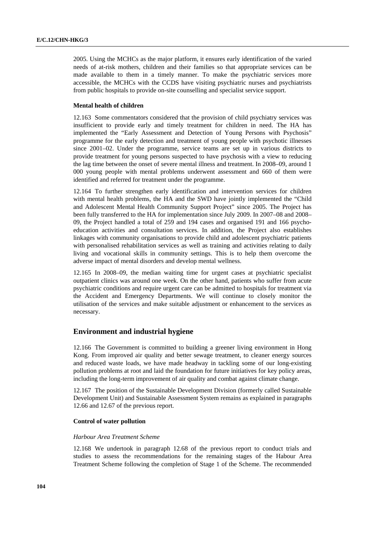2005. Using the MCHCs as the major platform, it ensures early identification of the varied needs of at-risk mothers, children and their families so that appropriate services can be made available to them in a timely manner. To make the psychiatric services more accessible, the MCHCs with the CCDS have visiting psychiatric nurses and psychiatrists from public hospitals to provide on-site counselling and specialist service support.

## **Mental health of children**

12.163 Some commentators considered that the provision of child psychiatry services was insufficient to provide early and timely treatment for children in need. The HA has implemented the "Early Assessment and Detection of Young Persons with Psychosis" programme for the early detection and treatment of young people with psychotic illnesses since 2001–02. Under the programme, service teams are set up in various districts to provide treatment for young persons suspected to have psychosis with a view to reducing the lag time between the onset of severe mental illness and treatment. In 2008–09, around 1 000 young people with mental problems underwent assessment and 660 of them were identified and referred for treatment under the programme.

12.164 To further strengthen early identification and intervention services for children with mental health problems, the HA and the SWD have jointly implemented the "Child and Adolescent Mental Health Community Support Project" since 2005. The Project has been fully transferred to the HA for implementation since July 2009. In 2007–08 and 2008– 09, the Project handled a total of 259 and 194 cases and organised 191 and 166 psychoeducation activities and consultation services. In addition, the Project also establishes linkages with community organisations to provide child and adolescent psychiatric patients with personalised rehabilitation services as well as training and activities relating to daily living and vocational skills in community settings. This is to help them overcome the adverse impact of mental disorders and develop mental wellness.

12.165 In 2008–09, the median waiting time for urgent cases at psychiatric specialist outpatient clinics was around one week. On the other hand, patients who suffer from acute psychiatric conditions and require urgent care can be admitted to hospitals for treatment via the Accident and Emergency Departments. We will continue to closely monitor the utilisation of the services and make suitable adjustment or enhancement to the services as necessary.

## **Environment and industrial hygiene**

12.166 The Government is committed to building a greener living environment in Hong Kong. From improved air quality and better sewage treatment, to cleaner energy sources and reduced waste loads, we have made headway in tackling some of our long-existing pollution problems at root and laid the foundation for future initiatives for key policy areas, including the long-term improvement of air quality and combat against climate change.

12.167 The position of the Sustainable Development Division (formerly called Sustainable Development Unit) and Sustainable Assessment System remains as explained in paragraphs 12.66 and 12.67 of the previous report.

### **Control of water pollution**

#### *Harbour Area Treatment Scheme*

12.168 We undertook in paragraph 12.68 of the previous report to conduct trials and studies to assess the recommendations for the remaining stages of the Habour Area Treatment Scheme following the completion of Stage 1 of the Scheme. The recommended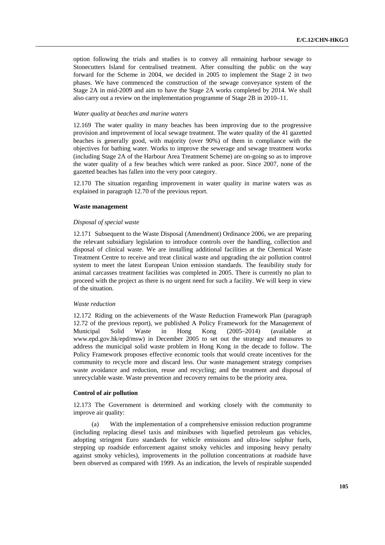option following the trials and studies is to convey all remaining harbour sewage to Stonecutters Island for centralised treatment. After consulting the public on the way forward for the Scheme in 2004, we decided in 2005 to implement the Stage 2 in two phases. We have commenced the construction of the sewage conveyance system of the Stage 2A in mid-2009 and aim to have the Stage 2A works completed by 2014. We shall also carry out a review on the implementation programme of Stage 2B in 2010–11.

### *Water quality at beaches and marine waters*

12.169 The water quality in many beaches has been improving due to the progressive provision and improvement of local sewage treatment. The water quality of the 41 gazetted beaches is generally good, with majority (over 90%) of them in compliance with the objectives for bathing water. Works to improve the sewerage and sewage treatment works (including Stage 2A of the Harbour Area Treatment Scheme) are on-going so as to improve the water quality of a few beaches which were ranked as poor. Since 2007, none of the gazetted beaches has fallen into the very poor category.

12.170 The situation regarding improvement in water quality in marine waters was as explained in paragraph 12.70 of the previous report.

#### **Waste management**

#### *Disposal of special waste*

12.171 Subsequent to the Waste Disposal (Amendment) Ordinance 2006, we are preparing the relevant subsidiary legislation to introduce controls over the handling, collection and disposal of clinical waste. We are installing additional facilities at the Chemical Waste Treatment Centre to receive and treat clinical waste and upgrading the air pollution control system to meet the latest European Union emission standards. The feasibility study for animal carcasses treatment facilities was completed in 2005. There is currently no plan to proceed with the project as there is no urgent need for such a facility. We will keep in view of the situation.

### *Waste reduction*

12.172 Riding on the achievements of the Waste Reduction Framework Plan (paragraph 12.72 of the previous report), we published A Policy Framework for the Management of Municipal Solid Waste in Hong Kong (2005–2014) (available at www.epd.gov.hk/epd/msw) in December 2005 to set out the strategy and measures to address the municipal solid waste problem in Hong Kong in the decade to follow. The Policy Framework proposes effective economic tools that would create incentives for the community to recycle more and discard less. Our waste management strategy comprises waste avoidance and reduction, reuse and recycling; and the treatment and disposal of unrecyclable waste. Waste prevention and recovery remains to be the priority area.

## **Control of air pollution**

12.173 The Government is determined and working closely with the community to improve air quality:

 (a) With the implementation of a comprehensive emission reduction programme (including replacing diesel taxis and minibuses with liquefied petroleum gas vehicles, adopting stringent Euro standards for vehicle emissions and ultra-low sulphur fuels, stepping up roadside enforcement against smoky vehicles and imposing heavy penalty against smoky vehicles), improvements in the pollution concentrations at roadside have been observed as compared with 1999. As an indication, the levels of respirable suspended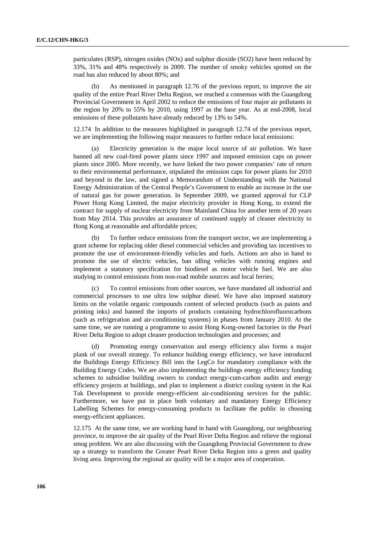particulates (RSP), nitrogen oxides (NOx) and sulphur dioxide (SO2) have been reduced by 33%, 31% and 48% respectively in 2009. The number of smoky vehicles spotted on the road has also reduced by about 80%; and

 (b) As mentioned in paragraph 12.76 of the previous report, to improve the air quality of the entire Pearl River Delta Region, we reached a consensus with the Guangdong Provincial Government in April 2002 to reduce the emissions of four major air pollutants in the region by 20% to 55% by 2010, using 1997 as the base year. As at end-2008, local emissions of these pollutants have already reduced by 13% to 54%.

12.174 In addition to the measures highlighted in paragraph 12.74 of the previous report, we are implementing the following major measures to further reduce local emissions:

 (a) Electricity generation is the major local source of air pollution. We have banned all new coal-fired power plants since 1997 and imposed emission caps on power plants since 2005. More recently, we have linked the two power companies' rate of return to their environmental performance, stipulated the emission caps for power plants for 2010 and beyond in the law, and signed a Memorandum of Understanding with the National Energy Administration of the Central People's Government to enable an increase in the use of natural gas for power generation. In September 2009, we granted approval for CLP Power Hong Kong Limited, the major electricity provider in Hong Kong, to extend the contract for supply of nuclear electricity from Mainland China for another term of 20 years from May 2014. This provides an assurance of continued supply of cleaner electricity to Hong Kong at reasonable and affordable prices;

 (b) To further reduce emissions from the transport sector, we are implementing a grant scheme for replacing older diesel commercial vehicles and providing tax incentives to promote the use of environment-friendly vehicles and fuels. Actions are also in hand to promote the use of electric vehicles, ban idling vehicles with running engines and implement a statutory specification for biodiesel as motor vehicle fuel. We are also studying to control emissions from non-road mobile sources and local ferries;

To control emissions from other sources, we have mandated all industrial and commercial processes to use ultra low sulphur diesel. We have also imposed statutory limits on the volatile organic compounds content of selected products (such as paints and printing inks) and banned the imports of products containing hydrochlorofluorocarbons (such as refrigeration and air-conditioning systems) in phases from January 2010. At the same time, we are running a programme to assist Hong Kong-owned factories in the Pearl River Delta Region to adopt cleaner production technologies and processes; and

 (d) Promoting energy conservation and energy efficiency also forms a major plank of our overall strategy. To enhance building energy efficiency, we have introduced the Buildings Energy Efficiency Bill into the LegCo for mandatory compliance with the Building Energy Codes. We are also implementing the buildings energy efficiency funding schemes to subsidise building owners to conduct energy-cum-carbon audits and energy efficiency projects at buildings, and plan to implement a district cooling system in the Kai Tak Development to provide energy-efficient air-conditioning services for the public. Furthermore, we have put in place both voluntary and mandatory Energy Efficiency Labelling Schemes for energy-consuming products to facilitate the public in choosing energy-efficient appliances.

12.175 At the same time, we are working hand in hand with Guangdong, our neighbouring province, to improve the air quality of the Pearl River Delta Region and relieve the regional smog problem. We are also discussing with the Guangdong Provincial Government to draw up a strategy to transform the Greater Pearl River Delta Region into a green and quality living area. Improving the regional air quality will be a major area of cooperation.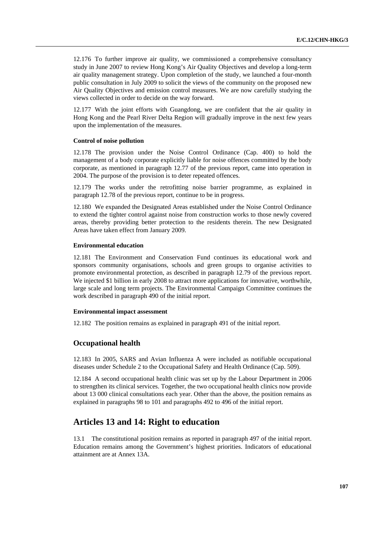12.176 To further improve air quality, we commissioned a comprehensive consultancy study in June 2007 to review Hong Kong's Air Quality Objectives and develop a long-term air quality management strategy. Upon completion of the study, we launched a four-month public consultation in July 2009 to solicit the views of the community on the proposed new Air Quality Objectives and emission control measures. We are now carefully studying the views collected in order to decide on the way forward.

12.177 With the joint efforts with Guangdong, we are confident that the air quality in Hong Kong and the Pearl River Delta Region will gradually improve in the next few years upon the implementation of the measures.

### **Control of noise pollution**

12.178 The provision under the Noise Control Ordinance (Cap. 400) to hold the management of a body corporate explicitly liable for noise offences committed by the body corporate, as mentioned in paragraph 12.77 of the previous report, came into operation in 2004. The purpose of the provision is to deter repeated offences.

12.179 The works under the retrofitting noise barrier programme, as explained in paragraph 12.78 of the previous report, continue to be in progress.

12.180 We expanded the Designated Areas established under the Noise Control Ordinance to extend the tighter control against noise from construction works to those newly covered areas, thereby providing better protection to the residents therein. The new Designated Areas have taken effect from January 2009.

### **Environmental education**

12.181 The Environment and Conservation Fund continues its educational work and sponsors community organisations, schools and green groups to organise activities to promote environmental protection, as described in paragraph 12.79 of the previous report. We injected \$1 billion in early 2008 to attract more applications for innovative, worthwhile, large scale and long term projects. The Environmental Campaign Committee continues the work described in paragraph 490 of the initial report.

### **Environmental impact assessment**

12.182 The position remains as explained in paragraph 491 of the initial report.

## **Occupational health**

12.183 In 2005, SARS and Avian Influenza A were included as notifiable occupational diseases under Schedule 2 to the Occupational Safety and Health Ordinance (Cap. 509).

12.184 A second occupational health clinic was set up by the Labour Department in 2006 to strengthen its clinical services. Together, the two occupational health clinics now provide about 13 000 clinical consultations each year. Other than the above, the position remains as explained in paragraphs 98 to 101 and paragraphs 492 to 496 of the initial report.

# **Articles 13 and 14: Right to education**

13.1 The constitutional position remains as reported in paragraph 497 of the initial report. Education remains among the Government's highest priorities. Indicators of educational attainment are at Annex 13A.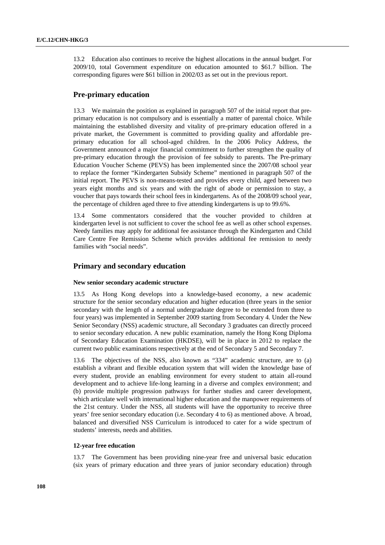13.2 Education also continues to receive the highest allocations in the annual budget. For 2009/10, total Government expenditure on education amounted to \$61.7 billion. The corresponding figures were \$61 billion in 2002/03 as set out in the previous report.

# **Pre-primary education**

13.3 We maintain the position as explained in paragraph 507 of the initial report that preprimary education is not compulsory and is essentially a matter of parental choice. While maintaining the established diversity and vitality of pre-primary education offered in a private market, the Government is committed to providing quality and affordable preprimary education for all school-aged children. In the 2006 Policy Address, the Government announced a major financial commitment to further strengthen the quality of pre-primary education through the provision of fee subsidy to parents. The Pre-primary Education Voucher Scheme (PEVS) has been implemented since the 2007/08 school year to replace the former "Kindergarten Subsidy Scheme" mentioned in paragraph 507 of the initial report. The PEVS is non-means-tested and provides every child, aged between two years eight months and six years and with the right of abode or permission to stay, a voucher that pays towards their school fees in kindergartens. As of the 2008/09 school year, the percentage of children aged three to five attending kindergartens is up to 99.6%.

13.4 Some commentators considered that the voucher provided to children at kindergarten level is not sufficient to cover the school fee as well as other school expenses. Needy families may apply for additional fee assistance through the Kindergarten and Child Care Centre Fee Remission Scheme which provides additional fee remission to needy families with "social needs".

# **Primary and secondary education**

### **New senior secondary academic structure**

13.5 As Hong Kong develops into a knowledge-based economy, a new academic structure for the senior secondary education and higher education (three years in the senior secondary with the length of a normal undergraduate degree to be extended from three to four years) was implemented in September 2009 starting from Secondary 4. Under the New Senior Secondary (NSS) academic structure, all Secondary 3 graduates can directly proceed to senior secondary education. A new public examination, namely the Hong Kong Diploma of Secondary Education Examination (HKDSE), will be in place in 2012 to replace the current two public examinations respectively at the end of Secondary 5 and Secondary 7.

13.6 The objectives of the NSS, also known as "334" academic structure, are to (a) establish a vibrant and flexible education system that will widen the knowledge base of every student, provide an enabling environment for every student to attain all-round development and to achieve life-long learning in a diverse and complex environment; and (b) provide multiple progression pathways for further studies and career development, which articulate well with international higher education and the manpower requirements of the 21st century. Under the NSS, all students will have the opportunity to receive three years' free senior secondary education (i.e. Secondary 4 to 6) as mentioned above. A broad, balanced and diversified NSS Curriculum is introduced to cater for a wide spectrum of students' interests, needs and abilities.

### **12-year free education**

13.7 The Government has been providing nine-year free and universal basic education (six years of primary education and three years of junior secondary education) through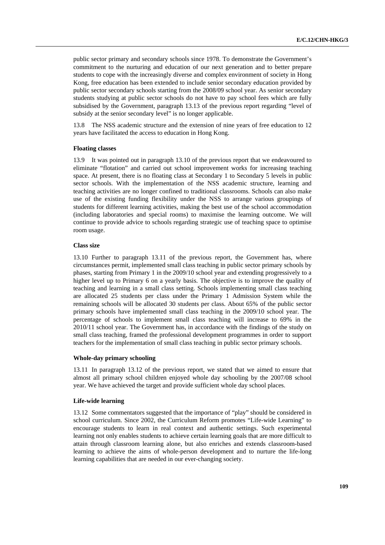public sector primary and secondary schools since 1978. To demonstrate the Government's commitment to the nurturing and education of our next generation and to better prepare students to cope with the increasingly diverse and complex environment of society in Hong Kong, free education has been extended to include senior secondary education provided by public sector secondary schools starting from the 2008/09 school year. As senior secondary students studying at public sector schools do not have to pay school fees which are fully subsidised by the Government, paragraph 13.13 of the previous report regarding "level of subsidy at the senior secondary level" is no longer applicable.

13.8 The NSS academic structure and the extension of nine years of free education to 12 years have facilitated the access to education in Hong Kong.

#### **Floating classes**

13.9 It was pointed out in paragraph 13.10 of the previous report that we endeavoured to eliminate "flotation" and carried out school improvement works for increasing teaching space. At present, there is no floating class at Secondary 1 to Secondary 5 levels in public sector schools. With the implementation of the NSS academic structure, learning and teaching activities are no longer confined to traditional classrooms. Schools can also make use of the existing funding flexibility under the NSS to arrange various groupings of students for different learning activities, making the best use of the school accommodation (including laboratories and special rooms) to maximise the learning outcome. We will continue to provide advice to schools regarding strategic use of teaching space to optimise room usage.

### **Class size**

13.10 Further to paragraph 13.11 of the previous report, the Government has, where circumstances permit, implemented small class teaching in public sector primary schools by phases, starting from Primary 1 in the 2009/10 school year and extending progressively to a higher level up to Primary 6 on a yearly basis. The objective is to improve the quality of teaching and learning in a small class setting. Schools implementing small class teaching are allocated 25 students per class under the Primary 1 Admission System while the remaining schools will be allocated 30 students per class. About 65% of the public sector primary schools have implemented small class teaching in the 2009/10 school year. The percentage of schools to implement small class teaching will increase to 69% in the 2010/11 school year. The Government has, in accordance with the findings of the study on small class teaching, framed the professional development programmes in order to support teachers for the implementation of small class teaching in public sector primary schools.

#### **Whole-day primary schooling**

13.11 In paragraph 13.12 of the previous report, we stated that we aimed to ensure that almost all primary school children enjoyed whole day schooling by the 2007/08 school year. We have achieved the target and provide sufficient whole day school places.

#### **Life-wide learning**

13.12 Some commentators suggested that the importance of "play" should be considered in school curriculum. Since 2002, the Curriculum Reform promotes "Life-wide Learning" to encourage students to learn in real context and authentic settings. Such experimental learning not only enables students to achieve certain learning goals that are more difficult to attain through classroom learning alone, but also enriches and extends classroom-based learning to achieve the aims of whole-person development and to nurture the life-long learning capabilities that are needed in our ever-changing society.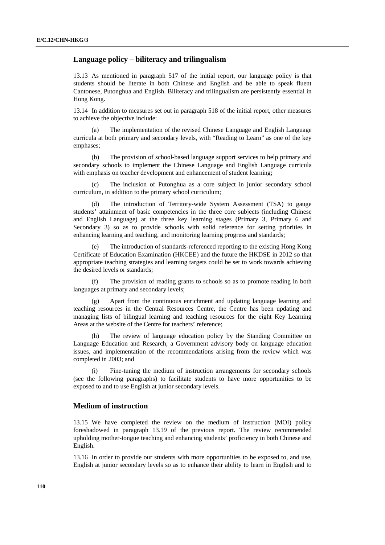# **Language policy – biliteracy and trilingualism**

13.13 As mentioned in paragraph 517 of the initial report, our language policy is that students should be literate in both Chinese and English and be able to speak fluent Cantonese, Putonghua and English. Biliteracy and trilingualism are persistently essential in Hong Kong.

13.14 In addition to measures set out in paragraph 518 of the initial report, other measures to achieve the objective include:

 (a) The implementation of the revised Chinese Language and English Language curricula at both primary and secondary levels, with "Reading to Learn" as one of the key emphases;

 (b) The provision of school-based language support services to help primary and secondary schools to implement the Chinese Language and English Language curricula with emphasis on teacher development and enhancement of student learning;

The inclusion of Putonghua as a core subject in junior secondary school curriculum, in addition to the primary school curriculum;

 (d) The introduction of Territory-wide System Assessment (TSA) to gauge students' attainment of basic competencies in the three core subjects (including Chinese and English Language) at the three key learning stages (Primary 3, Primary 6 and Secondary 3) so as to provide schools with solid reference for setting priorities in enhancing learning and teaching, and monitoring learning progress and standards;

 (e) The introduction of standards-referenced reporting to the existing Hong Kong Certificate of Education Examination (HKCEE) and the future the HKDSE in 2012 so that appropriate teaching strategies and learning targets could be set to work towards achieving the desired levels or standards;

 (f) The provision of reading grants to schools so as to promote reading in both languages at primary and secondary levels;

 (g) Apart from the continuous enrichment and updating language learning and teaching resources in the Central Resources Centre, the Centre has been updating and managing lists of bilingual learning and teaching resources for the eight Key Learning Areas at the website of the Centre for teachers' reference;

 (h) The review of language education policy by the Standing Committee on Language Education and Research, a Government advisory body on language education issues, and implementation of the recommendations arising from the review which was completed in 2003; and

 (i) Fine-tuning the medium of instruction arrangements for secondary schools (see the following paragraphs) to facilitate students to have more opportunities to be exposed to and to use English at junior secondary levels.

## **Medium of instruction**

13.15 We have completed the review on the medium of instruction (MOI) policy foreshadowed in paragraph 13.19 of the previous report. The review recommended upholding mother-tongue teaching and enhancing students' proficiency in both Chinese and English.

13.16 In order to provide our students with more opportunities to be exposed to, and use, English at junior secondary levels so as to enhance their ability to learn in English and to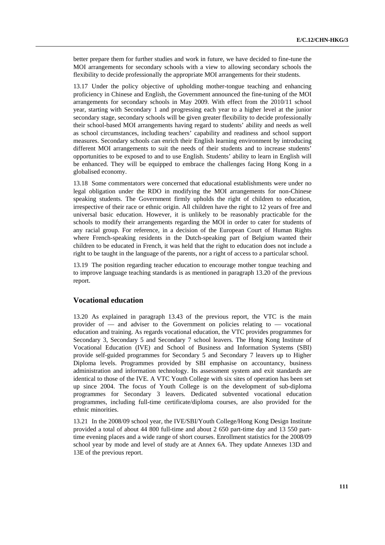better prepare them for further studies and work in future, we have decided to fine-tune the MOI arrangements for secondary schools with a view to allowing secondary schools the flexibility to decide professionally the appropriate MOI arrangements for their students.

13.17 Under the policy objective of upholding mother-tongue teaching and enhancing proficiency in Chinese and English, the Government announced the fine-tuning of the MOI arrangements for secondary schools in May 2009. With effect from the 2010/11 school year, starting with Secondary 1 and progressing each year to a higher level at the junior secondary stage, secondary schools will be given greater flexibility to decide professionally their school-based MOI arrangements having regard to students' ability and needs as well as school circumstances, including teachers' capability and readiness and school support measures. Secondary schools can enrich their English learning environment by introducing different MOI arrangements to suit the needs of their students and to increase students' opportunities to be exposed to and to use English. Students' ability to learn in English will be enhanced. They will be equipped to embrace the challenges facing Hong Kong in a globalised economy.

13.18 Some commentators were concerned that educational establishments were under no legal obligation under the RDO in modifying the MOI arrangements for non-Chinese speaking students. The Government firmly upholds the right of children to education, irrespective of their race or ethnic origin. All children have the right to 12 years of free and universal basic education. However, it is unlikely to be reasonably practicable for the schools to modify their arrangements regarding the MOI in order to cater for students of any racial group. For reference, in a decision of the European Court of Human Rights where French-speaking residents in the Dutch-speaking part of Belgium wanted their children to be educated in French, it was held that the right to education does not include a right to be taught in the language of the parents, nor a right of access to a particular school.

13.19 The position regarding teacher education to encourage mother tongue teaching and to improve language teaching standards is as mentioned in paragraph 13.20 of the previous report.

# **Vocational education**

13.20 As explained in paragraph 13.43 of the previous report, the VTC is the main provider of — and adviser to the Government on policies relating to — vocational education and training. As regards vocational education, the VTC provides programmes for Secondary 3, Secondary 5 and Secondary 7 school leavers. The Hong Kong Institute of Vocational Education (IVE) and School of Business and Information Systems (SBI) provide self-guided programmes for Secondary 5 and Secondary 7 leavers up to Higher Diploma levels. Programmes provided by SBI emphasise on accountancy, business administration and information technology. Its assessment system and exit standards are identical to those of the IVE. A VTC Youth College with six sites of operation has been set up since 2004. The focus of Youth College is on the development of sub-diploma programmes for Secondary 3 leavers. Dedicated subvented vocational education programmes, including full-time certificate/diploma courses, are also provided for the ethnic minorities.

13.21 In the 2008/09 school year, the IVE/SBI/Youth College/Hong Kong Design Institute provided a total of about 44 800 full-time and about 2 650 part-time day and 13 550 parttime evening places and a wide range of short courses. Enrollment statistics for the 2008/09 school year by mode and level of study are at Annex 6A. They update Annexes 13D and 13E of the previous report.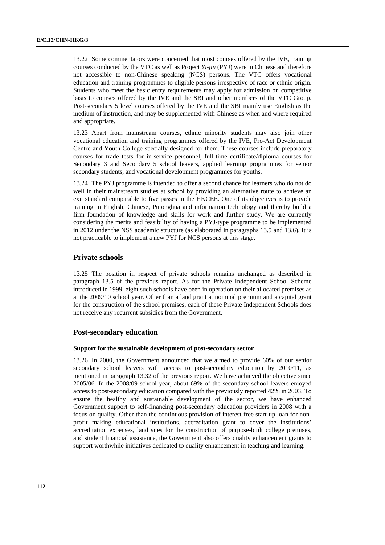13.22 Some commentators were concerned that most courses offered by the IVE, training courses conducted by the VTC as well as Project *Yi-jin* (PYJ) were in Chinese and therefore not accessible to non-Chinese speaking (NCS) persons. The VTC offers vocational education and training programmes to eligible persons irrespective of race or ethnic origin. Students who meet the basic entry requirements may apply for admission on competitive basis to courses offered by the IVE and the SBI and other members of the VTC Group. Post-secondary 5 level courses offered by the IVE and the SBI mainly use English as the medium of instruction, and may be supplemented with Chinese as when and where required and appropriate.

13.23 Apart from mainstream courses, ethnic minority students may also join other vocational education and training programmes offered by the IVE, Pro-Act Development Centre and Youth College specially designed for them. These courses include preparatory courses for trade tests for in-service personnel, full-time certificate/diploma courses for Secondary 3 and Secondary 5 school leavers, applied learning programmes for senior secondary students, and vocational development programmes for youths.

13.24 The PYJ programme is intended to offer a second chance for learners who do not do well in their mainstream studies at school by providing an alternative route to achieve an exit standard comparable to five passes in the HKCEE. One of its objectives is to provide training in English, Chinese, Putonghua and information technology and thereby build a firm foundation of knowledge and skills for work and further study. We are currently considering the merits and feasibility of having a PYJ-type programme to be implemented in 2012 under the NSS academic structure (as elaborated in paragraphs 13.5 and 13.6). It is not practicable to implement a new PYJ for NCS persons at this stage.

# **Private schools**

13.25 The position in respect of private schools remains unchanged as described in paragraph 13.5 of the previous report. As for the Private Independent School Scheme introduced in 1999, eight such schools have been in operation on their allocated premises as at the 2009/10 school year. Other than a land grant at nominal premium and a capital grant for the construction of the school premises, each of these Private Independent Schools does not receive any recurrent subsidies from the Government.

## **Post-secondary education**

#### **Support for the sustainable development of post-secondary sector**

13.26 In 2000, the Government announced that we aimed to provide 60% of our senior secondary school leavers with access to post-secondary education by 2010/11, as mentioned in paragraph 13.32 of the previous report. We have achieved the objective since 2005/06. In the 2008/09 school year, about 69% of the secondary school leavers enjoyed access to post-secondary education compared with the previously reported 42% in 2003. To ensure the healthy and sustainable development of the sector, we have enhanced Government support to self-financing post-secondary education providers in 2008 with a focus on quality. Other than the continuous provision of interest-free start-up loan for nonprofit making educational institutions, accreditation grant to cover the institutions' accreditation expenses, land sites for the construction of purpose-built college premises, and student financial assistance, the Government also offers quality enhancement grants to support worthwhile initiatives dedicated to quality enhancement in teaching and learning.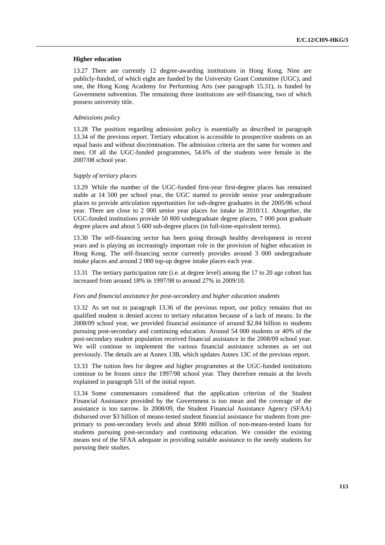#### **Higher education**

13.27 There are currently 12 degree-awarding institutions in Hong Kong. Nine are publicly-funded, of which eight are funded by the University Grant Committee (UGC), and one, the Hong Kong Academy for Performing Arts (see paragraph 15.31), is funded by Government subvention. The remaining three institutions are self-financing, two of which possess university title.

#### *Admissions policy*

13.28 The position regarding admission policy is essentially as described in paragraph 13.34 of the previous report. Tertiary education is accessible to prospective students on an equal basis and without discrimination. The admission criteria are the same for women and men. Of all the UGC-funded programmes, 54.6% of the students were female in the 2007/08 school year.

#### *Supply of tertiary places*

13.29 While the number of the UGC-funded first-year first-degree places has remained stable at 14 500 per school year, the UGC started to provide senior year undergraduate places to provide articulation opportunities for sub-degree graduates in the 2005/06 school year. There are close to 2 000 senior year places for intake in 2010/11. Altogether, the UGC-funded institutions provide 50 800 undergraduate degree places, 7 000 post graduate degree places and about 5 600 sub-degree places (in full-time-equivalent terms).

13.30 The self-financing sector has been going through healthy development in recent years and is playing an increasingly important role in the provision of higher education in Hong Kong. The self-financing sector currently provides around 3 000 undergraduate intake places and around 2 000 top-up degree intake places each year.

13.31 The tertiary participation rate (i.e. at degree level) among the 17 to 20 age cohort has increased from around 18% in 1997/98 to around 27% in 2009/10.

#### *Fees and financial assistance for post-secondary and higher education students*

13.32 As set out in paragraph 13.36 of the previous report, our policy remains that no qualified student is denied access to tertiary education because of a lack of means. In the 2008/09 school year, we provided financial assistance of around \$2.84 billion to students pursuing post-secondary and continuing education. Around 54 000 students or 40% of the post-secondary student population received financial assistance in the 2008/09 school year. We will continue to implement the various financial assistance schemes as set out previously. The details are at Annex 13B, which updates Annex 13C of the previous report.

13.33 The tuition fees for degree and higher programmes at the UGC-funded institutions continue to be frozen since the 1997/98 school year. They therefore remain at the levels explained in paragraph 531 of the initial report.

13.34 Some commentators considered that the application criterion of the Student Financial Assistance provided by the Government is too mean and the coverage of the assistance is too narrow. In 2008/09, the Student Financial Assistance Agency (SFAA) disbursed over \$3 billion of means-tested student financial assistance for students from preprimary to post-secondary levels and about \$990 million of non-means-tested loans for students pursuing post-secondary and continuing education. We consider the existing means test of the SFAA adequate in providing suitable assistance to the needy students for pursuing their studies.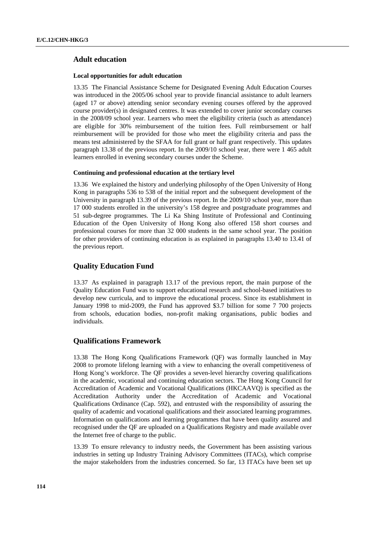# **Adult education**

#### **Local opportunities for adult education**

13.35 The Financial Assistance Scheme for Designated Evening Adult Education Courses was introduced in the 2005/06 school year to provide financial assistance to adult learners (aged 17 or above) attending senior secondary evening courses offered by the approved course provider(s) in designated centres. It was extended to cover junior secondary courses in the 2008/09 school year. Learners who meet the eligibility criteria (such as attendance) are eligible for 30% reimbursement of the tuition fees. Full reimbursement or half reimbursement will be provided for those who meet the eligibility criteria and pass the means test administered by the SFAA for full grant or half grant respectively. This updates paragraph 13.38 of the previous report. In the 2009/10 school year, there were 1 465 adult learners enrolled in evening secondary courses under the Scheme.

#### **Continuing and professional education at the tertiary level**

13.36 We explained the history and underlying philosophy of the Open University of Hong Kong in paragraphs 536 to 538 of the initial report and the subsequent development of the University in paragraph 13.39 of the previous report. In the 2009/10 school year, more than 17 000 students enrolled in the university's 158 degree and postgraduate programmes and 51 sub-degree programmes. The Li Ka Shing Institute of Professional and Continuing Education of the Open University of Hong Kong also offered 158 short courses and professional courses for more than 32 000 students in the same school year. The position for other providers of continuing education is as explained in paragraphs 13.40 to 13.41 of the previous report.

# **Quality Education Fund**

13.37 As explained in paragraph 13.17 of the previous report, the main purpose of the Quality Education Fund was to support educational research and school-based initiatives to develop new curricula, and to improve the educational process. Since its establishment in January 1998 to mid-2009, the Fund has approved \$3.7 billion for some 7 700 projects from schools, education bodies, non-profit making organisations, public bodies and individuals.

## **Qualifications Framework**

13.38 The Hong Kong Qualifications Framework (QF) was formally launched in May 2008 to promote lifelong learning with a view to enhancing the overall competitiveness of Hong Kong's workforce. The QF provides a seven-level hierarchy covering qualifications in the academic, vocational and continuing education sectors. The Hong Kong Council for Accreditation of Academic and Vocational Qualifications (HKCAAVQ) is specified as the Accreditation Authority under the Accreditation of Academic and Vocational Qualifications Ordinance (Cap. 592), and entrusted with the responsibility of assuring the quality of academic and vocational qualifications and their associated learning programmes. Information on qualifications and learning programmes that have been quality assured and recognised under the QF are uploaded on a Qualifications Registry and made available over the Internet free of charge to the public.

13.39 To ensure relevancy to industry needs, the Government has been assisting various industries in setting up Industry Training Advisory Committees (ITACs), which comprise the major stakeholders from the industries concerned. So far, 13 ITACs have been set up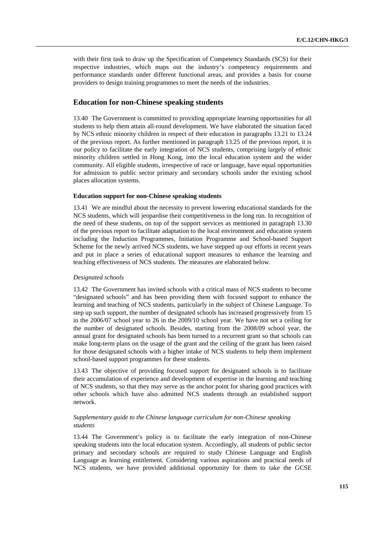with their first task to draw up the Specification of Competency Standards (SCS) for their respective industries, which maps out the industry's competency requirements and performance standards under different functional areas, and provides a basis for course providers to design training programmes to meet the needs of the industries.

# **Education for non-Chinese speaking students**

13.40 The Government is committed to providing appropriate learning opportunities for all students to help them attain all-round development. We have elaborated the situation faced by NCS ethnic minority children in respect of their education in paragraphs 13.21 to 13.24 of the previous report. As further mentioned in paragraph 13.25 of the previous report, it is our policy to facilitate the early integration of NCS students, comprising largely of ethnic minority children settled in Hong Kong, into the local education system and the wider community. All eligible students, irrespective of race or language, have equal opportunities for admission to public sector primary and secondary schools under the existing school places allocation systems.

#### **Education support for non-Chinese speaking students**

13.41 We are mindful about the necessity to prevent lowering educational standards for the NCS students, which will jeopardise their competitiveness in the long run. In recognition of the need of these students, on top of the support services as mentioned in paragraph 13.30 of the previous report to facilitate adaptation to the local environment and education system including the Induction Programmes, Initiation Programme and School-based Support Scheme for the newly arrived NCS students, we have stepped up our efforts in recent years and put in place a series of educational support measures to enhance the learning and teaching effectiveness of NCS students. The measures are elaborated below.

#### *Designated schools*

13.42 The Government has invited schools with a critical mass of NCS students to become "designated schools" and has been providing them with focused support to enhance the learning and teaching of NCS students, particularly in the subject of Chinese Language. To step up such support, the number of designated schools has increased progressively from 15 in the 2006/07 school year to 26 in the 2009/10 school year. We have not set a ceiling for the number of designated schools. Besides, starting from the 2008/09 school year, the annual grant for designated schools has been turned to a recurrent grant so that schools can make long-term plans on the usage of the grant and the ceiling of the grant has been raised for those designated schools with a higher intake of NCS students to help them implement school-based support programmes for these students.

13.43 The objective of providing focused support for designated schools is to facilitate their accumulation of experience and development of expertise in the learning and teaching of NCS students, so that they may serve as the anchor point for sharing good practices with other schools which have also admitted NCS students through an established support network.

## *Supplementary guide to the Chinese language curriculum for non-Chinese speaking students*

13.44 The Government's policy is to facilitate the early integration of non-Chinese speaking students into the local education system. Accordingly, all students of public sector primary and secondary schools are required to study Chinese Language and English Language as learning entitlement. Considering various aspirations and practical needs of NCS students, we have provided additional opportunity for them to take the GCSE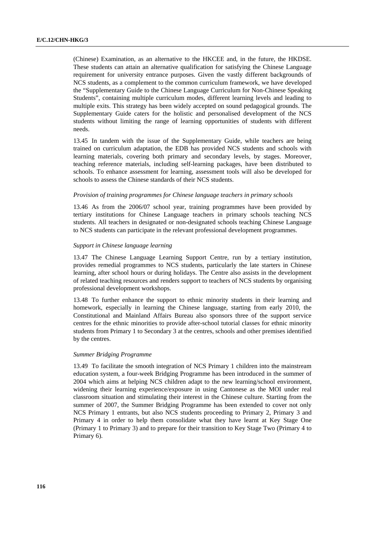(Chinese) Examination, as an alternative to the HKCEE and, in the future, the HKDSE. These students can attain an alternative qualification for satisfying the Chinese Language requirement for university entrance purposes. Given the vastly different backgrounds of NCS students, as a complement to the common curriculum framework, we have developed the "Supplementary Guide to the Chinese Language Curriculum for Non-Chinese Speaking Students", containing multiple curriculum modes, different learning levels and leading to multiple exits. This strategy has been widely accepted on sound pedagogical grounds. The Supplementary Guide caters for the holistic and personalised development of the NCS students without limiting the range of learning opportunities of students with different needs.

13.45 In tandem with the issue of the Supplementary Guide, while teachers are being trained on curriculum adaptation, the EDB has provided NCS students and schools with learning materials, covering both primary and secondary levels, by stages. Moreover, teaching reference materials, including self-learning packages, have been distributed to schools. To enhance assessment for learning, assessment tools will also be developed for schools to assess the Chinese standards of their NCS students.

## *Provision of training programmes for Chinese language teachers in primary schools*

13.46 As from the 2006/07 school year, training programmes have been provided by tertiary institutions for Chinese Language teachers in primary schools teaching NCS students. All teachers in designated or non-designated schools teaching Chinese Language to NCS students can participate in the relevant professional development programmes.

## *Support in Chinese language learning*

13.47 The Chinese Language Learning Support Centre, run by a tertiary institution, provides remedial programmes to NCS students, particularly the late starters in Chinese learning, after school hours or during holidays. The Centre also assists in the development of related teaching resources and renders support to teachers of NCS students by organising professional development workshops.

13.48 To further enhance the support to ethnic minority students in their learning and homework, especially in learning the Chinese language, starting from early 2010, the Constitutional and Mainland Affairs Bureau also sponsors three of the support service centres for the ethnic minorities to provide after-school tutorial classes for ethnic minority students from Primary 1 to Secondary 3 at the centres, schools and other premises identified by the centres.

#### *Summer Bridging Programme*

13.49 To facilitate the smooth integration of NCS Primary 1 children into the mainstream education system, a four-week Bridging Programme has been introduced in the summer of 2004 which aims at helping NCS children adapt to the new learning/school environment, widening their learning experience/exposure in using Cantonese as the MOI under real classroom situation and stimulating their interest in the Chinese culture. Starting from the summer of 2007, the Summer Bridging Programme has been extended to cover not only NCS Primary 1 entrants, but also NCS students proceeding to Primary 2, Primary 3 and Primary 4 in order to help them consolidate what they have learnt at Key Stage One (Primary 1 to Primary 3) and to prepare for their transition to Key Stage Two (Primary 4 to Primary 6).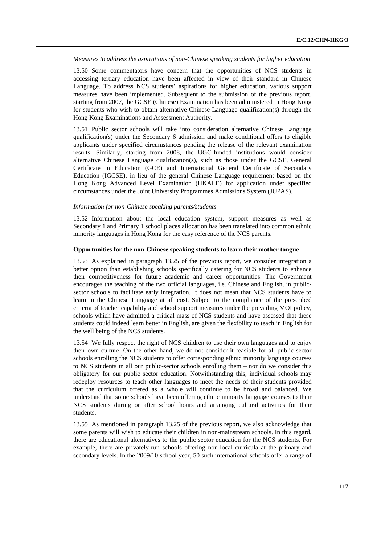*Measures to address the aspirations of non-Chinese speaking students for higher education* 

13.50 Some commentators have concern that the opportunities of NCS students in accessing tertiary education have been affected in view of their standard in Chinese Language. To address NCS students' aspirations for higher education, various support measures have been implemented. Subsequent to the submission of the previous report, starting from 2007, the GCSE (Chinese) Examination has been administered in Hong Kong for students who wish to obtain alternative Chinese Language qualification(s) through the Hong Kong Examinations and Assessment Authority.

13.51 Public sector schools will take into consideration alternative Chinese Language qualification(s) under the Secondary 6 admission and make conditional offers to eligible applicants under specified circumstances pending the release of the relevant examination results. Similarly, starting from 2008, the UGC-funded institutions would consider alternative Chinese Language qualification(s), such as those under the GCSE, General Certificate in Education (GCE) and International General Certificate of Secondary Education (IGCSE), in lieu of the general Chinese Language requirement based on the Hong Kong Advanced Level Examination (HKALE) for application under specified circumstances under the Joint University Programmes Admissions System (JUPAS).

#### *Information for non-Chinese speaking parents/students*

13.52 Information about the local education system, support measures as well as Secondary 1 and Primary 1 school places allocation has been translated into common ethnic minority languages in Hong Kong for the easy reference of the NCS parents.

#### **Opportunities for the non-Chinese speaking students to learn their mother tongue**

13.53 As explained in paragraph 13.25 of the previous report, we consider integration a better option than establishing schools specifically catering for NCS students to enhance their competitiveness for future academic and career opportunities. The Government encourages the teaching of the two official languages, i.e. Chinese and English, in publicsector schools to facilitate early integration. It does not mean that NCS students have to learn in the Chinese Language at all cost. Subject to the compliance of the prescribed criteria of teacher capability and school support measures under the prevailing MOI policy, schools which have admitted a critical mass of NCS students and have assessed that these students could indeed learn better in English, are given the flexibility to teach in English for the well being of the NCS students.

13.54 We fully respect the right of NCS children to use their own languages and to enjoy their own culture. On the other hand, we do not consider it feasible for all public sector schools enrolling the NCS students to offer corresponding ethnic minority language courses to NCS students in all our public-sector schools enrolling them – nor do we consider this obligatory for our public sector education. Notwithstanding this, individual schools may redeploy resources to teach other languages to meet the needs of their students provided that the curriculum offered as a whole will continue to be broad and balanced. We understand that some schools have been offering ethnic minority language courses to their NCS students during or after school hours and arranging cultural activities for their students.

13.55 As mentioned in paragraph 13.25 of the previous report, we also acknowledge that some parents will wish to educate their children in non-mainstream schools. In this regard, there are educational alternatives to the public sector education for the NCS students. For example, there are privately-run schools offering non-local curricula at the primary and secondary levels. In the 2009/10 school year, 50 such international schools offer a range of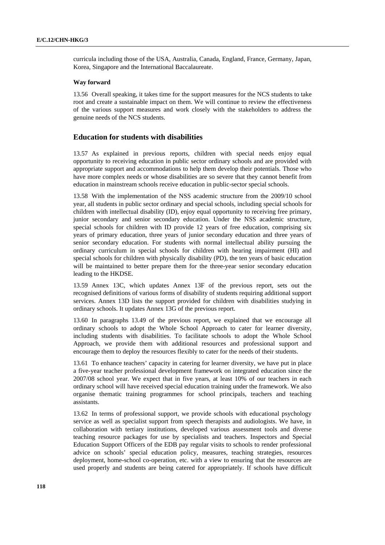curricula including those of the USA, Australia, Canada, England, France, Germany, Japan, Korea, Singapore and the International Baccalaureate.

### **Way forward**

13.56 Overall speaking, it takes time for the support measures for the NCS students to take root and create a sustainable impact on them. We will continue to review the effectiveness of the various support measures and work closely with the stakeholders to address the genuine needs of the NCS students.

# **Education for students with disabilities**

13.57 As explained in previous reports, children with special needs enjoy equal opportunity to receiving education in public sector ordinary schools and are provided with appropriate support and accommodations to help them develop their potentials. Those who have more complex needs or whose disabilities are so severe that they cannot benefit from education in mainstream schools receive education in public-sector special schools.

13.58 With the implementation of the NSS academic structure from the 2009/10 school year, all students in public sector ordinary and special schools, including special schools for children with intellectual disability (ID), enjoy equal opportunity to receiving free primary, junior secondary and senior secondary education. Under the NSS academic structure, special schools for children with ID provide 12 years of free education, comprising six years of primary education, three years of junior secondary education and three years of senior secondary education. For students with normal intellectual ability pursuing the ordinary curriculum in special schools for children with hearing impairment (HI) and special schools for children with physically disability (PD), the ten years of basic education will be maintained to better prepare them for the three-year senior secondary education leading to the HKDSE.

13.59 Annex 13C, which updates Annex 13F of the previous report, sets out the recognised definitions of various forms of disability of students requiring additional support services. Annex 13D lists the support provided for children with disabilities studying in ordinary schools. It updates Annex 13G of the previous report.

13.60 In paragraphs 13.49 of the previous report, we explained that we encourage all ordinary schools to adopt the Whole School Approach to cater for learner diversity, including students with disabilities. To facilitate schools to adopt the Whole School Approach, we provide them with additional resources and professional support and encourage them to deploy the resources flexibly to cater for the needs of their students.

13.61 To enhance teachers' capacity in catering for learner diversity, we have put in place a five-year teacher professional development framework on integrated education since the 2007/08 school year. We expect that in five years, at least 10% of our teachers in each ordinary school will have received special education training under the framework. We also organise thematic training programmes for school principals, teachers and teaching assistants.

13.62 In terms of professional support, we provide schools with educational psychology service as well as specialist support from speech therapists and audiologists. We have, in collaboration with tertiary institutions, developed various assessment tools and diverse teaching resource packages for use by specialists and teachers. Inspectors and Special Education Support Officers of the EDB pay regular visits to schools to render professional advice on schools' special education policy, measures, teaching strategies, resources deployment, home-school co-operation, etc. with a view to ensuring that the resources are used properly and students are being catered for appropriately. If schools have difficult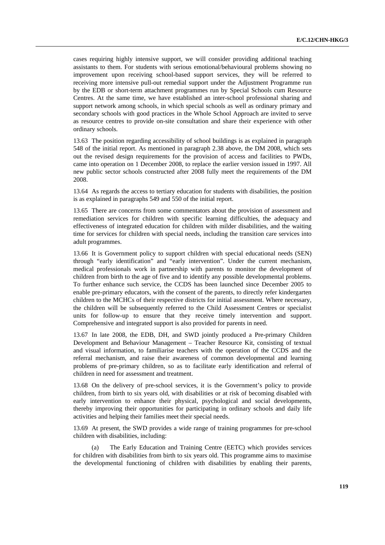cases requiring highly intensive support, we will consider providing additional teaching assistants to them. For students with serious emotional/behavioural problems showing no improvement upon receiving school-based support services, they will be referred to receiving more intensive pull-out remedial support under the Adjustment Programme run by the EDB or short-term attachment programmes run by Special Schools cum Resource Centres. At the same time, we have established an inter-school professional sharing and support network among schools, in which special schools as well as ordinary primary and secondary schools with good practices in the Whole School Approach are invited to serve as resource centres to provide on-site consultation and share their experience with other ordinary schools.

13.63 The position regarding accessibility of school buildings is as explained in paragraph 548 of the initial report. As mentioned in paragraph 2.38 above, the DM 2008, which sets out the revised design requirements for the provision of access and facilities to PWDs, came into operation on 1 December 2008, to replace the earlier version issued in 1997. All new public sector schools constructed after 2008 fully meet the requirements of the DM 2008.

13.64 As regards the access to tertiary education for students with disabilities, the position is as explained in paragraphs 549 and 550 of the initial report.

13.65 There are concerns from some commentators about the provision of assessment and remediation services for children with specific learning difficulties, the adequacy and effectiveness of integrated education for children with milder disabilities, and the waiting time for services for children with special needs, including the transition care services into adult programmes.

13.66 It is Government policy to support children with special educational needs (SEN) through "early identification" and "early intervention". Under the current mechanism, medical professionals work in partnership with parents to monitor the development of children from birth to the age of five and to identify any possible developmental problems. To further enhance such service, the CCDS has been launched since December 2005 to enable pre-primary educators, with the consent of the parents, to directly refer kindergarten children to the MCHCs of their respective districts for initial assessment. Where necessary, the children will be subsequently referred to the Child Assessment Centres or specialist units for follow-up to ensure that they receive timely intervention and support. Comprehensive and integrated support is also provided for parents in need.

13.67 In late 2008, the EDB, DH, and SWD jointly produced a Pre-primary Children Development and Behaviour Management – Teacher Resource Kit, consisting of textual and visual information, to familiarise teachers with the operation of the CCDS and the referral mechanism, and raise their awareness of common developmental and learning problems of pre-primary children, so as to facilitate early identification and referral of children in need for assessment and treatment.

13.68 On the delivery of pre-school services, it is the Government's policy to provide children, from birth to six years old, with disabilities or at risk of becoming disabled with early intervention to enhance their physical, psychological and social developments, thereby improving their opportunities for participating in ordinary schools and daily life activities and helping their families meet their special needs.

13.69 At present, the SWD provides a wide range of training programmes for pre-school children with disabilities, including:

 (a) The Early Education and Training Centre (EETC) which provides services for children with disabilities from birth to six years old. This programme aims to maximise the developmental functioning of children with disabilities by enabling their parents,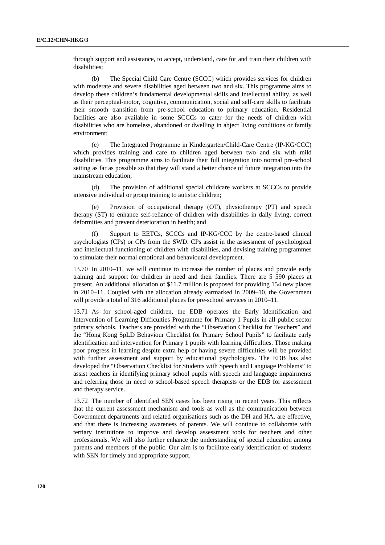through support and assistance, to accept, understand, care for and train their children with disabilities;

 (b) The Special Child Care Centre (SCCC) which provides services for children with moderate and severe disabilities aged between two and six. This programme aims to develop these children's fundamental developmental skills and intellectual ability, as well as their perceptual-motor, cognitive, communication, social and self-care skills to facilitate their smooth transition from pre-school education to primary education. Residential facilities are also available in some SCCCs to cater for the needs of children with disabilities who are homeless, abandoned or dwelling in abject living conditions or family environment;

 (c) The Integrated Programme in Kindergarten/Child-Care Centre (IP-KG/CCC) which provides training and care to children aged between two and six with mild disabilities. This programme aims to facilitate their full integration into normal pre-school setting as far as possible so that they will stand a better chance of future integration into the mainstream education;

 (d) The provision of additional special childcare workers at SCCCs to provide intensive individual or group training to autistic children;

 (e) Provision of occupational therapy (OT), physiotherapy (PT) and speech therapy (ST) to enhance self-reliance of children with disabilities in daily living, correct deformities and prevent deterioration in health; and

 (f) Support to EETCs, SCCCs and IP-KG/CCC by the centre-based clinical psychologists (CPs) or CPs from the SWD. CPs assist in the assessment of psychological and intellectual functioning of children with disabilities, and devising training programmes to stimulate their normal emotional and behavioural development.

13.70 In 2010–11, we will continue to increase the number of places and provide early training and support for children in need and their families. There are 5 590 places at present. An additional allocation of \$11.7 million is proposed for providing 154 new places in 2010–11. Coupled with the allocation already earmarked in 2009–10, the Government will provide a total of 316 additional places for pre-school services in 2010–11.

13.71 As for school-aged children, the EDB operates the Early Identification and Intervention of Learning Difficulties Programme for Primary 1 Pupils in all public sector primary schools. Teachers are provided with the "Observation Checklist for Teachers" and the "Hong Kong SpLD Behaviour Checklist for Primary School Pupils" to facilitate early identification and intervention for Primary 1 pupils with learning difficulties. Those making poor progress in learning despite extra help or having severe difficulties will be provided with further assessment and support by educational psychologists. The EDB has also developed the "Observation Checklist for Students with Speech and Language Problems" to assist teachers in identifying primary school pupils with speech and language impairments and referring those in need to school-based speech therapists or the EDB for assessment and therapy service.

13.72 The number of identified SEN cases has been rising in recent years. This reflects that the current assessment mechanism and tools as well as the communication between Government departments and related organisations such as the DH and HA, are effective, and that there is increasing awareness of parents. We will continue to collaborate with tertiary institutions to improve and develop assessment tools for teachers and other professionals. We will also further enhance the understanding of special education among parents and members of the public. Our aim is to facilitate early identification of students with SEN for timely and appropriate support.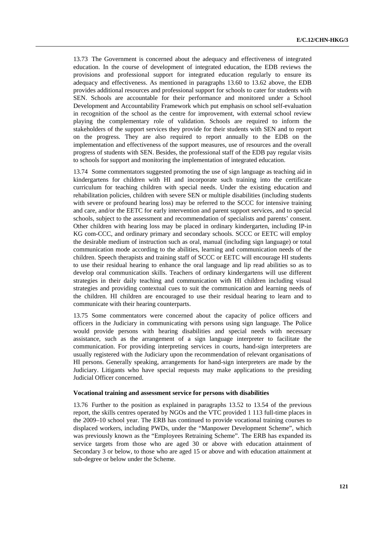13.73 The Government is concerned about the adequacy and effectiveness of integrated education. In the course of development of integrated education, the EDB reviews the provisions and professional support for integrated education regularly to ensure its adequacy and effectiveness. As mentioned in paragraphs 13.60 to 13.62 above, the EDB provides additional resources and professional support for schools to cater for students with SEN. Schools are accountable for their performance and monitored under a School Development and Accountability Framework which put emphasis on school self-evaluation in recognition of the school as the centre for improvement, with external school review playing the complementary role of validation. Schools are required to inform the stakeholders of the support services they provide for their students with SEN and to report on the progress. They are also required to report annually to the EDB on the implementation and effectiveness of the support measures, use of resources and the overall progress of students with SEN. Besides, the professional staff of the EDB pay regular visits to schools for support and monitoring the implementation of integrated education.

13.74 Some commentators suggested promoting the use of sign language as teaching aid in kindergartens for children with HI and incorporate such training into the certificate curriculum for teaching children with special needs. Under the existing education and rehabilitation policies, children with severe SEN or multiple disabilities (including students with severe or profound hearing loss) may be referred to the SCCC for intensive training and care, and/or the EETC for early intervention and parent support services, and to special schools, subject to the assessment and recommendation of specialists and parents' consent. Other children with hearing loss may be placed in ordinary kindergarten, including IP-in KG com-CCC, and ordinary primary and secondary schools. SCCC or EETC will employ the desirable medium of instruction such as oral, manual (including sign language) or total communication mode according to the abilities, learning and communication needs of the children. Speech therapists and training staff of SCCC or EETC will encourage HI students to use their residual hearing to enhance the oral language and lip read abilities so as to develop oral communication skills. Teachers of ordinary kindergartens will use different strategies in their daily teaching and communication with HI children including visual strategies and providing contextual cues to suit the communication and learning needs of the children. HI children are encouraged to use their residual hearing to learn and to communicate with their hearing counterparts.

13.75 Some commentators were concerned about the capacity of police officers and officers in the Judiciary in communicating with persons using sign language. The Police would provide persons with hearing disabilities and special needs with necessary assistance, such as the arrangement of a sign language interpreter to facilitate the communication. For providing interpreting services in courts, hand-sign interpreters are usually registered with the Judiciary upon the recommendation of relevant organisations of HI persons. Generally speaking, arrangements for hand-sign interpreters are made by the Judiciary. Litigants who have special requests may make applications to the presiding Judicial Officer concerned.

### **Vocational training and assessment service for persons with disabilities**

13.76 Further to the position as explained in paragraphs 13.52 to 13.54 of the previous report, the skills centres operated by NGOs and the VTC provided 1 113 full-time places in the 2009–10 school year. The ERB has continued to provide vocational training courses to displaced workers, including PWDs, under the "Manpower Development Scheme", which was previously known as the "Employees Retraining Scheme". The ERB has expanded its service targets from those who are aged 30 or above with education attainment of Secondary 3 or below, to those who are aged 15 or above and with education attainment at sub-degree or below under the Scheme.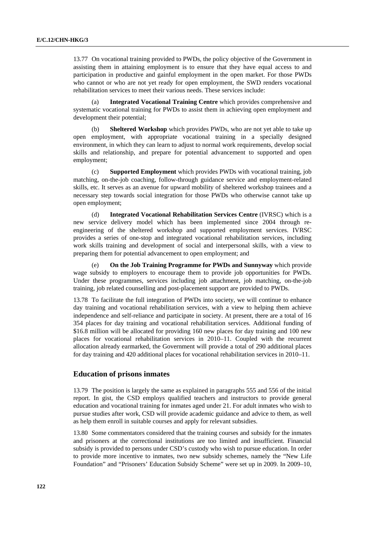13.77 On vocational training provided to PWDs, the policy objective of the Government in assisting them in attaining employment is to ensure that they have equal access to and participation in productive and gainful employment in the open market. For those PWDs who cannot or who are not yet ready for open employment, the SWD renders vocational rehabilitation services to meet their various needs. These services include:

 (a) **Integrated Vocational Training Centre** which provides comprehensive and systematic vocational training for PWDs to assist them in achieving open employment and development their potential;

**Sheltered Workshop** which provides PWDs, who are not yet able to take up open employment, with appropriate vocational training in a specially designed environment, in which they can learn to adjust to normal work requirements, develop social skills and relationship, and prepare for potential advancement to supported and open employment;

 (c) **Supported Employment** which provides PWDs with vocational training, job matching, on-the-job coaching, follow-through guidance service and employment-related skills, etc. It serves as an avenue for upward mobility of sheltered workshop trainees and a necessary step towards social integration for those PWDs who otherwise cannot take up open employment;

 (d) **Integrated Vocational Rehabilitation Services Centre** (IVRSC) which is a new service delivery model which has been implemented since 2004 through reengineering of the sheltered workshop and supported employment services. IVRSC provides a series of one-stop and integrated vocational rehabilitation services, including work skills training and development of social and interpersonal skills, with a view to preparing them for potential advancement to open employment; and

 (e) **On the Job Training Programme for PWDs and Sunnyway** which provide wage subsidy to employers to encourage them to provide job opportunities for PWDs. Under these programmes, services including job attachment, job matching, on-the-job training, job related counselling and post-placement support are provided to PWDs.

13.78 To facilitate the full integration of PWDs into society, we will continue to enhance day training and vocational rehabilitation services, with a view to helping them achieve independence and self-reliance and participate in society. At present, there are a total of 16 354 places for day training and vocational rehabilitation services. Additional funding of \$16.8 million will be allocated for providing 160 new places for day training and 100 new places for vocational rehabilitation services in 2010–11. Coupled with the recurrent allocation already earmarked, the Government will provide a total of 290 additional places for day training and 420 additional places for vocational rehabilitation services in 2010–11.

## **Education of prisons inmates**

13.79 The position is largely the same as explained in paragraphs 555 and 556 of the initial report. In gist, the CSD employs qualified teachers and instructors to provide general education and vocational training for inmates aged under 21. For adult inmates who wish to pursue studies after work, CSD will provide academic guidance and advice to them, as well as help them enroll in suitable courses and apply for relevant subsidies.

13.80 Some commentators considered that the training courses and subsidy for the inmates and prisoners at the correctional institutions are too limited and insufficient. Financial subsidy is provided to persons under CSD's custody who wish to pursue education. In order to provide more incentive to inmates, two new subsidy schemes, namely the "New Life Foundation" and "Prisoners' Education Subsidy Scheme" were set up in 2009. In 2009–10,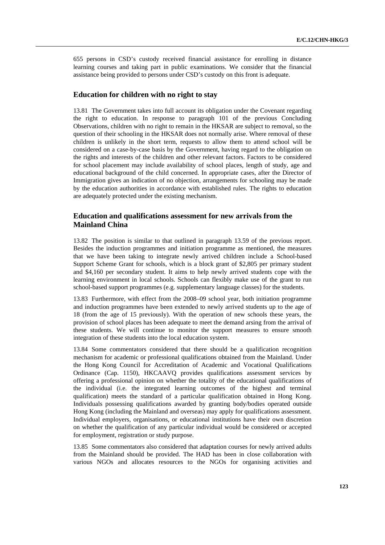655 persons in CSD's custody received financial assistance for enrolling in distance learning courses and taking part in public examinations. We consider that the financial assistance being provided to persons under CSD's custody on this front is adequate.

## **Education for children with no right to stay**

13.81 The Government takes into full account its obligation under the Covenant regarding the right to education. In response to paragraph 101 of the previous Concluding Observations, children with no right to remain in the HKSAR are subject to removal, so the question of their schooling in the HKSAR does not normally arise. Where removal of these children is unlikely in the short term, requests to allow them to attend school will be considered on a case-by-case basis by the Government, having regard to the obligation on the rights and interests of the children and other relevant factors. Factors to be considered for school placement may include availability of school places, length of study, age and educational background of the child concerned. In appropriate cases, after the Director of Immigration gives an indication of no objection, arrangements for schooling may be made by the education authorities in accordance with established rules. The rights to education are adequately protected under the existing mechanism.

# **Education and qualifications assessment for new arrivals from the Mainland China**

13.82 The position is similar to that outlined in paragraph 13.59 of the previous report. Besides the induction programmes and initiation programme as mentioned, the measures that we have been taking to integrate newly arrived children include a School-based Support Scheme Grant for schools, which is a block grant of \$2,805 per primary student and \$4,160 per secondary student. It aims to help newly arrived students cope with the learning environment in local schools. Schools can flexibly make use of the grant to run school-based support programmes (e.g. supplementary language classes) for the students.

13.83 Furthermore, with effect from the 2008–09 school year, both initiation programme and induction programmes have been extended to newly arrived students up to the age of 18 (from the age of 15 previously). With the operation of new schools these years, the provision of school places has been adequate to meet the demand arsing from the arrival of these students. We will continue to monitor the support measures to ensure smooth integration of these students into the local education system.

13.84 Some commentators considered that there should be a qualification recognition mechanism for academic or professional qualifications obtained from the Mainland. Under the Hong Kong Council for Accreditation of Academic and Vocational Qualifications Ordinance (Cap. 1150), HKCAAVQ provides qualifications assessment services by offering a professional opinion on whether the totality of the educational qualifications of the individual (i.e. the integrated learning outcomes of the highest and terminal qualification) meets the standard of a particular qualification obtained in Hong Kong. Individuals possessing qualifications awarded by granting body/bodies operated outside Hong Kong (including the Mainland and overseas) may apply for qualifications assessment. Individual employers, organisations, or educational institutions have their own discretion on whether the qualification of any particular individual would be considered or accepted for employment, registration or study purpose.

13.85 Some commentators also considered that adaptation courses for newly arrived adults from the Mainland should be provided. The HAD has been in close collaboration with various NGOs and allocates resources to the NGOs for organising activities and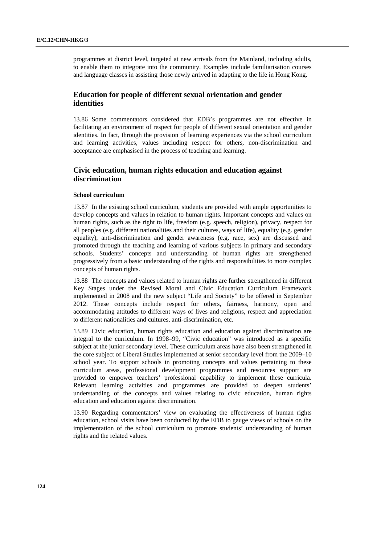programmes at district level, targeted at new arrivals from the Mainland, including adults, to enable them to integrate into the community. Examples include familiarisation courses and language classes in assisting those newly arrived in adapting to the life in Hong Kong.

# **Education for people of different sexual orientation and gender identities**

13.86 Some commentators considered that EDB's programmes are not effective in facilitating an environment of respect for people of different sexual orientation and gender identities. In fact, through the provision of learning experiences via the school curriculum and learning activities, values including respect for others, non-discrimination and acceptance are emphasised in the process of teaching and learning.

# **Civic education, human rights education and education against discrimination**

## **School curriculum**

13.87 In the existing school curriculum, students are provided with ample opportunities to develop concepts and values in relation to human rights. Important concepts and values on human rights, such as the right to life, freedom (e.g. speech, religion), privacy, respect for all peoples (e.g. different nationalities and their cultures, ways of life), equality (e.g. gender equality), anti-discrimination and gender awareness (e.g. race, sex) are discussed and promoted through the teaching and learning of various subjects in primary and secondary schools. Students' concepts and understanding of human rights are strengthened progressively from a basic understanding of the rights and responsibilities to more complex concepts of human rights.

13.88 The concepts and values related to human rights are further strengthened in different Key Stages under the Revised Moral and Civic Education Curriculum Framework implemented in 2008 and the new subject "Life and Society" to be offered in September 2012. These concepts include respect for others, fairness, harmony, open and accommodating attitudes to different ways of lives and religions, respect and appreciation to different nationalities and cultures, anti-discrimination, etc.

13.89 Civic education, human rights education and education against discrimination are integral to the curriculum. In 1998–99, "Civic education" was introduced as a specific subject at the junior secondary level. These curriculum areas have also been strengthened in the core subject of Liberal Studies implemented at senior secondary level from the 2009–10 school year. To support schools in promoting concepts and values pertaining to these curriculum areas, professional development programmes and resources support are provided to empower teachers' professional capability to implement these curricula. Relevant learning activities and programmes are provided to deepen students' understanding of the concepts and values relating to civic education, human rights education and education against discrimination.

13.90 Regarding commentators' view on evaluating the effectiveness of human rights education, school visits have been conducted by the EDB to gauge views of schools on the implementation of the school curriculum to promote students' understanding of human rights and the related values.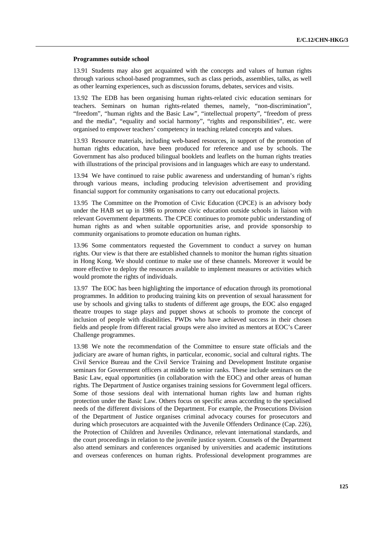#### **Programmes outside school**

13.91 Students may also get acquainted with the concepts and values of human rights through various school-based programmes, such as class periods, assemblies, talks, as well as other learning experiences, such as discussion forums, debates, services and visits.

13.92 The EDB has been organising human rights-related civic education seminars for teachers. Seminars on human rights-related themes, namely, "non-discrimination", "freedom", "human rights and the Basic Law", "intellectual property", "freedom of press and the media", "equality and social harmony", "rights and responsibilities", etc. were organised to empower teachers' competency in teaching related concepts and values.

13.93 Resource materials, including web-based resources, in support of the promotion of human rights education, have been produced for reference and use by schools. The Government has also produced bilingual booklets and leaflets on the human rights treaties with illustrations of the principal provisions and in languages which are easy to understand.

13.94 We have continued to raise public awareness and understanding of human's rights through various means, including producing television advertisement and providing financial support for community organisations to carry out educational projects.

13.95 The Committee on the Promotion of Civic Education (CPCE) is an advisory body under the HAB set up in 1986 to promote civic education outside schools in liaison with relevant Government departments. The CPCE continues to promote public understanding of human rights as and when suitable opportunities arise, and provide sponsorship to community organisations to promote education on human rights.

13.96 Some commentators requested the Government to conduct a survey on human rights. Our view is that there are established channels to monitor the human rights situation in Hong Kong. We should continue to make use of these channels. Moreover it would be more effective to deploy the resources available to implement measures or activities which would promote the rights of individuals.

13.97 The EOC has been highlighting the importance of education through its promotional programmes. In addition to producing training kits on prevention of sexual harassment for use by schools and giving talks to students of different age groups, the EOC also engaged theatre troupes to stage plays and puppet shows at schools to promote the concept of inclusion of people with disabilities. PWDs who have achieved success in their chosen fields and people from different racial groups were also invited as mentors at EOC's Career Challenge programmes.

13.98 We note the recommendation of the Committee to ensure state officials and the judiciary are aware of human rights, in particular, economic, social and cultural rights. The Civil Service Bureau and the Civil Service Training and Development Institute organise seminars for Government officers at middle to senior ranks. These include seminars on the Basic Law, equal opportunities (in collaboration with the EOC) and other areas of human rights. The Department of Justice organises training sessions for Government legal officers. Some of those sessions deal with international human rights law and human rights protection under the Basic Law. Others focus on specific areas according to the specialised needs of the different divisions of the Department. For example, the Prosecutions Division of the Department of Justice organises criminal advocacy courses for prosecutors and during which prosecutors are acquainted with the Juvenile Offenders Ordinance (Cap. 226), the Protection of Children and Juveniles Ordinance, relevant international standards, and the court proceedings in relation to the juvenile justice system. Counsels of the Department also attend seminars and conferences organised by universities and academic institutions and overseas conferences on human rights. Professional development programmes are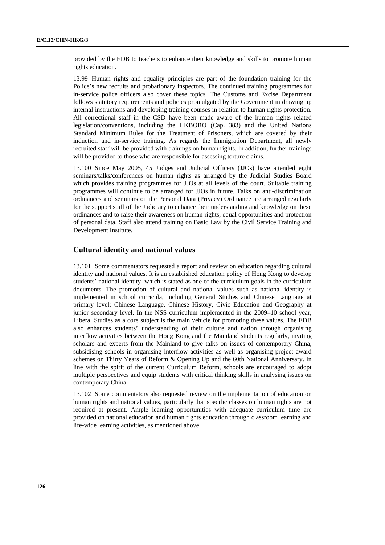provided by the EDB to teachers to enhance their knowledge and skills to promote human rights education.

13.99 Human rights and equality principles are part of the foundation training for the Police's new recruits and probationary inspectors. The continued training programmes for in-service police officers also cover these topics. The Customs and Excise Department follows statutory requirements and policies promulgated by the Government in drawing up internal instructions and developing training courses in relation to human rights protection. All correctional staff in the CSD have been made aware of the human rights related legislation/conventions, including the HKBORO (Cap. 383) and the United Nations Standard Minimum Rules for the Treatment of Prisoners, which are covered by their induction and in-service training. As regards the Immigration Department, all newly recruited staff will be provided with trainings on human rights. In addition, further trainings will be provided to those who are responsible for assessing torture claims.

13.100 Since May 2005, 45 Judges and Judicial Officers (JJOs) have attended eight seminars/talks/conferences on human rights as arranged by the Judicial Studies Board which provides training programmes for JJOs at all levels of the court. Suitable training programmes will continue to be arranged for JJOs in future. Talks on anti-discrimination ordinances and seminars on the Personal Data (Privacy) Ordinance are arranged regularly for the support staff of the Judiciary to enhance their understanding and knowledge on these ordinances and to raise their awareness on human rights, equal opportunities and protection of personal data. Staff also attend training on Basic Law by the Civil Service Training and Development Institute.

## **Cultural identity and national values**

13.101 Some commentators requested a report and review on education regarding cultural identity and national values. It is an established education policy of Hong Kong to develop students' national identity, which is stated as one of the curriculum goals in the curriculum documents. The promotion of cultural and national values such as national identity is implemented in school curricula, including General Studies and Chinese Language at primary level; Chinese Language, Chinese History, Civic Education and Geography at junior secondary level. In the NSS curriculum implemented in the 2009–10 school year, Liberal Studies as a core subject is the main vehicle for promoting these values. The EDB also enhances students' understanding of their culture and nation through organising interflow activities between the Hong Kong and the Mainland students regularly, inviting scholars and experts from the Mainland to give talks on issues of contemporary China, subsidising schools in organising interflow activities as well as organising project award schemes on Thirty Years of Reform & Opening Up and the 60th National Anniversary. In line with the spirit of the current Curriculum Reform, schools are encouraged to adopt multiple perspectives and equip students with critical thinking skills in analysing issues on contemporary China.

13.102 Some commentators also requested review on the implementation of education on human rights and national values, particularly that specific classes on human rights are not required at present. Ample learning opportunities with adequate curriculum time are provided on national education and human rights education through classroom learning and life-wide learning activities, as mentioned above.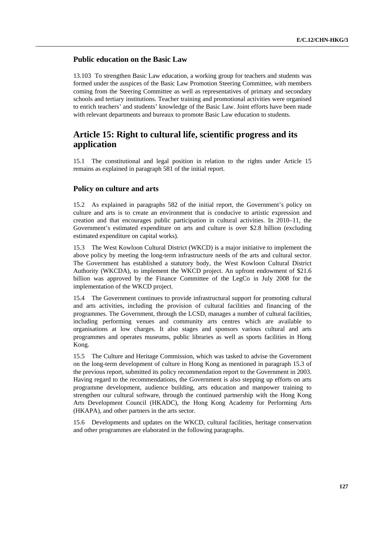# **Public education on the Basic Law**

13.103 To strengthen Basic Law education, a working group for teachers and students was formed under the auspices of the Basic Law Promotion Steering Committee, with members coming from the Steering Committee as well as representatives of primary and secondary schools and tertiary institutions. Teacher training and promotional activities were organised to enrich teachers' and students' knowledge of the Basic Law. Joint efforts have been made with relevant departments and bureaux to promote Basic Law education to students.

# **Article 15: Right to cultural life, scientific progress and its application**

15.1 The constitutional and legal position in relation to the rights under Article 15 remains as explained in paragraph 581 of the initial report.

## **Policy on culture and arts**

15.2 As explained in paragraphs 582 of the initial report, the Government's policy on culture and arts is to create an environment that is conducive to artistic expression and creation and that encourages public participation in cultural activities. In 2010–11, the Government's estimated expenditure on arts and culture is over \$2.8 billion (excluding estimated expenditure on capital works).

15.3 The West Kowloon Cultural District (WKCD) is a major initiative to implement the above policy by meeting the long-term infrastructure needs of the arts and cultural sector. The Government has established a statutory body, the West Kowloon Cultural District Authority (WKCDA), to implement the WKCD project. An upfront endowment of \$21.6 billion was approved by the Finance Committee of the LegCo in July 2008 for the implementation of the WKCD project.

15.4 The Government continues to provide infrastructural support for promoting cultural and arts activities, including the provision of cultural facilities and financing of the programmes. The Government, through the LCSD, manages a number of cultural facilities, including performing venues and community arts centres which are available to organisations at low charges. It also stages and sponsors various cultural and arts programmes and operates museums, public libraries as well as sports facilities in Hong Kong.

15.5 The Culture and Heritage Commission, which was tasked to advise the Government on the long-term development of culture in Hong Kong as mentioned in paragraph 15.3 of the previous report, submitted its policy recommendation report to the Government in 2003. Having regard to the recommendations, the Government is also stepping up efforts on arts programme development, audience building, arts education and manpower training to strengthen our cultural software, through the continued partnership with the Hong Kong Arts Development Council (HKADC), the Hong Kong Academy for Performing Arts (HKAPA), and other partners in the arts sector.

15.6 Developments and updates on the WKCD, cultural facilities, heritage conservation and other programmes are elaborated in the following paragraphs.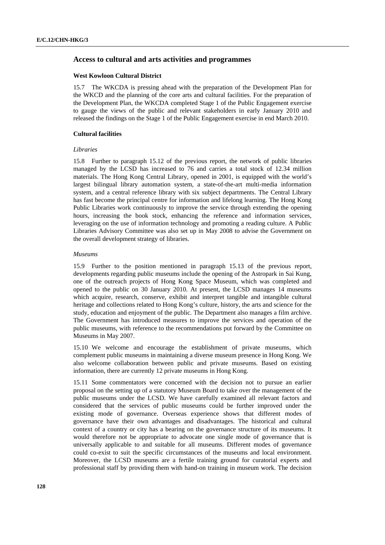# **Access to cultural and arts activities and programmes**

#### **West Kowloon Cultural District**

15.7 The WKCDA is pressing ahead with the preparation of the Development Plan for the WKCD and the planning of the core arts and cultural facilities. For the preparation of the Development Plan, the WKCDA completed Stage 1 of the Public Engagement exercise to gauge the views of the public and relevant stakeholders in early January 2010 and released the findings on the Stage 1 of the Public Engagement exercise in end March 2010.

#### **Cultural facilities**

#### *Libraries*

15.8 Further to paragraph 15.12 of the previous report, the network of public libraries managed by the LCSD has increased to 76 and carries a total stock of 12.34 million materials. The Hong Kong Central Library, opened in 2001, is equipped with the world's largest bilingual library automation system, a state-of-the-art multi-media information system, and a central reference library with six subject departments. The Central Library has fast become the principal centre for information and lifelong learning. The Hong Kong Public Libraries work continuously to improve the service through extending the opening hours, increasing the book stock, enhancing the reference and information services, leveraging on the use of information technology and promoting a reading culture. A Public Libraries Advisory Committee was also set up in May 2008 to advise the Government on the overall development strategy of libraries.

#### *Museums*

15.9 Further to the position mentioned in paragraph 15.13 of the previous report, developments regarding public museums include the opening of the Astropark in Sai Kung, one of the outreach projects of Hong Kong Space Museum, which was completed and opened to the public on 30 January 2010. At present, the LCSD manages 14 museums which acquire, research, conserve, exhibit and interpret tangible and intangible cultural heritage and collections related to Hong Kong's culture, history, the arts and science for the study, education and enjoyment of the public. The Department also manages a film archive. The Government has introduced measures to improve the services and operation of the public museums, with reference to the recommendations put forward by the Committee on Museums in May 2007.

15.10 We welcome and encourage the establishment of private museums, which complement public museums in maintaining a diverse museum presence in Hong Kong. We also welcome collaboration between public and private museums. Based on existing information, there are currently 12 private museums in Hong Kong.

15.11 Some commentators were concerned with the decision not to pursue an earlier proposal on the setting up of a statutory Museum Board to take over the management of the public museums under the LCSD. We have carefully examined all relevant factors and considered that the services of public museums could be further improved under the existing mode of governance. Overseas experience shows that different modes of governance have their own advantages and disadvantages. The historical and cultural context of a country or city has a bearing on the governance structure of its museums. It would therefore not be appropriate to advocate one single mode of governance that is universally applicable to and suitable for all museums. Different modes of governance could co-exist to suit the specific circumstances of the museums and local environment. Moreover, the LCSD museums are a fertile training ground for curatorial experts and professional staff by providing them with hand-on training in museum work. The decision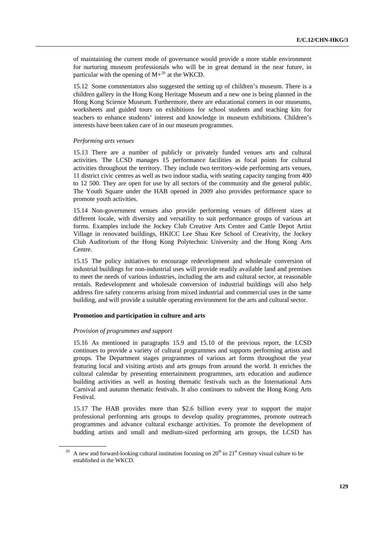of maintaining the current mode of governance would provide a more stable environment for nurturing museum professionals who will be in great demand in the near future, in particular with the opening of  $M+^{20}$  $M+^{20}$  $M+^{20}$  at the WKCD.

15.12 Some commentators also suggested the setting up of children's museum. There is a children gallery in the Hong Kong Heritage Museum and a new one is being planned in the Hong Kong Science Museum. Furthermore, there are educational corners in our museums, worksheets and guided tours on exhibitions for school students and teaching kits for teachers to enhance students' interest and knowledge in museum exhibitions. Children's interests have been taken care of in our museum programmes.

#### *Performing arts venues*

15.13 There are a number of publicly or privately funded venues arts and cultural activities. The LCSD manages 15 performance facilities as focal points for cultural activities throughout the territory. They include two territory-wide performing arts venues, 11 district civic centres as well as two indoor stadia, with seating capacity ranging from 400 to 12 500. They are open for use by all sectors of the community and the general public. The Youth Square under the HAB opened in 2009 also provides performance space to promote youth activities.

15.14 Non-government venues also provide performing venues of different sizes at different locale, with diversity and versatility to suit performance groups of various art forms. Examples include the Jockey Club Creative Arts Centre and Cattle Depot Artist Village in renovated buildings, HKICC Lee Shau Kee School of Creativity, the Jockey Club Auditorium of the Hong Kong Polytechnic University and the Hong Kong Arts Centre.

15.15 The policy initiatives to encourage redevelopment and wholesale conversion of industrial buildings for non-industrial uses will provide readily available land and premises to meet the needs of various industries, including the arts and cultural sector, at reasonable rentals. Redevelopment and wholesale conversion of industrial buildings will also help address fire safety concerns arising from mixed industrial and commercial uses in the same building, and will provide a suitable operating environment for the arts and cultural sector.

#### **Promotion and participation in culture and arts**

#### *Provision of programmes and support*

15.16 As mentioned in paragraphs 15.9 and 15.10 of the previous report, the LCSD continues to provide a variety of cultural programmes and supports performing artists and groups. The Department stages programmes of various art forms throughout the year featuring local and visiting artists and arts groups from around the world. It enriches the cultural calendar by presenting entertainment programmes, arts education and audience building activities as well as hosting thematic festivals such as the International Arts Carnival and autumn thematic festivals. It also continues to subvent the Hong Kong Arts Festival.

15.17 The HAB provides more than \$2.6 billion every year to support the major professional performing arts groups to develop quality programmes, promote outreach programmes and advance cultural exchange activities. To promote the development of budding artists and small and medium-sized performing arts groups, the LCSD has

<span id="page-128-0"></span>A new and forward-looking cultural institution focusing on  $20<sup>th</sup>$  to  $21<sup>st</sup>$  Century visual culture to be established in the WKCD.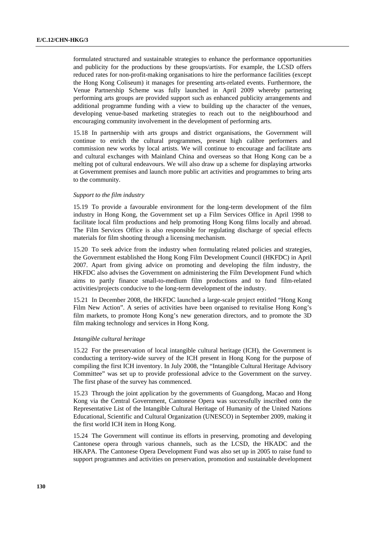formulated structured and sustainable strategies to enhance the performance opportunities and publicity for the productions by these groups/artists. For example, the LCSD offers reduced rates for non-profit-making organisations to hire the performance facilities (except the Hong Kong Coliseum) it manages for presenting arts-related events. Furthermore, the Venue Partnership Scheme was fully launched in April 2009 whereby partnering performing arts groups are provided support such as enhanced publicity arrangements and additional programme funding with a view to building up the character of the venues, developing venue-based marketing strategies to reach out to the neighbourhood and encouraging community involvement in the development of performing arts.

15.18 In partnership with arts groups and district organisations, the Government will continue to enrich the cultural programmes, present high calibre performers and commission new works by local artists. We will continue to encourage and facilitate arts and cultural exchanges with Mainland China and overseas so that Hong Kong can be a melting pot of cultural endeavours. We will also draw up a scheme for displaying artworks at Government premises and launch more public art activities and programmes to bring arts to the community.

## *Support to the film industry*

15.19 To provide a favourable environment for the long-term development of the film industry in Hong Kong, the Government set up a Film Services Office in April 1998 to facilitate local film productions and help promoting Hong Kong films locally and abroad. The Film Services Office is also responsible for regulating discharge of special effects materials for film shooting through a licensing mechanism.

15.20 To seek advice from the industry when formulating related policies and strategies, the Government established the Hong Kong Film Development Council (HKFDC) in April 2007. Apart from giving advice on promoting and developing the film industry, the HKFDC also advises the Government on administering the Film Development Fund which aims to partly finance small-to-medium film productions and to fund film-related activities/projects conducive to the long-term development of the industry.

15.21 In December 2008, the HKFDC launched a large-scale project entitled "Hong Kong Film New Action". A series of activities have been organised to revitalise Hong Kong's film markets, to promote Hong Kong's new generation directors, and to promote the 3D film making technology and services in Hong Kong.

#### *Intangible cultural heritage*

15.22 For the preservation of local intangible cultural heritage (ICH), the Government is conducting a territory-wide survey of the ICH present in Hong Kong for the purpose of compiling the first ICH inventory. In July 2008, the "Intangible Cultural Heritage Advisory Committee" was set up to provide professional advice to the Government on the survey. The first phase of the survey has commenced.

15.23 Through the joint application by the governments of Guangdong, Macao and Hong Kong via the Central Government, Cantonese Opera was successfully inscribed onto the Representative List of the Intangible Cultural Heritage of Humanity of the United Nations Educational, Scientific and Cultural Organization (UNESCO) in September 2009, making it the first world ICH item in Hong Kong.

15.24 The Government will continue its efforts in preserving, promoting and developing Cantonese opera through various channels, such as the LCSD, the HKADC and the HKAPA. The Cantonese Opera Development Fund was also set up in 2005 to raise fund to support programmes and activities on preservation, promotion and sustainable development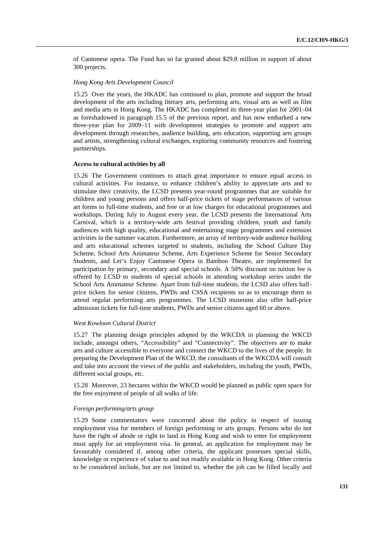of Cantonese opera. The Fund has so far granted about \$29.8 million in support of about 300 projects.

### *Hong Kong Arts Development Council*

15.25 Over the years, the HKADC has continued to plan, promote and support the broad development of the arts including literary arts, performing arts, visual arts as well as film and media arts in Hong Kong. The HKADC has completed its three-year plan for 2001–04 as foreshadowed in paragraph 15.5 of the previous report, and has now embarked a new three-year plan for 2009–11 with development strategies to promote and support arts development through researches, audience building, arts education, supporting arts groups and artists, strengthening cultural exchanges, exploring community resources and fostering partnerships.

#### **Access to cultural activities by all**

15.26 The Government continues to attach great importance to ensure equal access to cultural activities. For instance, to enhance children's ability to appreciate arts and to stimulate their creativity, the LCSD presents year-round programmes that are suitable for children and young persons and offers half-price tickets of stage performances of various art forms to full-time students, and free or at low charges for educational programmes and workshops. During July to August every year, the LCSD presents the International Arts Carnival, which is a territory-wide arts festival providing children, youth and family audiences with high quality, educational and entertaining stage programmes and extension activities in the summer vacation. Furthermore, an array of territory-wide audience building and arts educational schemes targeted to students, including the School Culture Day Scheme, School Arts Animateur Scheme, Arts Experience Scheme for Senior Secondary Students, and Let's Enjoy Cantonese Opera in Bamboo Theatre, are implemented for participation by primary, secondary and special schools. A 50% discount on tuition fee is offered by LCSD to students of special schools in attending workshop series under the School Arts Animateur Scheme. Apart from full-time students, the LCSD also offers halfprice tickets for senior citizens, PWDs and CSSA recipients so as to encourage them to attend regular performing arts programmes. The LCSD museums also offer half-price admission tickets for full-time students, PWDs and senior citizens aged 60 or above.

#### *West Kowloon Cultural District*

15.27 The planning design principles adopted by the WKCDA in planning the WKCD include, amongst others, "Accessibility" and "Connectivity". The objectives are to make arts and culture accessible to everyone and connect the WKCD to the lives of the people. In preparing the Development Plan of the WKCD, the consultants of the WKCDA will consult and take into account the views of the public and stakeholders, including the youth, PWDs, different social groups, etc.

15.28 Moreover, 23 hectares within the WKCD would be planned as public open space for the free enjoyment of people of all walks of life.

#### *Foreign performing/arts group*

15.29 Some commentators were concerned about the policy in respect of issuing employment visa for members of foreign performing or arts groups. Persons who do not have the right of abode or right to land in Hong Kong and wish to enter for employment must apply for an employment visa. In general, an application for employment may be favourably considered if, among other criteria, the applicant possesses special skills, knowledge or experience of value to and not readily available in Hong Kong. Other criteria to be considered include, but are not limited to, whether the job can be filled locally and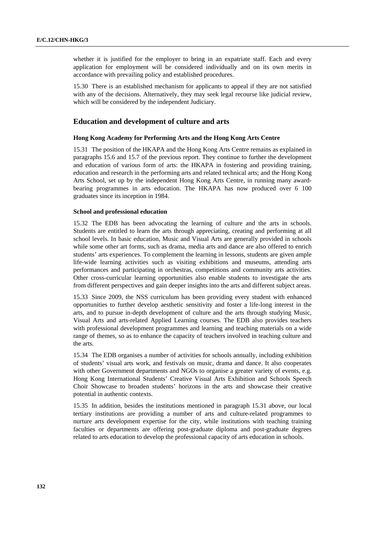whether it is justified for the employer to bring in an expatriate staff. Each and every application for employment will be considered individually and on its own merits in accordance with prevailing policy and established procedures.

15.30 There is an established mechanism for applicants to appeal if they are not satisfied with any of the decisions. Alternatively, they may seek legal recourse like judicial review, which will be considered by the independent Judiciary.

## **Education and development of culture and arts**

### **Hong Kong Academy for Performing Arts and the Hong Kong Arts Centre**

15.31 The position of the HKAPA and the Hong Kong Arts Centre remains as explained in paragraphs 15.6 and 15.7 of the previous report. They continue to further the development and education of various form of arts: the HKAPA in fostering and providing training, education and research in the performing arts and related technical arts; and the Hong Kong Arts School, set up by the independent Hong Kong Arts Centre, in running many awardbearing programmes in arts education. The HKAPA has now produced over 6 100 graduates since its inception in 1984.

#### **School and professional education**

15.32 The EDB has been advocating the learning of culture and the arts in schools. Students are entitled to learn the arts through appreciating, creating and performing at all school levels. In basic education, Music and Visual Arts are generally provided in schools while some other art forms, such as drama, media arts and dance are also offered to enrich students' arts experiences. To complement the learning in lessons, students are given ample life-wide learning activities such as visiting exhibitions and museums, attending arts performances and participating in orchestras, competitions and community arts activities. Other cross-curricular learning opportunities also enable students to investigate the arts from different perspectives and gain deeper insights into the arts and different subject areas.

15.33 Since 2009, the NSS curriculum has been providing every student with enhanced opportunities to further develop aesthetic sensitivity and foster a life-long interest in the arts, and to pursue in-depth development of culture and the arts through studying Music, Visual Arts and arts-related Applied Learning courses. The EDB also provides teachers with professional development programmes and learning and teaching materials on a wide range of themes, so as to enhance the capacity of teachers involved in teaching culture and the arts.

15.34 The EDB organises a number of activities for schools annually, including exhibition of students' visual arts work, and festivals on music, drama and dance. It also cooperates with other Government departments and NGOs to organise a greater variety of events, e.g. Hong Kong International Students' Creative Visual Arts Exhibition and Schools Speech Choir Showcase to broaden students' horizons in the arts and showcase their creative potential in authentic contexts.

15.35 In addition, besides the institutions mentioned in paragraph 15.31 above, our local tertiary institutions are providing a number of arts and culture-related programmes to nurture arts development expertise for the city, while institutions with teaching training faculties or departments are offering post-graduate diploma and post-graduate degrees related to arts education to develop the professional capacity of arts education in schools.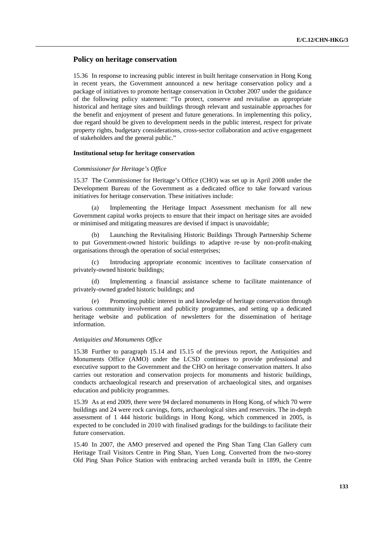# **Policy on heritage conservation**

15.36 In response to increasing public interest in built heritage conservation in Hong Kong in recent years, the Government announced a new heritage conservation policy and a package of initiatives to promote heritage conservation in October 2007 under the guidance of the following policy statement: "To protect, conserve and revitalise as appropriate historical and heritage sites and buildings through relevant and sustainable approaches for the benefit and enjoyment of present and future generations. In implementing this policy, due regard should be given to development needs in the public interest, respect for private property rights, budgetary considerations, cross-sector collaboration and active engagement of stakeholders and the general public."

### **Institutional setup for heritage conservation**

#### *Commissioner for Heritage's Office*

15.37 The Commissioner for Heritage's Office (CHO) was set up in April 2008 under the Development Bureau of the Government as a dedicated office to take forward various initiatives for heritage conservation. These initiatives include:

 (a) Implementing the Heritage Impact Assessment mechanism for all new Government capital works projects to ensure that their impact on heritage sites are avoided or minimised and mitigating measures are devised if impact is unavoidable;

 (b) Launching the Revitalising Historic Buildings Through Partnership Scheme to put Government-owned historic buildings to adaptive re-use by non-profit-making organisations through the operation of social enterprises;

 (c) Introducing appropriate economic incentives to facilitate conservation of privately-owned historic buildings;

 (d) Implementing a financial assistance scheme to facilitate maintenance of privately-owned graded historic buildings; and

Promoting public interest in and knowledge of heritage conservation through various community involvement and publicity programmes, and setting up a dedicated heritage website and publication of newsletters for the dissemination of heritage information.

#### *Antiquities and Monuments Office*

15.38 Further to paragraph 15.14 and 15.15 of the previous report, the Antiquities and Monuments Office (AMO) under the LCSD continues to provide professional and executive support to the Government and the CHO on heritage conservation matters. It also carries out restoration and conservation projects for monuments and historic buildings, conducts archaeological research and preservation of archaeological sites, and organises education and publicity programmes.

15.39 As at end 2009, there were 94 declared monuments in Hong Kong, of which 70 were buildings and 24 were rock carvings, forts, archaeological sites and reservoirs. The in-depth assessment of 1 444 historic buildings in Hong Kong, which commenced in 2005, is expected to be concluded in 2010 with finalised gradings for the buildings to facilitate their future conservation.

15.40 In 2007, the AMO preserved and opened the Ping Shan Tang Clan Gallery cum Heritage Trail Visitors Centre in Ping Shan, Yuen Long. Converted from the two-storey Old Ping Shan Police Station with embracing arched veranda built in 1899, the Centre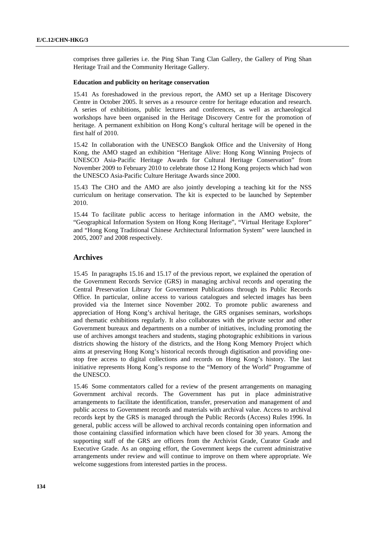comprises three galleries i.e. the Ping Shan Tang Clan Gallery, the Gallery of Ping Shan Heritage Trail and the Community Heritage Gallery.

### **Education and publicity on heritage conservation**

15.41 As foreshadowed in the previous report, the AMO set up a Heritage Discovery Centre in October 2005. It serves as a resource centre for heritage education and research. A series of exhibitions, public lectures and conferences, as well as archaeological workshops have been organised in the Heritage Discovery Centre for the promotion of heritage. A permanent exhibition on Hong Kong's cultural heritage will be opened in the first half of 2010.

15.42 In collaboration with the UNESCO Bangkok Office and the University of Hong Kong, the AMO staged an exhibition "Heritage Alive: Hong Kong Winning Projects of UNESCO Asia-Pacific Heritage Awards for Cultural Heritage Conservation" from November 2009 to February 2010 to celebrate those 12 Hong Kong projects which had won the UNESCO Asia-Pacific Culture Heritage Awards since 2000.

15.43 The CHO and the AMO are also jointly developing a teaching kit for the NSS curriculum on heritage conservation. The kit is expected to be launched by September 2010.

15.44 To facilitate public access to heritage information in the AMO website, the "Geographical Information System on Hong Kong Heritage", "Virtual Heritage Explorer" and "Hong Kong Traditional Chinese Architectural Information System" were launched in 2005, 2007 and 2008 respectively.

### **Archives**

15.45 In paragraphs 15.16 and 15.17 of the previous report, we explained the operation of the Government Records Service (GRS) in managing archival records and operating the Central Preservation Library for Government Publications through its Public Records Office. In particular, online access to various catalogues and selected images has been provided via the Internet since November 2002. To promote public awareness and appreciation of Hong Kong's archival heritage, the GRS organises seminars, workshops and thematic exhibitions regularly. It also collaborates with the private sector and other Government bureaux and departments on a number of initiatives, including promoting the use of archives amongst teachers and students, staging photographic exhibitions in various districts showing the history of the districts, and the Hong Kong Memory Project which aims at preserving Hong Kong's historical records through digitisation and providing onestop free access to digital collections and records on Hong Kong's history. The last initiative represents Hong Kong's response to the "Memory of the World" Programme of the UNESCO.

15.46 Some commentators called for a review of the present arrangements on managing Government archival records. The Government has put in place administrative arrangements to facilitate the identification, transfer, preservation and management of and public access to Government records and materials with archival value. Access to archival records kept by the GRS is managed through the Public Records (Access) Rules 1996. In general, public access will be allowed to archival records containing open information and those containing classified information which have been closed for 30 years. Among the supporting staff of the GRS are officers from the Archivist Grade, Curator Grade and Executive Grade. As an ongoing effort, the Government keeps the current administrative arrangements under review and will continue to improve on them where appropriate. We welcome suggestions from interested parties in the process.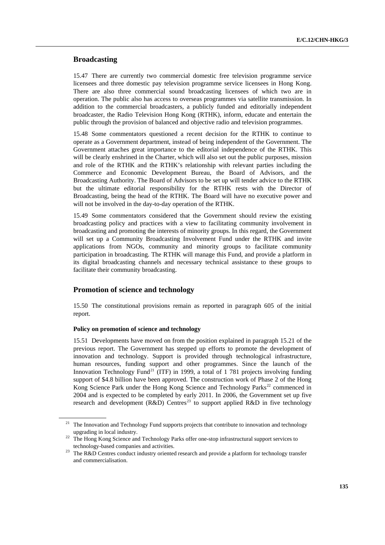## **Broadcasting**

15.47 There are currently two commercial domestic free television programme service licensees and three domestic pay television programme service licensees in Hong Kong. There are also three commercial sound broadcasting licensees of which two are in operation. The public also has access to overseas programmes via satellite transmission. In addition to the commercial broadcasters, a publicly funded and editorially independent broadcaster, the Radio Television Hong Kong (RTHK), inform, educate and entertain the public through the provision of balanced and objective radio and television programmes.

15.48 Some commentators questioned a recent decision for the RTHK to continue to operate as a Government department, instead of being independent of the Government. The Government attaches great importance to the editorial independence of the RTHK. This will be clearly enshrined in the Charter, which will also set out the public purposes, mission and role of the RTHK and the RTHK's relationship with relevant parties including the Commerce and Economic Development Bureau, the Board of Advisors, and the Broadcasting Authority. The Board of Advisors to be set up will tender advice to the RTHK but the ultimate editorial responsibility for the RTHK rests with the Director of Broadcasting, being the head of the RTHK. The Board will have no executive power and will not be involved in the day-to-day operation of the RTHK.

15.49 Some commentators considered that the Government should review the existing broadcasting policy and practices with a view to facilitating community involvement in broadcasting and promoting the interests of minority groups. In this regard, the Government will set up a Community Broadcasting Involvement Fund under the RTHK and invite applications from NGOs, community and minority groups to facilitate community participation in broadcasting. The RTHK will manage this Fund, and provide a platform in its digital broadcasting channels and necessary technical assistance to these groups to facilitate their community broadcasting.

## **Promotion of science and technology**

15.50 The constitutional provisions remain as reported in paragraph 605 of the initial report.

## **Policy on promotion of science and technology**

15.51 Developments have moved on from the position explained in paragraph 15.21 of the previous report. The Government has stepped up efforts to promote the development of innovation and technology. Support is provided through technological infrastructure, human resources, funding support and other programmes. Since the launch of the Innovation Technology Fund<sup>[21](#page-134-0)</sup> (ITF) in 1999, a total of 1 781 projects involving funding support of \$4.8 billion have been approved. The construction work of Phase 2 of the Hong Kong Science Park under the Hong Kong Science and Technology Parks<sup>[22](#page-134-1)</sup> commenced in 2004 and is expected to be completed by early 2011. In 2006, the Government set up five research and development  $(R&D)$  Centres<sup>[23](#page-134-2)</sup> to support applied R&D in five technology

<span id="page-134-0"></span><sup>&</sup>lt;sup>21</sup> The Innovation and Technology Fund supports projects that contribute to innovation and technology

<span id="page-134-1"></span>upgrading in local industry. 22 The Hong Kong Science and Technology Parks offer one-stop infrastructural support services to

<span id="page-134-2"></span>technology-based companies and activities.<br><sup>23</sup> The R&D Centres conduct industry oriented research and provide a platform for technology transfer and commercialisation.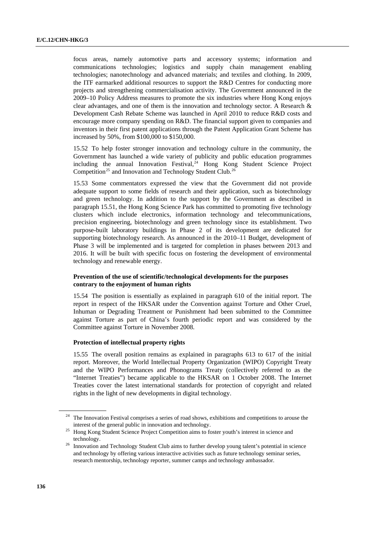focus areas, namely automotive parts and accessory systems; information and communications technologies; logistics and supply chain management enabling technologies; nanotechnology and advanced materials; and textiles and clothing. In 2009, the ITF earmarked additional resources to support the R&D Centres for conducting more projects and strengthening commercialisation activity. The Government announced in the 2009–10 Policy Address measures to promote the six industries where Hong Kong enjoys clear advantages, and one of them is the innovation and technology sector. A Research & Development Cash Rebate Scheme was launched in April 2010 to reduce R&D costs and encourage more company spending on R&D. The financial support given to companies and inventors in their first patent applications through the Patent Application Grant Scheme has increased by 50%, from \$100,000 to \$150,000.

15.52 To help foster stronger innovation and technology culture in the community, the Government has launched a wide variety of publicity and public education programmes including the annual Innovation Festival, $24$  Hong Kong Student Science Project Competition<sup>[25](#page-135-1)</sup> and Innovation and Technology Student Club.<sup>[26](#page-135-2)</sup>

15.53 Some commentators expressed the view that the Government did not provide adequate support to some fields of research and their application, such as biotechnology and green technology. In addition to the support by the Government as described in paragraph 15.51, the Hong Kong Science Park has committed to promoting five technology clusters which include electronics, information technology and telecommunications, precision engineering, biotechnology and green technology since its establishment. Two purpose-built laboratory buildings in Phase 2 of its development are dedicated for supporting biotechnology research. As announced in the 2010–11 Budget, development of Phase 3 will be implemented and is targeted for completion in phases between 2013 and 2016. It will be built with specific focus on fostering the development of environmental technology and renewable energy.

## **Prevention of the use of scientific/technological developments for the purposes contrary to the enjoyment of human rights**

15.54 The position is essentially as explained in paragraph 610 of the initial report. The report in respect of the HKSAR under the Convention against Torture and Other Cruel, Inhuman or Degrading Treatment or Punishment had been submitted to the Committee against Torture as part of China's fourth periodic report and was considered by the Committee against Torture in November 2008.

#### **Protection of intellectual property rights**

15.55 The overall position remains as explained in paragraphs 613 to 617 of the initial report. Moreover, the World Intellectual Property Organization (WIPO) Copyright Treaty and the WIPO Performances and Phonograms Treaty (collectively referred to as the "Internet Treaties") became applicable to the HKSAR on 1 October 2008. The Internet Treaties cover the latest international standards for protection of copyright and related rights in the light of new developments in digital technology.

<sup>24</sup> The Innovation Festival comprises a series of road shows, exhibitions and competitions to arouse the

<span id="page-135-1"></span><span id="page-135-0"></span>interest of the general public in innovation and technology. 25 Hong Kong Student Science Project Competition aims to foster youth's interest in science and

<span id="page-135-2"></span>technology. 26 Innovation and Technology Student Club aims to further develop young talent's potential in science and technology by offering various interactive activities such as future technology seminar series, research mentorship, technology reporter, summer camps and technology ambassador.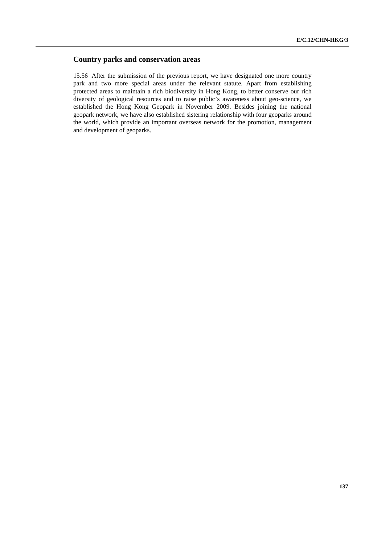# **Country parks and conservation areas**

15.56 After the submission of the previous report, we have designated one more country park and two more special areas under the relevant statute. Apart from establishing protected areas to maintain a rich biodiversity in Hong Kong, to better conserve our rich diversity of geological resources and to raise public's awareness about geo-science, we established the Hong Kong Geopark in November 2009. Besides joining the national geopark network, we have also established sistering relationship with four geoparks around the world, which provide an important overseas network for the promotion, management and development of geoparks.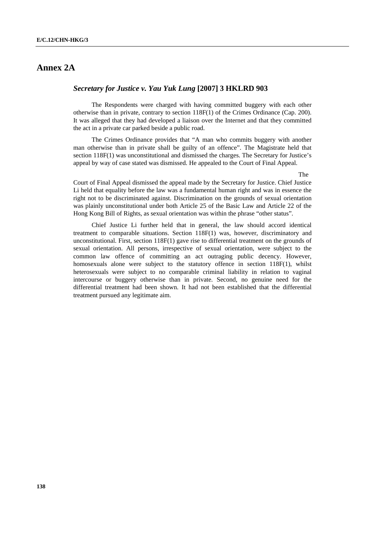# **Annex 2A**

# *Secretary for Justice v. Yau Yuk Lung* **[2007] 3 HKLRD 903**

 The Respondents were charged with having committed buggery with each other otherwise than in private, contrary to section 118F(1) of the Crimes Ordinance (Cap. 200). It was alleged that they had developed a liaison over the Internet and that they committed the act in a private car parked beside a public road.

 The Crimes Ordinance provides that "A man who commits buggery with another man otherwise than in private shall be guilty of an offence". The Magistrate held that section 118F(1) was unconstitutional and dismissed the charges. The Secretary for Justice's appeal by way of case stated was dismissed. He appealed to the Court of Final Appeal.

The

Court of Final Appeal dismissed the appeal made by the Secretary for Justice. Chief Justice Li held that equality before the law was a fundamental human right and was in essence the right not to be discriminated against. Discrimination on the grounds of sexual orientation was plainly unconstitutional under both Article 25 of the Basic Law and Article 22 of the Hong Kong Bill of Rights, as sexual orientation was within the phrase "other status".

 Chief Justice Li further held that in general, the law should accord identical treatment to comparable situations. Section 118F(1) was, however, discriminatory and unconstitutional. First, section 118F(1) gave rise to differential treatment on the grounds of sexual orientation. All persons, irrespective of sexual orientation, were subject to the common law offence of committing an act outraging public decency. However, homosexuals alone were subject to the statutory offence in section 118F(1), whilst heterosexuals were subject to no comparable criminal liability in relation to vaginal intercourse or buggery otherwise than in private. Second, no genuine need for the differential treatment had been shown. It had not been established that the differential treatment pursued any legitimate aim.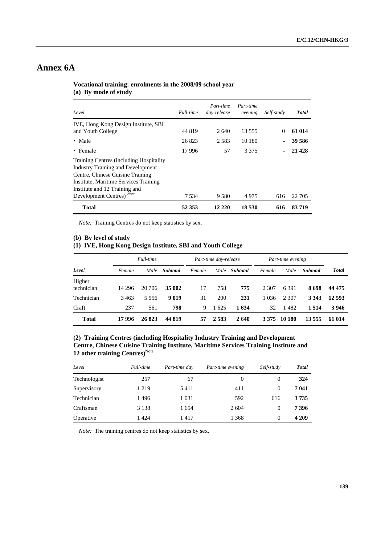# **Annex 6A**

| Level                                                                                                                                                                                                                                            | Full-time | Part-time<br>day-release | Part-time<br>evening | Self-study | <b>Total</b> |
|--------------------------------------------------------------------------------------------------------------------------------------------------------------------------------------------------------------------------------------------------|-----------|--------------------------|----------------------|------------|--------------|
| IVE, Hong Kong Design Institute, SBI<br>and Youth College                                                                                                                                                                                        | 44 819    | 2.640                    | 13.555               | $\Omega$   | 61 014       |
| • Male                                                                                                                                                                                                                                           | 26823     | 2.583                    | 10 180               |            | 39 586       |
| • Female                                                                                                                                                                                                                                         | 17996     | 57                       | 3 3 7 5              |            | 21 4 28      |
| <b>Training Centres (including Hospitality</b><br><b>Industry Training and Development</b><br>Centre, Chinese Cuisine Training<br>Institute, Maritime Services Training<br>Institute and 12 Training and<br>Development Centres) <sup>Note</sup> | 7.534     | 9.580                    | 4975                 | 616        | 22 705       |
| <b>Total</b>                                                                                                                                                                                                                                     | 52 353    | 12 220                   | 18 530               | 616        | 83719        |

# **Vocational training: enrolments in the 2008/09 school year (a) By mode of study**

*Note:* Training Centres do not keep statistics by sex.

#### **(b) By level of study**

# **(1) IVE, Hong Kong Design Institute, SBI and Youth College**

| Full-time            |         |        | Part-time day-release |        |         | Part-time evening |         |         |          |              |
|----------------------|---------|--------|-----------------------|--------|---------|-------------------|---------|---------|----------|--------------|
| Level                | Female  | Male   | <b>Subtotal</b>       | Female | Male    | <b>Subtotal</b>   | Female  | Male    | Subtotal | <b>Total</b> |
| Higher<br>technician | 14 29 6 | 20 706 | 35 002                | 17     | 758     | 775               | 2 307   | 6 3 9 1 | 8698     | 44 475       |
| Technician           | 3463    | 5.556  | 9019                  | 31     | 200     | 231               | 1 0 3 6 | 2 307   | 3 3 4 3  | 12 593       |
| Craft                | 237     | 561    | 798                   | 9      | 1625    | 1 634             | 32      | 1482    | 1 5 1 4  | 3946         |
| <b>Total</b>         | 17 996  | 26823  | 44 819                | 57     | 2 5 8 3 | 2640              | 3 3 7 5 | 10 180  | 13 555   | 61 014       |

# **(2) Training Centres (including Hospitality Industry Training and Development Centre, Chinese Cuisine Training Institute, Maritime Services Training Institute and 12 other training Centres)**<sup>Note</sup>

| Level        | Full-time | Part-time day | Part-time evening | Self-study | <b>Total</b> |
|--------------|-----------|---------------|-------------------|------------|--------------|
| Technologist | 257       | 67            | $\theta$          | $\theta$   | 324          |
| Supervisory  | 1 2 1 9   | 5411          | 411               | 0          | 7041         |
| Technician   | 1496      | 1 0 3 1       | 592               | 616        | 3735         |
| Craftsman    | 3 1 3 8   | 1654          | 2 6 0 4           | 0          | 7396         |
| Operative    | 1424      | 1417          | 1 3 6 8           | $\Omega$   | 4 2 0 9      |

*Note:* The training centres do not keep statistics by sex.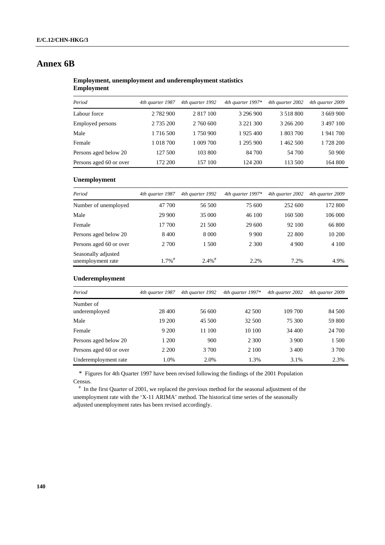# **Annex 6B**

## **Employment, unemployment and underemployment statistics Employment**

| Period                  | 4th quarter 1987 | 4th quarter 1992 | 4th quarter $1997*$ | 4th quarter 2002 | 4th quarter 2009 |
|-------------------------|------------------|------------------|---------------------|------------------|------------------|
| Labour force            | 2 782 900        | 2 8 1 7 1 0 0    | 3 296 900           | 3 5 1 8 8 0 0    | 3 669 900        |
| <b>Employed persons</b> | 2 735 200        | 2 760 600        | 3 2 2 1 3 0 0       | 3 266 200        | 3 497 100        |
| Male                    | 1 716 500        | 1 750 900        | 1925 400            | 1 803 700        | 1941700          |
| Female                  | 1 018 700        | 1 009 700        | 1 295 900           | 1 462 500        | 1 728 200        |
| Persons aged below 20   | 127 500          | 103 800          | 84 700              | 54 700           | 50 900           |
| Persons aged 60 or over | 172 200          | 157 100          | 124 200             | 113 500          | 164 800          |

## **Unemployment**

| Period                                   | 4th quarter 1987     | 4th quarter 1992     | 4th quarter $1997*$ | 4th quarter 2002 | 4th quarter 2009 |
|------------------------------------------|----------------------|----------------------|---------------------|------------------|------------------|
| Number of unemployed                     | 47 700               | 56 500               | 75 600              | 252 600          | 172 800          |
| Male                                     | 29 900               | 35 000               | 46 100              | 160 500          | 106 000          |
| Female                                   | 17 700               | 21 500               | 29 600              | 92 100           | 66 800           |
| Persons aged below 20                    | 8 4 0 0              | 8 0 0 0              | 9 9 0 0             | 22 800           | 10 200           |
| Persons aged 60 or over                  | 2 700                | 1 500                | 2 3 0 0             | 4 9 0 0          | 4 1 0 0          |
| Seasonally adjusted<br>unemployment rate | $1.7\%$ <sup>#</sup> | $2.4\%$ <sup>#</sup> | 2.2%                | 7.2%             | 4.9%             |

## **Underemployment**

| Period                     | 4th quarter 1987 | 4th quarter 1992 | 4th quarter $1997*$ | 4th quarter 2002 | 4th quarter 2009 |
|----------------------------|------------------|------------------|---------------------|------------------|------------------|
| Number of<br>underemployed | 28 400           | 56 600           | 42 500              | 109 700          | 84 500           |
| Male                       | 19 200           | 45 500           | 32 500              | 75 300           | 59 800           |
| Female                     | 9 200            | 11 100           | 10 100              | 34 400           | 24 700           |
| Persons aged below 20      | 1 200            | 900              | 2 3 0 0             | 3 9 0 0          | 1 500            |
| Persons aged 60 or over    | 2 2 0 0          | 3 700            | 2 100               | 3 4 0 0          | 3 700            |
| Underemployment rate       | 1.0%             | 2.0%             | 1.3%                | 3.1%             | 2.3%             |

\* Figures for 4th Quarter 1997 have been revised following the findings of the 2001 Population Census.

 $*$  In the first Quarter of 2001, we replaced the previous method for the seasonal adjustment of the unemployment rate with the 'X-11 ARIMA' method. The historical time series of the seasonally adjusted unemployment rates has been revised accordingly.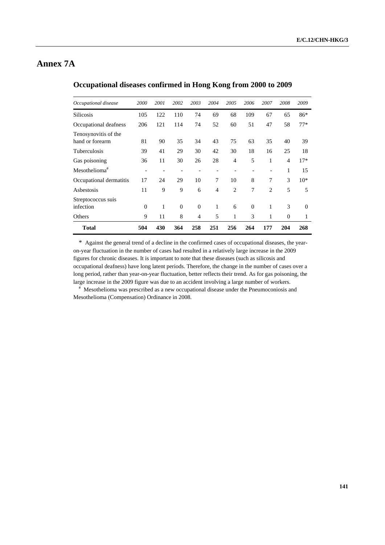# **Annex 7A**

| Occupational disease                    | 2000     | 2001 | 2002     | 2003           | 2004           | 2005           | 2006     | 2007           | 2008           | 2009     |
|-----------------------------------------|----------|------|----------|----------------|----------------|----------------|----------|----------------|----------------|----------|
| <b>Silicosis</b>                        | 105      | 122  | 110      | 74             | 69             | 68             | 109      | 67             | 65             | 86*      |
| Occupational deafness                   | 206      | 121  | 114      | 74             | 52             | 60             | 51       | 47             | 58             | $77*$    |
| Tenosynovitis of the<br>hand or forearm | 81       | 90   | 35       | 34             | 43             | 75             | 63       | 35             | 40             | 39       |
| Tuberculosis                            | 39       | 41   | 29       | 30             | 42             | 30             | 18       | 16             | 25             | 18       |
| Gas poisoning                           | 36       | 11   | 30       | 26             | 28             | $\overline{4}$ | 5        | 1              | $\overline{4}$ | $17*$    |
| $Mesothelioma^*$                        |          |      |          |                |                |                |          |                | 1              | 15       |
| Occupational dermatitis                 | 17       | 24   | 29       | 10             | 7              | 10             | 8        | 7              | 3              | $10*$    |
| Asbestosis                              | 11       | 9    | 9        | 6              | $\overline{4}$ | 2              | 7        | $\overline{c}$ | 5              | 5        |
| Streptococcus suis<br>infection         | $\theta$ | 1    | $\Omega$ | $\Omega$       | 1              | 6              | $\theta$ | 1              | 3              | $\Omega$ |
| Others                                  | 9        | 11   | 8        | $\overline{4}$ | 5              | 1              | 3        | 1              | $\theta$       | 1        |
| <b>Total</b>                            | 504      | 430  | 364      | 258            | 251            | 256            | 264      | 177            | 204            | 268      |

# **Occupational diseases confirmed in Hong Kong from 2000 to 2009**

\* Against the general trend of a decline in the confirmed cases of occupational diseases, the yearon-year fluctuation in the number of cases had resulted in a relatively large increase in the 2009 figures for chronic diseases. It is important to note that these diseases (such as silicosis and occupational deafness) have long latent periods. Therefore, the change in the number of cases over a long period, rather than year-on-year fluctuation, better reflects their trend. As for gas poisoning, the large increase in the 2009 figure was due to an accident involving a large number of workers.

 Mesothelioma was prescribed as a new occupational disease under the Pneumoconiosis and Mesothelioma (Compensation) Ordinance in 2008.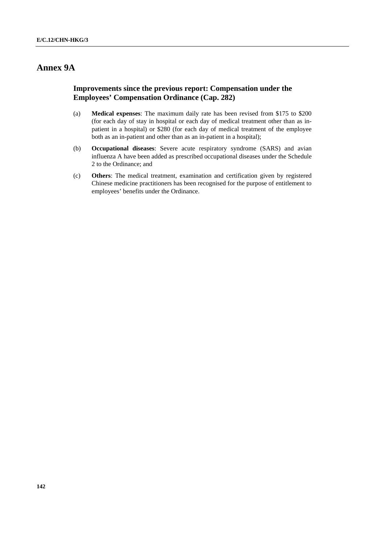# **Annex 9A**

# **Improvements since the previous report: Compensation under the Employees' Compensation Ordinance (Cap. 282)**

- (a) **Medical expenses**: The maximum daily rate has been revised from \$175 to \$200 (for each day of stay in hospital or each day of medical treatment other than as inpatient in a hospital) or \$280 (for each day of medical treatment of the employee both as an in-patient and other than as an in-patient in a hospital);
- (b) **Occupational diseases**: Severe acute respiratory syndrome (SARS) and avian influenza A have been added as prescribed occupational diseases under the Schedule 2 to the Ordinance; and
- (c) **Others**: The medical treatment, examination and certification given by registered Chinese medicine practitioners has been recognised for the purpose of entitlement to employees' benefits under the Ordinance.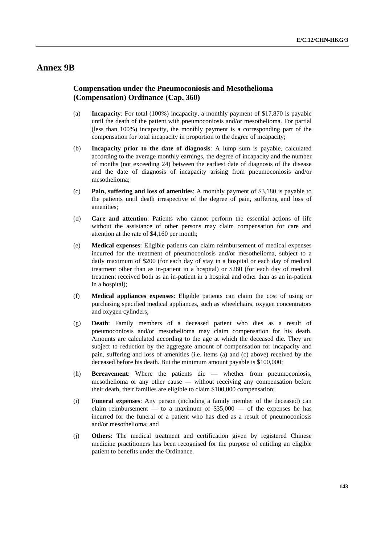# **Annex 9B**

# **Compensation under the Pneumoconiosis and Mesothelioma (Compensation) Ordinance (Cap. 360)**

- (a) **Incapacity**: For total (100%) incapacity, a monthly payment of \$17,870 is payable until the death of the patient with pneumoconiosis and/or mesothelioma. For partial (less than 100%) incapacity, the monthly payment is a corresponding part of the compensation for total incapacity in proportion to the degree of incapacity;
- (b) **Incapacity prior to the date of diagnosis**: A lump sum is payable, calculated according to the average monthly earnings, the degree of incapacity and the number of months (not exceeding 24) between the earliest date of diagnosis of the disease and the date of diagnosis of incapacity arising from pneumoconiosis and/or mesothelioma;
- (c) **Pain, suffering and loss of amenities**: A monthly payment of \$3,180 is payable to the patients until death irrespective of the degree of pain, suffering and loss of amenities;
- (d) **Care and attention**: Patients who cannot perform the essential actions of life without the assistance of other persons may claim compensation for care and attention at the rate of \$4,160 per month;
- (e) **Medical expenses**: Eligible patients can claim reimbursement of medical expenses incurred for the treatment of pneumoconiosis and/or mesothelioma, subject to a daily maximum of \$200 (for each day of stay in a hospital or each day of medical treatment other than as in-patient in a hospital) or \$280 (for each day of medical treatment received both as an in-patient in a hospital and other than as an in-patient in a hospital);
- (f) **Medical appliances expenses**: Eligible patients can claim the cost of using or purchasing specified medical appliances, such as wheelchairs, oxygen concentrators and oxygen cylinders;
- (g) **Death**: Family members of a deceased patient who dies as a result of pneumoconiosis and/or mesothelioma may claim compensation for his death. Amounts are calculated according to the age at which the deceased die. They are subject to reduction by the aggregate amount of compensation for incapacity and pain, suffering and loss of amenities (i.e. items (a) and (c) above) received by the deceased before his death. But the minimum amount payable is \$100,000;
- (h) **Bereavement**: Where the patients die whether from pneumoconiosis, mesothelioma or any other cause — without receiving any compensation before their death, their families are eligible to claim \$100,000 compensation;
- (i) **Funeral expenses**: Any person (including a family member of the deceased) can claim reimbursement — to a maximum of  $$35,000$  — of the expenses he has incurred for the funeral of a patient who has died as a result of pneumoconiosis and/or mesothelioma; and
- (j) **Others**: The medical treatment and certification given by registered Chinese medicine practitioners has been recognised for the purpose of entitling an eligible patient to benefits under the Ordinance.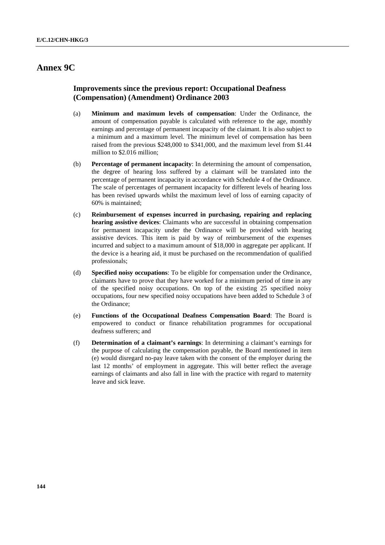# **Annex 9C**

# **Improvements since the previous report: Occupational Deafness (Compensation) (Amendment) Ordinance 2003**

- (a) **Minimum and maximum levels of compensation**: Under the Ordinance, the amount of compensation payable is calculated with reference to the age, monthly earnings and percentage of permanent incapacity of the claimant. It is also subject to a minimum and a maximum level. The minimum level of compensation has been raised from the previous \$248,000 to \$341,000, and the maximum level from \$1.44 million to \$2.016 million;
- (b) **Percentage of permanent incapacity**: In determining the amount of compensation, the degree of hearing loss suffered by a claimant will be translated into the percentage of permanent incapacity in accordance with Schedule 4 of the Ordinance. The scale of percentages of permanent incapacity for different levels of hearing loss has been revised upwards whilst the maximum level of loss of earning capacity of 60% is maintained;
- (c) **Reimbursement of expenses incurred in purchasing, repairing and replacing hearing assistive devices**: Claimants who are successful in obtaining compensation for permanent incapacity under the Ordinance will be provided with hearing assistive devices. This item is paid by way of reimbursement of the expenses incurred and subject to a maximum amount of \$18,000 in aggregate per applicant. If the device is a hearing aid, it must be purchased on the recommendation of qualified professionals;
- (d) **Specified noisy occupations**: To be eligible for compensation under the Ordinance, claimants have to prove that they have worked for a minimum period of time in any of the specified noisy occupations. On top of the existing 25 specified noisy occupations, four new specified noisy occupations have been added to Schedule 3 of the Ordinance;
- (e) **Functions of the Occupational Deafness Compensation Board**: The Board is empowered to conduct or finance rehabilitation programmes for occupational deafness sufferers; and
- (f) **Determination of a claimant's earnings**: In determining a claimant's earnings for the purpose of calculating the compensation payable, the Board mentioned in item (e) would disregard no-pay leave taken with the consent of the employer during the last 12 months' of employment in aggregate. This will better reflect the average earnings of claimants and also fall in line with the practice with regard to maternity leave and sick leave.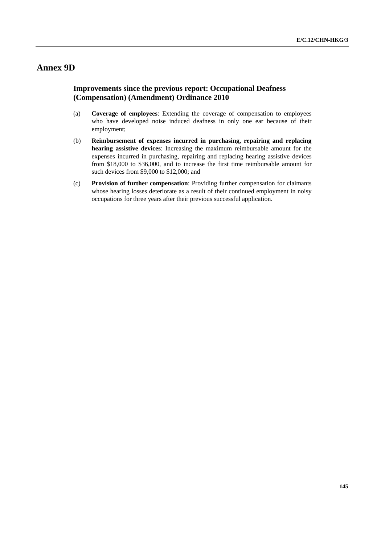# **Annex 9D**

## **Improvements since the previous report: Occupational Deafness (Compensation) (Amendment) Ordinance 2010**

- (a) **Coverage of employees**: Extending the coverage of compensation to employees who have developed noise induced deafness in only one ear because of their employment;
- (b) **Reimbursement of expenses incurred in purchasing, repairing and replacing hearing assistive devices**: Increasing the maximum reimbursable amount for the expenses incurred in purchasing, repairing and replacing hearing assistive devices from \$18,000 to \$36,000, and to increase the first time reimbursable amount for such devices from \$9,000 to \$12,000; and
- (c) **Provision of further compensation**: Providing further compensation for claimants whose hearing losses deteriorate as a result of their continued employment in noisy occupations for three years after their previous successful application.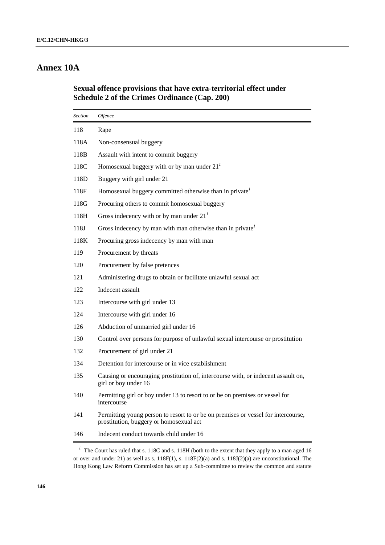# **Annex 10A**

## **Sexual offence provisions that have extra-territorial effect under Schedule 2 of the Crimes Ordinance (Cap. 200)**

| <b>Section</b> | Offence                                                                                                                      |  |  |  |  |
|----------------|------------------------------------------------------------------------------------------------------------------------------|--|--|--|--|
| 118            | Rape                                                                                                                         |  |  |  |  |
| 118A           | Non-consensual buggery                                                                                                       |  |  |  |  |
| 118B           | Assault with intent to commit buggery                                                                                        |  |  |  |  |
| 118C           | Homosexual buggery with or by man under $21T$                                                                                |  |  |  |  |
| 118D           | Buggery with girl under 21                                                                                                   |  |  |  |  |
| 118F           | Homosexual buggery committed otherwise than in private <sup>1</sup>                                                          |  |  |  |  |
| 118G           | Procuring others to commit homosexual buggery                                                                                |  |  |  |  |
| 118H           | Gross indecency with or by man under $21T$                                                                                   |  |  |  |  |
| 118J           | Gross indecency by man with man otherwise than in private                                                                    |  |  |  |  |
| 118K           | Procuring gross indecency by man with man                                                                                    |  |  |  |  |
| 119            | Procurement by threats                                                                                                       |  |  |  |  |
| 120            | Procurement by false pretences                                                                                               |  |  |  |  |
| 121            | Administering drugs to obtain or facilitate unlawful sexual act                                                              |  |  |  |  |
| 122            | Indecent assault                                                                                                             |  |  |  |  |
| 123            | Intercourse with girl under 13                                                                                               |  |  |  |  |
| 124            | Intercourse with girl under 16                                                                                               |  |  |  |  |
| 126            | Abduction of unmarried girl under 16                                                                                         |  |  |  |  |
| 130            | Control over persons for purpose of unlawful sexual intercourse or prostitution                                              |  |  |  |  |
| 132            | Procurement of girl under 21                                                                                                 |  |  |  |  |
| 134            | Detention for intercourse or in vice establishment                                                                           |  |  |  |  |
| 135            | Causing or encouraging prostitution of, intercourse with, or indecent assault on,<br>girl or boy under 16                    |  |  |  |  |
| 140            | Permitting girl or boy under 13 to resort to or be on premises or vessel for<br>intercourse                                  |  |  |  |  |
| 141            | Permitting young person to resort to or be on premises or vessel for intercourse,<br>prostitution, buggery or homosexual act |  |  |  |  |
| 146            | Indecent conduct towards child under 16                                                                                      |  |  |  |  |

<sup>&</sup>lt;sup>1</sup> The Court has ruled that s. 118C and s. 118H (both to the extent that they apply to a man aged 16 or over and under 21) as well as s. 118F(1), s. 118F(2)(a) and s. 118J(2)(a) are unconstitutional. The Hong Kong Law Reform Commission has set up a Sub-committee to review the common and statute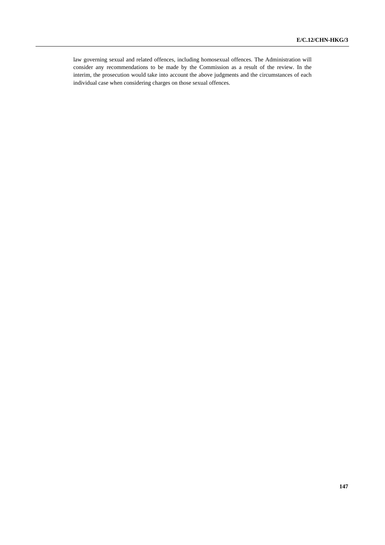law governing sexual and related offences, including homosexual offences. The Administration will consider any recommendations to be made by the Commission as a result of the review. In the interim, the prosecution would take into account the above judgments and the circumstances of each individual case when considering charges on those sexual offences.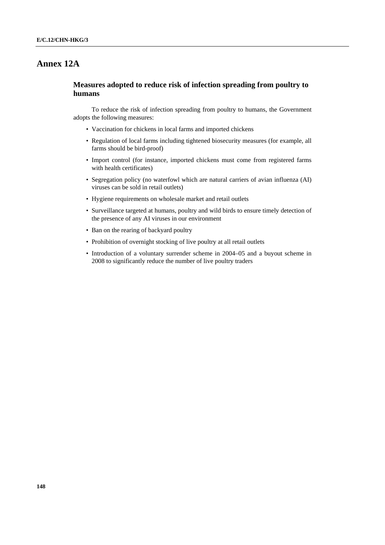# **Annex 12A**

## **Measures adopted to reduce risk of infection spreading from poultry to humans**

 To reduce the risk of infection spreading from poultry to humans, the Government adopts the following measures:

- Vaccination for chickens in local farms and imported chickens
- Regulation of local farms including tightened biosecurity measures (for example, all farms should be bird-proof)
- Import control (for instance, imported chickens must come from registered farms with health certificates)
- Segregation policy (no waterfowl which are natural carriers of avian influenza (AI) viruses can be sold in retail outlets)
- Hygiene requirements on wholesale market and retail outlets
- Surveillance targeted at humans, poultry and wild birds to ensure timely detection of the presence of any AI viruses in our environment
- Ban on the rearing of backyard poultry
- Prohibition of overnight stocking of live poultry at all retail outlets
- Introduction of a voluntary surrender scheme in 2004–05 and a buyout scheme in 2008 to significantly reduce the number of live poultry traders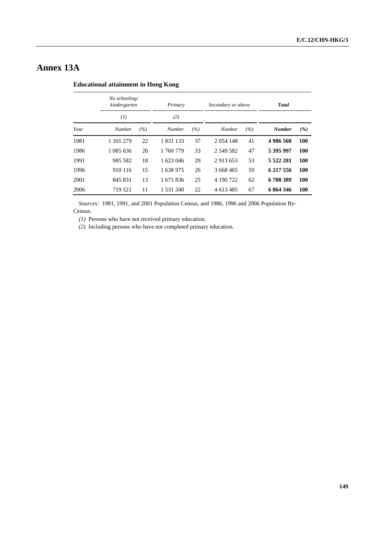# **Annex 13A**

#### **Educational attainment in Hong Kong**

|      | No schooling/<br>kindergarten |     | Primary       |     | Secondary or above |     | <b>Total</b>  |            |
|------|-------------------------------|-----|---------------|-----|--------------------|-----|---------------|------------|
|      | (1)                           |     | (2)           |     |                    |     |               |            |
| Year | Number                        | (%) | <b>Number</b> | (%) | Number             | (%) | <b>Number</b> | (%)        |
| 1981 | 1 101 279                     | 22  | 1 831 133     | 37  | 2 0 54 148         | 41  | 4986560       | 100        |
| 1986 | 1 085 636                     | 20  | 1 760 779     | 33  | 2 549 582          | 47  | 5 395 997     | 100        |
| 1991 | 985 582                       | 18  | 1 623 046     | 29  | 2 913 653          | 53  | 5 5 2 2 2 8 1 | 100        |
| 1996 | 910 116                       | 15  | 1638975       | 26  | 3 668 465          | 59  | 6 217 556     | <b>100</b> |
| 2001 | 845 831                       | 13  | 1 671 836     | 25  | 4 190 722          | 62  | 6708389       | <b>100</b> |
| 2006 | 719 521                       | 11  | 1 531 340     | 22  | 4 613 485          | 67  | 6864346       | 100        |

*Sources:* 1981, 1991, and 2001 Population Census, and 1986, 1996 and 2006 Population By-

Census.

*(1)* Persons who have not received primary education.

*(2)* Including persons who have not completed primary education.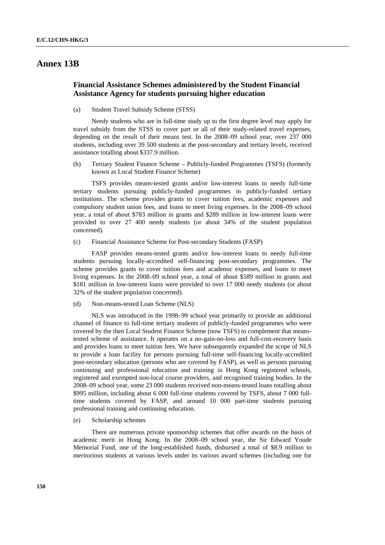## **Annex 13B**

## **Financial Assistance Schemes administered by the Student Financial Assistance Agency for students pursuing higher education**

(a) Student Travel Subsidy Scheme (STSS)

 Needy students who are in full-time study up to the first degree level may apply for travel subsidy from the STSS to cover part or all of their study-related travel expenses, depending on the result of their means test. In the 2008–09 school year, over 237 000 students, including over 39 500 students at the post-secondary and tertiary levels, received assistance totalling about \$337.9 million.

(b) Tertiary Student Finance Scheme – Publicly-funded Programmes (TSFS) (formerly known as Local Student Finance Scheme)

 TSFS provides means-tested grants and/or low-interest loans to needy full-time tertiary students pursuing publicly-funded programmes in publicly-funded tertiary institutions. The scheme provides grants to cover tuition fees, academic expenses and compulsory student union fees, and loans to meet living expenses. In the 2008–09 school year, a total of about \$783 million in grants and \$289 million in low-interest loans were provided to over 27 400 needy students (or about 34% of the student population concerned).

(c) Financial Assistance Scheme for Post-secondary Students (FASP)

 FASP provides means-tested grants and/or low-interest loans to needy full-time students pursuing locally-accredited self-financing post-secondary programmes. The scheme provides grants to cover tuition fees and academic expenses, and loans to meet living expenses. In the 2008–09 school year, a total of about \$589 million in grants and \$181 million in low-interest loans were provided to over 17 000 needy students (or about 32% of the student population concerned).

(d) Non-means-tested Loan Scheme (NLS)

 NLS was introduced in the 1998–99 school year primarily to provide an additional channel of finance to full-time tertiary students of publicly-funded programmes who were covered by the then Local Student Finance Scheme (now TSFS) to complement that meanstested scheme of assistance. It operates on a no-gain-no-loss and full-cost-recovery basis and provides loans to meet tuition fees. We have subsequently expanded the scope of NLS to provide a loan facility for persons pursuing full-time self-financing locally-accredited post-secondary education (persons who are covered by FASP), as well as persons pursuing continuing and professional education and training in Hong Kong registered schools, registered and exempted non-local course providers, and recognised training bodies. In the 2008–09 school year, some 23 000 students received non-means-tested loans totalling about \$995 million, including about 6 000 full-time students covered by TSFS, about 7 000 fulltime students covered by FASP, and around 10 000 part-time students pursuing professional training and continuing education.

(e) Scholarship schemes

 There are numerous private sponsorship schemes that offer awards on the basis of academic merit in Hong Kong. In the 2008–09 school year, the Sir Edward Youde Memorial Fund, one of the long-established funds, disbursed a total of \$8.9 million to meritorious students at various levels under its various award schemes (including one for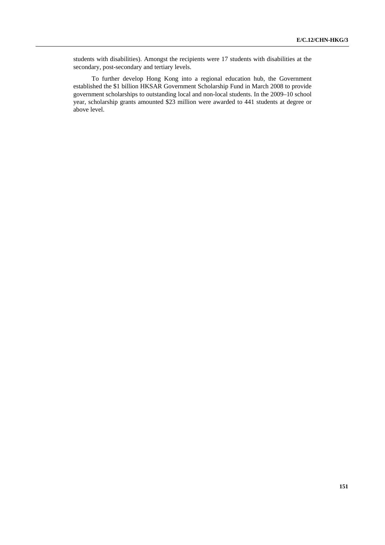students with disabilities). Amongst the recipients were 17 students with disabilities at the secondary, post-secondary and tertiary levels.

 To further develop Hong Kong into a regional education hub, the Government established the \$1 billion HKSAR Government Scholarship Fund in March 2008 to provide government scholarships to outstanding local and non-local students. In the 2009–10 school year, scholarship grants amounted \$23 million were awarded to 441 students at degree or above level.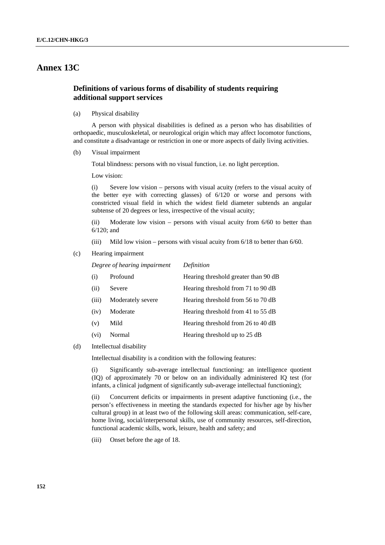# **Annex 13C**

## **Definitions of various forms of disability of students requiring additional support services**

(a) Physical disability

 A person with physical disabilities is defined as a person who has disabilities of orthopaedic, musculoskeletal, or neurological origin which may affect locomotor functions, and constitute a disadvantage or restriction in one or more aspects of daily living activities.

(b) Visual impairment

Total blindness: persons with no visual function, i.e. no light perception.

Low vision:

(i) Severe low vision – persons with visual acuity (refers to the visual acuity of the better eye with correcting glasses) of 6/120 or worse and persons with constricted visual field in which the widest field diameter subtends an angular subtense of 20 degrees or less, irrespective of the visual acuity;

(ii) Moderate low vision – persons with visual acuity from 6/60 to better than 6/120; and

(iii) Mild low vision – persons with visual acuity from 6/18 to better than 6/60.

(c) Hearing impairment

 *Degree of hearing impairment Definition* 

| (i)   | Profound          | Hearing threshold greater than 90 dB |
|-------|-------------------|--------------------------------------|
| (ii)  | Severe            | Hearing threshold from 71 to 90 dB   |
| (iii) | Moderately severe | Hearing threshold from 56 to 70 dB   |
| (iv)  | Moderate          | Hearing threshold from 41 to 55 dB   |
| (v)   | Mild              | Hearing threshold from 26 to 40 dB   |
| (vi)  | Normal            | Hearing threshold up to 25 dB        |

(d) Intellectual disability

Intellectual disability is a condition with the following features:

(i) Significantly sub-average intellectual functioning: an intelligence quotient (IQ) of approximately 70 or below on an individually administered IQ test (for infants, a clinical judgment of significantly sub-average intellectual functioning);

(ii) Concurrent deficits or impairments in present adaptive functioning (i.e., the person's effectiveness in meeting the standards expected for his/her age by his/her cultural group) in at least two of the following skill areas: communication, self-care, home living, social/interpersonal skills, use of community resources, self-direction, functional academic skills, work, leisure, health and safety; and

(iii) Onset before the age of 18.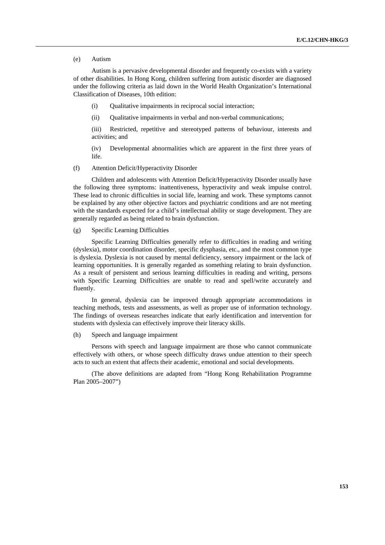#### (e) Autism

 Autism is a pervasive developmental disorder and frequently co-exists with a variety of other disabilities. In Hong Kong, children suffering from autistic disorder are diagnosed under the following criteria as laid down in the World Health Organization's International Classification of Diseases, 10th edition:

(i) Qualitative impairments in reciprocal social interaction;

(ii) Oualitative impairments in verbal and non-verbal communications;

(iii) Restricted, repetitive and stereotyped patterns of behaviour, interests and activities; and

(iv) Developmental abnormalities which are apparent in the first three years of life.

#### (f) Attention Deficit/Hyperactivity Disorder

 Children and adolescents with Attention Deficit/Hyperactivity Disorder usually have the following three symptoms: inattentiveness, hyperactivity and weak impulse control. These lead to chronic difficulties in social life, learning and work. These symptoms cannot be explained by any other objective factors and psychiatric conditions and are not meeting with the standards expected for a child's intellectual ability or stage development. They are generally regarded as being related to brain dysfunction.

#### (g) Specific Learning Difficulties

 Specific Learning Difficulties generally refer to difficulties in reading and writing (dyslexia), motor coordination disorder, specific dysphasia, etc., and the most common type is dyslexia. Dyslexia is not caused by mental deficiency, sensory impairment or the lack of learning opportunities. It is generally regarded as something relating to brain dysfunction. As a result of persistent and serious learning difficulties in reading and writing, persons with Specific Learning Difficulties are unable to read and spell/write accurately and fluently.

 In general, dyslexia can be improved through appropriate accommodations in teaching methods, tests and assessments, as well as proper use of information technology. The findings of overseas researches indicate that early identification and intervention for students with dyslexia can effectively improve their literacy skills.

#### (h) Speech and language impairment

 Persons with speech and language impairment are those who cannot communicate effectively with others, or whose speech difficulty draws undue attention to their speech acts to such an extent that affects their academic, emotional and social developments.

 (The above definitions are adapted from "Hong Kong Rehabilitation Programme Plan 2005–2007")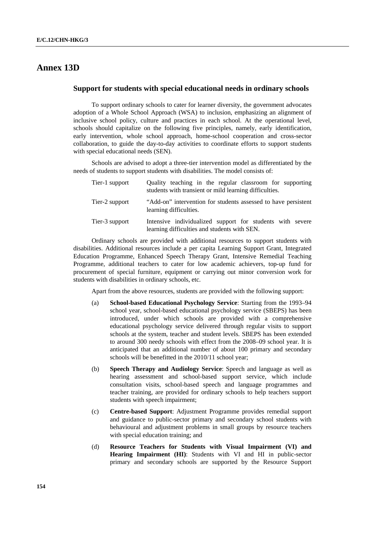# **Annex 13D**

#### **Support for students with special educational needs in ordinary schools**

 To support ordinary schools to cater for learner diversity, the government advocates adoption of a Whole School Approach (WSA) to inclusion, emphasizing an alignment of inclusive school policy, culture and practices in each school. At the operational level, schools should capitalize on the following five principles, namely, early identification, early intervention, whole school approach, home-school cooperation and cross-sector collaboration, to guide the day-to-day activities to coordinate efforts to support students with special educational needs (SEN).

 Schools are advised to adopt a three-tier intervention model as differentiated by the needs of students to support students with disabilities. The model consists of:

| Tier-1 support | Quality teaching in the regular classroom for supporting<br>students with transient or mild learning difficulties. |
|----------------|--------------------------------------------------------------------------------------------------------------------|
| Tier-2 support | "Add-on" intervention for students assessed to have persistent<br>learning difficulties.                           |
| Tier-3 support | Intensive individualized support for students with severe<br>learning difficulties and students with SEN.          |

 Ordinary schools are provided with additional resources to support students with disabilities. Additional resources include a per capita Learning Support Grant, Integrated Education Programme, Enhanced Speech Therapy Grant, Intensive Remedial Teaching Programme, additional teachers to cater for low academic achievers, top-up fund for procurement of special furniture, equipment or carrying out minor conversion work for students with disabilities in ordinary schools, etc.

Apart from the above resources, students are provided with the following support:

- (a) **School-based Educational Psychology Service**: Starting from the 1993–94 school year, school-based educational psychology service (SBEPS) has been introduced, under which schools are provided with a comprehensive educational psychology service delivered through regular visits to support schools at the system, teacher and student levels. SBEPS has been extended to around 300 needy schools with effect from the 2008–09 school year. It is anticipated that an additional number of about 100 primary and secondary schools will be benefitted in the 2010/11 school year;
- (b) **Speech Therapy and Audiology Service**: Speech and language as well as hearing assessment and school-based support service, which include consultation visits, school-based speech and language programmes and teacher training, are provided for ordinary schools to help teachers support students with speech impairment;
- (c) **Centre-based Support**: Adjustment Programme provides remedial support and guidance to public-sector primary and secondary school students with behavioural and adjustment problems in small groups by resource teachers with special education training; and
- (d) **Resource Teachers for Students with Visual Impairment (VI) and Hearing Impairment (HI)**: Students with VI and HI in public-sector primary and secondary schools are supported by the Resource Support